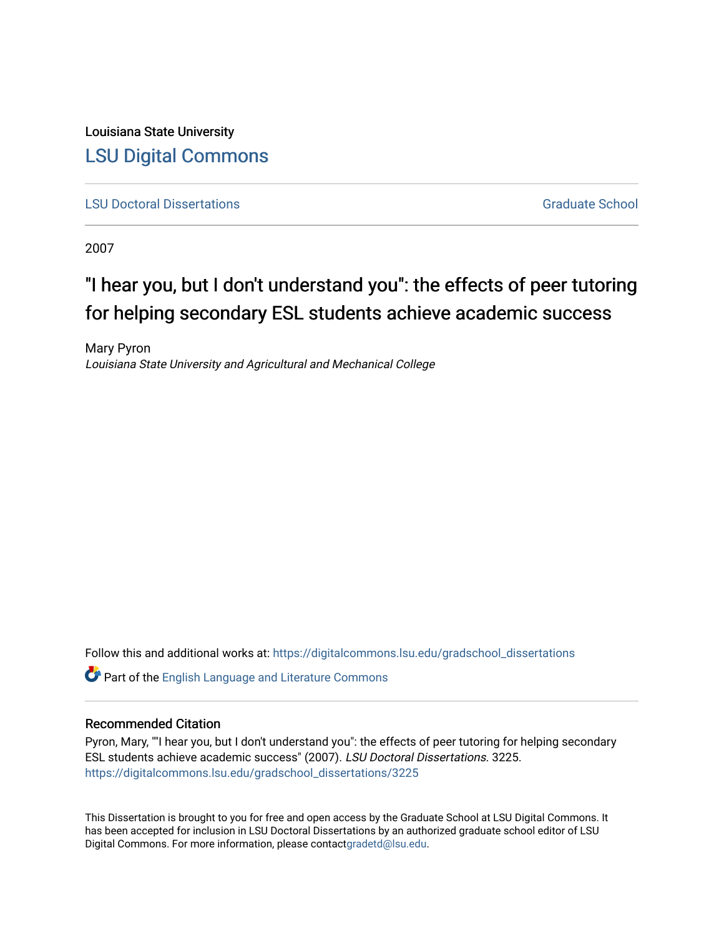Louisiana State University [LSU Digital Commons](https://digitalcommons.lsu.edu/)

**[LSU Doctoral Dissertations](https://digitalcommons.lsu.edu/gradschool_dissertations)** [Graduate School](https://digitalcommons.lsu.edu/gradschool) Control of the Graduate School Control of the Graduate School Control of the Graduate School Control of the Graduate School Control of the Graduate School Control of the Graduat

2007

# "I hear you, but I don't understand you": the effects of peer tutoring for helping secondary ESL students achieve academic success

Mary Pyron Louisiana State University and Agricultural and Mechanical College

Follow this and additional works at: [https://digitalcommons.lsu.edu/gradschool\\_dissertations](https://digitalcommons.lsu.edu/gradschool_dissertations?utm_source=digitalcommons.lsu.edu%2Fgradschool_dissertations%2F3225&utm_medium=PDF&utm_campaign=PDFCoverPages)

Part of the [English Language and Literature Commons](https://network.bepress.com/hgg/discipline/455?utm_source=digitalcommons.lsu.edu%2Fgradschool_dissertations%2F3225&utm_medium=PDF&utm_campaign=PDFCoverPages)

# Recommended Citation

Pyron, Mary, ""I hear you, but I don't understand you": the effects of peer tutoring for helping secondary ESL students achieve academic success" (2007). LSU Doctoral Dissertations. 3225. [https://digitalcommons.lsu.edu/gradschool\\_dissertations/3225](https://digitalcommons.lsu.edu/gradschool_dissertations/3225?utm_source=digitalcommons.lsu.edu%2Fgradschool_dissertations%2F3225&utm_medium=PDF&utm_campaign=PDFCoverPages)

This Dissertation is brought to you for free and open access by the Graduate School at LSU Digital Commons. It has been accepted for inclusion in LSU Doctoral Dissertations by an authorized graduate school editor of LSU Digital Commons. For more information, please contac[tgradetd@lsu.edu.](mailto:gradetd@lsu.edu)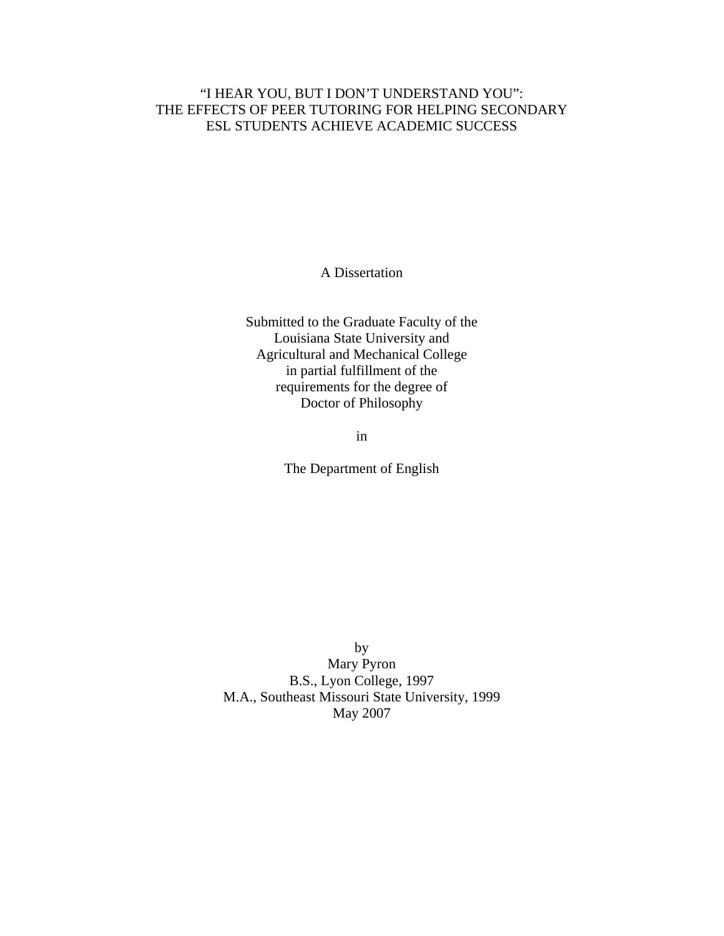# "I HEAR YOU, BUT I DON'T UNDERSTAND YOU": THE EFFECTS OF PEER TUTORING FOR HELPING SECONDARY ESL STUDENTS ACHIEVE ACADEMIC SUCCESS

A Dissertation

Submitted to the Graduate Faculty of the Louisiana State University and Agricultural and Mechanical College in partial fulfillment of the requirements for the degree of Doctor of Philosophy

in

The Department of English

by Mary Pyron B.S., Lyon College, 1997 M.A., Southeast Missouri State University, 1999 May 2007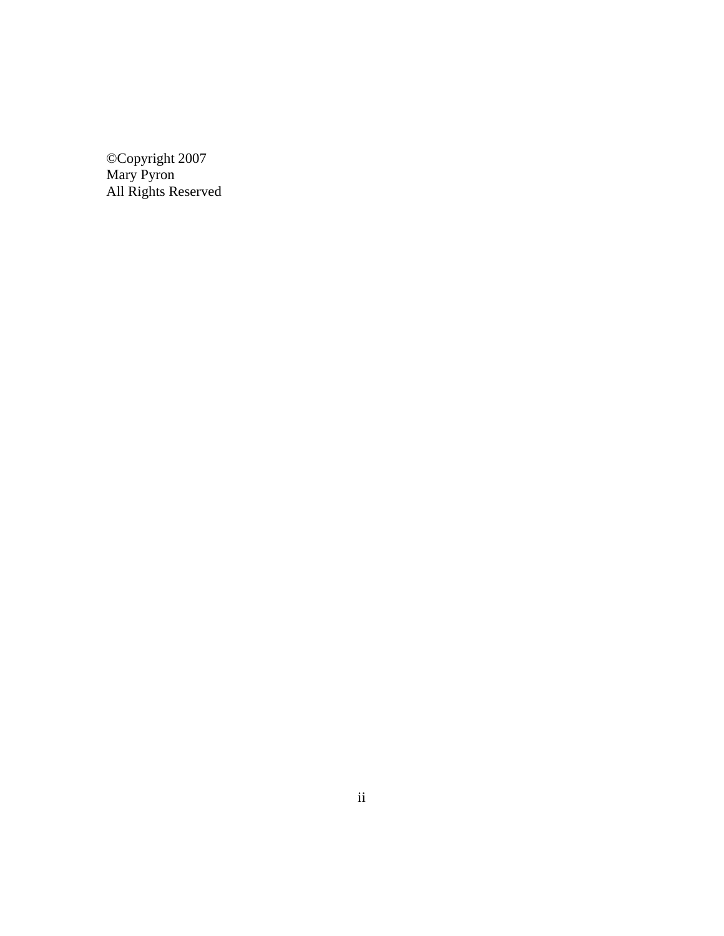©Copyright 2007 Mary Pyron All Rights Reserved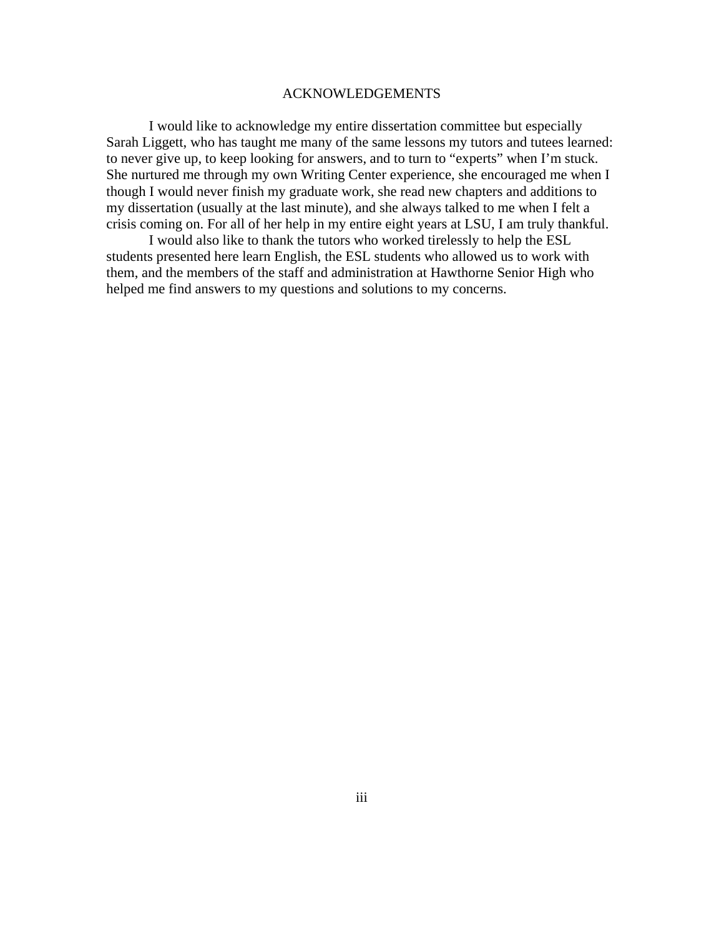#### ACKNOWLEDGEMENTS

I would like to acknowledge my entire dissertation committee but especially Sarah Liggett, who has taught me many of the same lessons my tutors and tutees learned: to never give up, to keep looking for answers, and to turn to "experts" when I'm stuck. She nurtured me through my own Writing Center experience, she encouraged me when I though I would never finish my graduate work, she read new chapters and additions to my dissertation (usually at the last minute), and she always talked to me when I felt a crisis coming on. For all of her help in my entire eight years at LSU, I am truly thankful.

I would also like to thank the tutors who worked tirelessly to help the ESL students presented here learn English, the ESL students who allowed us to work with them, and the members of the staff and administration at Hawthorne Senior High who helped me find answers to my questions and solutions to my concerns.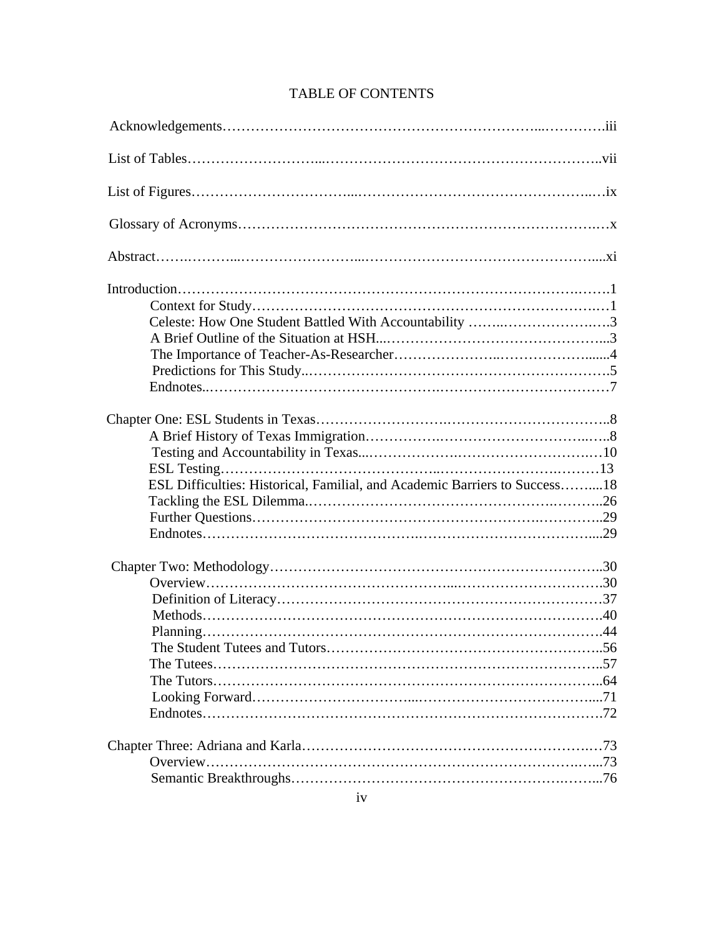| Celeste: How One Student Battled With Accountability 3                     |  |
|----------------------------------------------------------------------------|--|
|                                                                            |  |
|                                                                            |  |
|                                                                            |  |
|                                                                            |  |
|                                                                            |  |
|                                                                            |  |
|                                                                            |  |
|                                                                            |  |
| ESL Difficulties: Historical, Familial, and Academic Barriers to Success18 |  |
|                                                                            |  |
|                                                                            |  |
|                                                                            |  |
|                                                                            |  |
|                                                                            |  |
|                                                                            |  |
|                                                                            |  |
|                                                                            |  |
|                                                                            |  |
|                                                                            |  |
|                                                                            |  |
|                                                                            |  |
|                                                                            |  |
|                                                                            |  |
|                                                                            |  |
|                                                                            |  |
|                                                                            |  |

# TABLE OF CONTENTS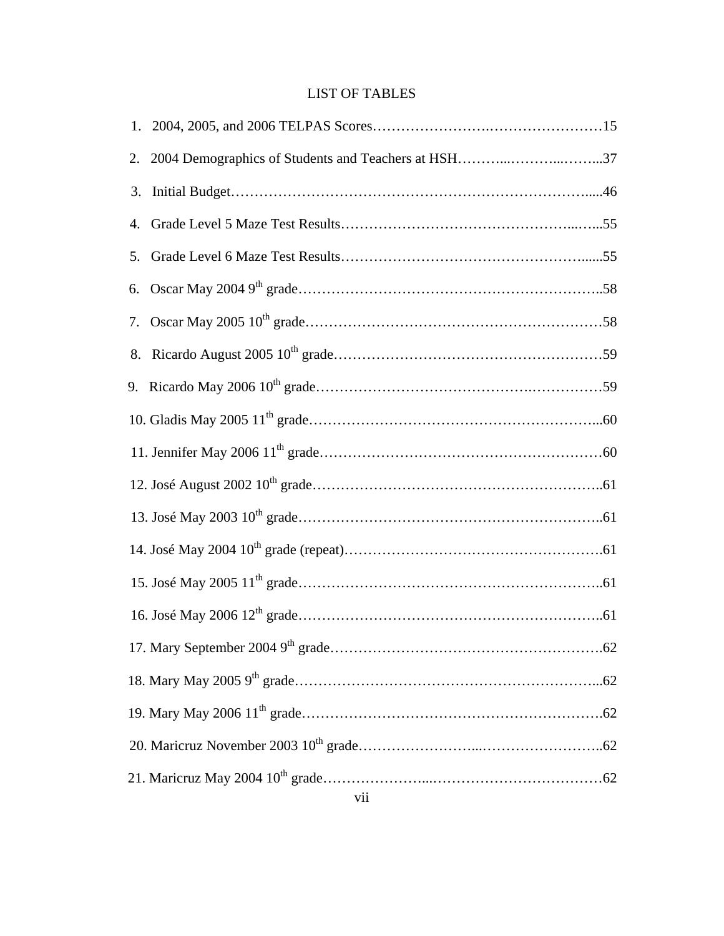# LIST OF TABLES

| 2. |  |
|----|--|
| 3. |  |
| 4. |  |
| 5. |  |
|    |  |
|    |  |
|    |  |
|    |  |
|    |  |
|    |  |
|    |  |
|    |  |
|    |  |
|    |  |
|    |  |
|    |  |
|    |  |
|    |  |
|    |  |
|    |  |
|    |  |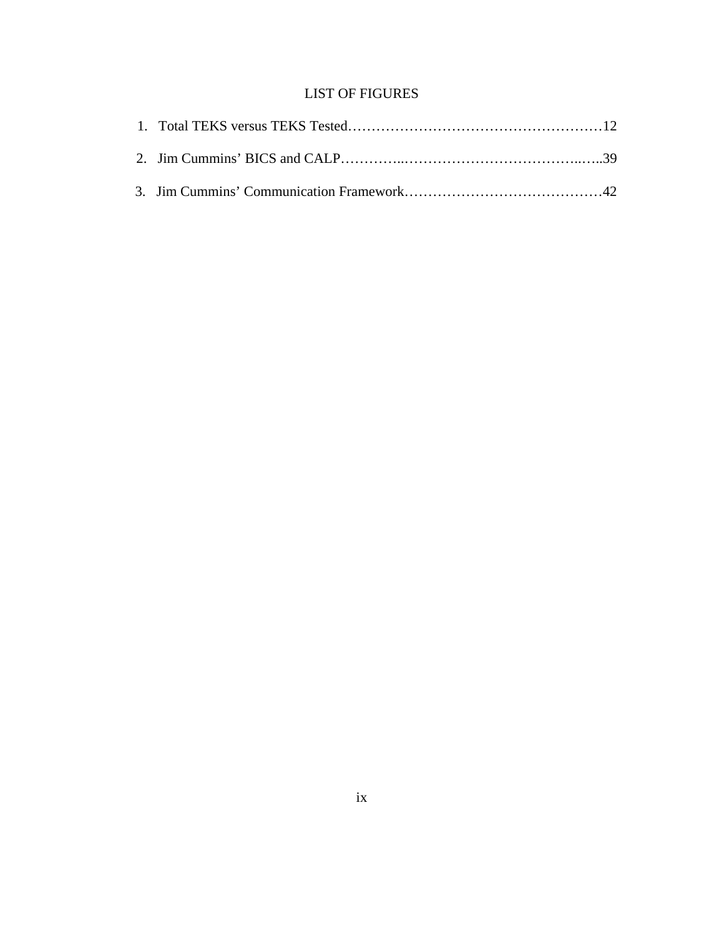# LIST OF FIGURES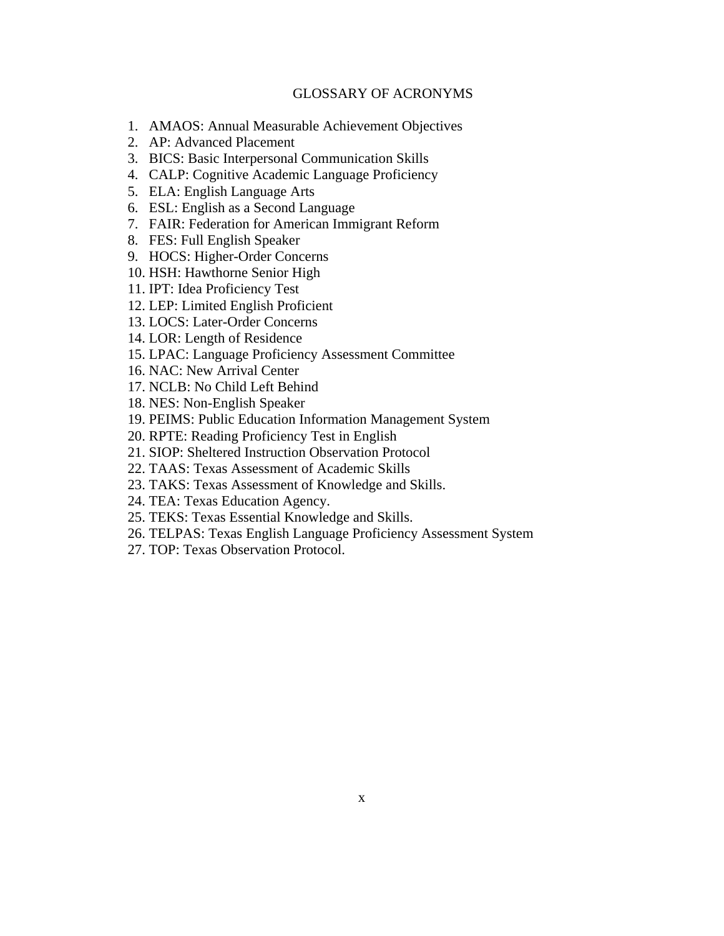# GLOSSARY OF ACRONYMS

- 1. AMAOS: Annual Measurable Achievement Objectives
- 2. AP: Advanced Placement
- 3. BICS: Basic Interpersonal Communication Skills
- 4. CALP: Cognitive Academic Language Proficiency
- 5. ELA: English Language Arts
- 6. ESL: English as a Second Language
- 7. FAIR: Federation for American Immigrant Reform
- 8. FES: Full English Speaker
- 9. HOCS: Higher-Order Concerns
- 10. HSH: Hawthorne Senior High
- 11. IPT: Idea Proficiency Test
- 12. LEP: Limited English Proficient
- 13. LOCS: Later-Order Concerns
- 14. LOR: Length of Residence
- 15. LPAC: Language Proficiency Assessment Committee
- 16. NAC: New Arrival Center
- 17. NCLB: No Child Left Behind
- 18. NES: Non-English Speaker
- 19. PEIMS: Public Education Information Management System
- 20. RPTE: Reading Proficiency Test in English
- 21. SIOP: Sheltered Instruction Observation Protocol
- 22. TAAS: Texas Assessment of Academic Skills
- 23. TAKS: Texas Assessment of Knowledge and Skills.
- 24. TEA: Texas Education Agency.
- 25. TEKS: Texas Essential Knowledge and Skills.
- 26. TELPAS: Texas English Language Proficiency Assessment System
- 27. TOP: Texas Observation Protocol.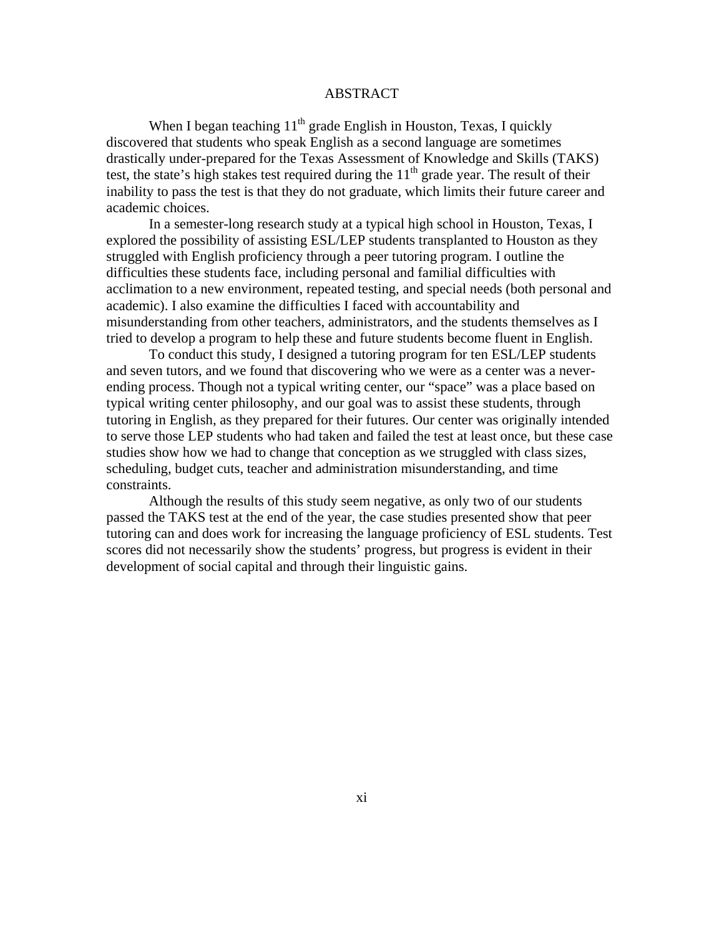## ABSTRACT

When I began teaching  $11<sup>th</sup>$  grade English in Houston, Texas, I quickly discovered that students who speak English as a second language are sometimes drastically under-prepared for the Texas Assessment of Knowledge and Skills (TAKS) test, the state's high stakes test required during the  $11<sup>th</sup>$  grade year. The result of their inability to pass the test is that they do not graduate, which limits their future career and academic choices.

In a semester-long research study at a typical high school in Houston, Texas, I explored the possibility of assisting ESL/LEP students transplanted to Houston as they struggled with English proficiency through a peer tutoring program. I outline the difficulties these students face, including personal and familial difficulties with acclimation to a new environment, repeated testing, and special needs (both personal and academic). I also examine the difficulties I faced with accountability and misunderstanding from other teachers, administrators, and the students themselves as I tried to develop a program to help these and future students become fluent in English.

To conduct this study, I designed a tutoring program for ten ESL/LEP students and seven tutors, and we found that discovering who we were as a center was a neverending process. Though not a typical writing center, our "space" was a place based on typical writing center philosophy, and our goal was to assist these students, through tutoring in English, as they prepared for their futures. Our center was originally intended to serve those LEP students who had taken and failed the test at least once, but these case studies show how we had to change that conception as we struggled with class sizes, scheduling, budget cuts, teacher and administration misunderstanding, and time constraints.

Although the results of this study seem negative, as only two of our students passed the TAKS test at the end of the year, the case studies presented show that peer tutoring can and does work for increasing the language proficiency of ESL students. Test scores did not necessarily show the students' progress, but progress is evident in their development of social capital and through their linguistic gains.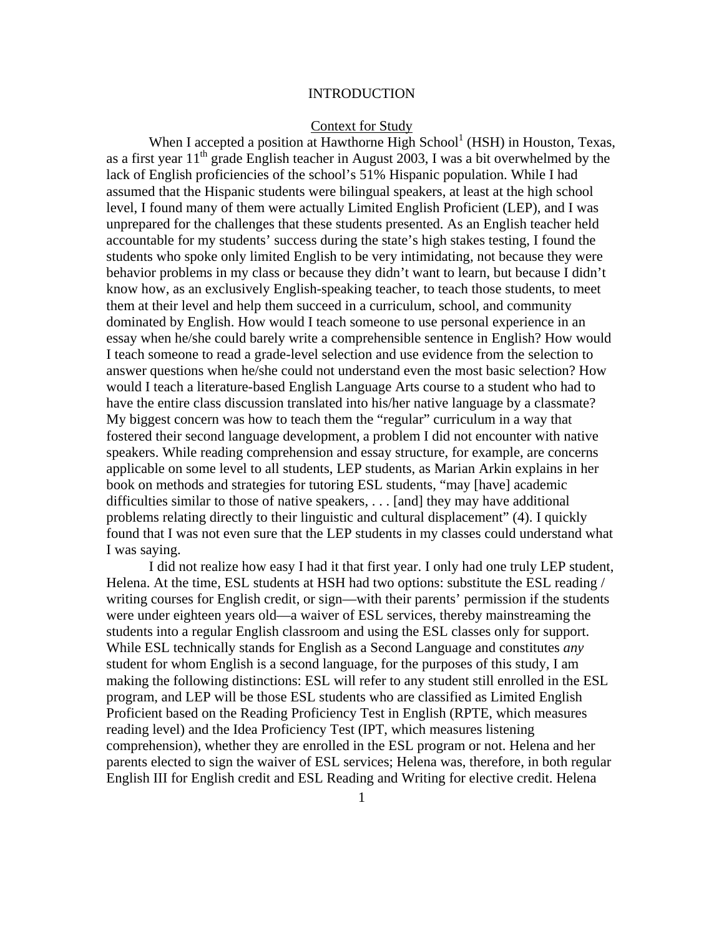## INTRODUCTION

#### Context for Study

When I accepted a position at Hawthorne High School<sup>1</sup> (HSH) in Houston, Texas, as a first year  $11<sup>th</sup>$  grade English teacher in August 2003, I was a bit overwhelmed by the lack of English proficiencies of the school's 51% Hispanic population. While I had assumed that the Hispanic students were bilingual speakers, at least at the high school level, I found many of them were actually Limited English Proficient (LEP), and I was unprepared for the challenges that these students presented. As an English teacher held accountable for my students' success during the state's high stakes testing, I found the students who spoke only limited English to be very intimidating, not because they were behavior problems in my class or because they didn't want to learn, but because I didn't know how, as an exclusively English-speaking teacher, to teach those students, to meet them at their level and help them succeed in a curriculum, school, and community dominated by English. How would I teach someone to use personal experience in an essay when he/she could barely write a comprehensible sentence in English? How would I teach someone to read a grade-level selection and use evidence from the selection to answer questions when he/she could not understand even the most basic selection? How would I teach a literature-based English Language Arts course to a student who had to have the entire class discussion translated into his/her native language by a classmate? My biggest concern was how to teach them the "regular" curriculum in a way that fostered their second language development, a problem I did not encounter with native speakers. While reading comprehension and essay structure, for example, are concerns applicable on some level to all students, LEP students, as Marian Arkin explains in her book on methods and strategies for tutoring ESL students, "may [have] academic difficulties similar to those of native speakers, . . . [and] they may have additional problems relating directly to their linguistic and cultural displacement" (4). I quickly found that I was not even sure that the LEP students in my classes could understand what I was saying.

 I did not realize how easy I had it that first year. I only had one truly LEP student, Helena. At the time, ESL students at HSH had two options: substitute the ESL reading / writing courses for English credit, or sign—with their parents' permission if the students were under eighteen years old—a waiver of ESL services, thereby mainstreaming the students into a regular English classroom and using the ESL classes only for support. While ESL technically stands for English as a Second Language and constitutes *any*  student for whom English is a second language, for the purposes of this study, I am making the following distinctions: ESL will refer to any student still enrolled in the ESL program, and LEP will be those ESL students who are classified as Limited English Proficient based on the Reading Proficiency Test in English (RPTE, which measures reading level) and the Idea Proficiency Test (IPT, which measures listening comprehension), whether they are enrolled in the ESL program or not. Helena and her parents elected to sign the waiver of ESL services; Helena was, therefore, in both regular English III for English credit and ESL Reading and Writing for elective credit. Helena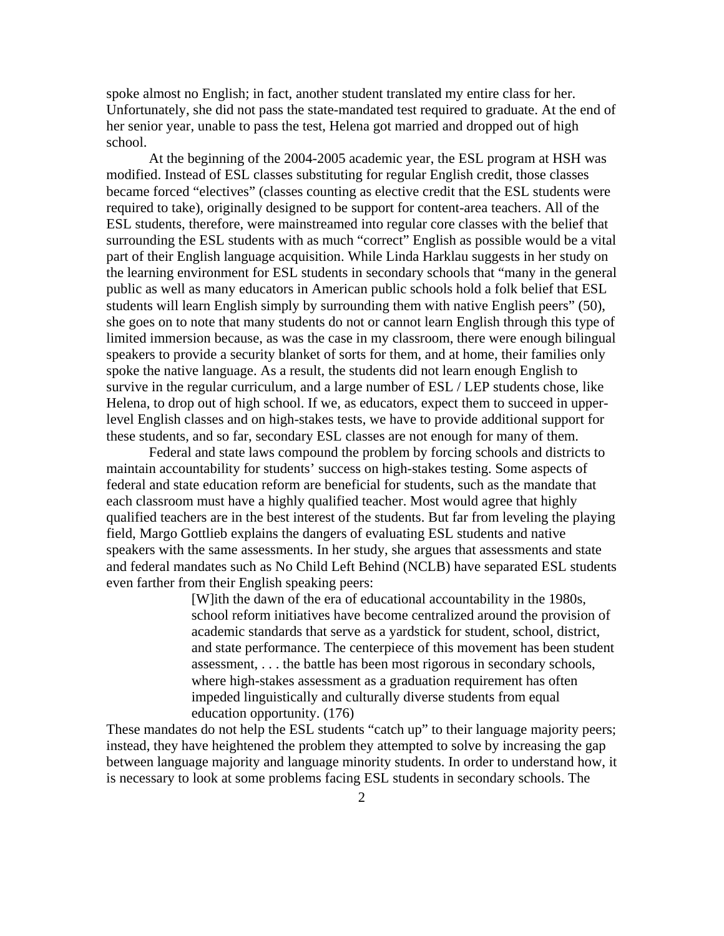spoke almost no English; in fact, another student translated my entire class for her. Unfortunately, she did not pass the state-mandated test required to graduate. At the end of her senior year, unable to pass the test, Helena got married and dropped out of high school.

At the beginning of the 2004-2005 academic year, the ESL program at HSH was modified. Instead of ESL classes substituting for regular English credit, those classes became forced "electives" (classes counting as elective credit that the ESL students were required to take), originally designed to be support for content-area teachers. All of the ESL students, therefore, were mainstreamed into regular core classes with the belief that surrounding the ESL students with as much "correct" English as possible would be a vital part of their English language acquisition. While Linda Harklau suggests in her study on the learning environment for ESL students in secondary schools that "many in the general public as well as many educators in American public schools hold a folk belief that ESL students will learn English simply by surrounding them with native English peers" (50), she goes on to note that many students do not or cannot learn English through this type of limited immersion because, as was the case in my classroom, there were enough bilingual speakers to provide a security blanket of sorts for them, and at home, their families only spoke the native language. As a result, the students did not learn enough English to survive in the regular curriculum, and a large number of ESL / LEP students chose, like Helena, to drop out of high school. If we, as educators, expect them to succeed in upperlevel English classes and on high-stakes tests, we have to provide additional support for these students, and so far, secondary ESL classes are not enough for many of them.

Federal and state laws compound the problem by forcing schools and districts to maintain accountability for students' success on high-stakes testing. Some aspects of federal and state education reform are beneficial for students, such as the mandate that each classroom must have a highly qualified teacher. Most would agree that highly qualified teachers are in the best interest of the students. But far from leveling the playing field, Margo Gottlieb explains the dangers of evaluating ESL students and native speakers with the same assessments. In her study, she argues that assessments and state and federal mandates such as No Child Left Behind (NCLB) have separated ESL students even farther from their English speaking peers:

> [W]ith the dawn of the era of educational accountability in the 1980s, school reform initiatives have become centralized around the provision of academic standards that serve as a yardstick for student, school, district, and state performance. The centerpiece of this movement has been student assessment, . . . the battle has been most rigorous in secondary schools, where high-stakes assessment as a graduation requirement has often impeded linguistically and culturally diverse students from equal education opportunity. (176)

These mandates do not help the ESL students "catch up" to their language majority peers; instead, they have heightened the problem they attempted to solve by increasing the gap between language majority and language minority students. In order to understand how, it is necessary to look at some problems facing ESL students in secondary schools. The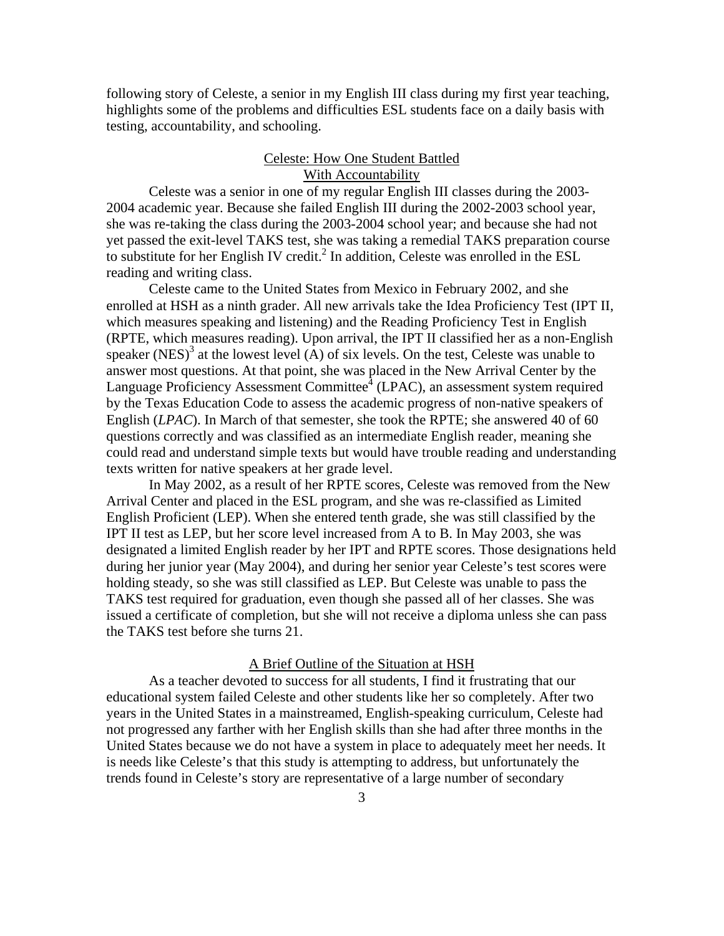following story of Celeste, a senior in my English III class during my first year teaching, highlights some of the problems and difficulties ESL students face on a daily basis with testing, accountability, and schooling.

# Celeste: How One Student Battled With Accountability

Celeste was a senior in one of my regular English III classes during the 2003- 2004 academic year. Because she failed English III during the 2002-2003 school year, she was re-taking the class during the 2003-2004 school year; and because she had not yet passed the exit-level TAKS test, she was taking a remedial TAKS preparation course to substitute for her English IV credit.<sup>2</sup> In addition, Celeste was enrolled in the ESL reading and writing class.

 Celeste came to the United States from Mexico in February 2002, and she enrolled at HSH as a ninth grader. All new arrivals take the Idea Proficiency Test (IPT II, which measures speaking and listening) and the Reading Proficiency Test in English (RPTE, which measures reading). Upon arrival, the IPT II classified her as a non-English speaker (NES)<sup>3</sup> at the lowest level (A) of six levels. On the test, Celeste was unable to answer most questions. At that point, she was placed in the New Arrival Center by the Language Proficiency Assessment Committee ${}^{4}$  (LPAC), an assessment system required by the Texas Education Code to assess the academic progress of non-native speakers of English (*LPAC*). In March of that semester, she took the RPTE; she answered 40 of 60 questions correctly and was classified as an intermediate English reader, meaning she could read and understand simple texts but would have trouble reading and understanding texts written for native speakers at her grade level.

In May 2002, as a result of her RPTE scores, Celeste was removed from the New Arrival Center and placed in the ESL program, and she was re-classified as Limited English Proficient (LEP). When she entered tenth grade, she was still classified by the IPT II test as LEP, but her score level increased from A to B. In May 2003, she was designated a limited English reader by her IPT and RPTE scores. Those designations held during her junior year (May 2004), and during her senior year Celeste's test scores were holding steady, so she was still classified as LEP. But Celeste was unable to pass the TAKS test required for graduation, even though she passed all of her classes. She was issued a certificate of completion, but she will not receive a diploma unless she can pass the TAKS test before she turns 21.

#### A Brief Outline of the Situation at HSH

 As a teacher devoted to success for all students, I find it frustrating that our educational system failed Celeste and other students like her so completely. After two years in the United States in a mainstreamed, English-speaking curriculum, Celeste had not progressed any farther with her English skills than she had after three months in the United States because we do not have a system in place to adequately meet her needs. It is needs like Celeste's that this study is attempting to address, but unfortunately the trends found in Celeste's story are representative of a large number of secondary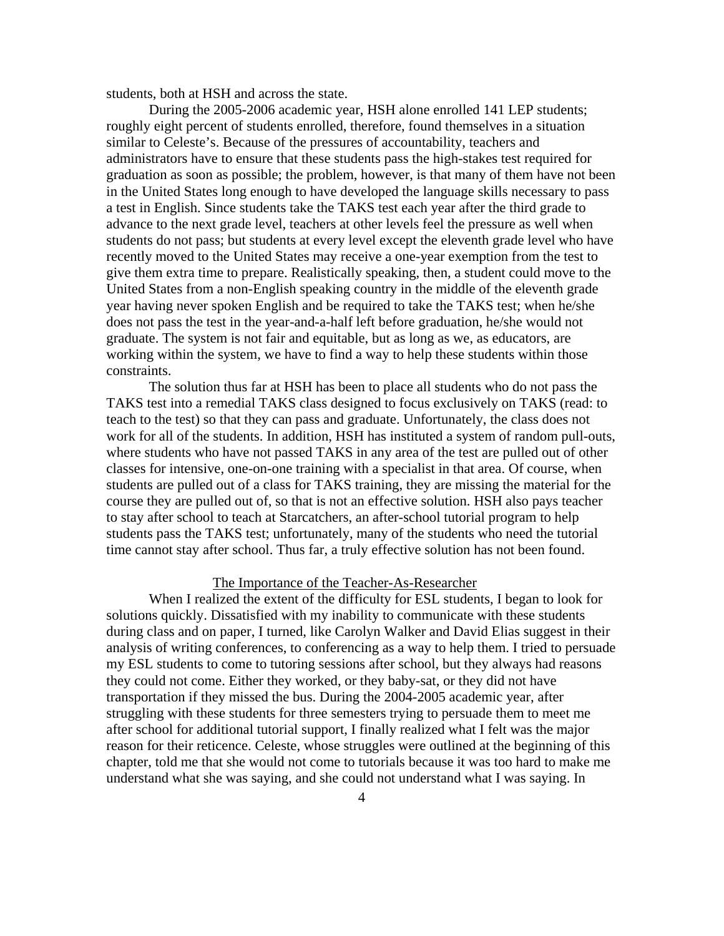students, both at HSH and across the state.

During the 2005-2006 academic year, HSH alone enrolled 141 LEP students; roughly eight percent of students enrolled, therefore, found themselves in a situation similar to Celeste's. Because of the pressures of accountability, teachers and administrators have to ensure that these students pass the high-stakes test required for graduation as soon as possible; the problem, however, is that many of them have not been in the United States long enough to have developed the language skills necessary to pass a test in English. Since students take the TAKS test each year after the third grade to advance to the next grade level, teachers at other levels feel the pressure as well when students do not pass; but students at every level except the eleventh grade level who have recently moved to the United States may receive a one-year exemption from the test to give them extra time to prepare. Realistically speaking, then, a student could move to the United States from a non-English speaking country in the middle of the eleventh grade year having never spoken English and be required to take the TAKS test; when he/she does not pass the test in the year-and-a-half left before graduation, he/she would not graduate. The system is not fair and equitable, but as long as we, as educators, are working within the system, we have to find a way to help these students within those constraints.

 The solution thus far at HSH has been to place all students who do not pass the TAKS test into a remedial TAKS class designed to focus exclusively on TAKS (read: to teach to the test) so that they can pass and graduate. Unfortunately, the class does not work for all of the students. In addition, HSH has instituted a system of random pull-outs, where students who have not passed TAKS in any area of the test are pulled out of other classes for intensive, one-on-one training with a specialist in that area. Of course, when students are pulled out of a class for TAKS training, they are missing the material for the course they are pulled out of, so that is not an effective solution. HSH also pays teacher to stay after school to teach at Starcatchers, an after-school tutorial program to help students pass the TAKS test; unfortunately, many of the students who need the tutorial time cannot stay after school. Thus far, a truly effective solution has not been found.

#### The Importance of the Teacher-As-Researcher

When I realized the extent of the difficulty for ESL students, I began to look for solutions quickly. Dissatisfied with my inability to communicate with these students during class and on paper, I turned, like Carolyn Walker and David Elias suggest in their analysis of writing conferences, to conferencing as a way to help them. I tried to persuade my ESL students to come to tutoring sessions after school, but they always had reasons they could not come. Either they worked, or they baby-sat, or they did not have transportation if they missed the bus. During the 2004-2005 academic year, after struggling with these students for three semesters trying to persuade them to meet me after school for additional tutorial support, I finally realized what I felt was the major reason for their reticence. Celeste, whose struggles were outlined at the beginning of this chapter, told me that she would not come to tutorials because it was too hard to make me understand what she was saying, and she could not understand what I was saying. In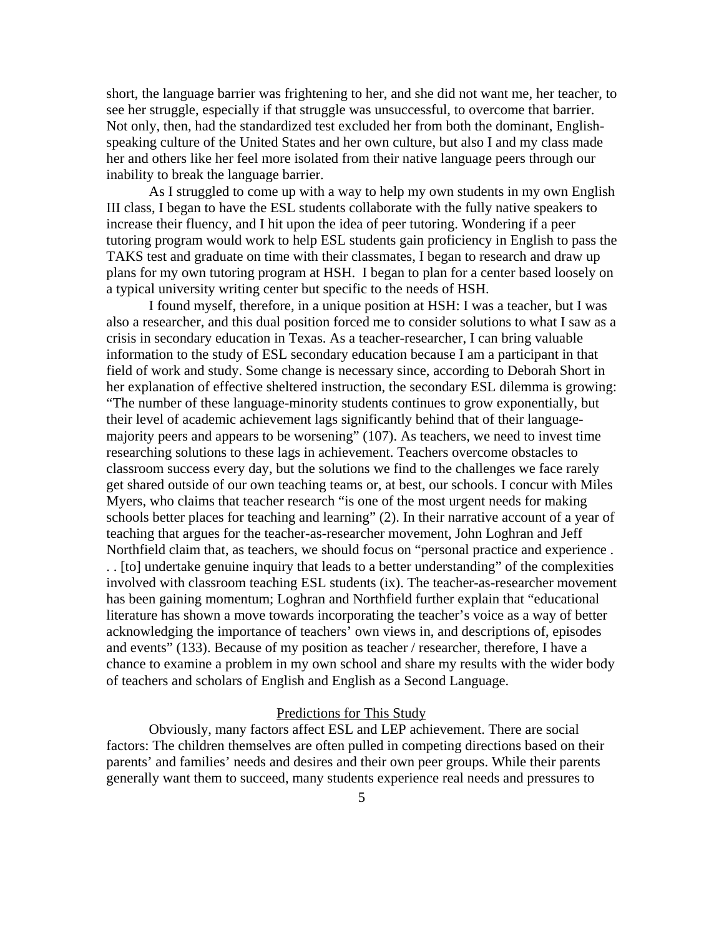short, the language barrier was frightening to her, and she did not want me, her teacher, to see her struggle, especially if that struggle was unsuccessful, to overcome that barrier. Not only, then, had the standardized test excluded her from both the dominant, Englishspeaking culture of the United States and her own culture, but also I and my class made her and others like her feel more isolated from their native language peers through our inability to break the language barrier.

As I struggled to come up with a way to help my own students in my own English III class, I began to have the ESL students collaborate with the fully native speakers to increase their fluency, and I hit upon the idea of peer tutoring. Wondering if a peer tutoring program would work to help ESL students gain proficiency in English to pass the TAKS test and graduate on time with their classmates, I began to research and draw up plans for my own tutoring program at HSH. I began to plan for a center based loosely on a typical university writing center but specific to the needs of HSH.

I found myself, therefore, in a unique position at HSH: I was a teacher, but I was also a researcher, and this dual position forced me to consider solutions to what I saw as a crisis in secondary education in Texas. As a teacher-researcher, I can bring valuable information to the study of ESL secondary education because I am a participant in that field of work and study. Some change is necessary since, according to Deborah Short in her explanation of effective sheltered instruction, the secondary ESL dilemma is growing: "The number of these language-minority students continues to grow exponentially, but their level of academic achievement lags significantly behind that of their languagemajority peers and appears to be worsening" (107). As teachers, we need to invest time researching solutions to these lags in achievement. Teachers overcome obstacles to classroom success every day, but the solutions we find to the challenges we face rarely get shared outside of our own teaching teams or, at best, our schools. I concur with Miles Myers, who claims that teacher research "is one of the most urgent needs for making schools better places for teaching and learning" (2). In their narrative account of a year of teaching that argues for the teacher-as-researcher movement, John Loghran and Jeff Northfield claim that, as teachers, we should focus on "personal practice and experience . . . [to] undertake genuine inquiry that leads to a better understanding" of the complexities involved with classroom teaching ESL students (ix). The teacher-as-researcher movement has been gaining momentum; Loghran and Northfield further explain that "educational literature has shown a move towards incorporating the teacher's voice as a way of better acknowledging the importance of teachers' own views in, and descriptions of, episodes and events" (133). Because of my position as teacher / researcher, therefore, I have a chance to examine a problem in my own school and share my results with the wider body of teachers and scholars of English and English as a Second Language.

### Predictions for This Study

Obviously, many factors affect ESL and LEP achievement. There are social factors: The children themselves are often pulled in competing directions based on their parents' and families' needs and desires and their own peer groups. While their parents generally want them to succeed, many students experience real needs and pressures to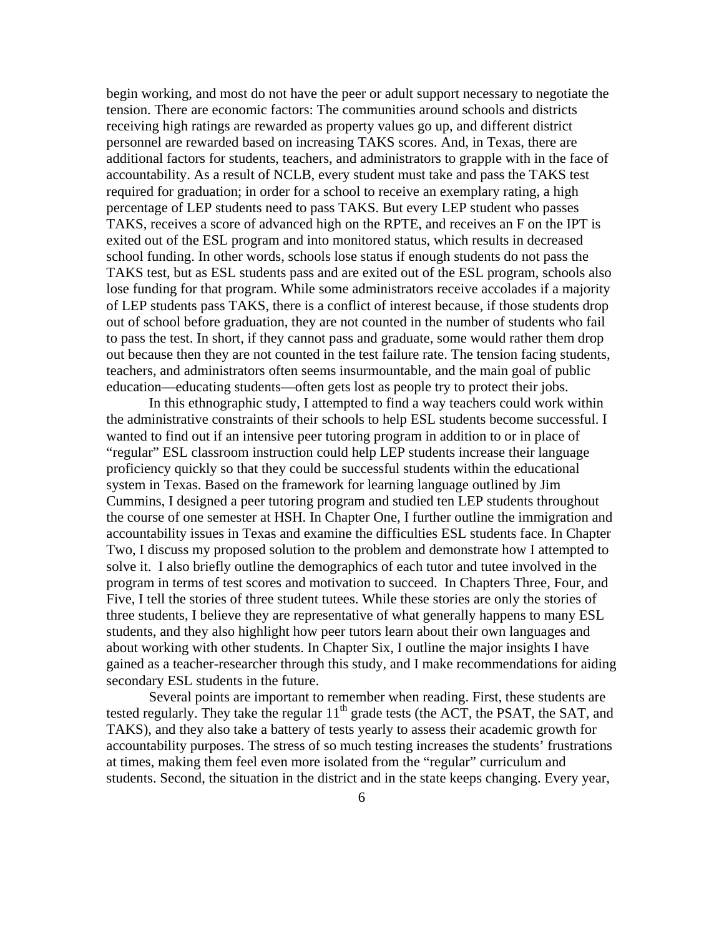begin working, and most do not have the peer or adult support necessary to negotiate the tension. There are economic factors: The communities around schools and districts receiving high ratings are rewarded as property values go up, and different district personnel are rewarded based on increasing TAKS scores. And, in Texas, there are additional factors for students, teachers, and administrators to grapple with in the face of accountability. As a result of NCLB, every student must take and pass the TAKS test required for graduation; in order for a school to receive an exemplary rating, a high percentage of LEP students need to pass TAKS. But every LEP student who passes TAKS, receives a score of advanced high on the RPTE, and receives an F on the IPT is exited out of the ESL program and into monitored status, which results in decreased school funding. In other words, schools lose status if enough students do not pass the TAKS test, but as ESL students pass and are exited out of the ESL program, schools also lose funding for that program. While some administrators receive accolades if a majority of LEP students pass TAKS, there is a conflict of interest because, if those students drop out of school before graduation, they are not counted in the number of students who fail to pass the test. In short, if they cannot pass and graduate, some would rather them drop out because then they are not counted in the test failure rate. The tension facing students, teachers, and administrators often seems insurmountable, and the main goal of public education—educating students—often gets lost as people try to protect their jobs.

 In this ethnographic study, I attempted to find a way teachers could work within the administrative constraints of their schools to help ESL students become successful. I wanted to find out if an intensive peer tutoring program in addition to or in place of "regular" ESL classroom instruction could help LEP students increase their language proficiency quickly so that they could be successful students within the educational system in Texas. Based on the framework for learning language outlined by Jim Cummins, I designed a peer tutoring program and studied ten LEP students throughout the course of one semester at HSH. In Chapter One, I further outline the immigration and accountability issues in Texas and examine the difficulties ESL students face. In Chapter Two, I discuss my proposed solution to the problem and demonstrate how I attempted to solve it. I also briefly outline the demographics of each tutor and tutee involved in the program in terms of test scores and motivation to succeed. In Chapters Three, Four, and Five, I tell the stories of three student tutees. While these stories are only the stories of three students, I believe they are representative of what generally happens to many ESL students, and they also highlight how peer tutors learn about their own languages and about working with other students. In Chapter Six, I outline the major insights I have gained as a teacher-researcher through this study, and I make recommendations for aiding secondary ESL students in the future.

 Several points are important to remember when reading. First, these students are tested regularly. They take the regular  $11<sup>th</sup>$  grade tests (the ACT, the PSAT, the SAT, and TAKS), and they also take a battery of tests yearly to assess their academic growth for accountability purposes. The stress of so much testing increases the students' frustrations at times, making them feel even more isolated from the "regular" curriculum and students. Second, the situation in the district and in the state keeps changing. Every year,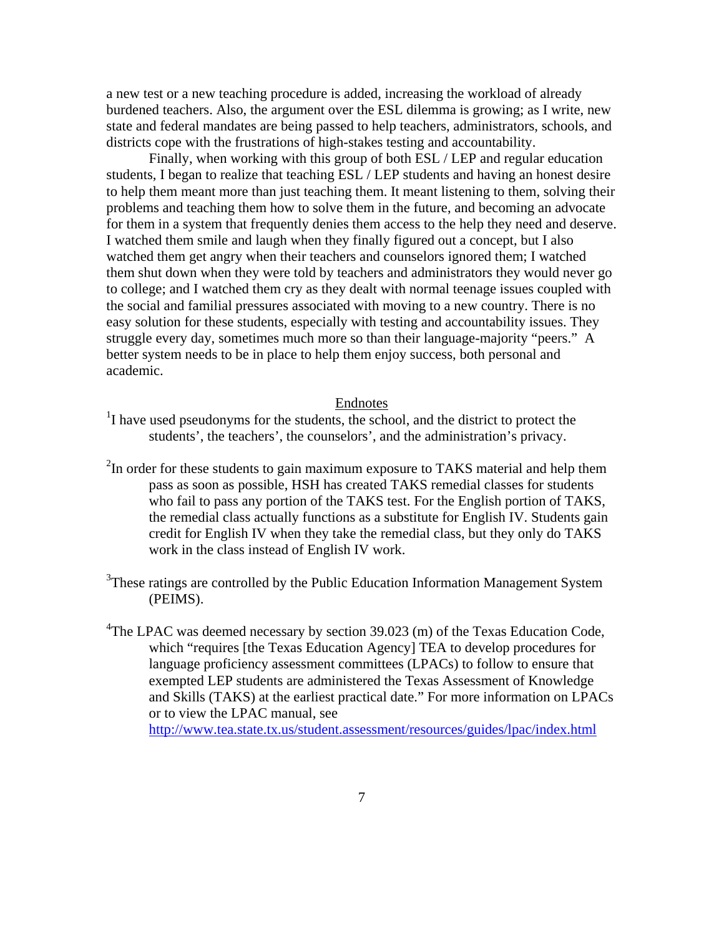a new test or a new teaching procedure is added, increasing the workload of already burdened teachers. Also, the argument over the ESL dilemma is growing; as I write, new state and federal mandates are being passed to help teachers, administrators, schools, and districts cope with the frustrations of high-stakes testing and accountability.

 Finally, when working with this group of both ESL / LEP and regular education students, I began to realize that teaching ESL / LEP students and having an honest desire to help them meant more than just teaching them. It meant listening to them, solving their problems and teaching them how to solve them in the future, and becoming an advocate for them in a system that frequently denies them access to the help they need and deserve. I watched them smile and laugh when they finally figured out a concept, but I also watched them get angry when their teachers and counselors ignored them; I watched them shut down when they were told by teachers and administrators they would never go to college; and I watched them cry as they dealt with normal teenage issues coupled with the social and familial pressures associated with moving to a new country. There is no easy solution for these students, especially with testing and accountability issues. They struggle every day, sometimes much more so than their language-majority "peers." A better system needs to be in place to help them enjoy success, both personal and academic.

## Endnotes

- <sup>1</sup>I have used pseudonyms for the students, the school, and the district to protect the students', the teachers', the counselors', and the administration's privacy.
- $2$ In order for these students to gain maximum exposure to TAKS material and help them pass as soon as possible, HSH has created TAKS remedial classes for students who fail to pass any portion of the TAKS test. For the English portion of TAKS, the remedial class actually functions as a substitute for English IV. Students gain credit for English IV when they take the remedial class, but they only do TAKS work in the class instead of English IV work.
- <sup>3</sup>These ratings are controlled by the Public Education Information Management System (PEIMS).
- <sup>4</sup>The LPAC was deemed necessary by section 39.023 (m) of the Texas Education Code, which "requires [the Texas Education Agency] TEA to develop procedures for language proficiency assessment committees (LPACs) to follow to ensure that exempted LEP students are administered the Texas Assessment of Knowledge and Skills (TAKS) at the earliest practical date." For more information on LPACs or to view the LPAC manual, see

http://www.tea.state.tx.us/student.assessment/resources/guides/lpac/index.html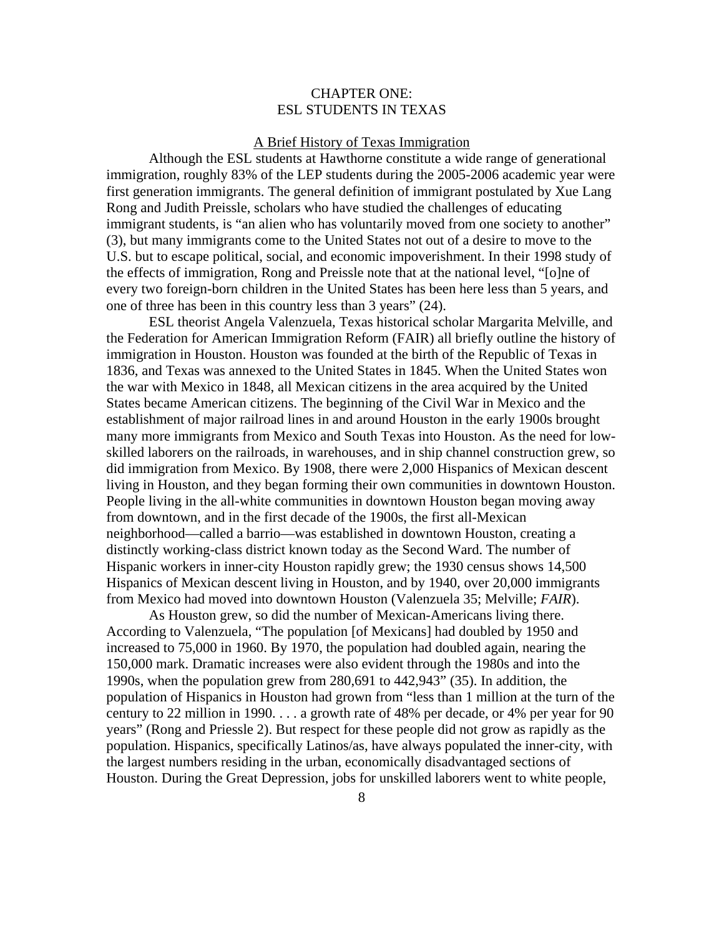# CHAPTER ONE: ESL STUDENTS IN TEXAS

# A Brief History of Texas Immigration

 Although the ESL students at Hawthorne constitute a wide range of generational immigration, roughly 83% of the LEP students during the 2005-2006 academic year were first generation immigrants. The general definition of immigrant postulated by Xue Lang Rong and Judith Preissle, scholars who have studied the challenges of educating immigrant students, is "an alien who has voluntarily moved from one society to another" (3), but many immigrants come to the United States not out of a desire to move to the U.S. but to escape political, social, and economic impoverishment. In their 1998 study of the effects of immigration, Rong and Preissle note that at the national level, "[o]ne of every two foreign-born children in the United States has been here less than 5 years, and one of three has been in this country less than 3 years" (24).

 ESL theorist Angela Valenzuela, Texas historical scholar Margarita Melville, and the Federation for American Immigration Reform (FAIR) all briefly outline the history of immigration in Houston. Houston was founded at the birth of the Republic of Texas in 1836, and Texas was annexed to the United States in 1845. When the United States won the war with Mexico in 1848, all Mexican citizens in the area acquired by the United States became American citizens. The beginning of the Civil War in Mexico and the establishment of major railroad lines in and around Houston in the early 1900s brought many more immigrants from Mexico and South Texas into Houston. As the need for lowskilled laborers on the railroads, in warehouses, and in ship channel construction grew, so did immigration from Mexico. By 1908, there were 2,000 Hispanics of Mexican descent living in Houston, and they began forming their own communities in downtown Houston. People living in the all-white communities in downtown Houston began moving away from downtown, and in the first decade of the 1900s, the first all-Mexican neighborhood—called a barrio—was established in downtown Houston, creating a distinctly working-class district known today as the Second Ward. The number of Hispanic workers in inner-city Houston rapidly grew; the 1930 census shows 14,500 Hispanics of Mexican descent living in Houston, and by 1940, over 20,000 immigrants from Mexico had moved into downtown Houston (Valenzuela 35; Melville; *FAIR*).

 As Houston grew, so did the number of Mexican-Americans living there. According to Valenzuela, "The population [of Mexicans] had doubled by 1950 and increased to 75,000 in 1960. By 1970, the population had doubled again, nearing the 150,000 mark. Dramatic increases were also evident through the 1980s and into the 1990s, when the population grew from 280,691 to 442,943" (35). In addition, the population of Hispanics in Houston had grown from "less than 1 million at the turn of the century to 22 million in 1990. . . . a growth rate of 48% per decade, or 4% per year for 90 years" (Rong and Priessle 2). But respect for these people did not grow as rapidly as the population. Hispanics, specifically Latinos/as, have always populated the inner-city, with the largest numbers residing in the urban, economically disadvantaged sections of Houston. During the Great Depression, jobs for unskilled laborers went to white people,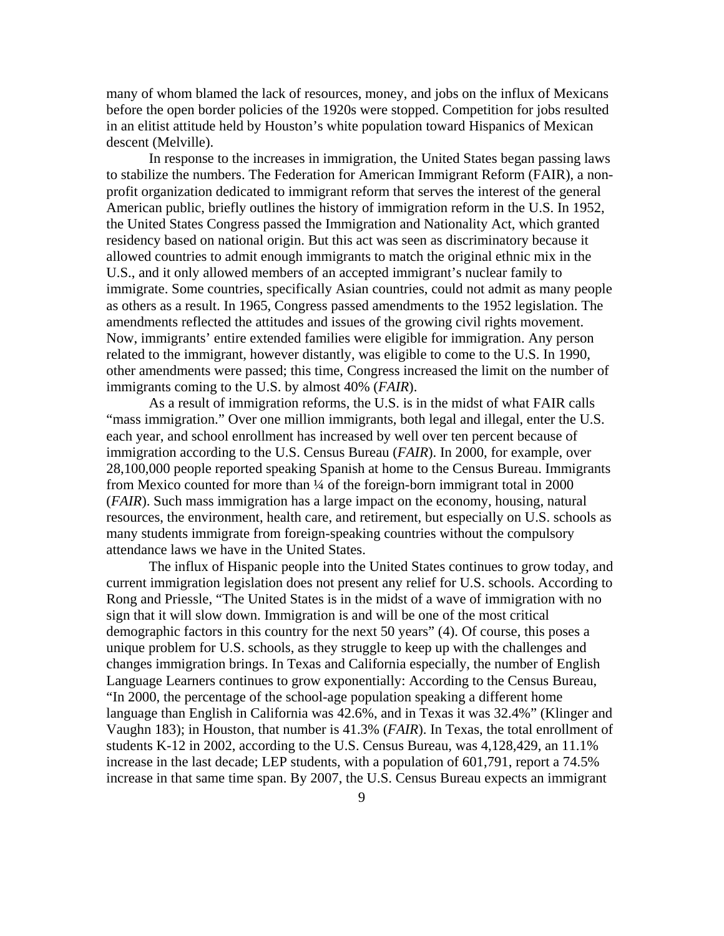many of whom blamed the lack of resources, money, and jobs on the influx of Mexicans before the open border policies of the 1920s were stopped. Competition for jobs resulted in an elitist attitude held by Houston's white population toward Hispanics of Mexican descent (Melville).

 In response to the increases in immigration, the United States began passing laws to stabilize the numbers. The Federation for American Immigrant Reform (FAIR), a nonprofit organization dedicated to immigrant reform that serves the interest of the general American public, briefly outlines the history of immigration reform in the U.S. In 1952, the United States Congress passed the Immigration and Nationality Act, which granted residency based on national origin. But this act was seen as discriminatory because it allowed countries to admit enough immigrants to match the original ethnic mix in the U.S., and it only allowed members of an accepted immigrant's nuclear family to immigrate. Some countries, specifically Asian countries, could not admit as many people as others as a result. In 1965, Congress passed amendments to the 1952 legislation. The amendments reflected the attitudes and issues of the growing civil rights movement. Now, immigrants' entire extended families were eligible for immigration. Any person related to the immigrant, however distantly, was eligible to come to the U.S. In 1990, other amendments were passed; this time, Congress increased the limit on the number of immigrants coming to the U.S. by almost 40% (*FAIR*).

 As a result of immigration reforms, the U.S. is in the midst of what FAIR calls "mass immigration." Over one million immigrants, both legal and illegal, enter the U.S. each year, and school enrollment has increased by well over ten percent because of immigration according to the U.S. Census Bureau (*FAIR*). In 2000, for example, over 28,100,000 people reported speaking Spanish at home to the Census Bureau. Immigrants from Mexico counted for more than ¼ of the foreign-born immigrant total in 2000 (*FAIR*). Such mass immigration has a large impact on the economy, housing, natural resources, the environment, health care, and retirement, but especially on U.S. schools as many students immigrate from foreign-speaking countries without the compulsory attendance laws we have in the United States.

 The influx of Hispanic people into the United States continues to grow today, and current immigration legislation does not present any relief for U.S. schools. According to Rong and Priessle, "The United States is in the midst of a wave of immigration with no sign that it will slow down. Immigration is and will be one of the most critical demographic factors in this country for the next 50 years" (4). Of course, this poses a unique problem for U.S. schools, as they struggle to keep up with the challenges and changes immigration brings. In Texas and California especially, the number of English Language Learners continues to grow exponentially: According to the Census Bureau, "In 2000, the percentage of the school-age population speaking a different home language than English in California was 42.6%, and in Texas it was 32.4%" (Klinger and Vaughn 183); in Houston, that number is 41.3% (*FAIR*). In Texas, the total enrollment of students K-12 in 2002, according to the U.S. Census Bureau, was 4,128,429, an 11.1% increase in the last decade; LEP students, with a population of 601,791, report a 74.5% increase in that same time span. By 2007, the U.S. Census Bureau expects an immigrant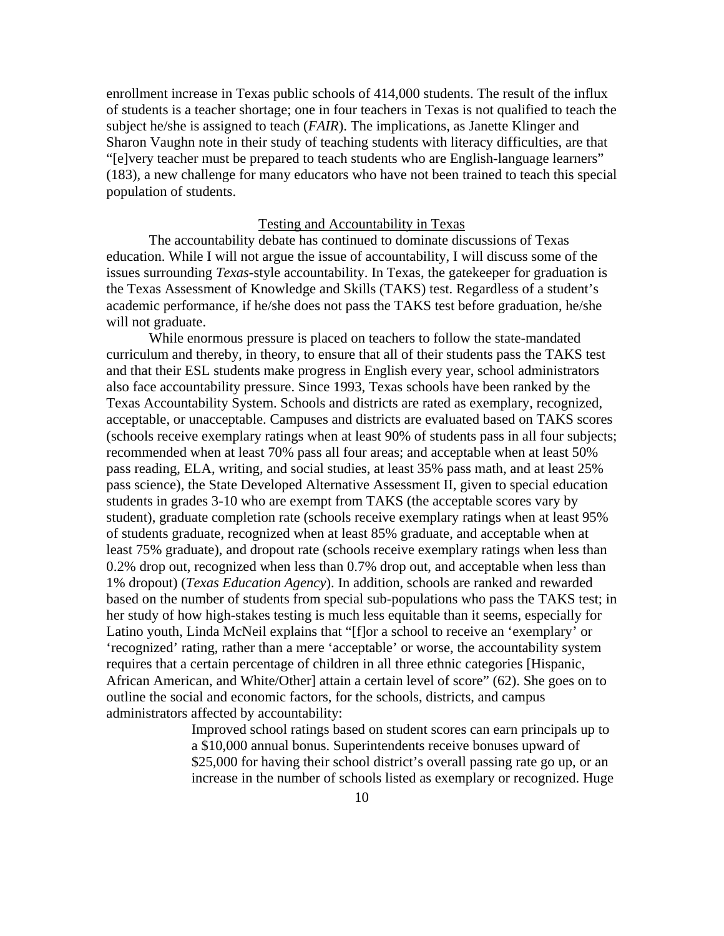enrollment increase in Texas public schools of 414,000 students. The result of the influx of students is a teacher shortage; one in four teachers in Texas is not qualified to teach the subject he/she is assigned to teach (*FAIR*). The implications, as Janette Klinger and Sharon Vaughn note in their study of teaching students with literacy difficulties, are that "[e]very teacher must be prepared to teach students who are English-language learners" (183), a new challenge for many educators who have not been trained to teach this special population of students.

#### Testing and Accountability in Texas

The accountability debate has continued to dominate discussions of Texas education. While I will not argue the issue of accountability, I will discuss some of the issues surrounding *Texas*-style accountability. In Texas, the gatekeeper for graduation is the Texas Assessment of Knowledge and Skills (TAKS) test. Regardless of a student's academic performance, if he/she does not pass the TAKS test before graduation, he/she will not graduate.

While enormous pressure is placed on teachers to follow the state-mandated curriculum and thereby, in theory, to ensure that all of their students pass the TAKS test and that their ESL students make progress in English every year, school administrators also face accountability pressure. Since 1993, Texas schools have been ranked by the Texas Accountability System. Schools and districts are rated as exemplary, recognized, acceptable, or unacceptable. Campuses and districts are evaluated based on TAKS scores (schools receive exemplary ratings when at least 90% of students pass in all four subjects; recommended when at least 70% pass all four areas; and acceptable when at least 50% pass reading, ELA, writing, and social studies, at least 35% pass math, and at least 25% pass science), the State Developed Alternative Assessment II, given to special education students in grades 3-10 who are exempt from TAKS (the acceptable scores vary by student), graduate completion rate (schools receive exemplary ratings when at least 95% of students graduate, recognized when at least 85% graduate, and acceptable when at least 75% graduate), and dropout rate (schools receive exemplary ratings when less than 0.2% drop out, recognized when less than 0.7% drop out, and acceptable when less than 1% dropout) (*Texas Education Agency*). In addition, schools are ranked and rewarded based on the number of students from special sub-populations who pass the TAKS test; in her study of how high-stakes testing is much less equitable than it seems, especially for Latino youth, Linda McNeil explains that "[f]or a school to receive an 'exemplary' or 'recognized' rating, rather than a mere 'acceptable' or worse, the accountability system requires that a certain percentage of children in all three ethnic categories [Hispanic, African American, and White/Other] attain a certain level of score" (62). She goes on to outline the social and economic factors, for the schools, districts, and campus administrators affected by accountability:

> Improved school ratings based on student scores can earn principals up to a \$10,000 annual bonus. Superintendents receive bonuses upward of \$25,000 for having their school district's overall passing rate go up, or an increase in the number of schools listed as exemplary or recognized. Huge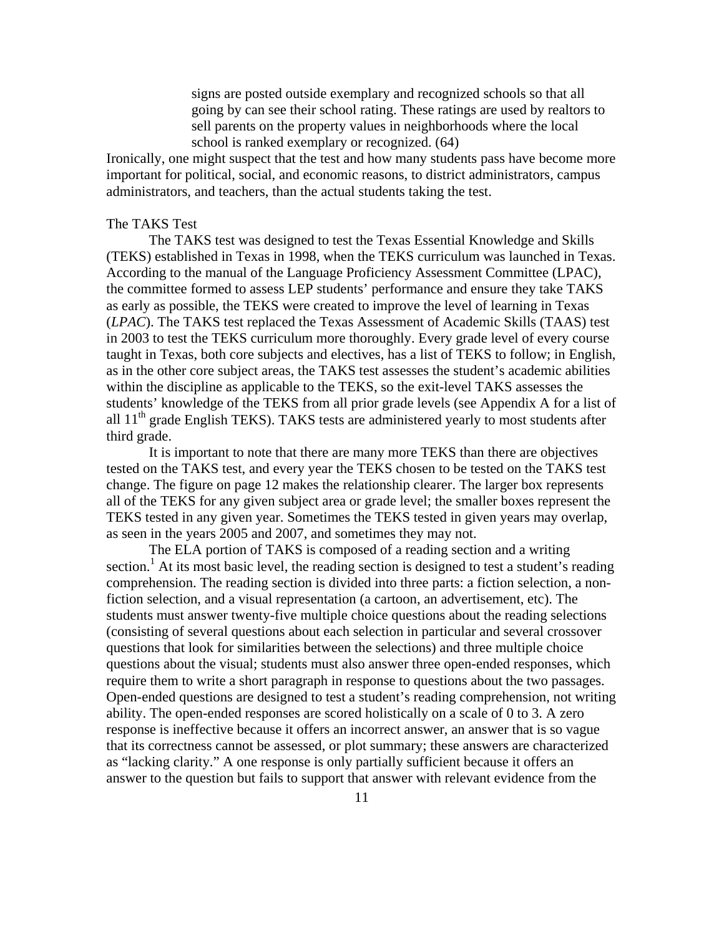signs are posted outside exemplary and recognized schools so that all going by can see their school rating. These ratings are used by realtors to sell parents on the property values in neighborhoods where the local school is ranked exemplary or recognized. (64)

Ironically, one might suspect that the test and how many students pass have become more important for political, social, and economic reasons, to district administrators, campus administrators, and teachers, than the actual students taking the test.

# The TAKS Test

The TAKS test was designed to test the Texas Essential Knowledge and Skills (TEKS) established in Texas in 1998, when the TEKS curriculum was launched in Texas. According to the manual of the Language Proficiency Assessment Committee (LPAC), the committee formed to assess LEP students' performance and ensure they take TAKS as early as possible, the TEKS were created to improve the level of learning in Texas (*LPAC*). The TAKS test replaced the Texas Assessment of Academic Skills (TAAS) test in 2003 to test the TEKS curriculum more thoroughly. Every grade level of every course taught in Texas, both core subjects and electives, has a list of TEKS to follow; in English, as in the other core subject areas, the TAKS test assesses the student's academic abilities within the discipline as applicable to the TEKS, so the exit-level TAKS assesses the students' knowledge of the TEKS from all prior grade levels (see Appendix A for a list of all  $11<sup>th</sup>$  grade English TEKS). TAKS tests are administered yearly to most students after third grade.

It is important to note that there are many more TEKS than there are objectives tested on the TAKS test, and every year the TEKS chosen to be tested on the TAKS test change. The figure on page 12 makes the relationship clearer. The larger box represents all of the TEKS for any given subject area or grade level; the smaller boxes represent the TEKS tested in any given year. Sometimes the TEKS tested in given years may overlap, as seen in the years 2005 and 2007, and sometimes they may not.

The ELA portion of TAKS is composed of a reading section and a writing section.<sup>1</sup> At its most basic level, the reading section is designed to test a student's reading comprehension. The reading section is divided into three parts: a fiction selection, a nonfiction selection, and a visual representation (a cartoon, an advertisement, etc). The students must answer twenty-five multiple choice questions about the reading selections (consisting of several questions about each selection in particular and several crossover questions that look for similarities between the selections) and three multiple choice questions about the visual; students must also answer three open-ended responses, which require them to write a short paragraph in response to questions about the two passages. Open-ended questions are designed to test a student's reading comprehension, not writing ability. The open-ended responses are scored holistically on a scale of 0 to 3. A zero response is ineffective because it offers an incorrect answer, an answer that is so vague that its correctness cannot be assessed, or plot summary; these answers are characterized as "lacking clarity." A one response is only partially sufficient because it offers an answer to the question but fails to support that answer with relevant evidence from the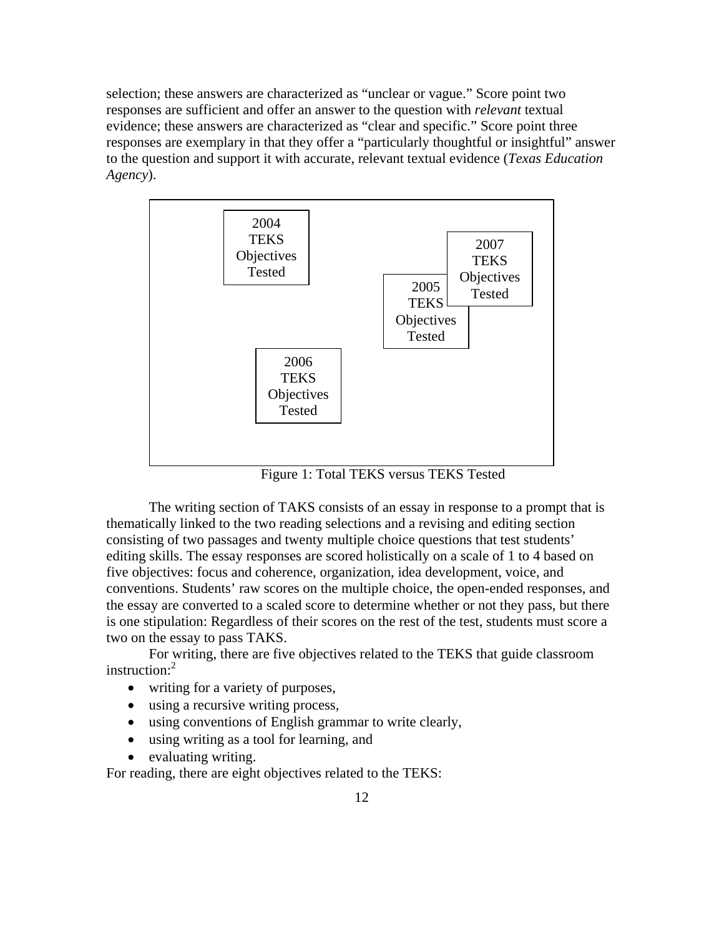selection; these answers are characterized as "unclear or vague." Score point two responses are sufficient and offer an answer to the question with *relevant* textual evidence; these answers are characterized as "clear and specific." Score point three responses are exemplary in that they offer a "particularly thoughtful or insightful" answer to the question and support it with accurate, relevant textual evidence (*Texas Education Agency*).



Figure 1: Total TEKS versus TEKS Tested

 The writing section of TAKS consists of an essay in response to a prompt that is thematically linked to the two reading selections and a revising and editing section consisting of two passages and twenty multiple choice questions that test students' editing skills. The essay responses are scored holistically on a scale of 1 to 4 based on five objectives: focus and coherence, organization, idea development, voice, and conventions. Students' raw scores on the multiple choice, the open-ended responses, and the essay are converted to a scaled score to determine whether or not they pass, but there is one stipulation: Regardless of their scores on the rest of the test, students must score a two on the essay to pass TAKS.

 For writing, there are five objectives related to the TEKS that guide classroom instruction:<sup>2</sup>

- writing for a variety of purposes,
- using a recursive writing process,
- using conventions of English grammar to write clearly,
- using writing as a tool for learning, and
- evaluating writing.

For reading, there are eight objectives related to the TEKS: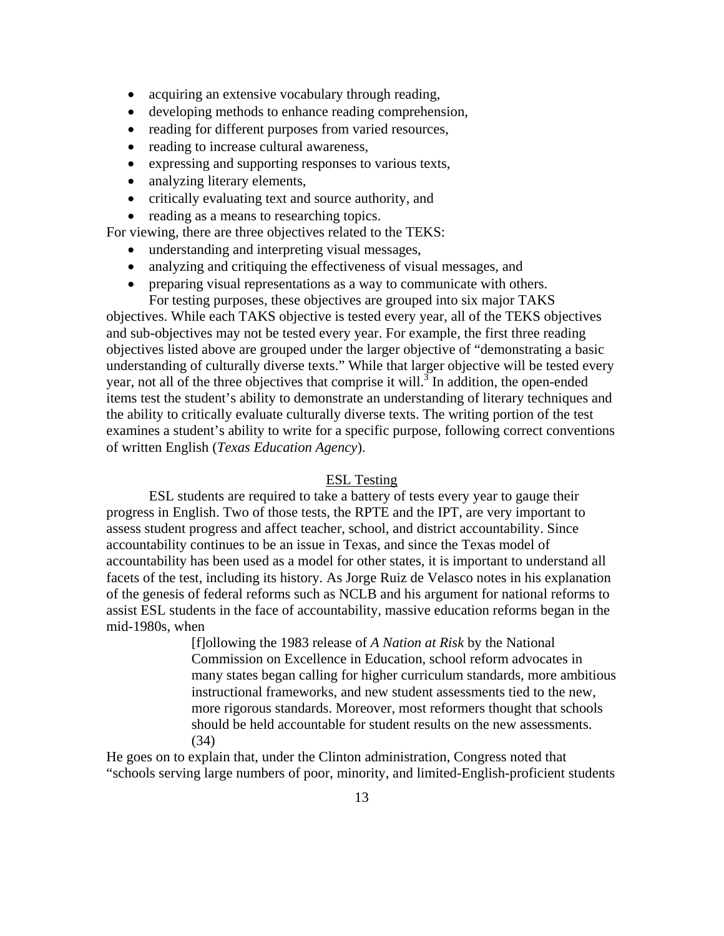- acquiring an extensive vocabulary through reading,
- developing methods to enhance reading comprehension,
- reading for different purposes from varied resources,
- reading to increase cultural awareness,
- expressing and supporting responses to various texts,
- analyzing literary elements,
- critically evaluating text and source authority, and
- reading as a means to researching topics.

For viewing, there are three objectives related to the TEKS:

- understanding and interpreting visual messages,
- analyzing and critiquing the effectiveness of visual messages, and
- preparing visual representations as a way to communicate with others. For testing purposes, these objectives are grouped into six major TAKS

objectives. While each TAKS objective is tested every year, all of the TEKS objectives and sub-objectives may not be tested every year. For example, the first three reading objectives listed above are grouped under the larger objective of "demonstrating a basic understanding of culturally diverse texts." While that larger objective will be tested every year, not all of the three objectives that comprise it will.<sup>3</sup> In addition, the open-ended items test the student's ability to demonstrate an understanding of literary techniques and the ability to critically evaluate culturally diverse texts. The writing portion of the test examines a student's ability to write for a specific purpose, following correct conventions of written English (*Texas Education Agency*).

#### ESL Testing

ESL students are required to take a battery of tests every year to gauge their progress in English. Two of those tests, the RPTE and the IPT, are very important to assess student progress and affect teacher, school, and district accountability. Since accountability continues to be an issue in Texas, and since the Texas model of accountability has been used as a model for other states, it is important to understand all facets of the test, including its history. As Jorge Ruiz de Velasco notes in his explanation of the genesis of federal reforms such as NCLB and his argument for national reforms to assist ESL students in the face of accountability, massive education reforms began in the mid-1980s, when

> [f]ollowing the 1983 release of *A Nation at Risk* by the National Commission on Excellence in Education, school reform advocates in many states began calling for higher curriculum standards, more ambitious instructional frameworks, and new student assessments tied to the new, more rigorous standards. Moreover, most reformers thought that schools should be held accountable for student results on the new assessments. (34)

He goes on to explain that, under the Clinton administration, Congress noted that "schools serving large numbers of poor, minority, and limited-English-proficient students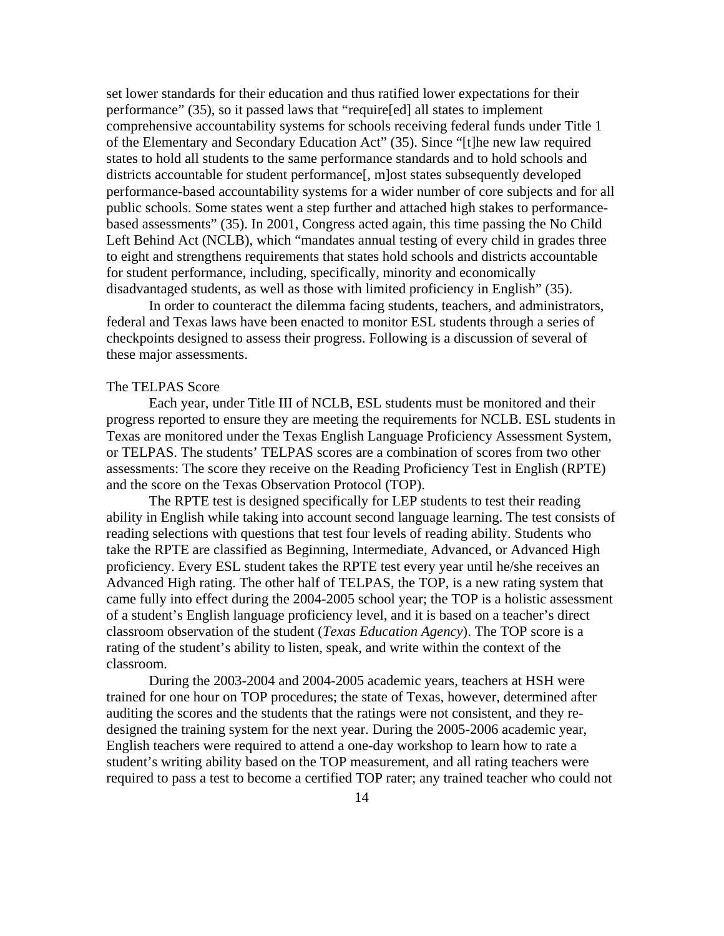set lower standards for their education and thus ratified lower expectations for their performance" (35), so it passed laws that "require[ed] all states to implement comprehensive accountability systems for schools receiving federal funds under Title 1 of the Elementary and Secondary Education Act" (35). Since "[t]he new law required states to hold all students to the same performance standards and to hold schools and districts accountable for student performance[, m]ost states subsequently developed performance-based accountability systems for a wider number of core subjects and for all public schools. Some states went a step further and attached high stakes to performancebased assessments" (35). In 2001, Congress acted again, this time passing the No Child Left Behind Act (NCLB), which "mandates annual testing of every child in grades three to eight and strengthens requirements that states hold schools and districts accountable for student performance, including, specifically, minority and economically disadvantaged students, as well as those with limited proficiency in English" (35).

In order to counteract the dilemma facing students, teachers, and administrators, federal and Texas laws have been enacted to monitor ESL students through a series of checkpoints designed to assess their progress. Following is a discussion of several of these major assessments.

#### The TELPAS Score

 Each year, under Title III of NCLB, ESL students must be monitored and their progress reported to ensure they are meeting the requirements for NCLB. ESL students in Texas are monitored under the Texas English Language Proficiency Assessment System, or TELPAS. The students' TELPAS scores are a combination of scores from two other assessments: The score they receive on the Reading Proficiency Test in English (RPTE) and the score on the Texas Observation Protocol (TOP).

 The RPTE test is designed specifically for LEP students to test their reading ability in English while taking into account second language learning. The test consists of reading selections with questions that test four levels of reading ability. Students who take the RPTE are classified as Beginning, Intermediate, Advanced, or Advanced High proficiency. Every ESL student takes the RPTE test every year until he/she receives an Advanced High rating. The other half of TELPAS, the TOP, is a new rating system that came fully into effect during the 2004-2005 school year; the TOP is a holistic assessment of a student's English language proficiency level, and it is based on a teacher's direct classroom observation of the student (*Texas Education Agency*). The TOP score is a rating of the student's ability to listen, speak, and write within the context of the classroom.

During the 2003-2004 and 2004-2005 academic years, teachers at HSH were trained for one hour on TOP procedures; the state of Texas, however, determined after auditing the scores and the students that the ratings were not consistent, and they redesigned the training system for the next year. During the 2005-2006 academic year, English teachers were required to attend a one-day workshop to learn how to rate a student's writing ability based on the TOP measurement, and all rating teachers were required to pass a test to become a certified TOP rater; any trained teacher who could not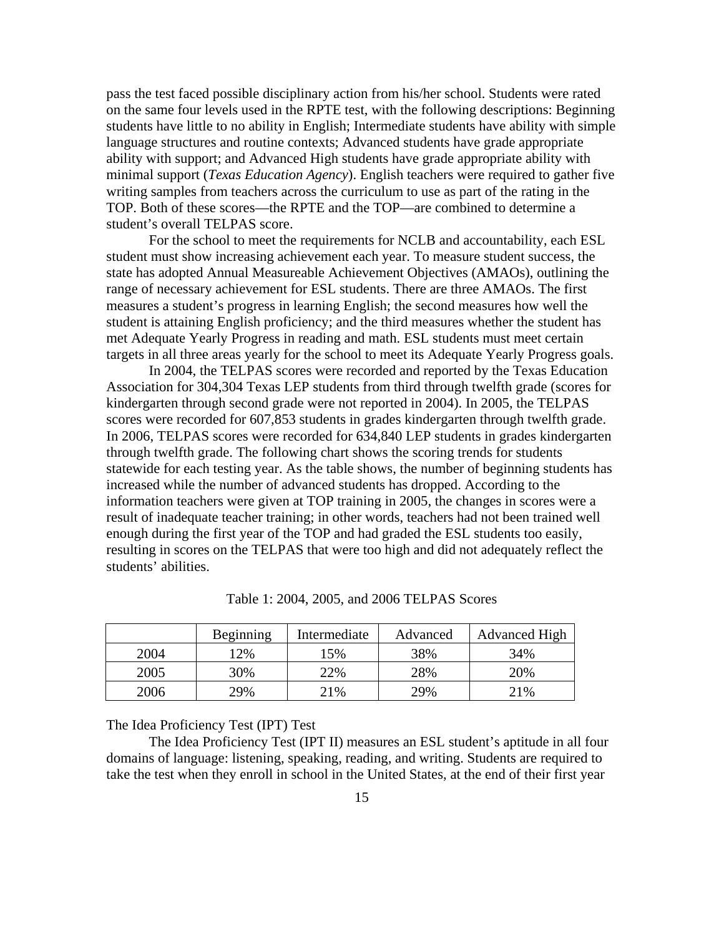pass the test faced possible disciplinary action from his/her school. Students were rated on the same four levels used in the RPTE test, with the following descriptions: Beginning students have little to no ability in English; Intermediate students have ability with simple language structures and routine contexts; Advanced students have grade appropriate ability with support; and Advanced High students have grade appropriate ability with minimal support (*Texas Education Agency*). English teachers were required to gather five writing samples from teachers across the curriculum to use as part of the rating in the TOP. Both of these scores—the RPTE and the TOP—are combined to determine a student's overall TELPAS score.

 For the school to meet the requirements for NCLB and accountability, each ESL student must show increasing achievement each year. To measure student success, the state has adopted Annual Measureable Achievement Objectives (AMAOs), outlining the range of necessary achievement for ESL students. There are three AMAOs. The first measures a student's progress in learning English; the second measures how well the student is attaining English proficiency; and the third measures whether the student has met Adequate Yearly Progress in reading and math. ESL students must meet certain targets in all three areas yearly for the school to meet its Adequate Yearly Progress goals.

 In 2004, the TELPAS scores were recorded and reported by the Texas Education Association for 304,304 Texas LEP students from third through twelfth grade (scores for kindergarten through second grade were not reported in 2004). In 2005, the TELPAS scores were recorded for 607,853 students in grades kindergarten through twelfth grade. In 2006, TELPAS scores were recorded for 634,840 LEP students in grades kindergarten through twelfth grade. The following chart shows the scoring trends for students statewide for each testing year. As the table shows, the number of beginning students has increased while the number of advanced students has dropped. According to the information teachers were given at TOP training in 2005, the changes in scores were a result of inadequate teacher training; in other words, teachers had not been trained well enough during the first year of the TOP and had graded the ESL students too easily, resulting in scores on the TELPAS that were too high and did not adequately reflect the students' abilities.

|      | Beginning | Intermediate | Advanced | Advanced High |
|------|-----------|--------------|----------|---------------|
| 2004 | $12\%$    | $5\%$        | 38%      | 34%           |
| 2005 | 30%       | 22%          | 28%      | 20%           |
| 2006 | 29%       | 21%          | 29%      | 21%           |

Table 1: 2004, 2005, and 2006 TELPAS Scores

The Idea Proficiency Test (IPT) Test

 The Idea Proficiency Test (IPT II) measures an ESL student's aptitude in all four domains of language: listening, speaking, reading, and writing. Students are required to take the test when they enroll in school in the United States, at the end of their first year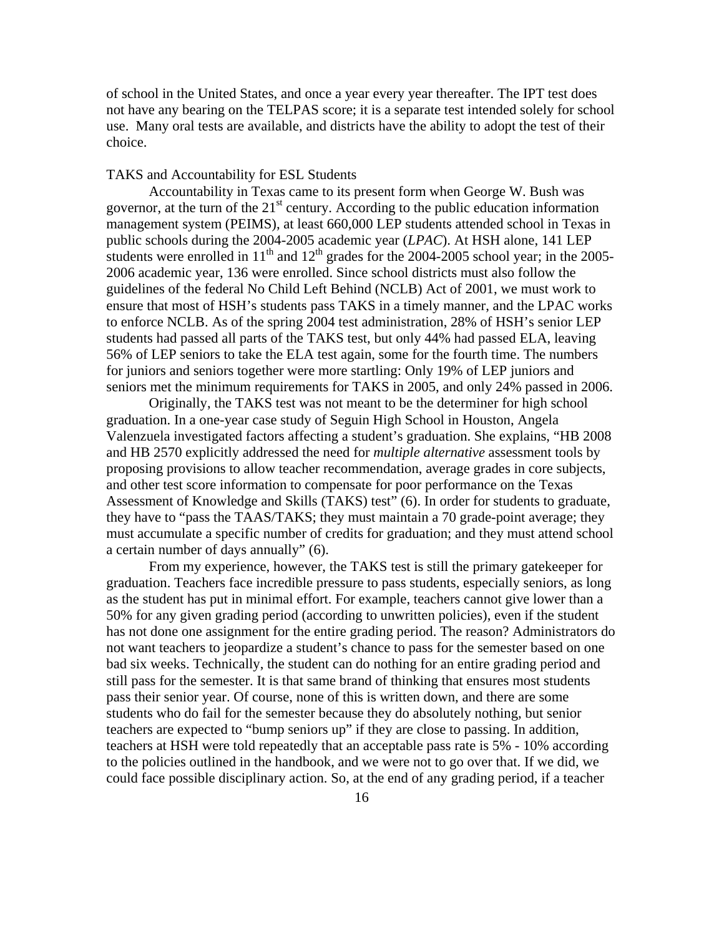of school in the United States, and once a year every year thereafter. The IPT test does not have any bearing on the TELPAS score; it is a separate test intended solely for school use. Many oral tests are available, and districts have the ability to adopt the test of their choice.

## TAKS and Accountability for ESL Students

Accountability in Texas came to its present form when George W. Bush was governor, at the turn of the  $21<sup>st</sup>$  century. According to the public education information management system (PEIMS), at least 660,000 LEP students attended school in Texas in public schools during the 2004-2005 academic year (*LPAC*). At HSH alone, 141 LEP students were enrolled in  $11<sup>th</sup>$  and  $12<sup>th</sup>$  grades for the 2004-2005 school year; in the 2005-2006 academic year, 136 were enrolled. Since school districts must also follow the guidelines of the federal No Child Left Behind (NCLB) Act of 2001, we must work to ensure that most of HSH's students pass TAKS in a timely manner, and the LPAC works to enforce NCLB. As of the spring 2004 test administration, 28% of HSH's senior LEP students had passed all parts of the TAKS test, but only 44% had passed ELA, leaving 56% of LEP seniors to take the ELA test again, some for the fourth time. The numbers for juniors and seniors together were more startling: Only 19% of LEP juniors and seniors met the minimum requirements for TAKS in 2005, and only 24% passed in 2006.

Originally, the TAKS test was not meant to be the determiner for high school graduation. In a one-year case study of Seguin High School in Houston, Angela Valenzuela investigated factors affecting a student's graduation. She explains, "HB 2008 and HB 2570 explicitly addressed the need for *multiple alternative* assessment tools by proposing provisions to allow teacher recommendation, average grades in core subjects, and other test score information to compensate for poor performance on the Texas Assessment of Knowledge and Skills (TAKS) test" (6). In order for students to graduate, they have to "pass the TAAS/TAKS; they must maintain a 70 grade-point average; they must accumulate a specific number of credits for graduation; and they must attend school a certain number of days annually" (6).

From my experience, however, the TAKS test is still the primary gatekeeper for graduation. Teachers face incredible pressure to pass students, especially seniors, as long as the student has put in minimal effort. For example, teachers cannot give lower than a 50% for any given grading period (according to unwritten policies), even if the student has not done one assignment for the entire grading period. The reason? Administrators do not want teachers to jeopardize a student's chance to pass for the semester based on one bad six weeks. Technically, the student can do nothing for an entire grading period and still pass for the semester. It is that same brand of thinking that ensures most students pass their senior year. Of course, none of this is written down, and there are some students who do fail for the semester because they do absolutely nothing, but senior teachers are expected to "bump seniors up" if they are close to passing. In addition, teachers at HSH were told repeatedly that an acceptable pass rate is 5% - 10% according to the policies outlined in the handbook, and we were not to go over that. If we did, we could face possible disciplinary action. So, at the end of any grading period, if a teacher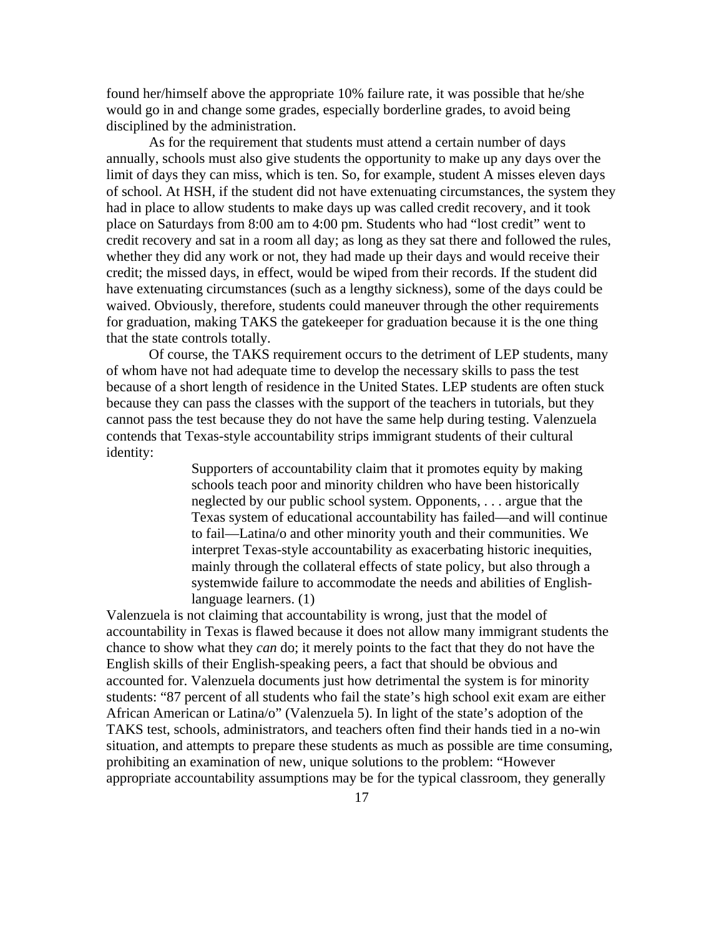found her/himself above the appropriate 10% failure rate, it was possible that he/she would go in and change some grades, especially borderline grades, to avoid being disciplined by the administration.

As for the requirement that students must attend a certain number of days annually, schools must also give students the opportunity to make up any days over the limit of days they can miss, which is ten. So, for example, student A misses eleven days of school. At HSH, if the student did not have extenuating circumstances, the system they had in place to allow students to make days up was called credit recovery, and it took place on Saturdays from 8:00 am to 4:00 pm. Students who had "lost credit" went to credit recovery and sat in a room all day; as long as they sat there and followed the rules, whether they did any work or not, they had made up their days and would receive their credit; the missed days, in effect, would be wiped from their records. If the student did have extenuating circumstances (such as a lengthy sickness), some of the days could be waived. Obviously, therefore, students could maneuver through the other requirements for graduation, making TAKS the gatekeeper for graduation because it is the one thing that the state controls totally.

 Of course, the TAKS requirement occurs to the detriment of LEP students, many of whom have not had adequate time to develop the necessary skills to pass the test because of a short length of residence in the United States. LEP students are often stuck because they can pass the classes with the support of the teachers in tutorials, but they cannot pass the test because they do not have the same help during testing. Valenzuela contends that Texas-style accountability strips immigrant students of their cultural identity:

> Supporters of accountability claim that it promotes equity by making schools teach poor and minority children who have been historically neglected by our public school system. Opponents, . . . argue that the Texas system of educational accountability has failed—and will continue to fail—Latina/o and other minority youth and their communities. We interpret Texas-style accountability as exacerbating historic inequities, mainly through the collateral effects of state policy, but also through a systemwide failure to accommodate the needs and abilities of Englishlanguage learners. (1)

Valenzuela is not claiming that accountability is wrong, just that the model of accountability in Texas is flawed because it does not allow many immigrant students the chance to show what they *can* do; it merely points to the fact that they do not have the English skills of their English-speaking peers, a fact that should be obvious and accounted for. Valenzuela documents just how detrimental the system is for minority students: "87 percent of all students who fail the state's high school exit exam are either African American or Latina/o" (Valenzuela 5). In light of the state's adoption of the TAKS test, schools, administrators, and teachers often find their hands tied in a no-win situation, and attempts to prepare these students as much as possible are time consuming, prohibiting an examination of new, unique solutions to the problem: "However appropriate accountability assumptions may be for the typical classroom, they generally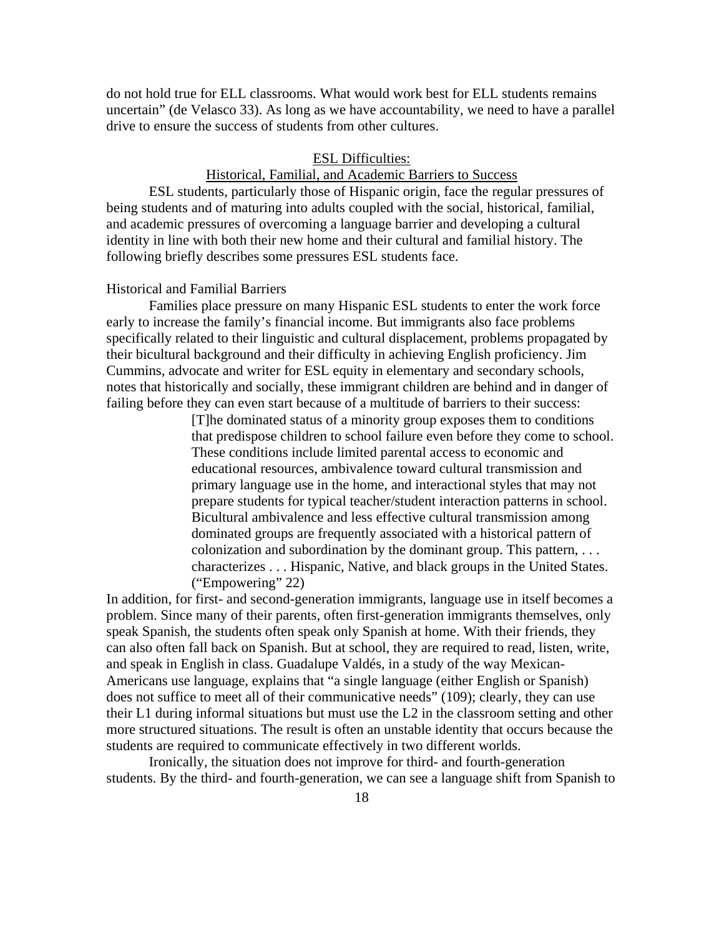do not hold true for ELL classrooms. What would work best for ELL students remains uncertain" (de Velasco 33). As long as we have accountability, we need to have a parallel drive to ensure the success of students from other cultures.

#### ESL Difficulties:

# Historical, Familial, and Academic Barriers to Success

ESL students, particularly those of Hispanic origin, face the regular pressures of being students and of maturing into adults coupled with the social, historical, familial, and academic pressures of overcoming a language barrier and developing a cultural identity in line with both their new home and their cultural and familial history. The following briefly describes some pressures ESL students face.

#### Historical and Familial Barriers

 Families place pressure on many Hispanic ESL students to enter the work force early to increase the family's financial income. But immigrants also face problems specifically related to their linguistic and cultural displacement, problems propagated by their bicultural background and their difficulty in achieving English proficiency. Jim Cummins, advocate and writer for ESL equity in elementary and secondary schools, notes that historically and socially, these immigrant children are behind and in danger of failing before they can even start because of a multitude of barriers to their success:

> [T]he dominated status of a minority group exposes them to conditions that predispose children to school failure even before they come to school. These conditions include limited parental access to economic and educational resources, ambivalence toward cultural transmission and primary language use in the home, and interactional styles that may not prepare students for typical teacher/student interaction patterns in school. Bicultural ambivalence and less effective cultural transmission among dominated groups are frequently associated with a historical pattern of colonization and subordination by the dominant group. This pattern, . . . characterizes . . . Hispanic, Native, and black groups in the United States. ("Empowering" 22)

In addition, for first- and second-generation immigrants, language use in itself becomes a problem. Since many of their parents, often first-generation immigrants themselves, only speak Spanish, the students often speak only Spanish at home. With their friends, they can also often fall back on Spanish. But at school, they are required to read, listen, write, and speak in English in class. Guadalupe Valdés, in a study of the way Mexican-Americans use language, explains that "a single language (either English or Spanish) does not suffice to meet all of their communicative needs" (109); clearly, they can use their L1 during informal situations but must use the L2 in the classroom setting and other more structured situations. The result is often an unstable identity that occurs because the students are required to communicate effectively in two different worlds.

 Ironically, the situation does not improve for third- and fourth-generation students. By the third- and fourth-generation, we can see a language shift from Spanish to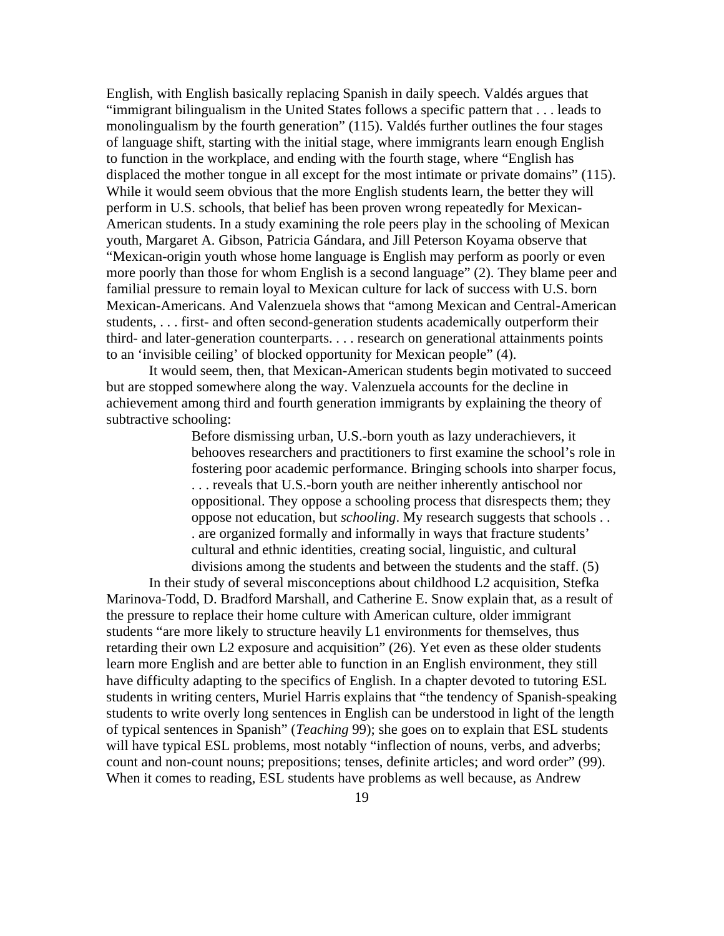English, with English basically replacing Spanish in daily speech. Valdés argues that "immigrant bilingualism in the United States follows a specific pattern that . . . leads to monolingualism by the fourth generation" (115). Valdés further outlines the four stages of language shift, starting with the initial stage, where immigrants learn enough English to function in the workplace, and ending with the fourth stage, where "English has displaced the mother tongue in all except for the most intimate or private domains" (115). While it would seem obvious that the more English students learn, the better they will perform in U.S. schools, that belief has been proven wrong repeatedly for Mexican-American students. In a study examining the role peers play in the schooling of Mexican youth, Margaret A. Gibson, Patricia Gándara, and Jill Peterson Koyama observe that "Mexican-origin youth whose home language is English may perform as poorly or even more poorly than those for whom English is a second language" (2). They blame peer and familial pressure to remain loyal to Mexican culture for lack of success with U.S. born Mexican-Americans. And Valenzuela shows that "among Mexican and Central-American students, . . . first- and often second-generation students academically outperform their third- and later-generation counterparts. . . . research on generational attainments points to an 'invisible ceiling' of blocked opportunity for Mexican people" (4).

It would seem, then, that Mexican-American students begin motivated to succeed but are stopped somewhere along the way. Valenzuela accounts for the decline in achievement among third and fourth generation immigrants by explaining the theory of subtractive schooling:

> Before dismissing urban, U.S.-born youth as lazy underachievers, it behooves researchers and practitioners to first examine the school's role in fostering poor academic performance. Bringing schools into sharper focus, . . . reveals that U.S.-born youth are neither inherently antischool nor oppositional. They oppose a schooling process that disrespects them; they oppose not education, but *schooling*. My research suggests that schools . . . are organized formally and informally in ways that fracture students' cultural and ethnic identities, creating social, linguistic, and cultural divisions among the students and between the students and the staff. (5)

In their study of several misconceptions about childhood L2 acquisition, Stefka Marinova-Todd, D. Bradford Marshall, and Catherine E. Snow explain that, as a result of the pressure to replace their home culture with American culture, older immigrant students "are more likely to structure heavily L1 environments for themselves, thus retarding their own L2 exposure and acquisition" (26). Yet even as these older students learn more English and are better able to function in an English environment, they still have difficulty adapting to the specifics of English. In a chapter devoted to tutoring ESL students in writing centers, Muriel Harris explains that "the tendency of Spanish-speaking students to write overly long sentences in English can be understood in light of the length of typical sentences in Spanish" (*Teaching* 99); she goes on to explain that ESL students will have typical ESL problems, most notably "inflection of nouns, verbs, and adverbs; count and non-count nouns; prepositions; tenses, definite articles; and word order" (99). When it comes to reading, ESL students have problems as well because, as Andrew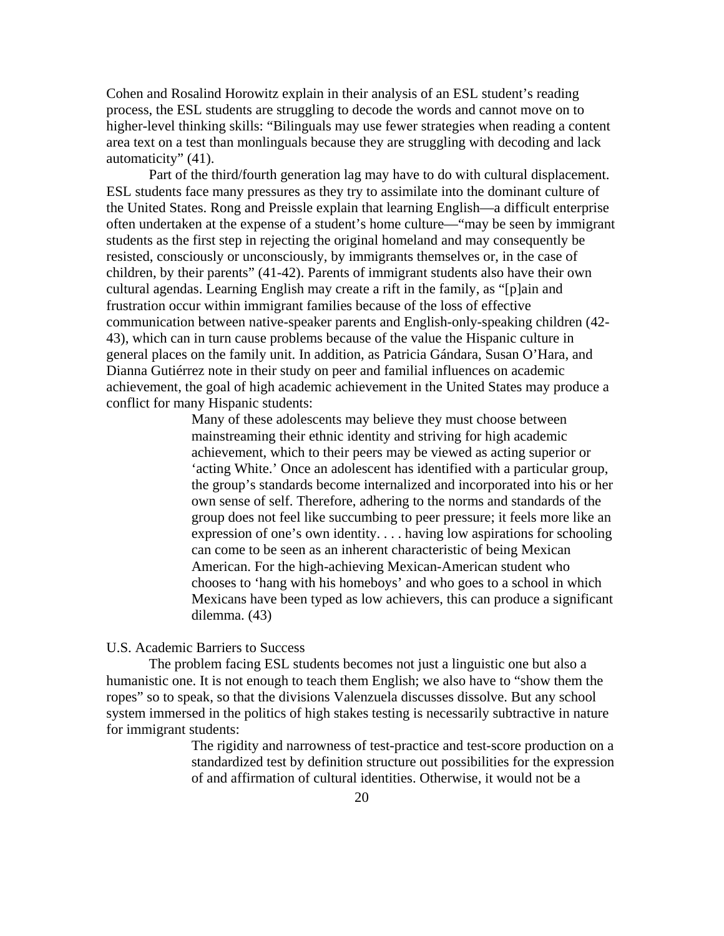Cohen and Rosalind Horowitz explain in their analysis of an ESL student's reading process, the ESL students are struggling to decode the words and cannot move on to higher-level thinking skills: "Bilinguals may use fewer strategies when reading a content area text on a test than monlinguals because they are struggling with decoding and lack automaticity" (41).

Part of the third/fourth generation lag may have to do with cultural displacement. ESL students face many pressures as they try to assimilate into the dominant culture of the United States. Rong and Preissle explain that learning English—a difficult enterprise often undertaken at the expense of a student's home culture—"may be seen by immigrant students as the first step in rejecting the original homeland and may consequently be resisted, consciously or unconsciously, by immigrants themselves or, in the case of children, by their parents" (41-42). Parents of immigrant students also have their own cultural agendas. Learning English may create a rift in the family, as "[p]ain and frustration occur within immigrant families because of the loss of effective communication between native-speaker parents and English-only-speaking children (42- 43), which can in turn cause problems because of the value the Hispanic culture in general places on the family unit. In addition, as Patricia Gándara, Susan O'Hara, and Dianna Gutiérrez note in their study on peer and familial influences on academic achievement, the goal of high academic achievement in the United States may produce a conflict for many Hispanic students:

> Many of these adolescents may believe they must choose between mainstreaming their ethnic identity and striving for high academic achievement, which to their peers may be viewed as acting superior or 'acting White.' Once an adolescent has identified with a particular group, the group's standards become internalized and incorporated into his or her own sense of self. Therefore, adhering to the norms and standards of the group does not feel like succumbing to peer pressure; it feels more like an expression of one's own identity. . . . having low aspirations for schooling can come to be seen as an inherent characteristic of being Mexican American. For the high-achieving Mexican-American student who chooses to 'hang with his homeboys' and who goes to a school in which Mexicans have been typed as low achievers, this can produce a significant dilemma. (43)

## U.S. Academic Barriers to Success

The problem facing ESL students becomes not just a linguistic one but also a humanistic one. It is not enough to teach them English; we also have to "show them the ropes" so to speak, so that the divisions Valenzuela discusses dissolve. But any school system immersed in the politics of high stakes testing is necessarily subtractive in nature for immigrant students:

> The rigidity and narrowness of test-practice and test-score production on a standardized test by definition structure out possibilities for the expression of and affirmation of cultural identities. Otherwise, it would not be a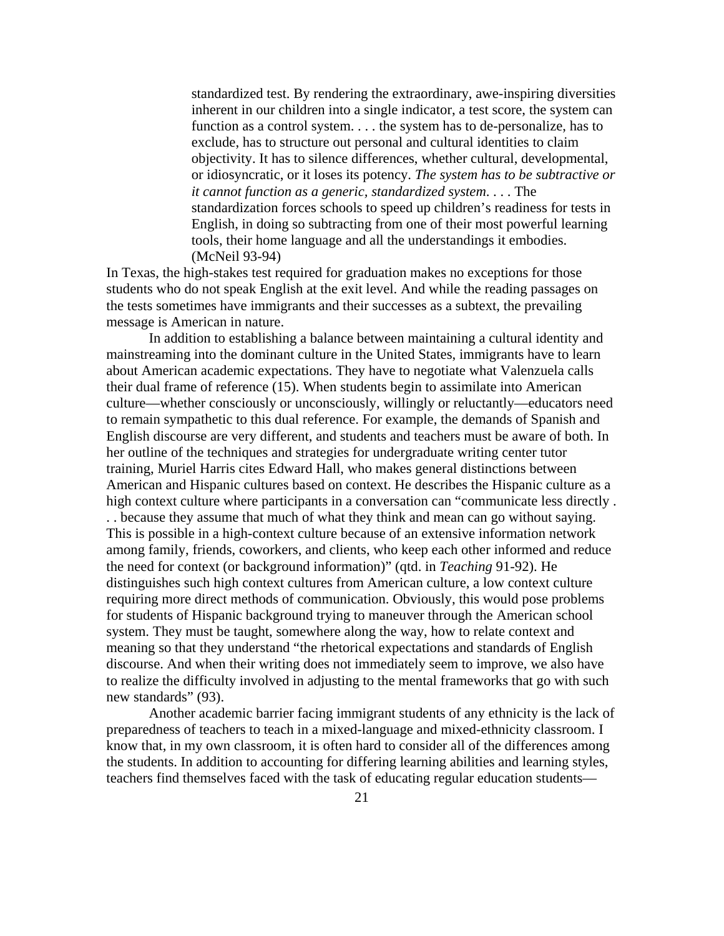standardized test. By rendering the extraordinary, awe-inspiring diversities inherent in our children into a single indicator, a test score, the system can function as a control system. . . . the system has to de-personalize, has to exclude, has to structure out personal and cultural identities to claim objectivity. It has to silence differences, whether cultural, developmental, or idiosyncratic, or it loses its potency. *The system has to be subtractive or it cannot function as a generic, standardized system*. . . . The standardization forces schools to speed up children's readiness for tests in English, in doing so subtracting from one of their most powerful learning tools, their home language and all the understandings it embodies. (McNeil 93-94)

In Texas, the high-stakes test required for graduation makes no exceptions for those students who do not speak English at the exit level. And while the reading passages on the tests sometimes have immigrants and their successes as a subtext, the prevailing message is American in nature.

In addition to establishing a balance between maintaining a cultural identity and mainstreaming into the dominant culture in the United States, immigrants have to learn about American academic expectations. They have to negotiate what Valenzuela calls their dual frame of reference (15). When students begin to assimilate into American culture—whether consciously or unconsciously, willingly or reluctantly—educators need to remain sympathetic to this dual reference. For example, the demands of Spanish and English discourse are very different, and students and teachers must be aware of both. In her outline of the techniques and strategies for undergraduate writing center tutor training, Muriel Harris cites Edward Hall, who makes general distinctions between American and Hispanic cultures based on context. He describes the Hispanic culture as a high context culture where participants in a conversation can "communicate less directly . . . because they assume that much of what they think and mean can go without saying. This is possible in a high-context culture because of an extensive information network among family, friends, coworkers, and clients, who keep each other informed and reduce the need for context (or background information)" (qtd. in *Teaching* 91-92). He distinguishes such high context cultures from American culture, a low context culture requiring more direct methods of communication. Obviously, this would pose problems for students of Hispanic background trying to maneuver through the American school system. They must be taught, somewhere along the way, how to relate context and meaning so that they understand "the rhetorical expectations and standards of English discourse. And when their writing does not immediately seem to improve, we also have to realize the difficulty involved in adjusting to the mental frameworks that go with such new standards" (93).

Another academic barrier facing immigrant students of any ethnicity is the lack of preparedness of teachers to teach in a mixed-language and mixed-ethnicity classroom. I know that, in my own classroom, it is often hard to consider all of the differences among the students. In addition to accounting for differing learning abilities and learning styles, teachers find themselves faced with the task of educating regular education students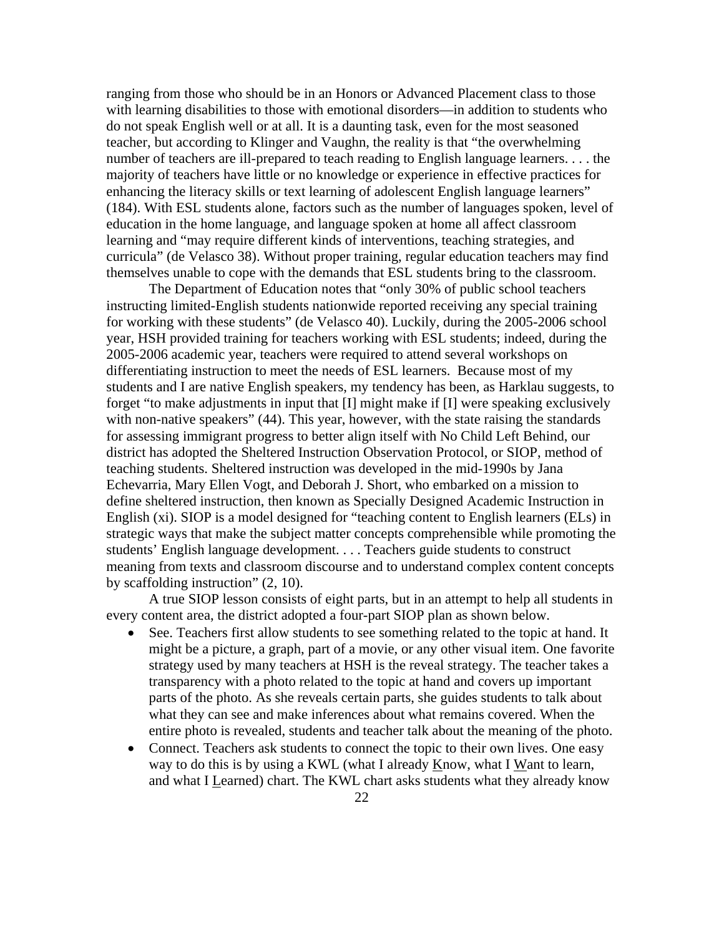ranging from those who should be in an Honors or Advanced Placement class to those with learning disabilities to those with emotional disorders—in addition to students who do not speak English well or at all. It is a daunting task, even for the most seasoned teacher, but according to Klinger and Vaughn, the reality is that "the overwhelming number of teachers are ill-prepared to teach reading to English language learners. . . . the majority of teachers have little or no knowledge or experience in effective practices for enhancing the literacy skills or text learning of adolescent English language learners" (184). With ESL students alone, factors such as the number of languages spoken, level of education in the home language, and language spoken at home all affect classroom learning and "may require different kinds of interventions, teaching strategies, and curricula" (de Velasco 38). Without proper training, regular education teachers may find themselves unable to cope with the demands that ESL students bring to the classroom.

The Department of Education notes that "only 30% of public school teachers instructing limited-English students nationwide reported receiving any special training for working with these students" (de Velasco 40). Luckily, during the 2005-2006 school year, HSH provided training for teachers working with ESL students; indeed, during the 2005-2006 academic year, teachers were required to attend several workshops on differentiating instruction to meet the needs of ESL learners. Because most of my students and I are native English speakers, my tendency has been, as Harklau suggests, to forget "to make adjustments in input that [I] might make if [I] were speaking exclusively with non-native speakers" (44). This year, however, with the state raising the standards for assessing immigrant progress to better align itself with No Child Left Behind, our district has adopted the Sheltered Instruction Observation Protocol, or SIOP, method of teaching students. Sheltered instruction was developed in the mid-1990s by Jana Echevarria, Mary Ellen Vogt, and Deborah J. Short, who embarked on a mission to define sheltered instruction, then known as Specially Designed Academic Instruction in English (xi). SIOP is a model designed for "teaching content to English learners (ELs) in strategic ways that make the subject matter concepts comprehensible while promoting the students' English language development. . . . Teachers guide students to construct meaning from texts and classroom discourse and to understand complex content concepts by scaffolding instruction" (2, 10).

A true SIOP lesson consists of eight parts, but in an attempt to help all students in every content area, the district adopted a four-part SIOP plan as shown below.

- See. Teachers first allow students to see something related to the topic at hand. It might be a picture, a graph, part of a movie, or any other visual item. One favorite strategy used by many teachers at HSH is the reveal strategy. The teacher takes a transparency with a photo related to the topic at hand and covers up important parts of the photo. As she reveals certain parts, she guides students to talk about what they can see and make inferences about what remains covered. When the entire photo is revealed, students and teacher talk about the meaning of the photo.
- Connect. Teachers ask students to connect the topic to their own lives. One easy way to do this is by using a KWL (what I already Know, what I Want to learn, and what I Learned) chart. The KWL chart asks students what they already know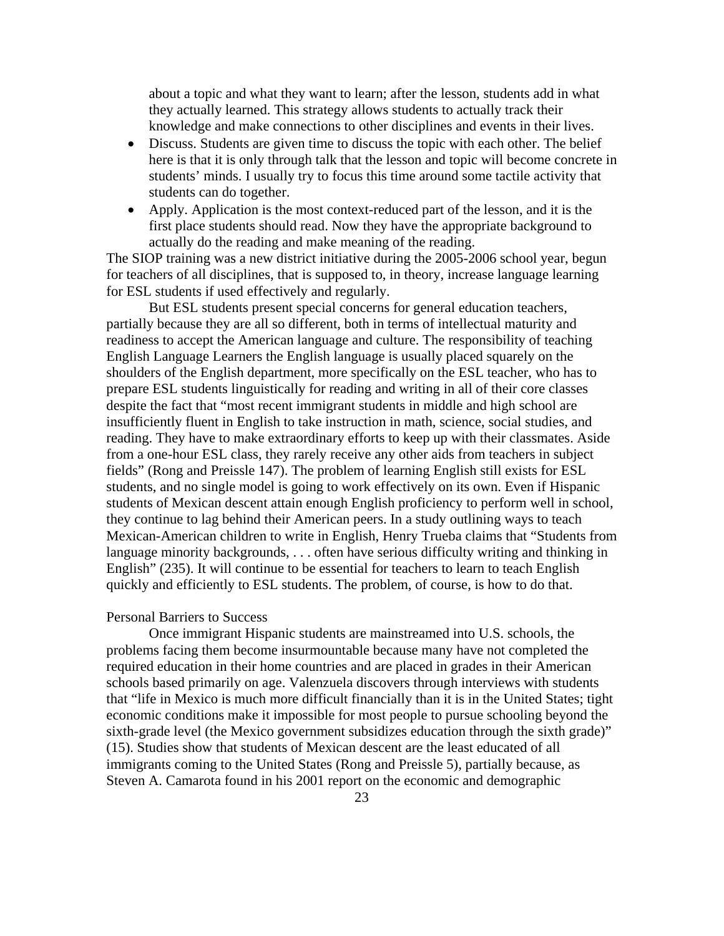about a topic and what they want to learn; after the lesson, students add in what they actually learned. This strategy allows students to actually track their knowledge and make connections to other disciplines and events in their lives.

- Discuss. Students are given time to discuss the topic with each other. The belief here is that it is only through talk that the lesson and topic will become concrete in students' minds. I usually try to focus this time around some tactile activity that students can do together.
- Apply. Application is the most context-reduced part of the lesson, and it is the first place students should read. Now they have the appropriate background to actually do the reading and make meaning of the reading.

The SIOP training was a new district initiative during the 2005-2006 school year, begun for teachers of all disciplines, that is supposed to, in theory, increase language learning for ESL students if used effectively and regularly.

But ESL students present special concerns for general education teachers, partially because they are all so different, both in terms of intellectual maturity and readiness to accept the American language and culture. The responsibility of teaching English Language Learners the English language is usually placed squarely on the shoulders of the English department, more specifically on the ESL teacher, who has to prepare ESL students linguistically for reading and writing in all of their core classes despite the fact that "most recent immigrant students in middle and high school are insufficiently fluent in English to take instruction in math, science, social studies, and reading. They have to make extraordinary efforts to keep up with their classmates. Aside from a one-hour ESL class, they rarely receive any other aids from teachers in subject fields" (Rong and Preissle 147). The problem of learning English still exists for ESL students, and no single model is going to work effectively on its own. Even if Hispanic students of Mexican descent attain enough English proficiency to perform well in school, they continue to lag behind their American peers. In a study outlining ways to teach Mexican-American children to write in English, Henry Trueba claims that "Students from language minority backgrounds, . . . often have serious difficulty writing and thinking in English" (235). It will continue to be essential for teachers to learn to teach English quickly and efficiently to ESL students. The problem, of course, is how to do that.

#### Personal Barriers to Success

 Once immigrant Hispanic students are mainstreamed into U.S. schools, the problems facing them become insurmountable because many have not completed the required education in their home countries and are placed in grades in their American schools based primarily on age. Valenzuela discovers through interviews with students that "life in Mexico is much more difficult financially than it is in the United States; tight economic conditions make it impossible for most people to pursue schooling beyond the sixth-grade level (the Mexico government subsidizes education through the sixth grade)" (15). Studies show that students of Mexican descent are the least educated of all immigrants coming to the United States (Rong and Preissle 5), partially because, as Steven A. Camarota found in his 2001 report on the economic and demographic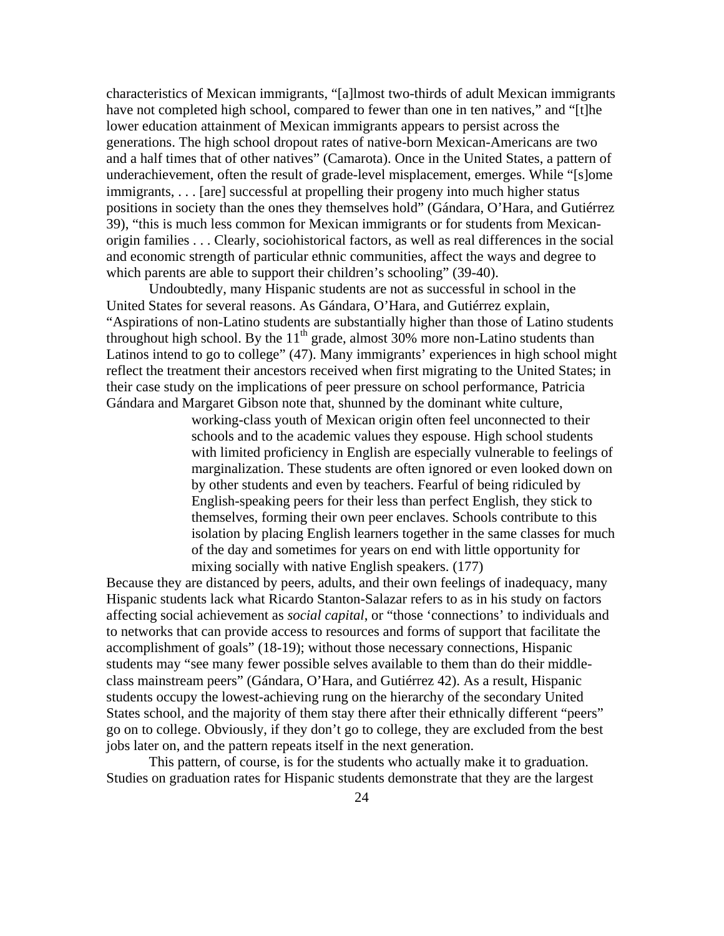characteristics of Mexican immigrants, "[a]lmost two-thirds of adult Mexican immigrants have not completed high school, compared to fewer than one in ten natives," and "[t]he lower education attainment of Mexican immigrants appears to persist across the generations. The high school dropout rates of native-born Mexican-Americans are two and a half times that of other natives" (Camarota). Once in the United States, a pattern of underachievement, often the result of grade-level misplacement, emerges. While "[s]ome immigrants, . . . [are] successful at propelling their progeny into much higher status positions in society than the ones they themselves hold" (Gándara, O'Hara, and Gutiérrez 39), "this is much less common for Mexican immigrants or for students from Mexicanorigin families . . . Clearly, sociohistorical factors, as well as real differences in the social and economic strength of particular ethnic communities, affect the ways and degree to which parents are able to support their children's schooling" (39-40).

 Undoubtedly, many Hispanic students are not as successful in school in the United States for several reasons. As Gándara, O'Hara, and Gutiérrez explain, "Aspirations of non-Latino students are substantially higher than those of Latino students throughout high school. By the  $11<sup>th</sup>$  grade, almost 30% more non-Latino students than Latinos intend to go to college" (47). Many immigrants' experiences in high school might reflect the treatment their ancestors received when first migrating to the United States; in their case study on the implications of peer pressure on school performance, Patricia Gándara and Margaret Gibson note that, shunned by the dominant white culture,

> working-class youth of Mexican origin often feel unconnected to their schools and to the academic values they espouse. High school students with limited proficiency in English are especially vulnerable to feelings of marginalization. These students are often ignored or even looked down on by other students and even by teachers. Fearful of being ridiculed by English-speaking peers for their less than perfect English, they stick to themselves, forming their own peer enclaves. Schools contribute to this isolation by placing English learners together in the same classes for much of the day and sometimes for years on end with little opportunity for mixing socially with native English speakers. (177)

Because they are distanced by peers, adults, and their own feelings of inadequacy, many Hispanic students lack what Ricardo Stanton-Salazar refers to as in his study on factors affecting social achievement as *social capital*, or "those 'connections' to individuals and to networks that can provide access to resources and forms of support that facilitate the accomplishment of goals" (18-19); without those necessary connections, Hispanic students may "see many fewer possible selves available to them than do their middleclass mainstream peers" (Gándara, O'Hara, and Gutiérrez 42). As a result, Hispanic students occupy the lowest-achieving rung on the hierarchy of the secondary United States school, and the majority of them stay there after their ethnically different "peers" go on to college. Obviously, if they don't go to college, they are excluded from the best jobs later on, and the pattern repeats itself in the next generation.

 This pattern, of course, is for the students who actually make it to graduation. Studies on graduation rates for Hispanic students demonstrate that they are the largest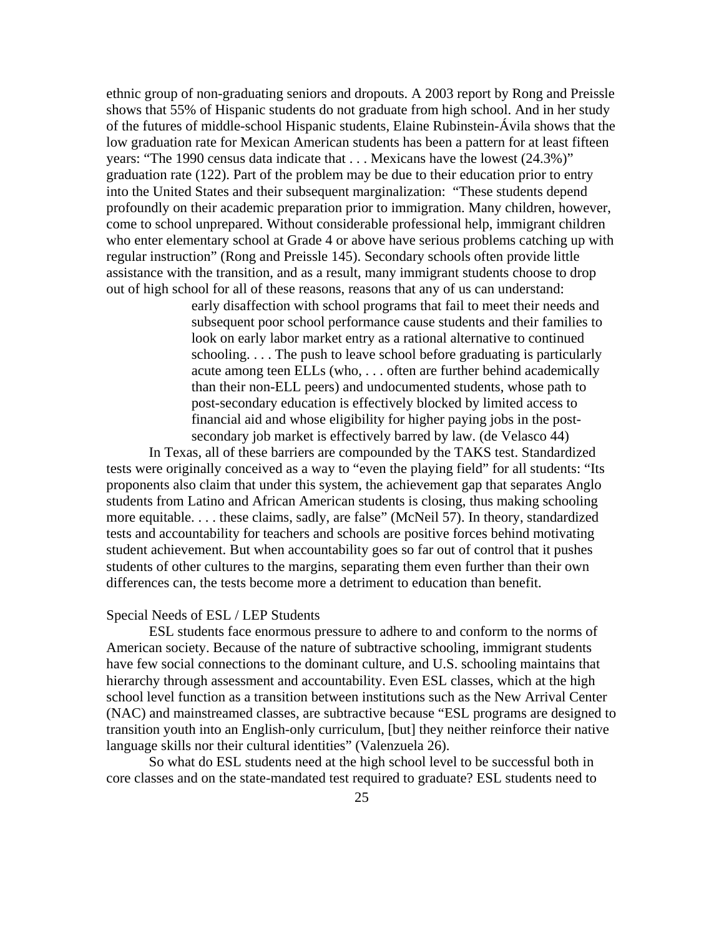ethnic group of non-graduating seniors and dropouts. A 2003 report by Rong and Preissle shows that 55% of Hispanic students do not graduate from high school. And in her study of the futures of middle-school Hispanic students, Elaine Rubinstein-Ávila shows that the low graduation rate for Mexican American students has been a pattern for at least fifteen years: "The 1990 census data indicate that . . . Mexicans have the lowest (24.3%)" graduation rate (122). Part of the problem may be due to their education prior to entry into the United States and their subsequent marginalization: "These students depend profoundly on their academic preparation prior to immigration. Many children, however, come to school unprepared. Without considerable professional help, immigrant children who enter elementary school at Grade 4 or above have serious problems catching up with regular instruction" (Rong and Preissle 145). Secondary schools often provide little assistance with the transition, and as a result, many immigrant students choose to drop out of high school for all of these reasons, reasons that any of us can understand:

early disaffection with school programs that fail to meet their needs and subsequent poor school performance cause students and their families to look on early labor market entry as a rational alternative to continued schooling. . . . The push to leave school before graduating is particularly acute among teen ELLs (who, . . . often are further behind academically than their non-ELL peers) and undocumented students, whose path to post-secondary education is effectively blocked by limited access to financial aid and whose eligibility for higher paying jobs in the postsecondary job market is effectively barred by law. (de Velasco 44)

 In Texas, all of these barriers are compounded by the TAKS test. Standardized tests were originally conceived as a way to "even the playing field" for all students: "Its proponents also claim that under this system, the achievement gap that separates Anglo students from Latino and African American students is closing, thus making schooling more equitable. . . . these claims, sadly, are false" (McNeil 57). In theory, standardized tests and accountability for teachers and schools are positive forces behind motivating student achievement. But when accountability goes so far out of control that it pushes students of other cultures to the margins, separating them even further than their own differences can, the tests become more a detriment to education than benefit.

#### Special Needs of ESL / LEP Students

 ESL students face enormous pressure to adhere to and conform to the norms of American society. Because of the nature of subtractive schooling, immigrant students have few social connections to the dominant culture, and U.S. schooling maintains that hierarchy through assessment and accountability. Even ESL classes, which at the high school level function as a transition between institutions such as the New Arrival Center (NAC) and mainstreamed classes, are subtractive because "ESL programs are designed to transition youth into an English-only curriculum, [but] they neither reinforce their native language skills nor their cultural identities" (Valenzuela 26).

 So what do ESL students need at the high school level to be successful both in core classes and on the state-mandated test required to graduate? ESL students need to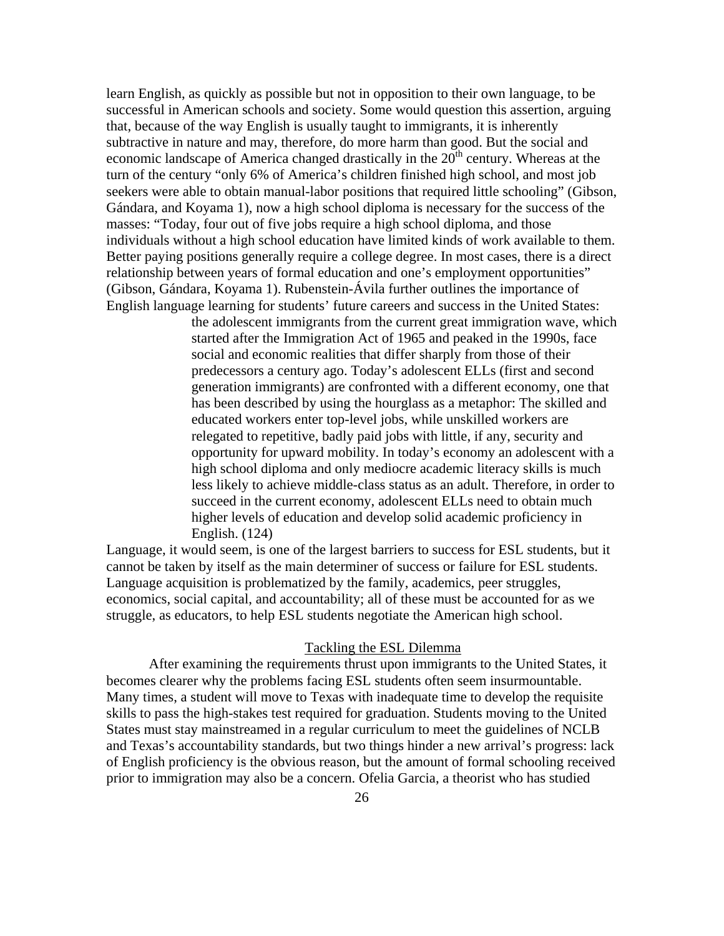learn English, as quickly as possible but not in opposition to their own language, to be successful in American schools and society. Some would question this assertion, arguing that, because of the way English is usually taught to immigrants, it is inherently subtractive in nature and may, therefore, do more harm than good. But the social and economic landscape of America changed drastically in the  $20<sup>th</sup>$  century. Whereas at the turn of the century "only 6% of America's children finished high school, and most job seekers were able to obtain manual-labor positions that required little schooling" (Gibson, Gándara, and Koyama 1), now a high school diploma is necessary for the success of the masses: "Today, four out of five jobs require a high school diploma, and those individuals without a high school education have limited kinds of work available to them. Better paying positions generally require a college degree. In most cases, there is a direct relationship between years of formal education and one's employment opportunities" (Gibson, Gándara, Koyama 1). Rubenstein-Ávila further outlines the importance of English language learning for students' future careers and success in the United States:

> the adolescent immigrants from the current great immigration wave, which started after the Immigration Act of 1965 and peaked in the 1990s, face social and economic realities that differ sharply from those of their predecessors a century ago. Today's adolescent ELLs (first and second generation immigrants) are confronted with a different economy, one that has been described by using the hourglass as a metaphor: The skilled and educated workers enter top-level jobs, while unskilled workers are relegated to repetitive, badly paid jobs with little, if any, security and opportunity for upward mobility. In today's economy an adolescent with a high school diploma and only mediocre academic literacy skills is much less likely to achieve middle-class status as an adult. Therefore, in order to succeed in the current economy, adolescent ELLs need to obtain much higher levels of education and develop solid academic proficiency in English. (124)

Language, it would seem, is one of the largest barriers to success for ESL students, but it cannot be taken by itself as the main determiner of success or failure for ESL students. Language acquisition is problematized by the family, academics, peer struggles, economics, social capital, and accountability; all of these must be accounted for as we struggle, as educators, to help ESL students negotiate the American high school.

#### Tackling the ESL Dilemma

After examining the requirements thrust upon immigrants to the United States, it becomes clearer why the problems facing ESL students often seem insurmountable. Many times, a student will move to Texas with inadequate time to develop the requisite skills to pass the high-stakes test required for graduation. Students moving to the United States must stay mainstreamed in a regular curriculum to meet the guidelines of NCLB and Texas's accountability standards, but two things hinder a new arrival's progress: lack of English proficiency is the obvious reason, but the amount of formal schooling received prior to immigration may also be a concern. Ofelia Garcia, a theorist who has studied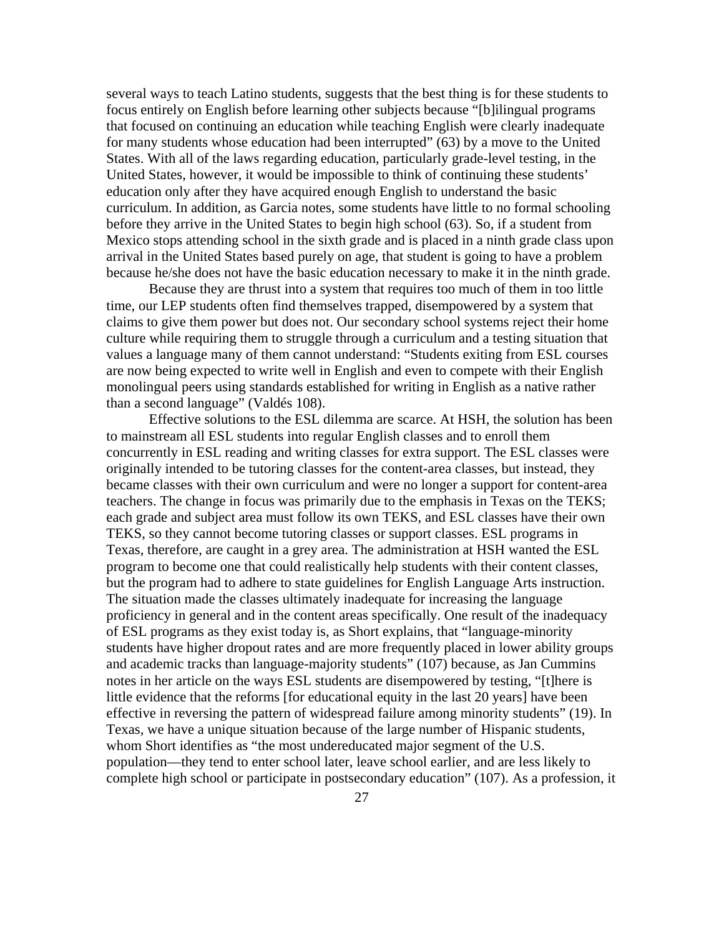several ways to teach Latino students, suggests that the best thing is for these students to focus entirely on English before learning other subjects because "[b]ilingual programs that focused on continuing an education while teaching English were clearly inadequate for many students whose education had been interrupted" (63) by a move to the United States. With all of the laws regarding education, particularly grade-level testing, in the United States, however, it would be impossible to think of continuing these students' education only after they have acquired enough English to understand the basic curriculum. In addition, as Garcia notes, some students have little to no formal schooling before they arrive in the United States to begin high school (63). So, if a student from Mexico stops attending school in the sixth grade and is placed in a ninth grade class upon arrival in the United States based purely on age, that student is going to have a problem because he/she does not have the basic education necessary to make it in the ninth grade.

Because they are thrust into a system that requires too much of them in too little time, our LEP students often find themselves trapped, disempowered by a system that claims to give them power but does not. Our secondary school systems reject their home culture while requiring them to struggle through a curriculum and a testing situation that values a language many of them cannot understand: "Students exiting from ESL courses are now being expected to write well in English and even to compete with their English monolingual peers using standards established for writing in English as a native rather than a second language" (Valdés 108).

Effective solutions to the ESL dilemma are scarce. At HSH, the solution has been to mainstream all ESL students into regular English classes and to enroll them concurrently in ESL reading and writing classes for extra support. The ESL classes were originally intended to be tutoring classes for the content-area classes, but instead, they became classes with their own curriculum and were no longer a support for content-area teachers. The change in focus was primarily due to the emphasis in Texas on the TEKS; each grade and subject area must follow its own TEKS, and ESL classes have their own TEKS, so they cannot become tutoring classes or support classes. ESL programs in Texas, therefore, are caught in a grey area. The administration at HSH wanted the ESL program to become one that could realistically help students with their content classes, but the program had to adhere to state guidelines for English Language Arts instruction. The situation made the classes ultimately inadequate for increasing the language proficiency in general and in the content areas specifically. One result of the inadequacy of ESL programs as they exist today is, as Short explains, that "language-minority students have higher dropout rates and are more frequently placed in lower ability groups and academic tracks than language-majority students" (107) because, as Jan Cummins notes in her article on the ways ESL students are disempowered by testing, "[t]here is little evidence that the reforms [for educational equity in the last 20 years] have been effective in reversing the pattern of widespread failure among minority students" (19). In Texas, we have a unique situation because of the large number of Hispanic students, whom Short identifies as "the most undereducated major segment of the U.S. population—they tend to enter school later, leave school earlier, and are less likely to complete high school or participate in postsecondary education" (107). As a profession, it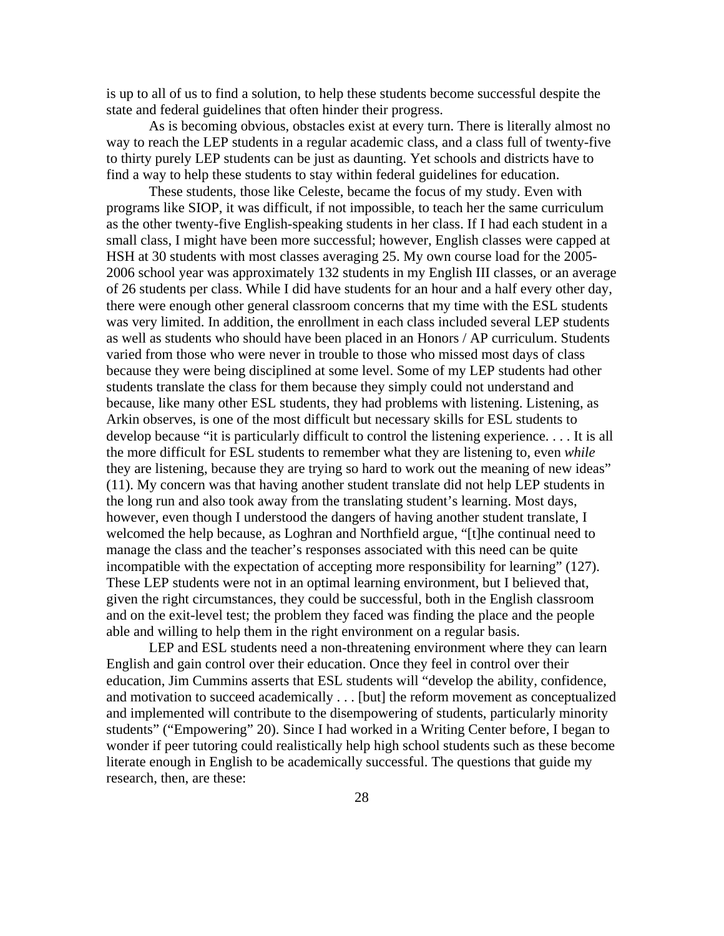is up to all of us to find a solution, to help these students become successful despite the state and federal guidelines that often hinder their progress.

As is becoming obvious, obstacles exist at every turn. There is literally almost no way to reach the LEP students in a regular academic class, and a class full of twenty-five to thirty purely LEP students can be just as daunting. Yet schools and districts have to find a way to help these students to stay within federal guidelines for education.

These students, those like Celeste, became the focus of my study. Even with programs like SIOP, it was difficult, if not impossible, to teach her the same curriculum as the other twenty-five English-speaking students in her class. If I had each student in a small class, I might have been more successful; however, English classes were capped at HSH at 30 students with most classes averaging 25. My own course load for the 2005- 2006 school year was approximately 132 students in my English III classes, or an average of 26 students per class. While I did have students for an hour and a half every other day, there were enough other general classroom concerns that my time with the ESL students was very limited. In addition, the enrollment in each class included several LEP students as well as students who should have been placed in an Honors / AP curriculum. Students varied from those who were never in trouble to those who missed most days of class because they were being disciplined at some level. Some of my LEP students had other students translate the class for them because they simply could not understand and because, like many other ESL students, they had problems with listening. Listening, as Arkin observes, is one of the most difficult but necessary skills for ESL students to develop because "it is particularly difficult to control the listening experience. . . . It is all the more difficult for ESL students to remember what they are listening to, even *while* they are listening, because they are trying so hard to work out the meaning of new ideas" (11). My concern was that having another student translate did not help LEP students in the long run and also took away from the translating student's learning. Most days, however, even though I understood the dangers of having another student translate, I welcomed the help because, as Loghran and Northfield argue, "[t]he continual need to manage the class and the teacher's responses associated with this need can be quite incompatible with the expectation of accepting more responsibility for learning" (127). These LEP students were not in an optimal learning environment, but I believed that, given the right circumstances, they could be successful, both in the English classroom and on the exit-level test; the problem they faced was finding the place and the people able and willing to help them in the right environment on a regular basis.

 LEP and ESL students need a non-threatening environment where they can learn English and gain control over their education. Once they feel in control over their education, Jim Cummins asserts that ESL students will "develop the ability, confidence, and motivation to succeed academically . . . [but] the reform movement as conceptualized and implemented will contribute to the disempowering of students, particularly minority students" ("Empowering" 20). Since I had worked in a Writing Center before, I began to wonder if peer tutoring could realistically help high school students such as these become literate enough in English to be academically successful. The questions that guide my research, then, are these: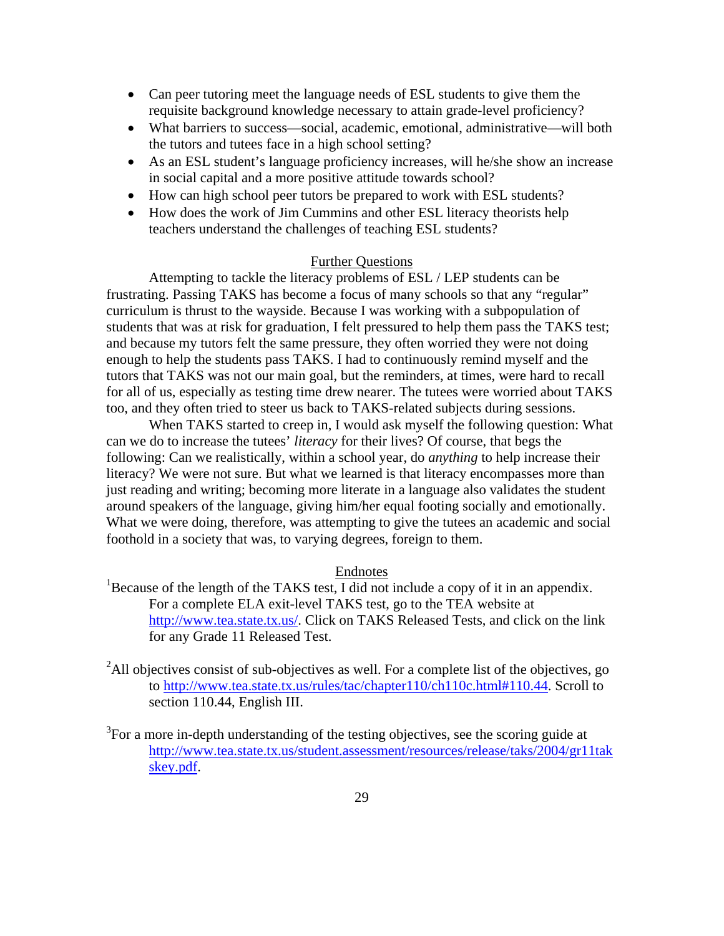- Can peer tutoring meet the language needs of ESL students to give them the requisite background knowledge necessary to attain grade-level proficiency?
- What barriers to success—social, academic, emotional, administrative—will both the tutors and tutees face in a high school setting?
- As an ESL student's language proficiency increases, will he/she show an increase in social capital and a more positive attitude towards school?
- How can high school peer tutors be prepared to work with ESL students?
- How does the work of Jim Cummins and other ESL literacy theorists help teachers understand the challenges of teaching ESL students?

# Further Questions

Attempting to tackle the literacy problems of ESL / LEP students can be frustrating. Passing TAKS has become a focus of many schools so that any "regular" curriculum is thrust to the wayside. Because I was working with a subpopulation of students that was at risk for graduation, I felt pressured to help them pass the TAKS test; and because my tutors felt the same pressure, they often worried they were not doing enough to help the students pass TAKS. I had to continuously remind myself and the tutors that TAKS was not our main goal, but the reminders, at times, were hard to recall for all of us, especially as testing time drew nearer. The tutees were worried about TAKS too, and they often tried to steer us back to TAKS-related subjects during sessions.

 When TAKS started to creep in, I would ask myself the following question: What can we do to increase the tutees' *literacy* for their lives? Of course, that begs the following: Can we realistically, within a school year, do *anything* to help increase their literacy? We were not sure. But what we learned is that literacy encompasses more than just reading and writing; becoming more literate in a language also validates the student around speakers of the language, giving him/her equal footing socially and emotionally. What we were doing, therefore, was attempting to give the tutees an academic and social foothold in a society that was, to varying degrees, foreign to them.

#### Endnotes

- <sup>1</sup>Because of the length of the TAKS test, I did not include a copy of it in an appendix. For a complete ELA exit-level TAKS test, go to the TEA website at http://www.tea.state.tx.us/. Click on TAKS Released Tests, and click on the link for any Grade 11 Released Test.
- $2$ All objectives consist of sub-objectives as well. For a complete list of the objectives, go to http://www.tea.state.tx.us/rules/tac/chapter110/ch110c.html#110.44. Scroll to section 110.44, English III.
- $3$ For a more in-depth understanding of the testing objectives, see the scoring guide at http://www.tea.state.tx.us/student.assessment/resources/release/taks/2004/gr11tak skey.pdf.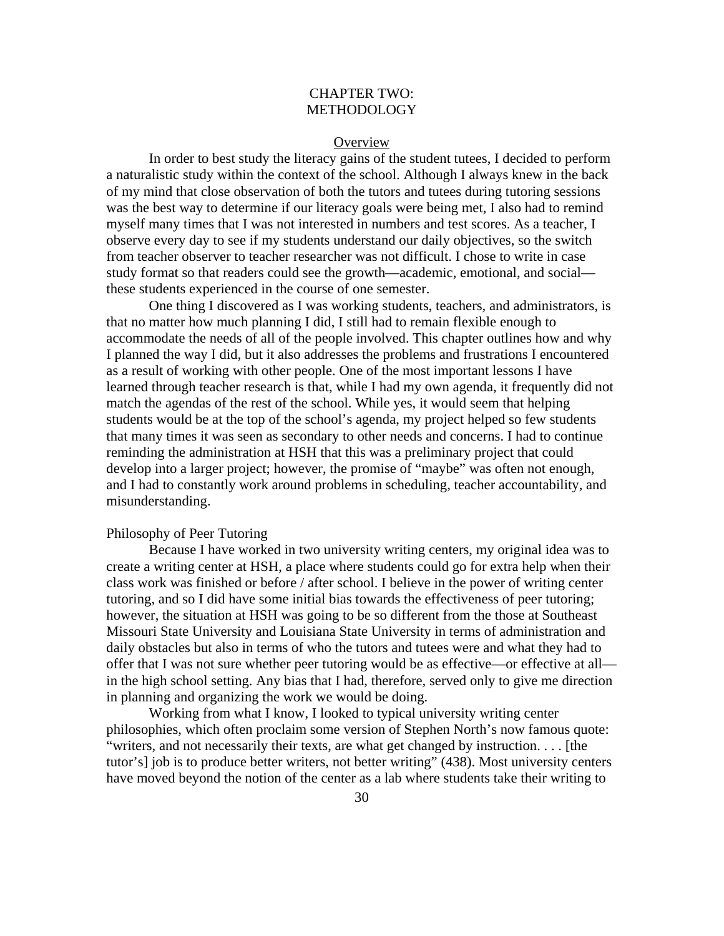# CHAPTER TWO: METHODOLOGY

#### **Overview**

In order to best study the literacy gains of the student tutees, I decided to perform a naturalistic study within the context of the school. Although I always knew in the back of my mind that close observation of both the tutors and tutees during tutoring sessions was the best way to determine if our literacy goals were being met, I also had to remind myself many times that I was not interested in numbers and test scores. As a teacher, I observe every day to see if my students understand our daily objectives, so the switch from teacher observer to teacher researcher was not difficult. I chose to write in case study format so that readers could see the growth—academic, emotional, and social these students experienced in the course of one semester.

 One thing I discovered as I was working students, teachers, and administrators, is that no matter how much planning I did, I still had to remain flexible enough to accommodate the needs of all of the people involved. This chapter outlines how and why I planned the way I did, but it also addresses the problems and frustrations I encountered as a result of working with other people. One of the most important lessons I have learned through teacher research is that, while I had my own agenda, it frequently did not match the agendas of the rest of the school. While yes, it would seem that helping students would be at the top of the school's agenda, my project helped so few students that many times it was seen as secondary to other needs and concerns. I had to continue reminding the administration at HSH that this was a preliminary project that could develop into a larger project; however, the promise of "maybe" was often not enough, and I had to constantly work around problems in scheduling, teacher accountability, and misunderstanding.

### Philosophy of Peer Tutoring

 Because I have worked in two university writing centers, my original idea was to create a writing center at HSH, a place where students could go for extra help when their class work was finished or before / after school. I believe in the power of writing center tutoring, and so I did have some initial bias towards the effectiveness of peer tutoring; however, the situation at HSH was going to be so different from the those at Southeast Missouri State University and Louisiana State University in terms of administration and daily obstacles but also in terms of who the tutors and tutees were and what they had to offer that I was not sure whether peer tutoring would be as effective—or effective at all in the high school setting. Any bias that I had, therefore, served only to give me direction in planning and organizing the work we would be doing.

Working from what I know, I looked to typical university writing center philosophies, which often proclaim some version of Stephen North's now famous quote: "writers, and not necessarily their texts, are what get changed by instruction. . . . [the tutor's] job is to produce better writers, not better writing" (438). Most university centers have moved beyond the notion of the center as a lab where students take their writing to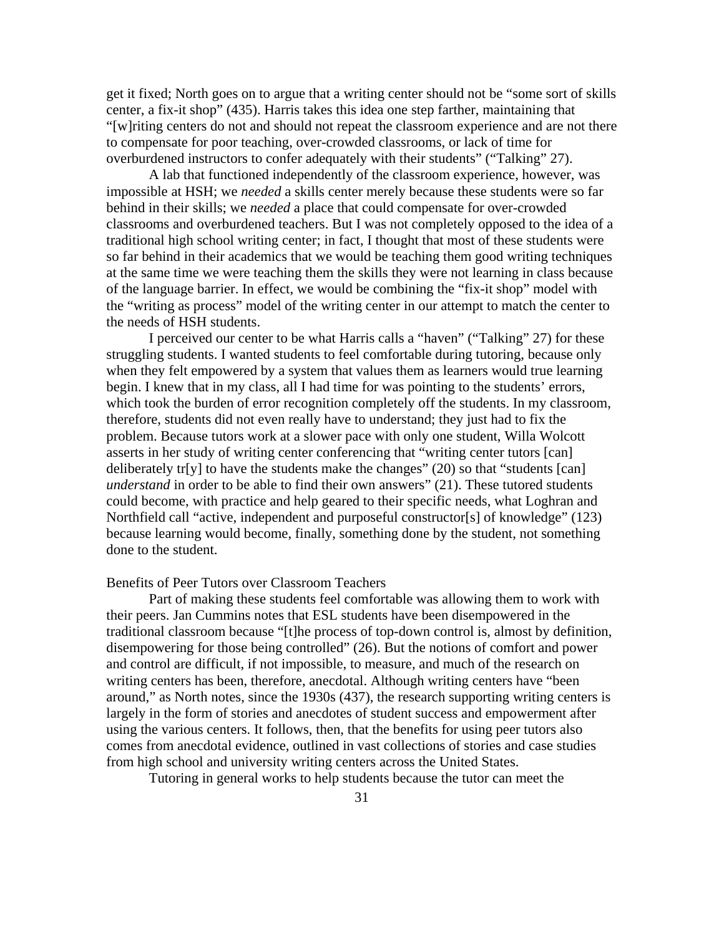get it fixed; North goes on to argue that a writing center should not be "some sort of skills center, a fix-it shop" (435). Harris takes this idea one step farther, maintaining that "[w]riting centers do not and should not repeat the classroom experience and are not there to compensate for poor teaching, over-crowded classrooms, or lack of time for overburdened instructors to confer adequately with their students" ("Talking" 27).

 A lab that functioned independently of the classroom experience, however, was impossible at HSH; we *needed* a skills center merely because these students were so far behind in their skills; we *needed* a place that could compensate for over-crowded classrooms and overburdened teachers. But I was not completely opposed to the idea of a traditional high school writing center; in fact, I thought that most of these students were so far behind in their academics that we would be teaching them good writing techniques at the same time we were teaching them the skills they were not learning in class because of the language barrier. In effect, we would be combining the "fix-it shop" model with the "writing as process" model of the writing center in our attempt to match the center to the needs of HSH students.

 I perceived our center to be what Harris calls a "haven" ("Talking" 27) for these struggling students. I wanted students to feel comfortable during tutoring, because only when they felt empowered by a system that values them as learners would true learning begin. I knew that in my class, all I had time for was pointing to the students' errors, which took the burden of error recognition completely off the students. In my classroom, therefore, students did not even really have to understand; they just had to fix the problem. Because tutors work at a slower pace with only one student, Willa Wolcott asserts in her study of writing center conferencing that "writing center tutors [can] deliberately tr[y] to have the students make the changes" (20) so that "students [can] *understand* in order to be able to find their own answers" (21). These tutored students could become, with practice and help geared to their specific needs, what Loghran and Northfield call "active, independent and purposeful constructor[s] of knowledge" (123) because learning would become, finally, something done by the student, not something done to the student.

### Benefits of Peer Tutors over Classroom Teachers

Part of making these students feel comfortable was allowing them to work with their peers. Jan Cummins notes that ESL students have been disempowered in the traditional classroom because "[t]he process of top-down control is, almost by definition, disempowering for those being controlled" (26). But the notions of comfort and power and control are difficult, if not impossible, to measure, and much of the research on writing centers has been, therefore, anecdotal. Although writing centers have "been around," as North notes, since the 1930s (437), the research supporting writing centers is largely in the form of stories and anecdotes of student success and empowerment after using the various centers. It follows, then, that the benefits for using peer tutors also comes from anecdotal evidence, outlined in vast collections of stories and case studies from high school and university writing centers across the United States.

Tutoring in general works to help students because the tutor can meet the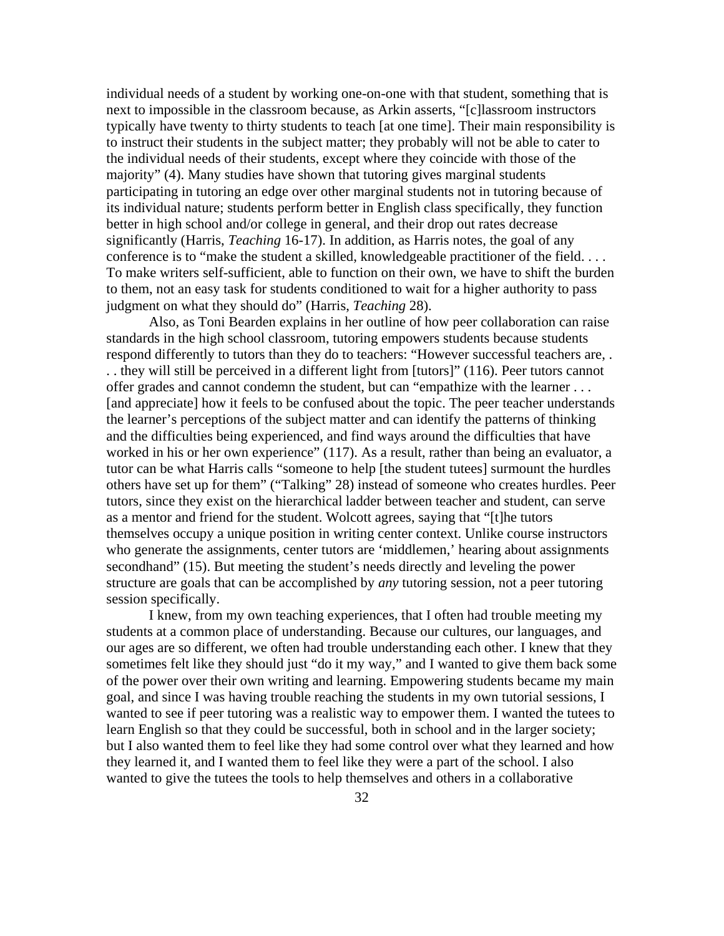individual needs of a student by working one-on-one with that student, something that is next to impossible in the classroom because, as Arkin asserts, "[c]lassroom instructors typically have twenty to thirty students to teach [at one time]. Their main responsibility is to instruct their students in the subject matter; they probably will not be able to cater to the individual needs of their students, except where they coincide with those of the majority" (4). Many studies have shown that tutoring gives marginal students participating in tutoring an edge over other marginal students not in tutoring because of its individual nature; students perform better in English class specifically, they function better in high school and/or college in general, and their drop out rates decrease significantly (Harris, *Teaching* 16-17). In addition, as Harris notes, the goal of any conference is to "make the student a skilled, knowledgeable practitioner of the field. . . . To make writers self-sufficient, able to function on their own, we have to shift the burden to them, not an easy task for students conditioned to wait for a higher authority to pass judgment on what they should do" (Harris, *Teaching* 28).

Also, as Toni Bearden explains in her outline of how peer collaboration can raise standards in the high school classroom, tutoring empowers students because students respond differently to tutors than they do to teachers: "However successful teachers are, . . . they will still be perceived in a different light from [tutors]" (116). Peer tutors cannot offer grades and cannot condemn the student, but can "empathize with the learner . . . [and appreciate] how it feels to be confused about the topic. The peer teacher understands the learner's perceptions of the subject matter and can identify the patterns of thinking and the difficulties being experienced, and find ways around the difficulties that have worked in his or her own experience" (117). As a result, rather than being an evaluator, a tutor can be what Harris calls "someone to help [the student tutees] surmount the hurdles others have set up for them" ("Talking" 28) instead of someone who creates hurdles. Peer tutors, since they exist on the hierarchical ladder between teacher and student, can serve as a mentor and friend for the student. Wolcott agrees, saying that "[t]he tutors themselves occupy a unique position in writing center context. Unlike course instructors who generate the assignments, center tutors are 'middlemen,' hearing about assignments secondhand" (15). But meeting the student's needs directly and leveling the power structure are goals that can be accomplished by *any* tutoring session, not a peer tutoring session specifically.

I knew, from my own teaching experiences, that I often had trouble meeting my students at a common place of understanding. Because our cultures, our languages, and our ages are so different, we often had trouble understanding each other. I knew that they sometimes felt like they should just "do it my way," and I wanted to give them back some of the power over their own writing and learning. Empowering students became my main goal, and since I was having trouble reaching the students in my own tutorial sessions, I wanted to see if peer tutoring was a realistic way to empower them. I wanted the tutees to learn English so that they could be successful, both in school and in the larger society; but I also wanted them to feel like they had some control over what they learned and how they learned it, and I wanted them to feel like they were a part of the school. I also wanted to give the tutees the tools to help themselves and others in a collaborative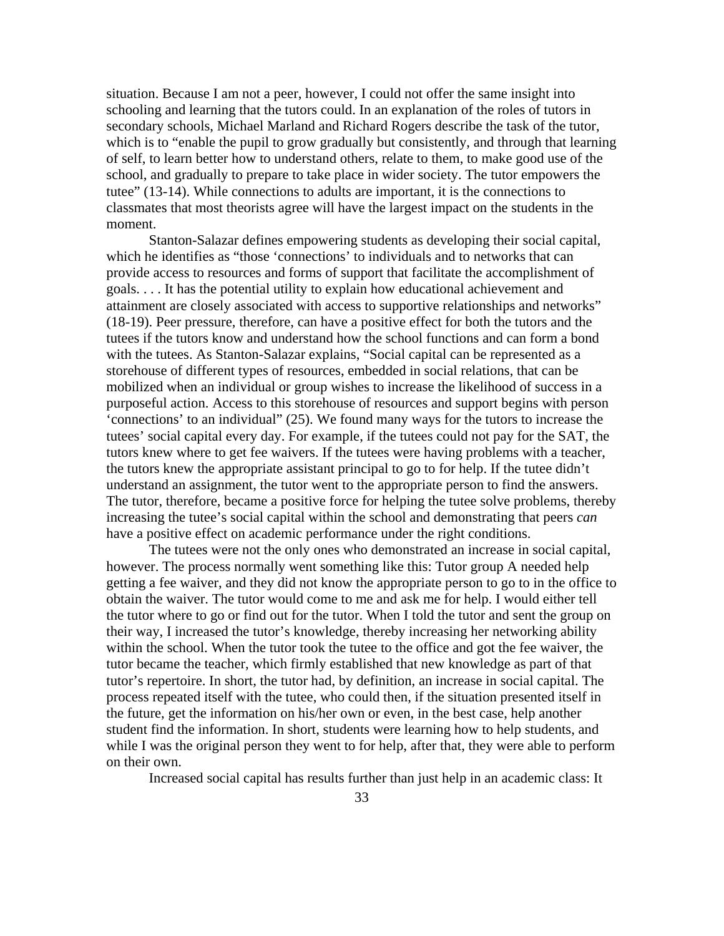situation. Because I am not a peer, however, I could not offer the same insight into schooling and learning that the tutors could. In an explanation of the roles of tutors in secondary schools, Michael Marland and Richard Rogers describe the task of the tutor, which is to "enable the pupil to grow gradually but consistently, and through that learning of self, to learn better how to understand others, relate to them, to make good use of the school, and gradually to prepare to take place in wider society. The tutor empowers the tutee" (13-14). While connections to adults are important, it is the connections to classmates that most theorists agree will have the largest impact on the students in the moment.

Stanton-Salazar defines empowering students as developing their social capital, which he identifies as "those 'connections' to individuals and to networks that can provide access to resources and forms of support that facilitate the accomplishment of goals. . . . It has the potential utility to explain how educational achievement and attainment are closely associated with access to supportive relationships and networks" (18-19). Peer pressure, therefore, can have a positive effect for both the tutors and the tutees if the tutors know and understand how the school functions and can form a bond with the tutees. As Stanton-Salazar explains, "Social capital can be represented as a storehouse of different types of resources, embedded in social relations, that can be mobilized when an individual or group wishes to increase the likelihood of success in a purposeful action. Access to this storehouse of resources and support begins with person 'connections' to an individual" (25). We found many ways for the tutors to increase the tutees' social capital every day. For example, if the tutees could not pay for the SAT, the tutors knew where to get fee waivers. If the tutees were having problems with a teacher, the tutors knew the appropriate assistant principal to go to for help. If the tutee didn't understand an assignment, the tutor went to the appropriate person to find the answers. The tutor, therefore, became a positive force for helping the tutee solve problems, thereby increasing the tutee's social capital within the school and demonstrating that peers *can* have a positive effect on academic performance under the right conditions.

The tutees were not the only ones who demonstrated an increase in social capital, however. The process normally went something like this: Tutor group A needed help getting a fee waiver, and they did not know the appropriate person to go to in the office to obtain the waiver. The tutor would come to me and ask me for help. I would either tell the tutor where to go or find out for the tutor. When I told the tutor and sent the group on their way, I increased the tutor's knowledge, thereby increasing her networking ability within the school. When the tutor took the tutee to the office and got the fee waiver, the tutor became the teacher, which firmly established that new knowledge as part of that tutor's repertoire. In short, the tutor had, by definition, an increase in social capital. The process repeated itself with the tutee, who could then, if the situation presented itself in the future, get the information on his/her own or even, in the best case, help another student find the information. In short, students were learning how to help students, and while I was the original person they went to for help, after that, they were able to perform on their own.

Increased social capital has results further than just help in an academic class: It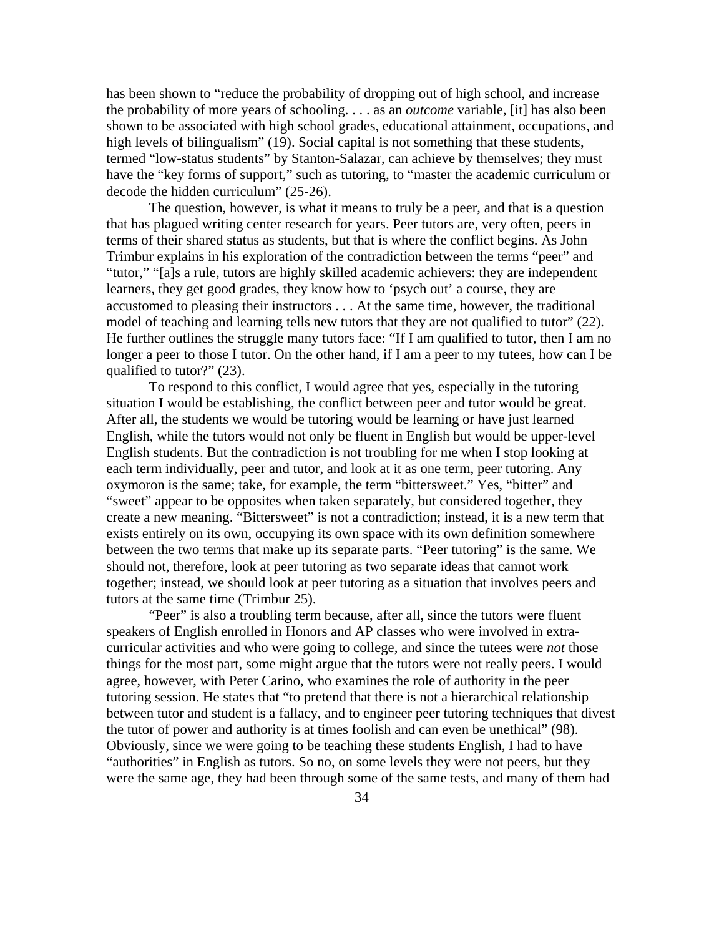has been shown to "reduce the probability of dropping out of high school, and increase the probability of more years of schooling. . . . as an *outcome* variable, [it] has also been shown to be associated with high school grades, educational attainment, occupations, and high levels of bilingualism" (19). Social capital is not something that these students, termed "low-status students" by Stanton-Salazar, can achieve by themselves; they must have the "key forms of support," such as tutoring, to "master the academic curriculum or decode the hidden curriculum" (25-26).

The question, however, is what it means to truly be a peer, and that is a question that has plagued writing center research for years. Peer tutors are, very often, peers in terms of their shared status as students, but that is where the conflict begins. As John Trimbur explains in his exploration of the contradiction between the terms "peer" and "tutor," "[a]s a rule, tutors are highly skilled academic achievers: they are independent learners, they get good grades, they know how to 'psych out' a course, they are accustomed to pleasing their instructors . . . At the same time, however, the traditional model of teaching and learning tells new tutors that they are not qualified to tutor" (22). He further outlines the struggle many tutors face: "If I am qualified to tutor, then I am no longer a peer to those I tutor. On the other hand, if I am a peer to my tutees, how can I be qualified to tutor?" (23).

To respond to this conflict, I would agree that yes, especially in the tutoring situation I would be establishing, the conflict between peer and tutor would be great. After all, the students we would be tutoring would be learning or have just learned English, while the tutors would not only be fluent in English but would be upper-level English students. But the contradiction is not troubling for me when I stop looking at each term individually, peer and tutor, and look at it as one term, peer tutoring. Any oxymoron is the same; take, for example, the term "bittersweet." Yes, "bitter" and "sweet" appear to be opposites when taken separately, but considered together, they create a new meaning. "Bittersweet" is not a contradiction; instead, it is a new term that exists entirely on its own, occupying its own space with its own definition somewhere between the two terms that make up its separate parts. "Peer tutoring" is the same. We should not, therefore, look at peer tutoring as two separate ideas that cannot work together; instead, we should look at peer tutoring as a situation that involves peers and tutors at the same time (Trimbur 25).

"Peer" is also a troubling term because, after all, since the tutors were fluent speakers of English enrolled in Honors and AP classes who were involved in extracurricular activities and who were going to college, and since the tutees were *not* those things for the most part, some might argue that the tutors were not really peers. I would agree, however, with Peter Carino, who examines the role of authority in the peer tutoring session. He states that "to pretend that there is not a hierarchical relationship between tutor and student is a fallacy, and to engineer peer tutoring techniques that divest the tutor of power and authority is at times foolish and can even be unethical" (98). Obviously, since we were going to be teaching these students English, I had to have "authorities" in English as tutors. So no, on some levels they were not peers, but they were the same age, they had been through some of the same tests, and many of them had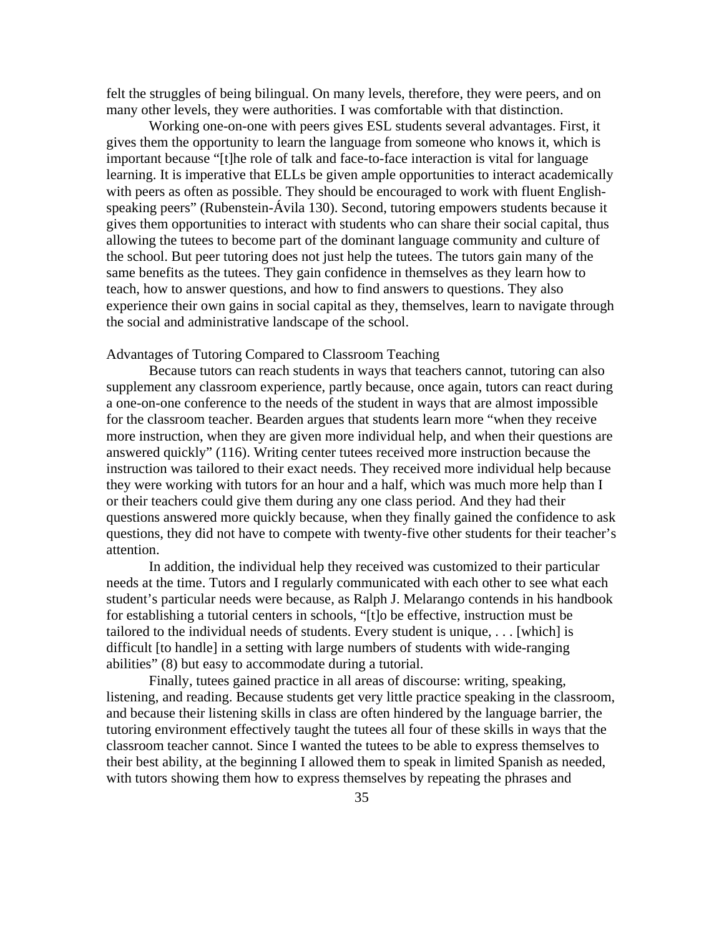felt the struggles of being bilingual. On many levels, therefore, they were peers, and on many other levels, they were authorities. I was comfortable with that distinction.

Working one-on-one with peers gives ESL students several advantages. First, it gives them the opportunity to learn the language from someone who knows it, which is important because "[t]he role of talk and face-to-face interaction is vital for language learning. It is imperative that ELLs be given ample opportunities to interact academically with peers as often as possible. They should be encouraged to work with fluent Englishspeaking peers" (Rubenstein-Ávila 130). Second, tutoring empowers students because it gives them opportunities to interact with students who can share their social capital, thus allowing the tutees to become part of the dominant language community and culture of the school. But peer tutoring does not just help the tutees. The tutors gain many of the same benefits as the tutees. They gain confidence in themselves as they learn how to teach, how to answer questions, and how to find answers to questions. They also experience their own gains in social capital as they, themselves, learn to navigate through the social and administrative landscape of the school.

# Advantages of Tutoring Compared to Classroom Teaching

Because tutors can reach students in ways that teachers cannot, tutoring can also supplement any classroom experience, partly because, once again, tutors can react during a one-on-one conference to the needs of the student in ways that are almost impossible for the classroom teacher. Bearden argues that students learn more "when they receive more instruction, when they are given more individual help, and when their questions are answered quickly" (116). Writing center tutees received more instruction because the instruction was tailored to their exact needs. They received more individual help because they were working with tutors for an hour and a half, which was much more help than I or their teachers could give them during any one class period. And they had their questions answered more quickly because, when they finally gained the confidence to ask questions, they did not have to compete with twenty-five other students for their teacher's attention.

In addition, the individual help they received was customized to their particular needs at the time. Tutors and I regularly communicated with each other to see what each student's particular needs were because, as Ralph J. Melarango contends in his handbook for establishing a tutorial centers in schools, "[t]o be effective, instruction must be tailored to the individual needs of students. Every student is unique, . . . [which] is difficult [to handle] in a setting with large numbers of students with wide-ranging abilities" (8) but easy to accommodate during a tutorial.

Finally, tutees gained practice in all areas of discourse: writing, speaking, listening, and reading. Because students get very little practice speaking in the classroom, and because their listening skills in class are often hindered by the language barrier, the tutoring environment effectively taught the tutees all four of these skills in ways that the classroom teacher cannot. Since I wanted the tutees to be able to express themselves to their best ability, at the beginning I allowed them to speak in limited Spanish as needed, with tutors showing them how to express themselves by repeating the phrases and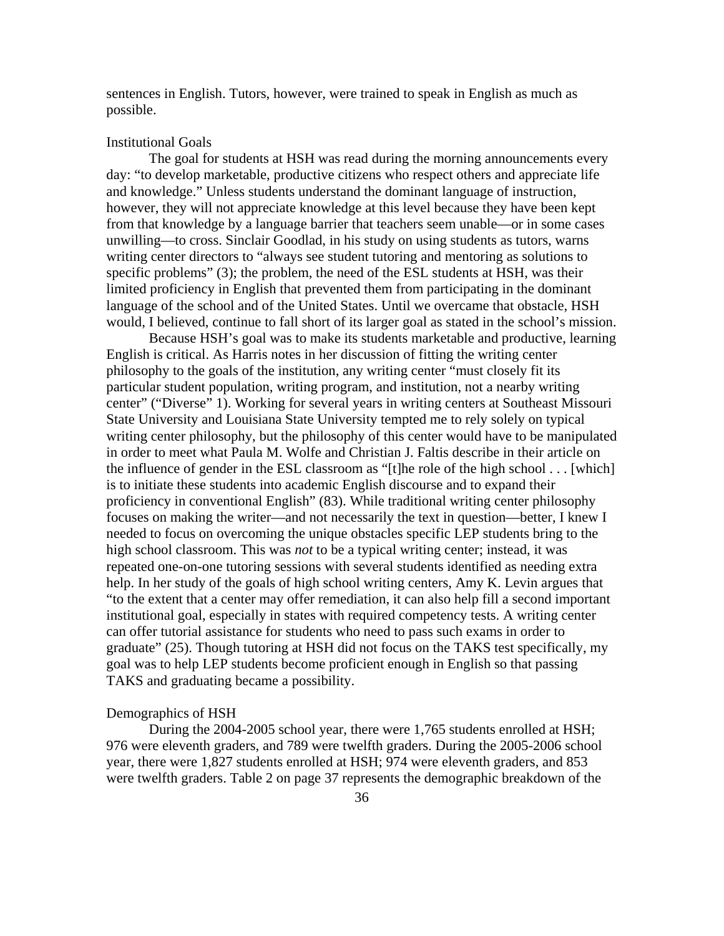sentences in English. Tutors, however, were trained to speak in English as much as possible.

### Institutional Goals

 The goal for students at HSH was read during the morning announcements every day: "to develop marketable, productive citizens who respect others and appreciate life and knowledge." Unless students understand the dominant language of instruction, however, they will not appreciate knowledge at this level because they have been kept from that knowledge by a language barrier that teachers seem unable—or in some cases unwilling—to cross. Sinclair Goodlad, in his study on using students as tutors, warns writing center directors to "always see student tutoring and mentoring as solutions to specific problems" (3); the problem, the need of the ESL students at HSH, was their limited proficiency in English that prevented them from participating in the dominant language of the school and of the United States. Until we overcame that obstacle, HSH would, I believed, continue to fall short of its larger goal as stated in the school's mission.

 Because HSH's goal was to make its students marketable and productive, learning English is critical. As Harris notes in her discussion of fitting the writing center philosophy to the goals of the institution, any writing center "must closely fit its particular student population, writing program, and institution, not a nearby writing center" ("Diverse" 1). Working for several years in writing centers at Southeast Missouri State University and Louisiana State University tempted me to rely solely on typical writing center philosophy, but the philosophy of this center would have to be manipulated in order to meet what Paula M. Wolfe and Christian J. Faltis describe in their article on the influence of gender in the ESL classroom as "[t]he role of the high school . . . [which] is to initiate these students into academic English discourse and to expand their proficiency in conventional English" (83). While traditional writing center philosophy focuses on making the writer—and not necessarily the text in question—better, I knew I needed to focus on overcoming the unique obstacles specific LEP students bring to the high school classroom. This was *not* to be a typical writing center; instead, it was repeated one-on-one tutoring sessions with several students identified as needing extra help. In her study of the goals of high school writing centers, Amy K. Levin argues that "to the extent that a center may offer remediation, it can also help fill a second important institutional goal, especially in states with required competency tests. A writing center can offer tutorial assistance for students who need to pass such exams in order to graduate" (25). Though tutoring at HSH did not focus on the TAKS test specifically, my goal was to help LEP students become proficient enough in English so that passing TAKS and graduating became a possibility.

### Demographics of HSH

 During the 2004-2005 school year, there were 1,765 students enrolled at HSH; 976 were eleventh graders, and 789 were twelfth graders. During the 2005-2006 school year, there were 1,827 students enrolled at HSH; 974 were eleventh graders, and 853 were twelfth graders. Table 2 on page 37 represents the demographic breakdown of the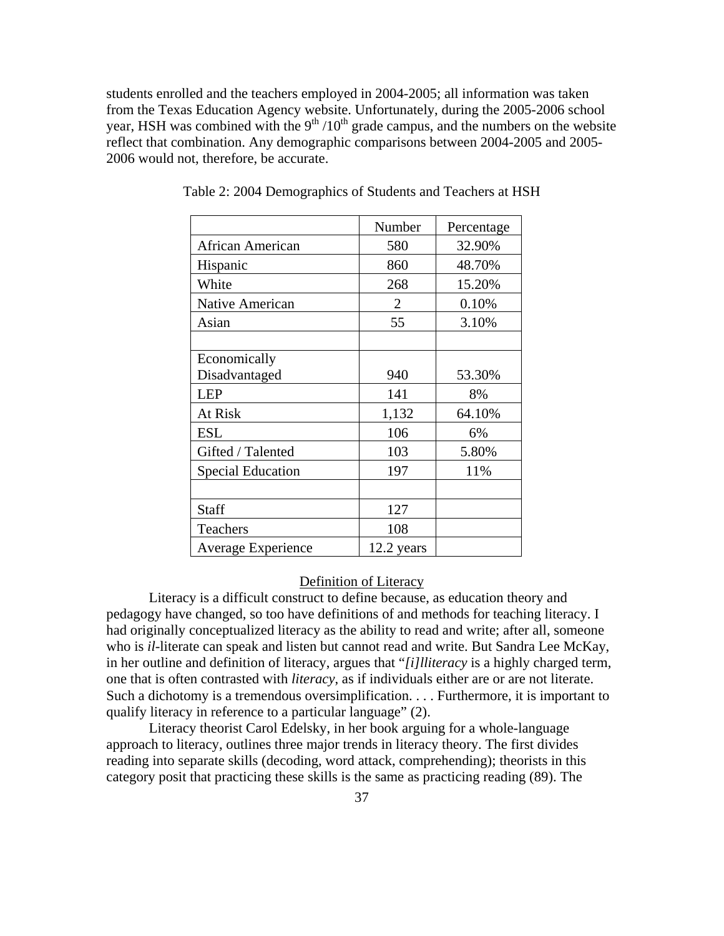students enrolled and the teachers employed in 2004-2005; all information was taken from the Texas Education Agency website. Unfortunately, during the 2005-2006 school year, HSH was combined with the  $9<sup>th</sup> / 10<sup>th</sup>$  grade campus, and the numbers on the website reflect that combination. Any demographic comparisons between 2004-2005 and 2005- 2006 would not, therefore, be accurate.

|                           | Number         | Percentage |
|---------------------------|----------------|------------|
| African American          | 580            | 32.90%     |
| Hispanic                  | 860            | 48.70%     |
| White                     | 268            | 15.20%     |
| Native American           | $\overline{2}$ | 0.10%      |
| Asian                     | 55             | 3.10%      |
|                           |                |            |
| Economically              |                |            |
| Disadvantaged             | 940            | 53.30%     |
| <b>LEP</b>                | 141            | 8%         |
| At Risk                   | 1,132          | 64.10%     |
| <b>ESL</b>                | 106            | 6%         |
| Gifted / Talented         | 103            | 5.80%      |
| <b>Special Education</b>  | 197            | 11%        |
|                           |                |            |
| Staff                     | 127            |            |
| Teachers                  | 108            |            |
| <b>Average Experience</b> | 12.2 years     |            |

Table 2: 2004 Demographics of Students and Teachers at HSH

## Definition of Literacy

Literacy is a difficult construct to define because, as education theory and pedagogy have changed, so too have definitions of and methods for teaching literacy. I had originally conceptualized literacy as the ability to read and write; after all, someone who is *il-*literate can speak and listen but cannot read and write. But Sandra Lee McKay, in her outline and definition of literacy, argues that "*[i]lliteracy* is a highly charged term, one that is often contrasted with *literacy*, as if individuals either are or are not literate. Such a dichotomy is a tremendous oversimplification. . . . Furthermore, it is important to qualify literacy in reference to a particular language" (2).

Literacy theorist Carol Edelsky, in her book arguing for a whole-language approach to literacy, outlines three major trends in literacy theory. The first divides reading into separate skills (decoding, word attack, comprehending); theorists in this category posit that practicing these skills is the same as practicing reading (89). The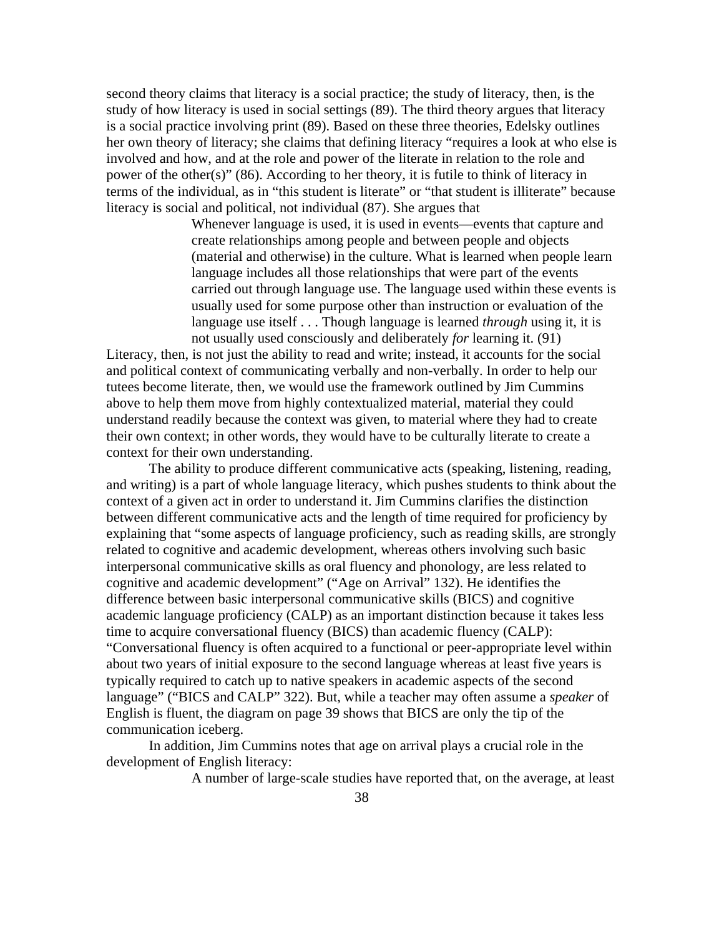second theory claims that literacy is a social practice; the study of literacy, then, is the study of how literacy is used in social settings (89). The third theory argues that literacy is a social practice involving print (89). Based on these three theories, Edelsky outlines her own theory of literacy; she claims that defining literacy "requires a look at who else is involved and how, and at the role and power of the literate in relation to the role and power of the other(s)" (86). According to her theory, it is futile to think of literacy in terms of the individual, as in "this student is literate" or "that student is illiterate" because literacy is social and political, not individual (87). She argues that

> Whenever language is used, it is used in events—events that capture and create relationships among people and between people and objects (material and otherwise) in the culture. What is learned when people learn language includes all those relationships that were part of the events carried out through language use. The language used within these events is usually used for some purpose other than instruction or evaluation of the language use itself . . . Though language is learned *through* using it, it is not usually used consciously and deliberately *for* learning it. (91)

Literacy, then, is not just the ability to read and write; instead, it accounts for the social and political context of communicating verbally and non-verbally. In order to help our tutees become literate, then, we would use the framework outlined by Jim Cummins above to help them move from highly contextualized material, material they could understand readily because the context was given, to material where they had to create their own context; in other words, they would have to be culturally literate to create a context for their own understanding.

 The ability to produce different communicative acts (speaking, listening, reading, and writing) is a part of whole language literacy, which pushes students to think about the context of a given act in order to understand it. Jim Cummins clarifies the distinction between different communicative acts and the length of time required for proficiency by explaining that "some aspects of language proficiency, such as reading skills, are strongly related to cognitive and academic development, whereas others involving such basic interpersonal communicative skills as oral fluency and phonology, are less related to cognitive and academic development" ("Age on Arrival" 132). He identifies the difference between basic interpersonal communicative skills (BICS) and cognitive academic language proficiency (CALP) as an important distinction because it takes less time to acquire conversational fluency (BICS) than academic fluency (CALP): "Conversational fluency is often acquired to a functional or peer-appropriate level within about two years of initial exposure to the second language whereas at least five years is typically required to catch up to native speakers in academic aspects of the second language" ("BICS and CALP" 322). But, while a teacher may often assume a *speaker* of English is fluent, the diagram on page 39 shows that BICS are only the tip of the communication iceberg.

In addition, Jim Cummins notes that age on arrival plays a crucial role in the development of English literacy:

A number of large-scale studies have reported that, on the average, at least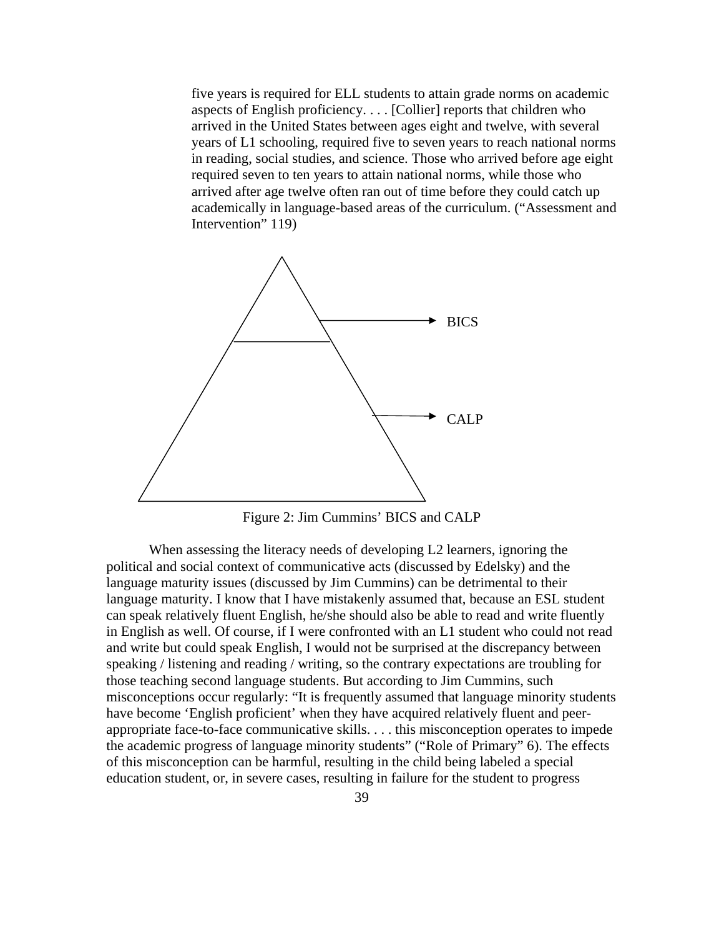five years is required for ELL students to attain grade norms on academic aspects of English proficiency. . . . [Collier] reports that children who arrived in the United States between ages eight and twelve, with several years of L1 schooling, required five to seven years to reach national norms in reading, social studies, and science. Those who arrived before age eight required seven to ten years to attain national norms, while those who arrived after age twelve often ran out of time before they could catch up academically in language-based areas of the curriculum. ("Assessment and Intervention" 119)



Figure 2: Jim Cummins' BICS and CALP

When assessing the literacy needs of developing L2 learners, ignoring the political and social context of communicative acts (discussed by Edelsky) and the language maturity issues (discussed by Jim Cummins) can be detrimental to their language maturity. I know that I have mistakenly assumed that, because an ESL student can speak relatively fluent English, he/she should also be able to read and write fluently in English as well. Of course, if I were confronted with an L1 student who could not read and write but could speak English, I would not be surprised at the discrepancy between speaking / listening and reading / writing, so the contrary expectations are troubling for those teaching second language students. But according to Jim Cummins, such misconceptions occur regularly: "It is frequently assumed that language minority students have become 'English proficient' when they have acquired relatively fluent and peerappropriate face-to-face communicative skills. . . . this misconception operates to impede the academic progress of language minority students" ("Role of Primary" 6). The effects of this misconception can be harmful, resulting in the child being labeled a special education student, or, in severe cases, resulting in failure for the student to progress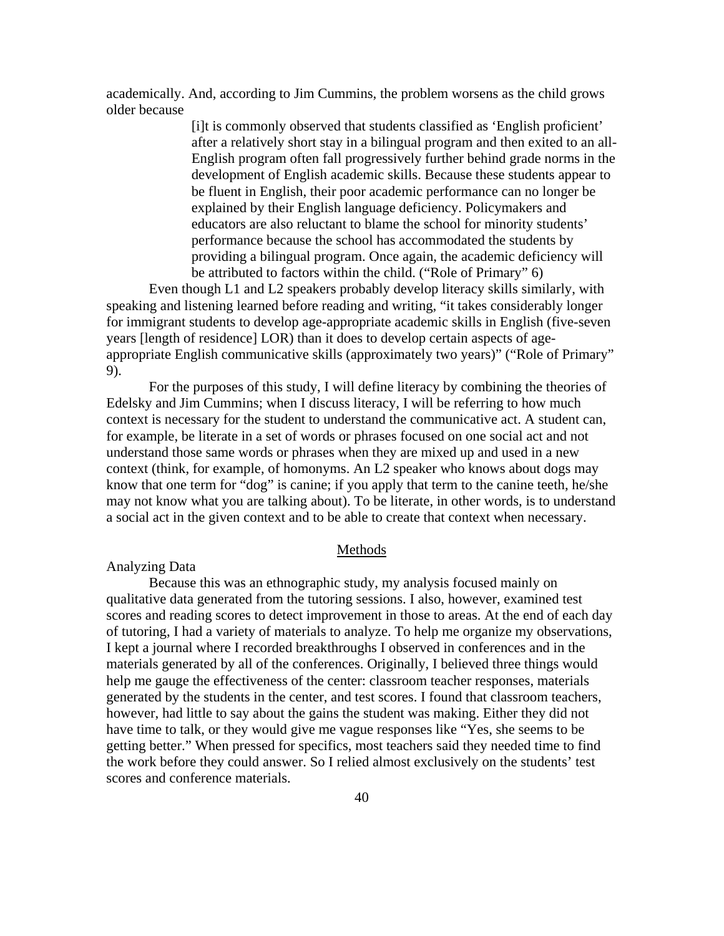academically. And, according to Jim Cummins, the problem worsens as the child grows older because

> [i]t is commonly observed that students classified as 'English proficient' after a relatively short stay in a bilingual program and then exited to an all-English program often fall progressively further behind grade norms in the development of English academic skills. Because these students appear to be fluent in English, their poor academic performance can no longer be explained by their English language deficiency. Policymakers and educators are also reluctant to blame the school for minority students' performance because the school has accommodated the students by providing a bilingual program. Once again, the academic deficiency will be attributed to factors within the child. ("Role of Primary" 6)

Even though L1 and L2 speakers probably develop literacy skills similarly, with speaking and listening learned before reading and writing, "it takes considerably longer for immigrant students to develop age-appropriate academic skills in English (five-seven years [length of residence] LOR) than it does to develop certain aspects of ageappropriate English communicative skills (approximately two years)" ("Role of Primary" 9).

For the purposes of this study, I will define literacy by combining the theories of Edelsky and Jim Cummins; when I discuss literacy, I will be referring to how much context is necessary for the student to understand the communicative act. A student can, for example, be literate in a set of words or phrases focused on one social act and not understand those same words or phrases when they are mixed up and used in a new context (think, for example, of homonyms. An L2 speaker who knows about dogs may know that one term for "dog" is canine; if you apply that term to the canine teeth, he/she may not know what you are talking about). To be literate, in other words, is to understand a social act in the given context and to be able to create that context when necessary.

#### Methods

# Analyzing Data

 Because this was an ethnographic study, my analysis focused mainly on qualitative data generated from the tutoring sessions. I also, however, examined test scores and reading scores to detect improvement in those to areas. At the end of each day of tutoring, I had a variety of materials to analyze. To help me organize my observations, I kept a journal where I recorded breakthroughs I observed in conferences and in the materials generated by all of the conferences. Originally, I believed three things would help me gauge the effectiveness of the center: classroom teacher responses, materials generated by the students in the center, and test scores. I found that classroom teachers, however, had little to say about the gains the student was making. Either they did not have time to talk, or they would give me vague responses like "Yes, she seems to be getting better." When pressed for specifics, most teachers said they needed time to find the work before they could answer. So I relied almost exclusively on the students' test scores and conference materials.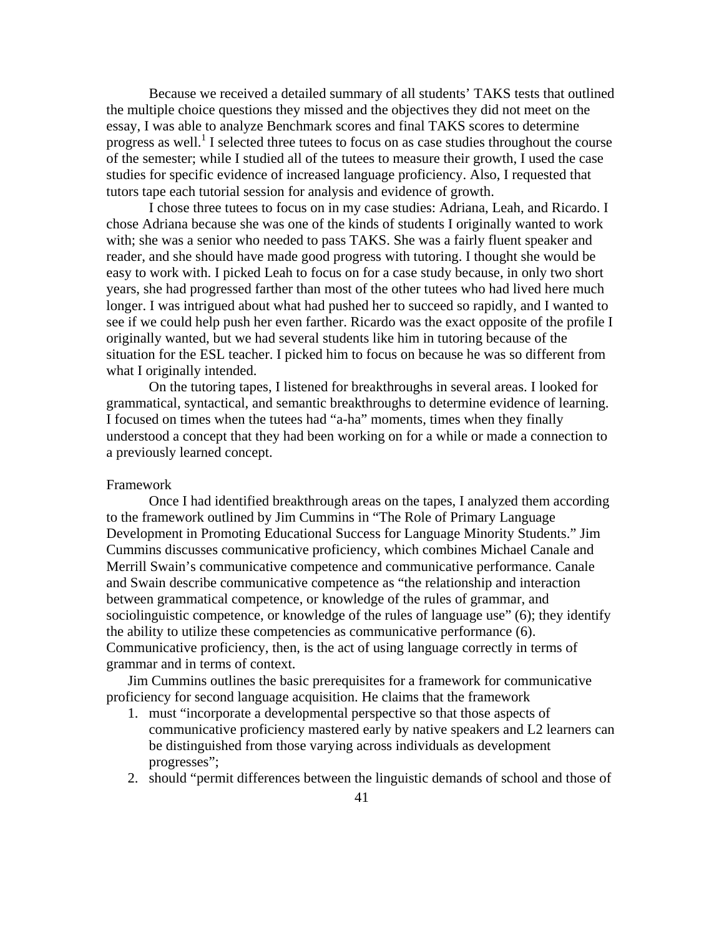Because we received a detailed summary of all students' TAKS tests that outlined the multiple choice questions they missed and the objectives they did not meet on the essay, I was able to analyze Benchmark scores and final TAKS scores to determine progress as well.<sup>1</sup> I selected three tutees to focus on as case studies throughout the course of the semester; while I studied all of the tutees to measure their growth, I used the case studies for specific evidence of increased language proficiency. Also, I requested that tutors tape each tutorial session for analysis and evidence of growth.

 I chose three tutees to focus on in my case studies: Adriana, Leah, and Ricardo. I chose Adriana because she was one of the kinds of students I originally wanted to work with; she was a senior who needed to pass TAKS. She was a fairly fluent speaker and reader, and she should have made good progress with tutoring. I thought she would be easy to work with. I picked Leah to focus on for a case study because, in only two short years, she had progressed farther than most of the other tutees who had lived here much longer. I was intrigued about what had pushed her to succeed so rapidly, and I wanted to see if we could help push her even farther. Ricardo was the exact opposite of the profile I originally wanted, but we had several students like him in tutoring because of the situation for the ESL teacher. I picked him to focus on because he was so different from what I originally intended.

 On the tutoring tapes, I listened for breakthroughs in several areas. I looked for grammatical, syntactical, and semantic breakthroughs to determine evidence of learning. I focused on times when the tutees had "a-ha" moments, times when they finally understood a concept that they had been working on for a while or made a connection to a previously learned concept.

### Framework

Once I had identified breakthrough areas on the tapes, I analyzed them according to the framework outlined by Jim Cummins in "The Role of Primary Language Development in Promoting Educational Success for Language Minority Students." Jim Cummins discusses communicative proficiency, which combines Michael Canale and Merrill Swain's communicative competence and communicative performance. Canale and Swain describe communicative competence as "the relationship and interaction between grammatical competence, or knowledge of the rules of grammar, and sociolinguistic competence, or knowledge of the rules of language use" (6); they identify the ability to utilize these competencies as communicative performance (6). Communicative proficiency, then, is the act of using language correctly in terms of grammar and in terms of context.

Jim Cummins outlines the basic prerequisites for a framework for communicative proficiency for second language acquisition. He claims that the framework

- 1. must "incorporate a developmental perspective so that those aspects of communicative proficiency mastered early by native speakers and L2 learners can be distinguished from those varying across individuals as development progresses";
- 2. should "permit differences between the linguistic demands of school and those of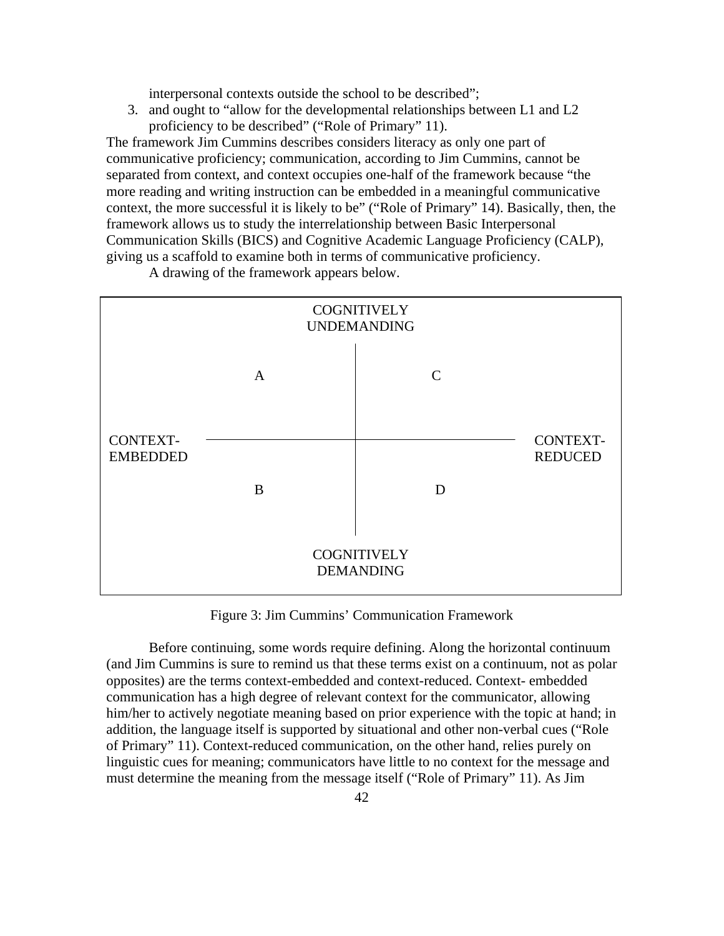interpersonal contexts outside the school to be described";

3. and ought to "allow for the developmental relationships between L1 and L2 proficiency to be described" ("Role of Primary" 11).

The framework Jim Cummins describes considers literacy as only one part of communicative proficiency; communication, according to Jim Cummins, cannot be separated from context, and context occupies one-half of the framework because "the more reading and writing instruction can be embedded in a meaningful communicative context, the more successful it is likely to be" ("Role of Primary" 14). Basically, then, the framework allows us to study the interrelationship between Basic Interpersonal Communication Skills (BICS) and Cognitive Academic Language Proficiency (CALP), giving us a scaffold to examine both in terms of communicative proficiency.

A drawing of the framework appears below.



Figure 3: Jim Cummins' Communication Framework

Before continuing, some words require defining. Along the horizontal continuum (and Jim Cummins is sure to remind us that these terms exist on a continuum, not as polar opposites) are the terms context-embedded and context-reduced. Context- embedded communication has a high degree of relevant context for the communicator, allowing him/her to actively negotiate meaning based on prior experience with the topic at hand; in addition, the language itself is supported by situational and other non-verbal cues ("Role of Primary" 11). Context-reduced communication, on the other hand, relies purely on linguistic cues for meaning; communicators have little to no context for the message and must determine the meaning from the message itself ("Role of Primary" 11). As Jim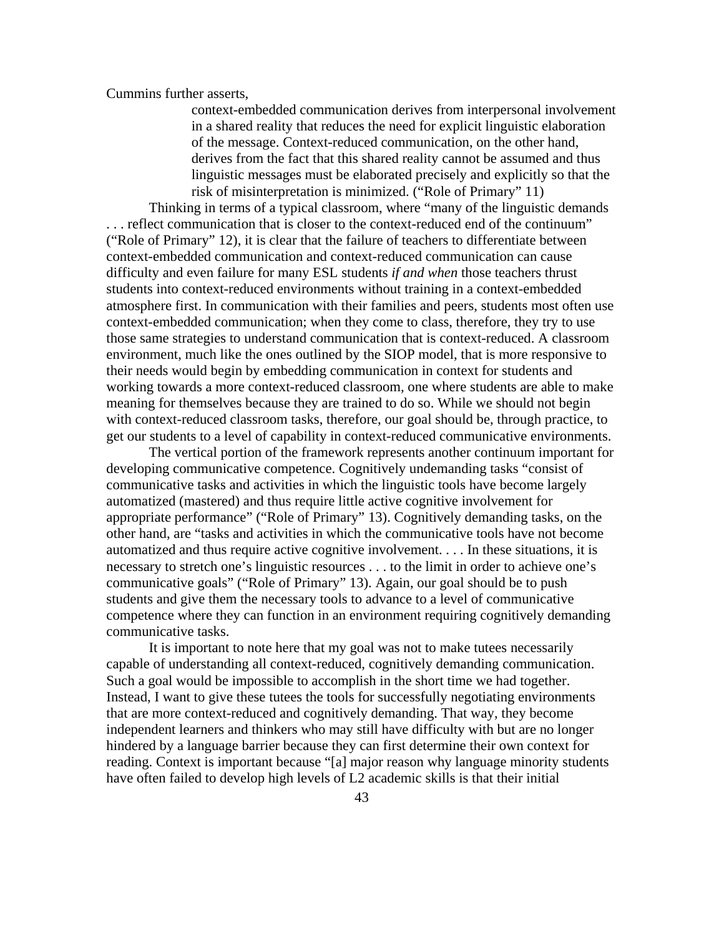Cummins further asserts,

context-embedded communication derives from interpersonal involvement in a shared reality that reduces the need for explicit linguistic elaboration of the message. Context-reduced communication, on the other hand, derives from the fact that this shared reality cannot be assumed and thus linguistic messages must be elaborated precisely and explicitly so that the risk of misinterpretation is minimized. ("Role of Primary" 11)

Thinking in terms of a typical classroom, where "many of the linguistic demands . . . reflect communication that is closer to the context-reduced end of the continuum" ("Role of Primary" 12), it is clear that the failure of teachers to differentiate between context-embedded communication and context-reduced communication can cause difficulty and even failure for many ESL students *if and when* those teachers thrust students into context-reduced environments without training in a context-embedded atmosphere first. In communication with their families and peers, students most often use context-embedded communication; when they come to class, therefore, they try to use those same strategies to understand communication that is context-reduced. A classroom environment, much like the ones outlined by the SIOP model, that is more responsive to their needs would begin by embedding communication in context for students and working towards a more context-reduced classroom, one where students are able to make meaning for themselves because they are trained to do so. While we should not begin with context-reduced classroom tasks, therefore, our goal should be, through practice, to get our students to a level of capability in context-reduced communicative environments.

The vertical portion of the framework represents another continuum important for developing communicative competence. Cognitively undemanding tasks "consist of communicative tasks and activities in which the linguistic tools have become largely automatized (mastered) and thus require little active cognitive involvement for appropriate performance" ("Role of Primary" 13). Cognitively demanding tasks, on the other hand, are "tasks and activities in which the communicative tools have not become automatized and thus require active cognitive involvement. . . . In these situations, it is necessary to stretch one's linguistic resources . . . to the limit in order to achieve one's communicative goals" ("Role of Primary" 13). Again, our goal should be to push students and give them the necessary tools to advance to a level of communicative competence where they can function in an environment requiring cognitively demanding communicative tasks.

It is important to note here that my goal was not to make tutees necessarily capable of understanding all context-reduced, cognitively demanding communication. Such a goal would be impossible to accomplish in the short time we had together. Instead, I want to give these tutees the tools for successfully negotiating environments that are more context-reduced and cognitively demanding. That way, they become independent learners and thinkers who may still have difficulty with but are no longer hindered by a language barrier because they can first determine their own context for reading. Context is important because "[a] major reason why language minority students have often failed to develop high levels of L2 academic skills is that their initial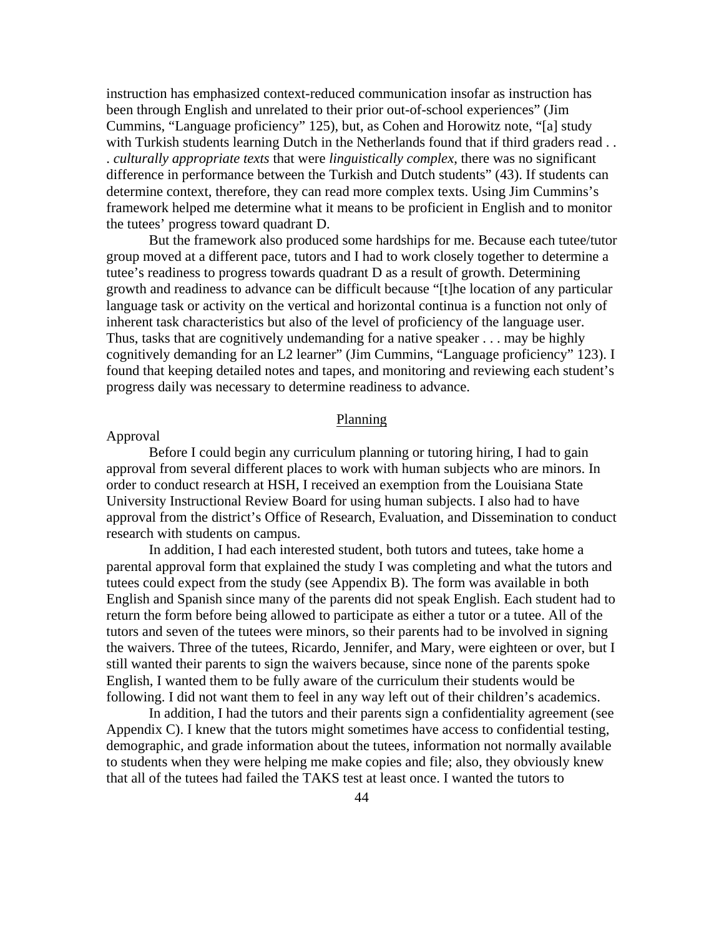instruction has emphasized context-reduced communication insofar as instruction has been through English and unrelated to their prior out-of-school experiences" (Jim Cummins, "Language proficiency" 125), but, as Cohen and Horowitz note, "[a] study with Turkish students learning Dutch in the Netherlands found that if third graders read.. . *culturally appropriate texts* that were *linguistically complex*, there was no significant difference in performance between the Turkish and Dutch students" (43). If students can determine context, therefore, they can read more complex texts. Using Jim Cummins's framework helped me determine what it means to be proficient in English and to monitor the tutees' progress toward quadrant D.

But the framework also produced some hardships for me. Because each tutee/tutor group moved at a different pace, tutors and I had to work closely together to determine a tutee's readiness to progress towards quadrant D as a result of growth. Determining growth and readiness to advance can be difficult because "[t]he location of any particular language task or activity on the vertical and horizontal continua is a function not only of inherent task characteristics but also of the level of proficiency of the language user. Thus, tasks that are cognitively undemanding for a native speaker . . . may be highly cognitively demanding for an L2 learner" (Jim Cummins, "Language proficiency" 123). I found that keeping detailed notes and tapes, and monitoring and reviewing each student's progress daily was necessary to determine readiness to advance.

### Planning

# Approval

Before I could begin any curriculum planning or tutoring hiring, I had to gain approval from several different places to work with human subjects who are minors. In order to conduct research at HSH, I received an exemption from the Louisiana State University Instructional Review Board for using human subjects. I also had to have approval from the district's Office of Research, Evaluation, and Dissemination to conduct research with students on campus.

In addition, I had each interested student, both tutors and tutees, take home a parental approval form that explained the study I was completing and what the tutors and tutees could expect from the study (see Appendix B). The form was available in both English and Spanish since many of the parents did not speak English. Each student had to return the form before being allowed to participate as either a tutor or a tutee. All of the tutors and seven of the tutees were minors, so their parents had to be involved in signing the waivers. Three of the tutees, Ricardo, Jennifer, and Mary, were eighteen or over, but I still wanted their parents to sign the waivers because, since none of the parents spoke English, I wanted them to be fully aware of the curriculum their students would be following. I did not want them to feel in any way left out of their children's academics.

In addition, I had the tutors and their parents sign a confidentiality agreement (see Appendix C). I knew that the tutors might sometimes have access to confidential testing, demographic, and grade information about the tutees, information not normally available to students when they were helping me make copies and file; also, they obviously knew that all of the tutees had failed the TAKS test at least once. I wanted the tutors to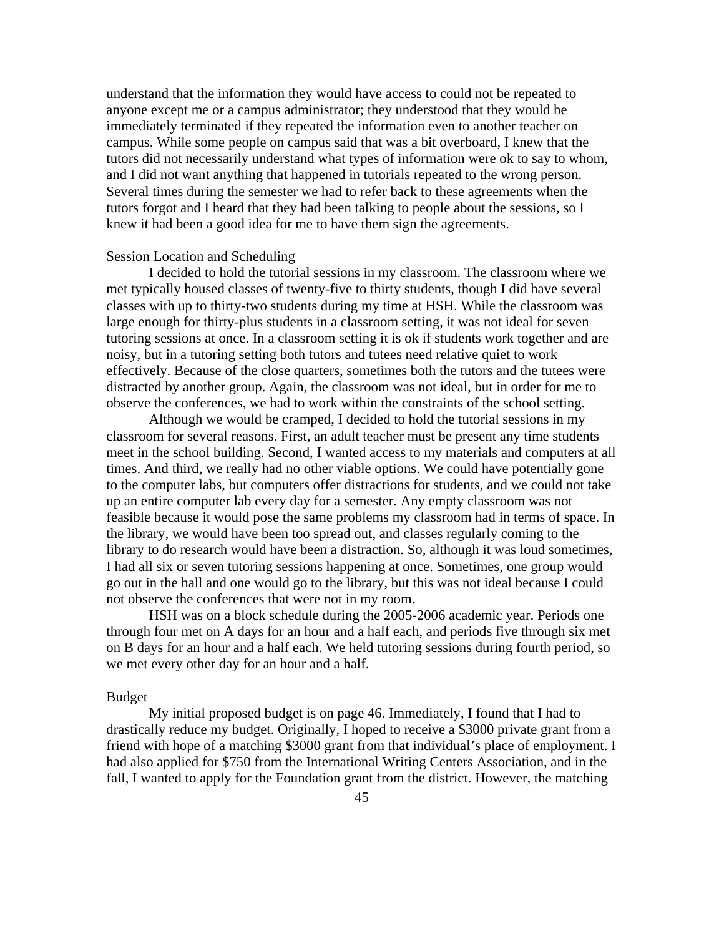understand that the information they would have access to could not be repeated to anyone except me or a campus administrator; they understood that they would be immediately terminated if they repeated the information even to another teacher on campus. While some people on campus said that was a bit overboard, I knew that the tutors did not necessarily understand what types of information were ok to say to whom, and I did not want anything that happened in tutorials repeated to the wrong person. Several times during the semester we had to refer back to these agreements when the tutors forgot and I heard that they had been talking to people about the sessions, so I knew it had been a good idea for me to have them sign the agreements.

## Session Location and Scheduling

I decided to hold the tutorial sessions in my classroom. The classroom where we met typically housed classes of twenty-five to thirty students, though I did have several classes with up to thirty-two students during my time at HSH. While the classroom was large enough for thirty-plus students in a classroom setting, it was not ideal for seven tutoring sessions at once. In a classroom setting it is ok if students work together and are noisy, but in a tutoring setting both tutors and tutees need relative quiet to work effectively. Because of the close quarters, sometimes both the tutors and the tutees were distracted by another group. Again, the classroom was not ideal, but in order for me to observe the conferences, we had to work within the constraints of the school setting.

Although we would be cramped, I decided to hold the tutorial sessions in my classroom for several reasons. First, an adult teacher must be present any time students meet in the school building. Second, I wanted access to my materials and computers at all times. And third, we really had no other viable options. We could have potentially gone to the computer labs, but computers offer distractions for students, and we could not take up an entire computer lab every day for a semester. Any empty classroom was not feasible because it would pose the same problems my classroom had in terms of space. In the library, we would have been too spread out, and classes regularly coming to the library to do research would have been a distraction. So, although it was loud sometimes, I had all six or seven tutoring sessions happening at once. Sometimes, one group would go out in the hall and one would go to the library, but this was not ideal because I could not observe the conferences that were not in my room.

HSH was on a block schedule during the 2005-2006 academic year. Periods one through four met on A days for an hour and a half each, and periods five through six met on B days for an hour and a half each. We held tutoring sessions during fourth period, so we met every other day for an hour and a half.

### Budget

My initial proposed budget is on page 46. Immediately, I found that I had to drastically reduce my budget. Originally, I hoped to receive a \$3000 private grant from a friend with hope of a matching \$3000 grant from that individual's place of employment. I had also applied for \$750 from the International Writing Centers Association, and in the fall, I wanted to apply for the Foundation grant from the district. However, the matching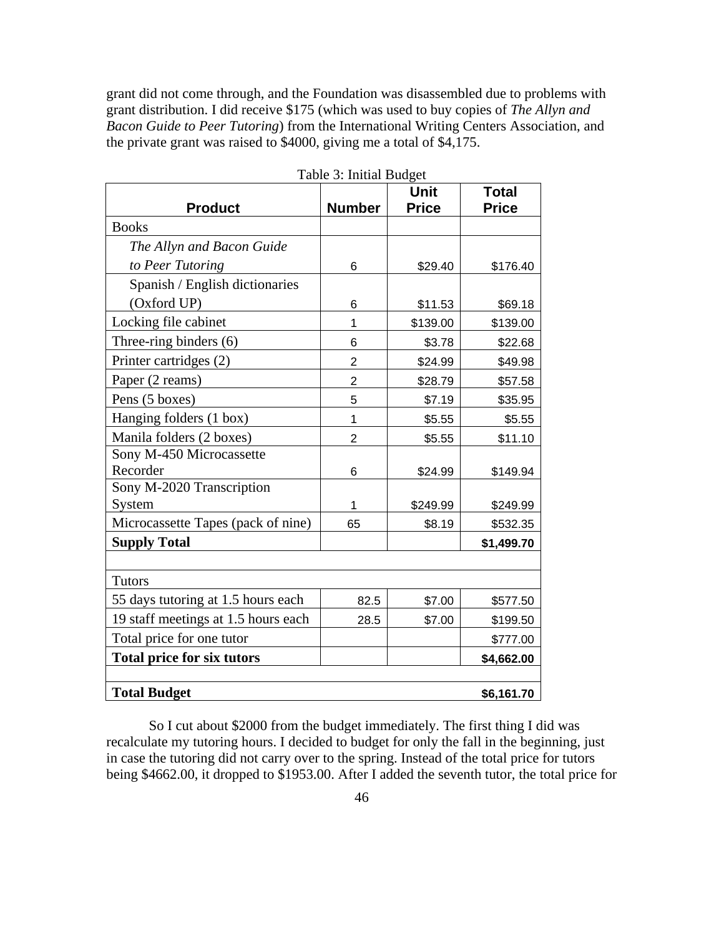grant did not come through, and the Foundation was disassembled due to problems with grant distribution. I did receive \$175 (which was used to buy copies of *The Allyn and Bacon Guide to Peer Tutoring*) from the International Writing Centers Association, and the private grant was raised to \$4000, giving me a total of \$4,175.

|                                     |                | Unit         | <b>Total</b> |
|-------------------------------------|----------------|--------------|--------------|
| <b>Product</b>                      | <b>Number</b>  | <b>Price</b> | <b>Price</b> |
| <b>Books</b>                        |                |              |              |
| The Allyn and Bacon Guide           |                |              |              |
| to Peer Tutoring                    | 6              | \$29.40      | \$176.40     |
| Spanish / English dictionaries      |                |              |              |
| (Oxford UP)                         | 6              | \$11.53      | \$69.18      |
| Locking file cabinet                | 1              | \$139.00     | \$139.00     |
| Three-ring binders (6)              | 6              | \$3.78       | \$22.68      |
| Printer cartridges (2)              | $\overline{2}$ | \$24.99      | \$49.98      |
| Paper (2 reams)                     | $\overline{2}$ | \$28.79      | \$57.58      |
| Pens (5 boxes)                      | 5              | \$7.19       | \$35.95      |
| Hanging folders (1 box)             | 1              | \$5.55       | \$5.55       |
| Manila folders (2 boxes)            | $\overline{2}$ | \$5.55       | \$11.10      |
| Sony M-450 Microcassette            |                |              |              |
| Recorder                            | 6              | \$24.99      | \$149.94     |
| Sony M-2020 Transcription           |                |              |              |
| System                              | 1              | \$249.99     | \$249.99     |
| Microcassette Tapes (pack of nine)  | 65             | \$8.19       | \$532.35     |
| <b>Supply Total</b>                 |                |              | \$1,499.70   |
|                                     |                |              |              |
| <b>Tutors</b>                       |                |              |              |
| 55 days tutoring at 1.5 hours each  | 82.5           | \$7.00       | \$577.50     |
| 19 staff meetings at 1.5 hours each | 28.5           | \$7.00       | \$199.50     |
| Total price for one tutor           |                |              | \$777.00     |
| <b>Total price for six tutors</b>   |                |              | \$4,662.00   |
|                                     |                |              |              |
| <b>Total Budget</b>                 |                |              | \$6,161.70   |

Table 3: Initial Budget

So I cut about \$2000 from the budget immediately. The first thing I did was recalculate my tutoring hours. I decided to budget for only the fall in the beginning, just in case the tutoring did not carry over to the spring. Instead of the total price for tutors being \$4662.00, it dropped to \$1953.00. After I added the seventh tutor, the total price for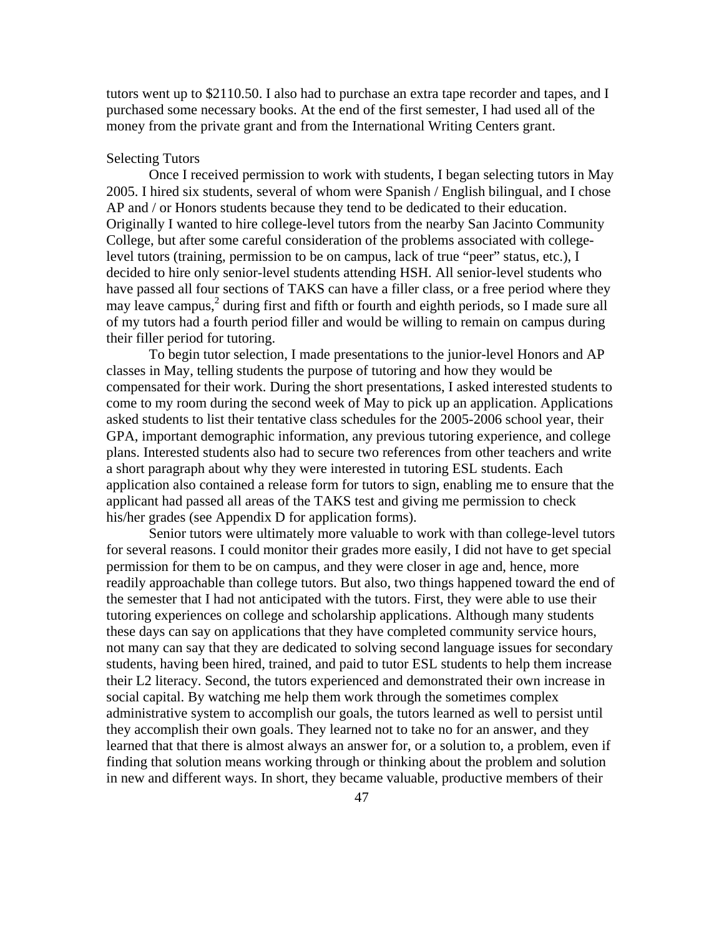tutors went up to \$2110.50. I also had to purchase an extra tape recorder and tapes, and I purchased some necessary books. At the end of the first semester, I had used all of the money from the private grant and from the International Writing Centers grant.

### Selecting Tutors

 Once I received permission to work with students, I began selecting tutors in May 2005. I hired six students, several of whom were Spanish / English bilingual, and I chose AP and / or Honors students because they tend to be dedicated to their education. Originally I wanted to hire college-level tutors from the nearby San Jacinto Community College, but after some careful consideration of the problems associated with collegelevel tutors (training, permission to be on campus, lack of true "peer" status, etc.), I decided to hire only senior-level students attending HSH. All senior-level students who have passed all four sections of TAKS can have a filler class, or a free period where they may leave campus,<sup>2</sup> during first and fifth or fourth and eighth periods, so I made sure all of my tutors had a fourth period filler and would be willing to remain on campus during their filler period for tutoring.

To begin tutor selection, I made presentations to the junior-level Honors and AP classes in May, telling students the purpose of tutoring and how they would be compensated for their work. During the short presentations, I asked interested students to come to my room during the second week of May to pick up an application. Applications asked students to list their tentative class schedules for the 2005-2006 school year, their GPA, important demographic information, any previous tutoring experience, and college plans. Interested students also had to secure two references from other teachers and write a short paragraph about why they were interested in tutoring ESL students. Each application also contained a release form for tutors to sign, enabling me to ensure that the applicant had passed all areas of the TAKS test and giving me permission to check his/her grades (see Appendix D for application forms).

Senior tutors were ultimately more valuable to work with than college-level tutors for several reasons. I could monitor their grades more easily, I did not have to get special permission for them to be on campus, and they were closer in age and, hence, more readily approachable than college tutors. But also, two things happened toward the end of the semester that I had not anticipated with the tutors. First, they were able to use their tutoring experiences on college and scholarship applications. Although many students these days can say on applications that they have completed community service hours, not many can say that they are dedicated to solving second language issues for secondary students, having been hired, trained, and paid to tutor ESL students to help them increase their L2 literacy. Second, the tutors experienced and demonstrated their own increase in social capital. By watching me help them work through the sometimes complex administrative system to accomplish our goals, the tutors learned as well to persist until they accomplish their own goals. They learned not to take no for an answer, and they learned that that there is almost always an answer for, or a solution to, a problem, even if finding that solution means working through or thinking about the problem and solution in new and different ways. In short, they became valuable, productive members of their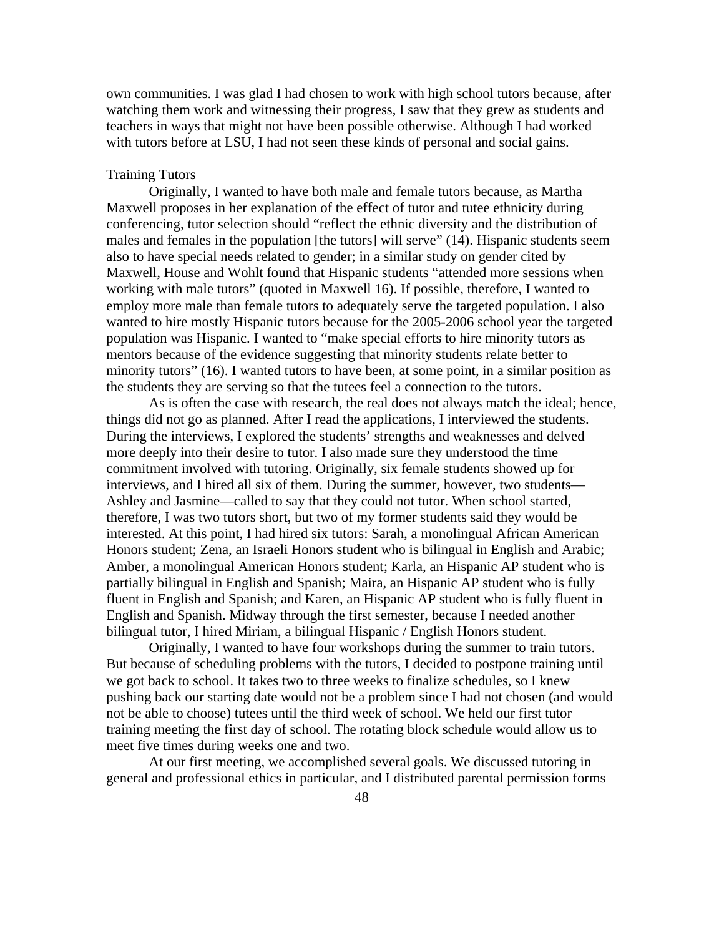own communities. I was glad I had chosen to work with high school tutors because, after watching them work and witnessing their progress, I saw that they grew as students and teachers in ways that might not have been possible otherwise. Although I had worked with tutors before at LSU, I had not seen these kinds of personal and social gains.

# Training Tutors

Originally, I wanted to have both male and female tutors because, as Martha Maxwell proposes in her explanation of the effect of tutor and tutee ethnicity during conferencing, tutor selection should "reflect the ethnic diversity and the distribution of males and females in the population [the tutors] will serve" (14). Hispanic students seem also to have special needs related to gender; in a similar study on gender cited by Maxwell, House and Wohlt found that Hispanic students "attended more sessions when working with male tutors" (quoted in Maxwell 16). If possible, therefore, I wanted to employ more male than female tutors to adequately serve the targeted population. I also wanted to hire mostly Hispanic tutors because for the 2005-2006 school year the targeted population was Hispanic. I wanted to "make special efforts to hire minority tutors as mentors because of the evidence suggesting that minority students relate better to minority tutors" (16). I wanted tutors to have been, at some point, in a similar position as the students they are serving so that the tutees feel a connection to the tutors.

As is often the case with research, the real does not always match the ideal; hence, things did not go as planned. After I read the applications, I interviewed the students. During the interviews, I explored the students' strengths and weaknesses and delved more deeply into their desire to tutor. I also made sure they understood the time commitment involved with tutoring. Originally, six female students showed up for interviews, and I hired all six of them. During the summer, however, two students— Ashley and Jasmine—called to say that they could not tutor. When school started, therefore, I was two tutors short, but two of my former students said they would be interested. At this point, I had hired six tutors: Sarah, a monolingual African American Honors student; Zena, an Israeli Honors student who is bilingual in English and Arabic; Amber, a monolingual American Honors student; Karla, an Hispanic AP student who is partially bilingual in English and Spanish; Maira, an Hispanic AP student who is fully fluent in English and Spanish; and Karen, an Hispanic AP student who is fully fluent in English and Spanish. Midway through the first semester, because I needed another bilingual tutor, I hired Miriam, a bilingual Hispanic / English Honors student.

 Originally, I wanted to have four workshops during the summer to train tutors. But because of scheduling problems with the tutors, I decided to postpone training until we got back to school. It takes two to three weeks to finalize schedules, so I knew pushing back our starting date would not be a problem since I had not chosen (and would not be able to choose) tutees until the third week of school. We held our first tutor training meeting the first day of school. The rotating block schedule would allow us to meet five times during weeks one and two.

At our first meeting, we accomplished several goals. We discussed tutoring in general and professional ethics in particular, and I distributed parental permission forms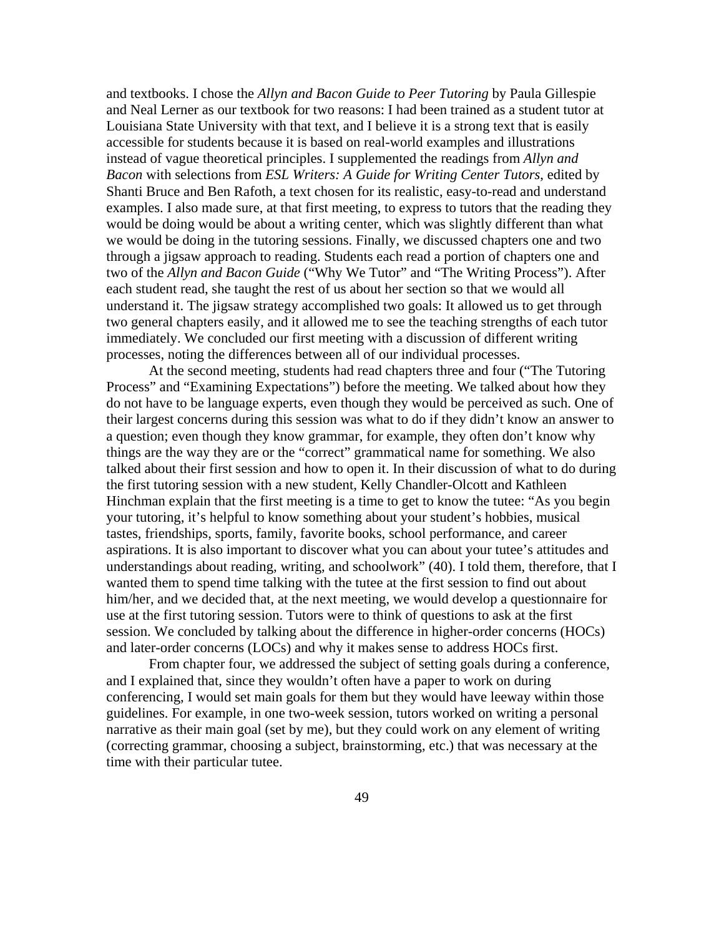and textbooks. I chose the *Allyn and Bacon Guide to Peer Tutoring* by Paula Gillespie and Neal Lerner as our textbook for two reasons: I had been trained as a student tutor at Louisiana State University with that text, and I believe it is a strong text that is easily accessible for students because it is based on real-world examples and illustrations instead of vague theoretical principles. I supplemented the readings from *Allyn and Bacon* with selections from *ESL Writers: A Guide for Writing Center Tutors*, edited by Shanti Bruce and Ben Rafoth, a text chosen for its realistic, easy-to-read and understand examples. I also made sure, at that first meeting, to express to tutors that the reading they would be doing would be about a writing center, which was slightly different than what we would be doing in the tutoring sessions. Finally, we discussed chapters one and two through a jigsaw approach to reading. Students each read a portion of chapters one and two of the *Allyn and Bacon Guide* ("Why We Tutor" and "The Writing Process"). After each student read, she taught the rest of us about her section so that we would all understand it. The jigsaw strategy accomplished two goals: It allowed us to get through two general chapters easily, and it allowed me to see the teaching strengths of each tutor immediately. We concluded our first meeting with a discussion of different writing processes, noting the differences between all of our individual processes.

 At the second meeting, students had read chapters three and four ("The Tutoring Process" and "Examining Expectations") before the meeting. We talked about how they do not have to be language experts, even though they would be perceived as such. One of their largest concerns during this session was what to do if they didn't know an answer to a question; even though they know grammar, for example, they often don't know why things are the way they are or the "correct" grammatical name for something. We also talked about their first session and how to open it. In their discussion of what to do during the first tutoring session with a new student, Kelly Chandler-Olcott and Kathleen Hinchman explain that the first meeting is a time to get to know the tutee: "As you begin your tutoring, it's helpful to know something about your student's hobbies, musical tastes, friendships, sports, family, favorite books, school performance, and career aspirations. It is also important to discover what you can about your tutee's attitudes and understandings about reading, writing, and schoolwork" (40). I told them, therefore, that I wanted them to spend time talking with the tutee at the first session to find out about him/her, and we decided that, at the next meeting, we would develop a questionnaire for use at the first tutoring session. Tutors were to think of questions to ask at the first session. We concluded by talking about the difference in higher-order concerns (HOCs) and later-order concerns (LOCs) and why it makes sense to address HOCs first.

From chapter four, we addressed the subject of setting goals during a conference, and I explained that, since they wouldn't often have a paper to work on during conferencing, I would set main goals for them but they would have leeway within those guidelines. For example, in one two-week session, tutors worked on writing a personal narrative as their main goal (set by me), but they could work on any element of writing (correcting grammar, choosing a subject, brainstorming, etc.) that was necessary at the time with their particular tutee.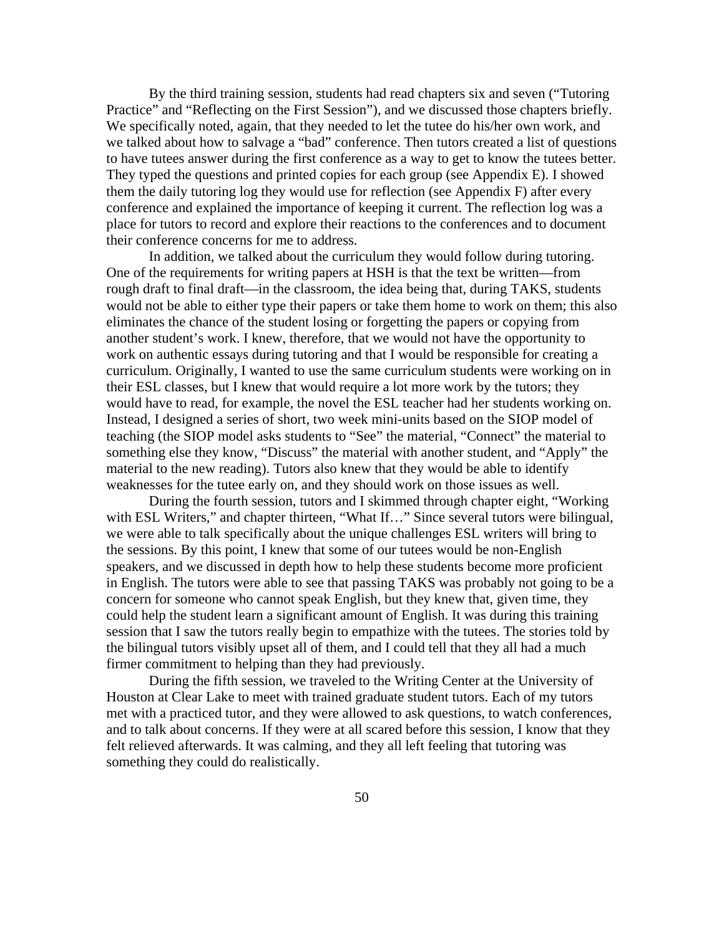By the third training session, students had read chapters six and seven ("Tutoring Practice" and "Reflecting on the First Session"), and we discussed those chapters briefly. We specifically noted, again, that they needed to let the tutee do his/her own work, and we talked about how to salvage a "bad" conference. Then tutors created a list of questions to have tutees answer during the first conference as a way to get to know the tutees better. They typed the questions and printed copies for each group (see Appendix E). I showed them the daily tutoring log they would use for reflection (see Appendix F) after every conference and explained the importance of keeping it current. The reflection log was a place for tutors to record and explore their reactions to the conferences and to document their conference concerns for me to address.

In addition, we talked about the curriculum they would follow during tutoring. One of the requirements for writing papers at HSH is that the text be written—from rough draft to final draft—in the classroom, the idea being that, during TAKS, students would not be able to either type their papers or take them home to work on them; this also eliminates the chance of the student losing or forgetting the papers or copying from another student's work. I knew, therefore, that we would not have the opportunity to work on authentic essays during tutoring and that I would be responsible for creating a curriculum. Originally, I wanted to use the same curriculum students were working on in their ESL classes, but I knew that would require a lot more work by the tutors; they would have to read, for example, the novel the ESL teacher had her students working on. Instead, I designed a series of short, two week mini-units based on the SIOP model of teaching (the SIOP model asks students to "See" the material, "Connect" the material to something else they know, "Discuss" the material with another student, and "Apply" the material to the new reading). Tutors also knew that they would be able to identify weaknesses for the tutee early on, and they should work on those issues as well.

 During the fourth session, tutors and I skimmed through chapter eight, "Working with ESL Writers," and chapter thirteen, "What If..." Since several tutors were bilingual, we were able to talk specifically about the unique challenges ESL writers will bring to the sessions. By this point, I knew that some of our tutees would be non-English speakers, and we discussed in depth how to help these students become more proficient in English. The tutors were able to see that passing TAKS was probably not going to be a concern for someone who cannot speak English, but they knew that, given time, they could help the student learn a significant amount of English. It was during this training session that I saw the tutors really begin to empathize with the tutees. The stories told by the bilingual tutors visibly upset all of them, and I could tell that they all had a much firmer commitment to helping than they had previously.

 During the fifth session, we traveled to the Writing Center at the University of Houston at Clear Lake to meet with trained graduate student tutors. Each of my tutors met with a practiced tutor, and they were allowed to ask questions, to watch conferences, and to talk about concerns. If they were at all scared before this session, I know that they felt relieved afterwards. It was calming, and they all left feeling that tutoring was something they could do realistically.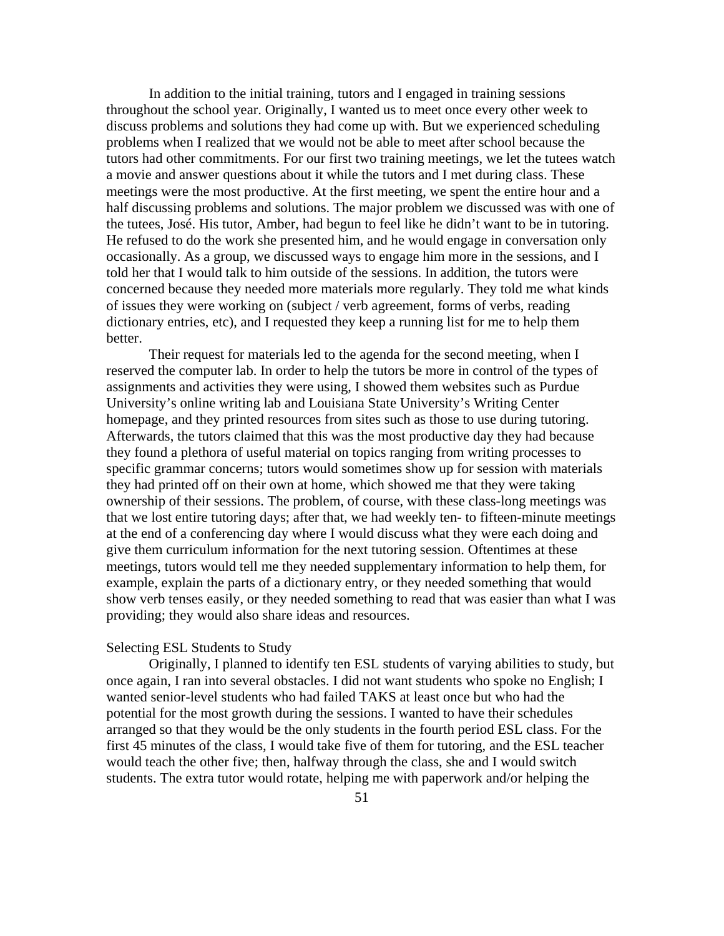In addition to the initial training, tutors and I engaged in training sessions throughout the school year. Originally, I wanted us to meet once every other week to discuss problems and solutions they had come up with. But we experienced scheduling problems when I realized that we would not be able to meet after school because the tutors had other commitments. For our first two training meetings, we let the tutees watch a movie and answer questions about it while the tutors and I met during class. These meetings were the most productive. At the first meeting, we spent the entire hour and a half discussing problems and solutions. The major problem we discussed was with one of the tutees, José. His tutor, Amber, had begun to feel like he didn't want to be in tutoring. He refused to do the work she presented him, and he would engage in conversation only occasionally. As a group, we discussed ways to engage him more in the sessions, and I told her that I would talk to him outside of the sessions. In addition, the tutors were concerned because they needed more materials more regularly. They told me what kinds of issues they were working on (subject / verb agreement, forms of verbs, reading dictionary entries, etc), and I requested they keep a running list for me to help them better.

Their request for materials led to the agenda for the second meeting, when I reserved the computer lab. In order to help the tutors be more in control of the types of assignments and activities they were using, I showed them websites such as Purdue University's online writing lab and Louisiana State University's Writing Center homepage, and they printed resources from sites such as those to use during tutoring. Afterwards, the tutors claimed that this was the most productive day they had because they found a plethora of useful material on topics ranging from writing processes to specific grammar concerns; tutors would sometimes show up for session with materials they had printed off on their own at home, which showed me that they were taking ownership of their sessions. The problem, of course, with these class-long meetings was that we lost entire tutoring days; after that, we had weekly ten- to fifteen-minute meetings at the end of a conferencing day where I would discuss what they were each doing and give them curriculum information for the next tutoring session. Oftentimes at these meetings, tutors would tell me they needed supplementary information to help them, for example, explain the parts of a dictionary entry, or they needed something that would show verb tenses easily, or they needed something to read that was easier than what I was providing; they would also share ideas and resources.

#### Selecting ESL Students to Study

 Originally, I planned to identify ten ESL students of varying abilities to study, but once again, I ran into several obstacles. I did not want students who spoke no English; I wanted senior-level students who had failed TAKS at least once but who had the potential for the most growth during the sessions. I wanted to have their schedules arranged so that they would be the only students in the fourth period ESL class. For the first 45 minutes of the class, I would take five of them for tutoring, and the ESL teacher would teach the other five; then, halfway through the class, she and I would switch students. The extra tutor would rotate, helping me with paperwork and/or helping the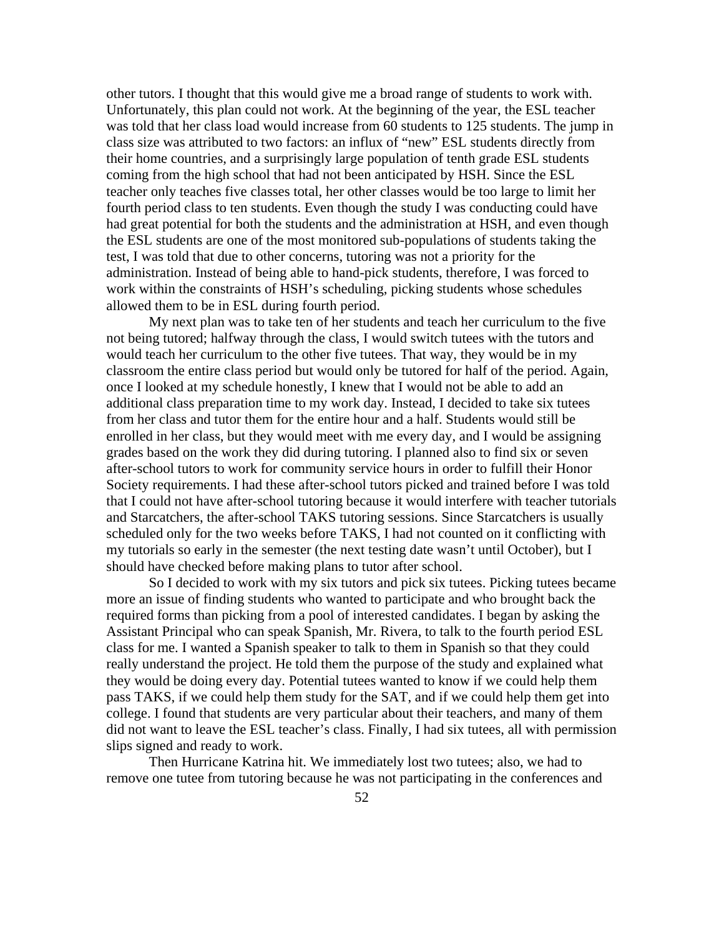other tutors. I thought that this would give me a broad range of students to work with. Unfortunately, this plan could not work. At the beginning of the year, the ESL teacher was told that her class load would increase from 60 students to 125 students. The jump in class size was attributed to two factors: an influx of "new" ESL students directly from their home countries, and a surprisingly large population of tenth grade ESL students coming from the high school that had not been anticipated by HSH. Since the ESL teacher only teaches five classes total, her other classes would be too large to limit her fourth period class to ten students. Even though the study I was conducting could have had great potential for both the students and the administration at HSH, and even though the ESL students are one of the most monitored sub-populations of students taking the test, I was told that due to other concerns, tutoring was not a priority for the administration. Instead of being able to hand-pick students, therefore, I was forced to work within the constraints of HSH's scheduling, picking students whose schedules allowed them to be in ESL during fourth period.

 My next plan was to take ten of her students and teach her curriculum to the five not being tutored; halfway through the class, I would switch tutees with the tutors and would teach her curriculum to the other five tutees. That way, they would be in my classroom the entire class period but would only be tutored for half of the period. Again, once I looked at my schedule honestly, I knew that I would not be able to add an additional class preparation time to my work day. Instead, I decided to take six tutees from her class and tutor them for the entire hour and a half. Students would still be enrolled in her class, but they would meet with me every day, and I would be assigning grades based on the work they did during tutoring. I planned also to find six or seven after-school tutors to work for community service hours in order to fulfill their Honor Society requirements. I had these after-school tutors picked and trained before I was told that I could not have after-school tutoring because it would interfere with teacher tutorials and Starcatchers, the after-school TAKS tutoring sessions. Since Starcatchers is usually scheduled only for the two weeks before TAKS, I had not counted on it conflicting with my tutorials so early in the semester (the next testing date wasn't until October), but I should have checked before making plans to tutor after school.

 So I decided to work with my six tutors and pick six tutees. Picking tutees became more an issue of finding students who wanted to participate and who brought back the required forms than picking from a pool of interested candidates. I began by asking the Assistant Principal who can speak Spanish, Mr. Rivera, to talk to the fourth period ESL class for me. I wanted a Spanish speaker to talk to them in Spanish so that they could really understand the project. He told them the purpose of the study and explained what they would be doing every day. Potential tutees wanted to know if we could help them pass TAKS, if we could help them study for the SAT, and if we could help them get into college. I found that students are very particular about their teachers, and many of them did not want to leave the ESL teacher's class. Finally, I had six tutees, all with permission slips signed and ready to work.

Then Hurricane Katrina hit. We immediately lost two tutees; also, we had to remove one tutee from tutoring because he was not participating in the conferences and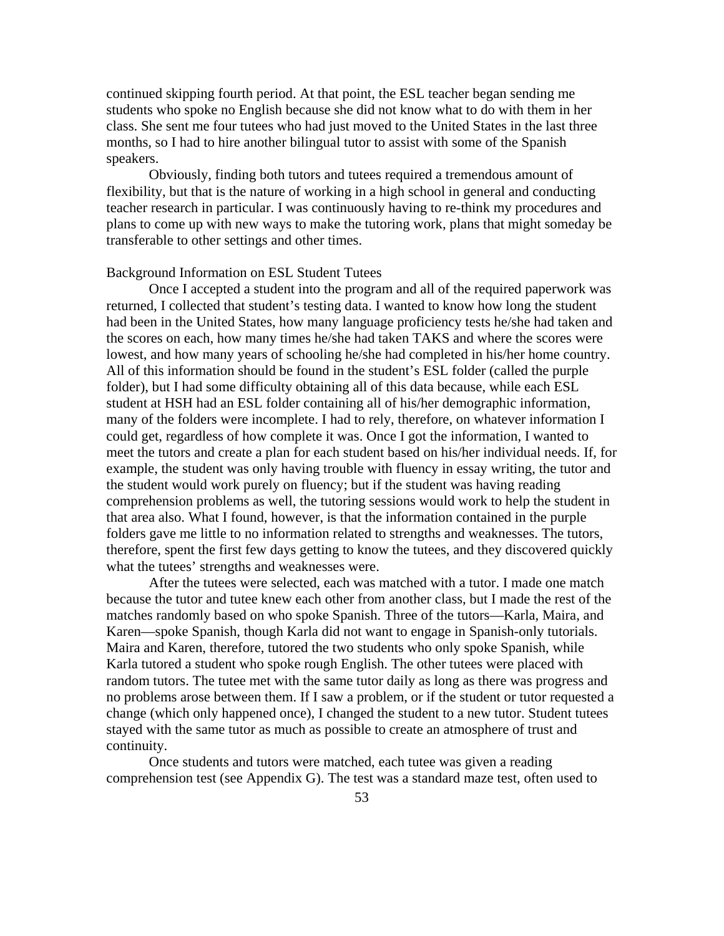continued skipping fourth period. At that point, the ESL teacher began sending me students who spoke no English because she did not know what to do with them in her class. She sent me four tutees who had just moved to the United States in the last three months, so I had to hire another bilingual tutor to assist with some of the Spanish speakers.

 Obviously, finding both tutors and tutees required a tremendous amount of flexibility, but that is the nature of working in a high school in general and conducting teacher research in particular. I was continuously having to re-think my procedures and plans to come up with new ways to make the tutoring work, plans that might someday be transferable to other settings and other times.

### Background Information on ESL Student Tutees

Once I accepted a student into the program and all of the required paperwork was returned, I collected that student's testing data. I wanted to know how long the student had been in the United States, how many language proficiency tests he/she had taken and the scores on each, how many times he/she had taken TAKS and where the scores were lowest, and how many years of schooling he/she had completed in his/her home country. All of this information should be found in the student's ESL folder (called the purple folder), but I had some difficulty obtaining all of this data because, while each ESL student at HSH had an ESL folder containing all of his/her demographic information, many of the folders were incomplete. I had to rely, therefore, on whatever information I could get, regardless of how complete it was. Once I got the information, I wanted to meet the tutors and create a plan for each student based on his/her individual needs. If, for example, the student was only having trouble with fluency in essay writing, the tutor and the student would work purely on fluency; but if the student was having reading comprehension problems as well, the tutoring sessions would work to help the student in that area also. What I found, however, is that the information contained in the purple folders gave me little to no information related to strengths and weaknesses. The tutors, therefore, spent the first few days getting to know the tutees, and they discovered quickly what the tutees' strengths and weaknesses were.

After the tutees were selected, each was matched with a tutor. I made one match because the tutor and tutee knew each other from another class, but I made the rest of the matches randomly based on who spoke Spanish. Three of the tutors—Karla, Maira, and Karen—spoke Spanish, though Karla did not want to engage in Spanish-only tutorials. Maira and Karen, therefore, tutored the two students who only spoke Spanish, while Karla tutored a student who spoke rough English. The other tutees were placed with random tutors. The tutee met with the same tutor daily as long as there was progress and no problems arose between them. If I saw a problem, or if the student or tutor requested a change (which only happened once), I changed the student to a new tutor. Student tutees stayed with the same tutor as much as possible to create an atmosphere of trust and continuity.

Once students and tutors were matched, each tutee was given a reading comprehension test (see Appendix G). The test was a standard maze test, often used to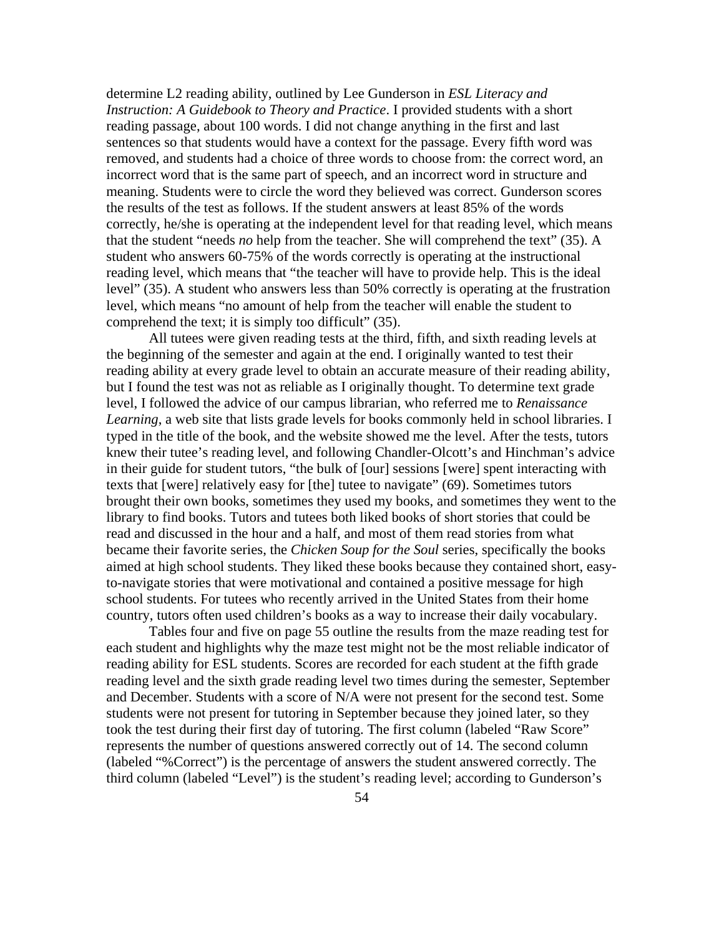determine L2 reading ability, outlined by Lee Gunderson in *ESL Literacy and Instruction: A Guidebook to Theory and Practice*. I provided students with a short reading passage, about 100 words. I did not change anything in the first and last sentences so that students would have a context for the passage. Every fifth word was removed, and students had a choice of three words to choose from: the correct word, an incorrect word that is the same part of speech, and an incorrect word in structure and meaning. Students were to circle the word they believed was correct. Gunderson scores the results of the test as follows. If the student answers at least 85% of the words correctly, he/she is operating at the independent level for that reading level, which means that the student "needs *no* help from the teacher. She will comprehend the text" (35). A student who answers 60-75% of the words correctly is operating at the instructional reading level, which means that "the teacher will have to provide help. This is the ideal level" (35). A student who answers less than 50% correctly is operating at the frustration level, which means "no amount of help from the teacher will enable the student to comprehend the text; it is simply too difficult" (35).

All tutees were given reading tests at the third, fifth, and sixth reading levels at the beginning of the semester and again at the end. I originally wanted to test their reading ability at every grade level to obtain an accurate measure of their reading ability, but I found the test was not as reliable as I originally thought. To determine text grade level, I followed the advice of our campus librarian, who referred me to *Renaissance Learning*, a web site that lists grade levels for books commonly held in school libraries. I typed in the title of the book, and the website showed me the level. After the tests, tutors knew their tutee's reading level, and following Chandler-Olcott's and Hinchman's advice in their guide for student tutors, "the bulk of [our] sessions [were] spent interacting with texts that [were] relatively easy for [the] tutee to navigate" (69). Sometimes tutors brought their own books, sometimes they used my books, and sometimes they went to the library to find books. Tutors and tutees both liked books of short stories that could be read and discussed in the hour and a half, and most of them read stories from what became their favorite series, the *Chicken Soup for the Soul* series, specifically the books aimed at high school students. They liked these books because they contained short, easyto-navigate stories that were motivational and contained a positive message for high school students. For tutees who recently arrived in the United States from their home country, tutors often used children's books as a way to increase their daily vocabulary.

Tables four and five on page 55 outline the results from the maze reading test for each student and highlights why the maze test might not be the most reliable indicator of reading ability for ESL students. Scores are recorded for each student at the fifth grade reading level and the sixth grade reading level two times during the semester, September and December. Students with a score of N/A were not present for the second test. Some students were not present for tutoring in September because they joined later, so they took the test during their first day of tutoring. The first column (labeled "Raw Score" represents the number of questions answered correctly out of 14. The second column (labeled "%Correct") is the percentage of answers the student answered correctly. The third column (labeled "Level") is the student's reading level; according to Gunderson's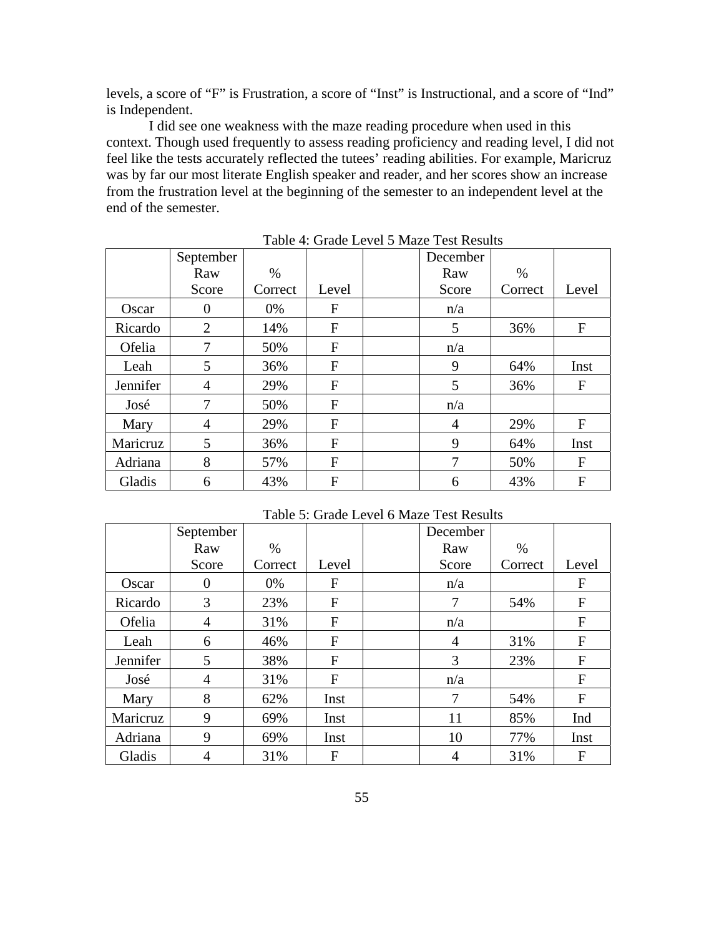levels, a score of "F" is Frustration, a score of "Inst" is Instructional, and a score of "Ind" is Independent.

I did see one weakness with the maze reading procedure when used in this context. Though used frequently to assess reading proficiency and reading level, I did not feel like the tests accurately reflected the tutees' reading abilities. For example, Maricruz was by far our most literate English speaker and reader, and her scores show an increase from the frustration level at the beginning of the semester to an independent level at the end of the semester.

|          | September      |         |       | December |         |       |
|----------|----------------|---------|-------|----------|---------|-------|
|          | Raw            | $\%$    |       | Raw      | $\%$    |       |
|          | Score          | Correct | Level | Score    | Correct | Level |
| Oscar    | 0              | 0%      | F     | n/a      |         |       |
| Ricardo  | $\overline{2}$ | 14%     | F     | 5        | 36%     | F     |
| Ofelia   | 7              | 50%     | F     | n/a      |         |       |
| Leah     | 5              | 36%     | F     | 9        | 64%     | Inst  |
| Jennifer | $\overline{4}$ | 29%     | F     | 5        | 36%     | F     |
| José     | 7              | 50%     | F     | n/a      |         |       |
| Mary     | $\overline{4}$ | 29%     | F     | 4        | 29%     | F     |
| Maricruz | 5              | 36%     | F     | 9        | 64%     | Inst  |
| Adriana  | 8              | 57%     | F     | 7        | 50%     | F     |
| Gladis   | 6              | 43%     | F     | 6        | 43%     | F     |

Table 4: Grade Level 5 Maze Test Results

Table 5: Grade Level 6 Maze Test Results

|          | September |         |       | December       |         |              |
|----------|-----------|---------|-------|----------------|---------|--------------|
|          | Raw       | %       |       | Raw            | $\%$    |              |
|          | Score     | Correct | Level | Score          | Correct | Level        |
| Oscar    | 0         | 0%      | F     | n/a            |         | F            |
| Ricardo  | 3         | 23%     | F     | 7              | 54%     | F            |
| Ofelia   | 4         | 31%     | F     | n/a            |         | $\mathbf{F}$ |
| Leah     | 6         | 46%     | F     | $\overline{4}$ | 31%     | F            |
| Jennifer | 5         | 38%     | F     | 3              | 23%     | $\mathbf{F}$ |
| José     | 4         | 31%     | F     | n/a            |         | F            |
| Mary     | 8         | 62%     | Inst  | 7              | 54%     | $\mathbf{F}$ |
| Maricruz | 9         | 69%     | Inst  | 11             | 85%     | Ind          |
| Adriana  | 9         | 69%     | Inst  | 10             | 77%     | Inst         |
| Gladis   | 4         | 31%     | F     | 4              | 31%     | F            |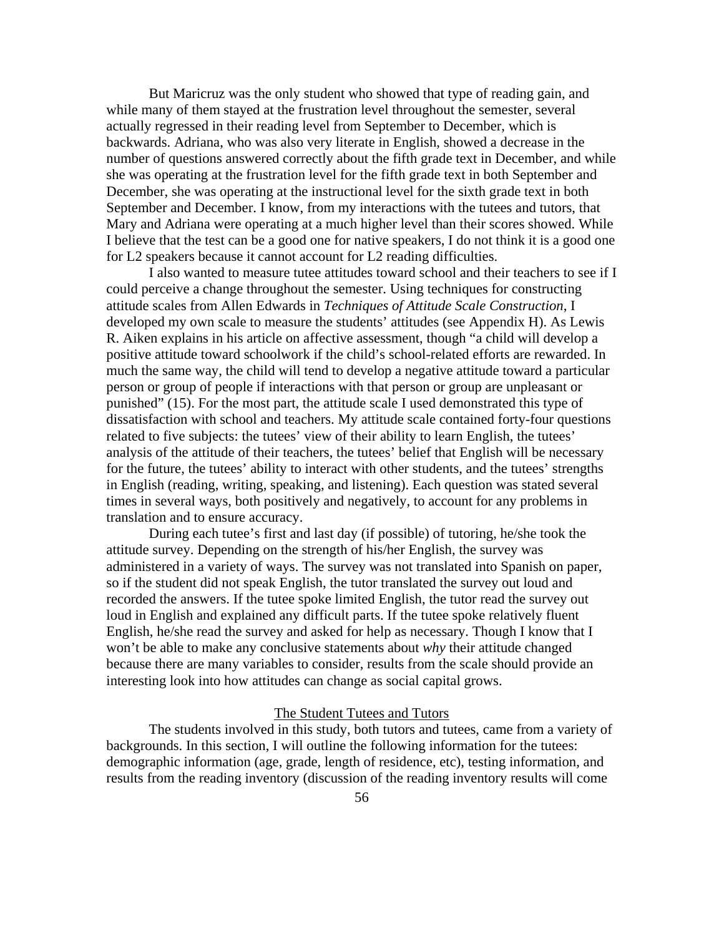But Maricruz was the only student who showed that type of reading gain, and while many of them stayed at the frustration level throughout the semester, several actually regressed in their reading level from September to December, which is backwards. Adriana, who was also very literate in English, showed a decrease in the number of questions answered correctly about the fifth grade text in December, and while she was operating at the frustration level for the fifth grade text in both September and December, she was operating at the instructional level for the sixth grade text in both September and December. I know, from my interactions with the tutees and tutors, that Mary and Adriana were operating at a much higher level than their scores showed. While I believe that the test can be a good one for native speakers, I do not think it is a good one for L2 speakers because it cannot account for L2 reading difficulties.

I also wanted to measure tutee attitudes toward school and their teachers to see if I could perceive a change throughout the semester. Using techniques for constructing attitude scales from Allen Edwards in *Techniques of Attitude Scale Construction*, I developed my own scale to measure the students' attitudes (see Appendix H). As Lewis R. Aiken explains in his article on affective assessment, though "a child will develop a positive attitude toward schoolwork if the child's school-related efforts are rewarded. In much the same way, the child will tend to develop a negative attitude toward a particular person or group of people if interactions with that person or group are unpleasant or punished" (15). For the most part, the attitude scale I used demonstrated this type of dissatisfaction with school and teachers. My attitude scale contained forty-four questions related to five subjects: the tutees' view of their ability to learn English, the tutees' analysis of the attitude of their teachers, the tutees' belief that English will be necessary for the future, the tutees' ability to interact with other students, and the tutees' strengths in English (reading, writing, speaking, and listening). Each question was stated several times in several ways, both positively and negatively, to account for any problems in translation and to ensure accuracy.

During each tutee's first and last day (if possible) of tutoring, he/she took the attitude survey. Depending on the strength of his/her English, the survey was administered in a variety of ways. The survey was not translated into Spanish on paper, so if the student did not speak English, the tutor translated the survey out loud and recorded the answers. If the tutee spoke limited English, the tutor read the survey out loud in English and explained any difficult parts. If the tutee spoke relatively fluent English, he/she read the survey and asked for help as necessary. Though I know that I won't be able to make any conclusive statements about *why* their attitude changed because there are many variables to consider, results from the scale should provide an interesting look into how attitudes can change as social capital grows.

## The Student Tutees and Tutors

 The students involved in this study, both tutors and tutees, came from a variety of backgrounds. In this section, I will outline the following information for the tutees: demographic information (age, grade, length of residence, etc), testing information, and results from the reading inventory (discussion of the reading inventory results will come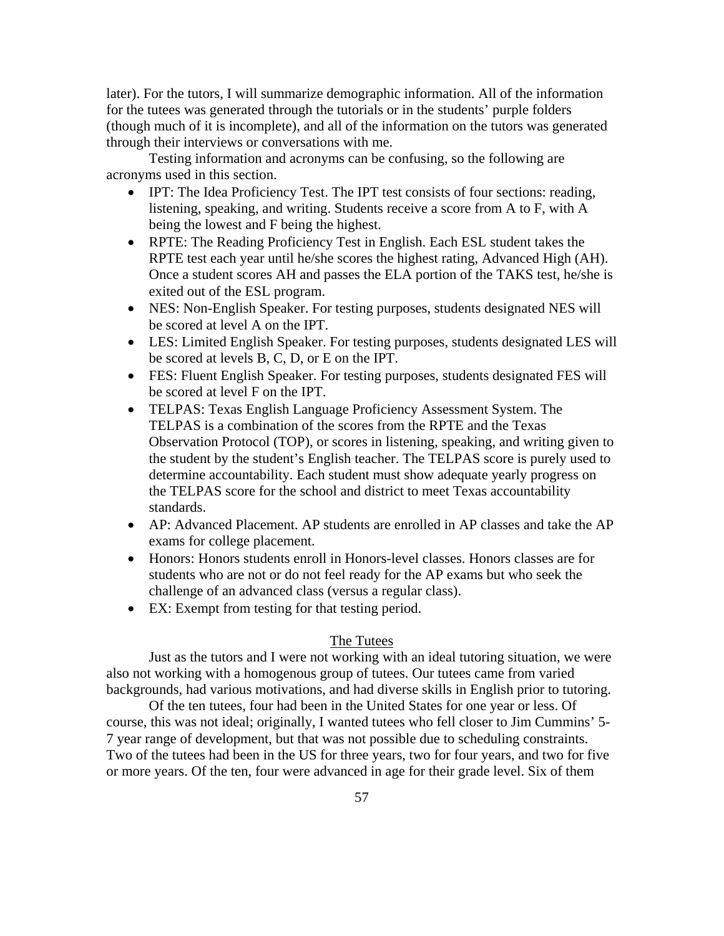later). For the tutors, I will summarize demographic information. All of the information for the tutees was generated through the tutorials or in the students' purple folders (though much of it is incomplete), and all of the information on the tutors was generated through their interviews or conversations with me.

 Testing information and acronyms can be confusing, so the following are acronyms used in this section.

- IPT: The Idea Proficiency Test. The IPT test consists of four sections: reading, listening, speaking, and writing. Students receive a score from A to F, with A being the lowest and F being the highest.
- RPTE: The Reading Proficiency Test in English. Each ESL student takes the RPTE test each year until he/she scores the highest rating, Advanced High (AH). Once a student scores AH and passes the ELA portion of the TAKS test, he/she is exited out of the ESL program.
- NES: Non-English Speaker. For testing purposes, students designated NES will be scored at level A on the IPT.
- LES: Limited English Speaker. For testing purposes, students designated LES will be scored at levels B, C, D, or E on the IPT.
- FES: Fluent English Speaker. For testing purposes, students designated FES will be scored at level F on the IPT.
- TELPAS: Texas English Language Proficiency Assessment System. The TELPAS is a combination of the scores from the RPTE and the Texas Observation Protocol (TOP), or scores in listening, speaking, and writing given to the student by the student's English teacher. The TELPAS score is purely used to determine accountability. Each student must show adequate yearly progress on the TELPAS score for the school and district to meet Texas accountability standards.
- AP: Advanced Placement. AP students are enrolled in AP classes and take the AP exams for college placement.
- Honors: Honors students enroll in Honors-level classes. Honors classes are for students who are not or do not feel ready for the AP exams but who seek the challenge of an advanced class (versus a regular class).
- EX: Exempt from testing for that testing period.

## The Tutees

 Just as the tutors and I were not working with an ideal tutoring situation, we were also not working with a homogenous group of tutees. Our tutees came from varied backgrounds, had various motivations, and had diverse skills in English prior to tutoring.

 Of the ten tutees, four had been in the United States for one year or less. Of course, this was not ideal; originally, I wanted tutees who fell closer to Jim Cummins' 5- 7 year range of development, but that was not possible due to scheduling constraints. Two of the tutees had been in the US for three years, two for four years, and two for five or more years. Of the ten, four were advanced in age for their grade level. Six of them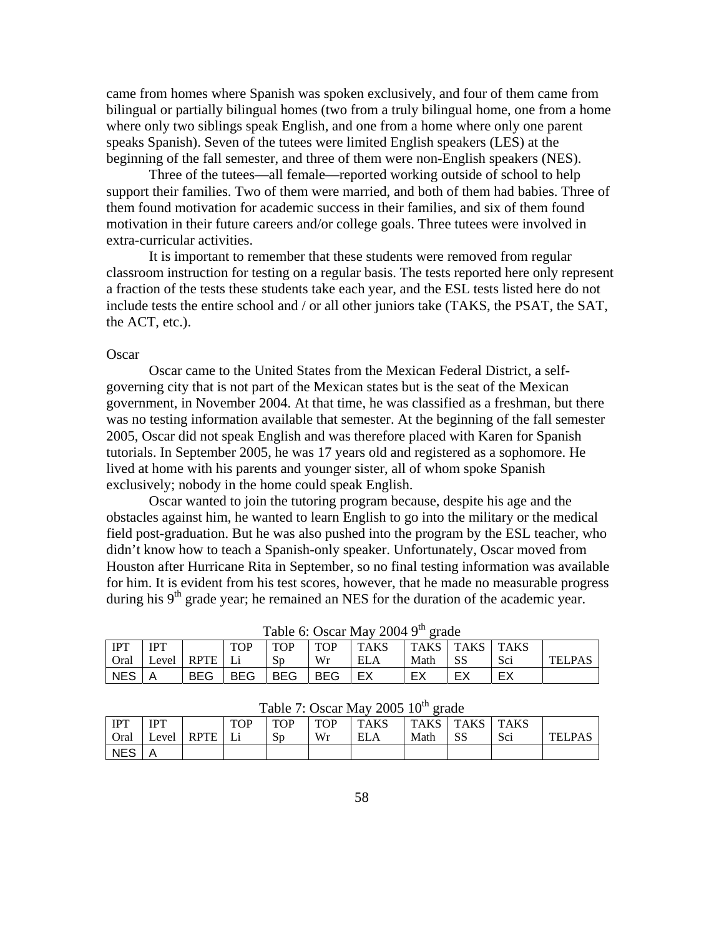came from homes where Spanish was spoken exclusively, and four of them came from bilingual or partially bilingual homes (two from a truly bilingual home, one from a home where only two siblings speak English, and one from a home where only one parent speaks Spanish). Seven of the tutees were limited English speakers (LES) at the beginning of the fall semester, and three of them were non-English speakers (NES).

 Three of the tutees—all female—reported working outside of school to help support their families. Two of them were married, and both of them had babies. Three of them found motivation for academic success in their families, and six of them found motivation in their future careers and/or college goals. Three tutees were involved in extra-curricular activities.

 It is important to remember that these students were removed from regular classroom instruction for testing on a regular basis. The tests reported here only represent a fraction of the tests these students take each year, and the ESL tests listed here do not include tests the entire school and / or all other juniors take (TAKS, the PSAT, the SAT, the ACT, etc.).

### **Oscar**

IPT Oral

 $NES$   $A$ 

IPT

Level RPTE

 Oscar came to the United States from the Mexican Federal District, a selfgoverning city that is not part of the Mexican states but is the seat of the Mexican government, in November 2004. At that time, he was classified as a freshman, but there was no testing information available that semester. At the beginning of the fall semester 2005, Oscar did not speak English and was therefore placed with Karen for Spanish tutorials. In September 2005, he was 17 years old and registered as a sophomore. He lived at home with his parents and younger sister, all of whom spoke Spanish exclusively; nobody in the home could speak English.

Oscar wanted to join the tutoring program because, despite his age and the obstacles against him, he wanted to learn English to go into the military or the medical field post-graduation. But he was also pushed into the program by the ESL teacher, who didn't know how to teach a Spanish-only speaker. Unfortunately, Oscar moved from Houston after Hurricane Rita in September, so no final testing information was available for him. It is evident from his test scores, however, that he made no measurable progress during his  $9<sup>th</sup>$  grade year; he remained an NES for the duration of the academic year.

|            | $1$ able 0. Oscal May $2004 - 9$ grade |             |            |            |            |             |        |             |             |               |  |  |
|------------|----------------------------------------|-------------|------------|------------|------------|-------------|--------|-------------|-------------|---------------|--|--|
| IPT        | <b>IPT</b>                             |             | <b>TOP</b> | TOP        | <b>TOP</b> | <b>TAKS</b> | TAKS . | <b>TAKS</b> | <b>TAKS</b> |               |  |  |
| Oral       | Level                                  | <b>RPTE</b> |            | Sp         | Wr         | ELA         | Math   | SS          | Sci         | <b>TELPAS</b> |  |  |
| <b>NES</b> |                                        | BEG         | <b>BEG</b> | <b>BEG</b> | <b>BEG</b> |             |        | ЕX          | EX          |               |  |  |

 $T<sub>ch</sub>l<sub>2</sub> \epsilon$ : Oscar May 2004  $0<sup>th</sup>$  grade

|         |                                         | $\cup$ iai $\cup$ Level Kr IL $\cup$ |  | .JU                        | VV 1. | <b>LELA</b> | Niaui DJ |  | - DUI | TELL AD. |  |
|---------|-----------------------------------------|--------------------------------------|--|----------------------------|-------|-------------|----------|--|-------|----------|--|
| NES   A |                                         |                                      |  | BEG   BEG   BEG   BEG   EX |       |             | EX       |  |       |          |  |
|         |                                         |                                      |  |                            |       |             |          |  |       |          |  |
|         | Table 7: Oscar May 2005 $10^{th}$ grade |                                      |  |                            |       |             |          |  |       |          |  |
|         |                                         |                                      |  |                            |       |             |          |  |       |          |  |

| <b>TOP</b> | <b>TOP</b> | $\vert$ TOP | <b>TAKS</b> | TAKS TAKS |    |
|------------|------------|-------------|-------------|-----------|----|
| Ιi         |            | Wr          | EIA         | Math      | SS |
|            |            |             |             |           |    |
|            |            |             |             |           |    |

TAKS

Sci TELPAS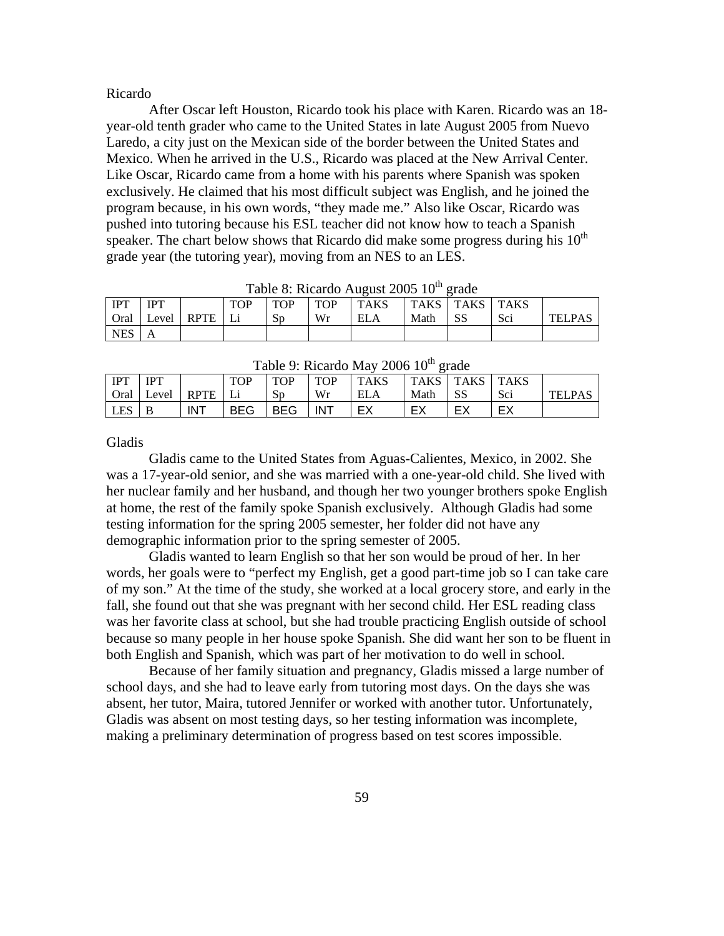#### Ricardo

 After Oscar left Houston, Ricardo took his place with Karen. Ricardo was an 18 year-old tenth grader who came to the United States in late August 2005 from Nuevo Laredo, a city just on the Mexican side of the border between the United States and Mexico. When he arrived in the U.S., Ricardo was placed at the New Arrival Center. Like Oscar, Ricardo came from a home with his parents where Spanish was spoken exclusively. He claimed that his most difficult subject was English, and he joined the program because, in his own words, "they made me." Also like Oscar, Ricardo was pushed into tutoring because his ESL teacher did not know how to teach a Spanish speaker. The chart below shows that Ricardo did make some progress during his  $10<sup>th</sup>$ grade year (the tutoring year), moving from an NES to an LES.

|             | $10000$ . Rivardo <i>Tragust 2000</i> To grado |            |            |            |            |            |      |                    |     |               |  |  |  |
|-------------|------------------------------------------------|------------|------------|------------|------------|------------|------|--------------------|-----|---------------|--|--|--|
| <b>IPT</b>  | <b>IPT</b>                                     |            | <b>TOP</b> | <b>TOP</b> | <b>TOP</b> | TAKS       |      | TAKS   TAKS   TAKS |     |               |  |  |  |
| <b>Oral</b> |                                                | Level RPTE |            | Sp         | Wr         | <b>ELA</b> | Math | -SS                | Sci | <b>TELPAS</b> |  |  |  |
| <b>NES</b>  |                                                |            |            |            |            |            |      |                    |     |               |  |  |  |

Table 8: Ricardo August 2005  $10^{th}$  grade

|            | Table 9: Ricardo May 2006 10 <sup>th</sup> grade |            |              |            |            |             |                    |     |     |               |  |  |
|------------|--------------------------------------------------|------------|--------------|------------|------------|-------------|--------------------|-----|-----|---------------|--|--|
| <b>IPT</b> | <b>IPT</b>                                       |            | <b>TOP</b>   | <b>TOP</b> | <b>TOP</b> | <b>TAKS</b> | TAKS   TAKS   TAKS |     |     |               |  |  |
|            | Oral Level RPTE                                  |            | $\mathbf{I}$ | Sp         | Wr         | ELA         | Math               | -SS | Sci | <b>TELPAS</b> |  |  |
| <b>LES</b> | B                                                | <b>INT</b> | <b>BEG</b>   | <b>BEG</b> | <b>INT</b> |             |                    | EX  | EX  |               |  |  |

Gladis

 Gladis came to the United States from Aguas-Calientes, Mexico, in 2002. She was a 17-year-old senior, and she was married with a one-year-old child. She lived with her nuclear family and her husband, and though her two younger brothers spoke English at home, the rest of the family spoke Spanish exclusively. Although Gladis had some testing information for the spring 2005 semester, her folder did not have any demographic information prior to the spring semester of 2005.

Gladis wanted to learn English so that her son would be proud of her. In her words, her goals were to "perfect my English, get a good part-time job so I can take care of my son." At the time of the study, she worked at a local grocery store, and early in the fall, she found out that she was pregnant with her second child. Her ESL reading class was her favorite class at school, but she had trouble practicing English outside of school because so many people in her house spoke Spanish. She did want her son to be fluent in both English and Spanish, which was part of her motivation to do well in school.

 Because of her family situation and pregnancy, Gladis missed a large number of school days, and she had to leave early from tutoring most days. On the days she was absent, her tutor, Maira, tutored Jennifer or worked with another tutor. Unfortunately, Gladis was absent on most testing days, so her testing information was incomplete, making a preliminary determination of progress based on test scores impossible.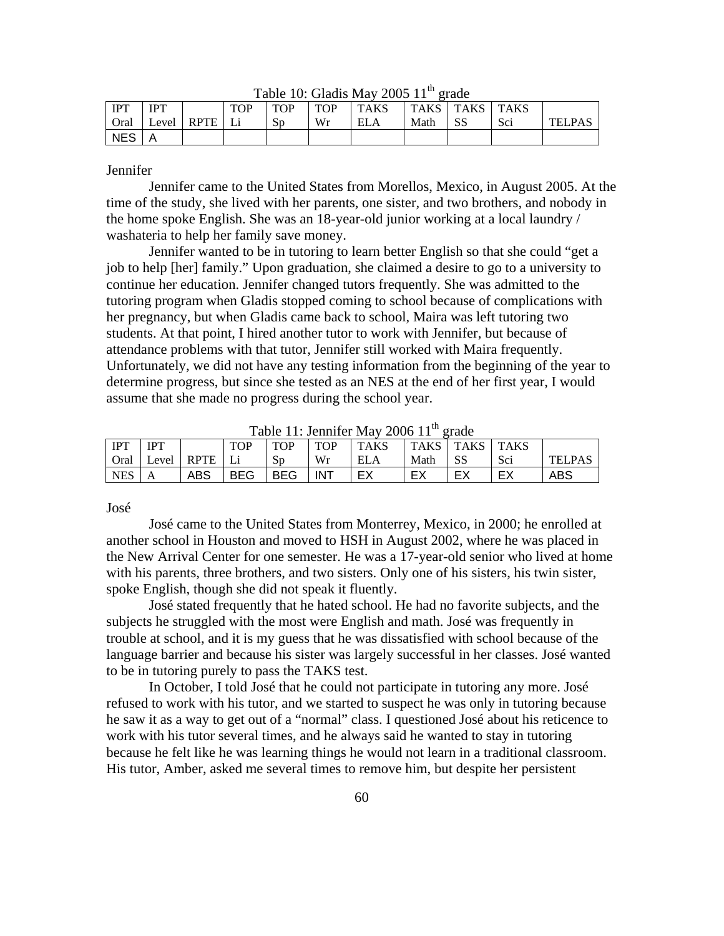| 1 IPT      | IPT   |             | <b>TOP</b> | <b>TOP</b> | TOP | <b>TAKS</b> | <b>TAKS</b> | <b>TAKS</b> | <b>TAKS</b> |               |
|------------|-------|-------------|------------|------------|-----|-------------|-------------|-------------|-------------|---------------|
| Oral       | Level | <b>RPTE</b> |            | Sp         | Wr  | <b>ELA</b>  | Math        | SS          | Sci         | <b>TELPAL</b> |
| <b>NES</b> |       |             |            |            |     |             |             |             |             |               |

Table 10: Gladis May 2005  $11<sup>th</sup>$  grade

# Jennifer

 Jennifer came to the United States from Morellos, Mexico, in August 2005. At the time of the study, she lived with her parents, one sister, and two brothers, and nobody in the home spoke English. She was an 18-year-old junior working at a local laundry / washateria to help her family save money.

 Jennifer wanted to be in tutoring to learn better English so that she could "get a job to help [her] family." Upon graduation, she claimed a desire to go to a university to continue her education. Jennifer changed tutors frequently. She was admitted to the tutoring program when Gladis stopped coming to school because of complications with her pregnancy, but when Gladis came back to school, Maira was left tutoring two students. At that point, I hired another tutor to work with Jennifer, but because of attendance problems with that tutor, Jennifer still worked with Maira frequently. Unfortunately, we did not have any testing information from the beginning of the year to determine progress, but since she tested as an NES at the end of her first year, I would assume that she made no progress during the school year.

| IPT        | <b>IPT</b> |             | <b>TOP</b> | <b>TOP</b> | <b>TOP</b> | <b>TAKS</b> | <b>TAKS</b> | <b>TAKS</b> | <b>TAKS</b> |               |
|------------|------------|-------------|------------|------------|------------|-------------|-------------|-------------|-------------|---------------|
| Oral       | Level      | <b>RPTE</b> | l T i      | Sp         | Wr         | <b>ELA</b>  | Math        | -SS         | Sci         | <b>TELPAS</b> |
| <b>NES</b> | A          | ABS         | <b>BEG</b> | <b>BEG</b> | <b>INT</b> | EX          | EX          | EX          | EX          | ABS           |

Table 11: Jennifer May 2006  $11^{th}$  grade

José

 José came to the United States from Monterrey, Mexico, in 2000; he enrolled at another school in Houston and moved to HSH in August 2002, where he was placed in the New Arrival Center for one semester. He was a 17-year-old senior who lived at home with his parents, three brothers, and two sisters. Only one of his sisters, his twin sister, spoke English, though she did not speak it fluently.

José stated frequently that he hated school. He had no favorite subjects, and the subjects he struggled with the most were English and math. José was frequently in trouble at school, and it is my guess that he was dissatisfied with school because of the language barrier and because his sister was largely successful in her classes. José wanted to be in tutoring purely to pass the TAKS test.

 In October, I told José that he could not participate in tutoring any more. José refused to work with his tutor, and we started to suspect he was only in tutoring because he saw it as a way to get out of a "normal" class. I questioned José about his reticence to work with his tutor several times, and he always said he wanted to stay in tutoring because he felt like he was learning things he would not learn in a traditional classroom. His tutor, Amber, asked me several times to remove him, but despite her persistent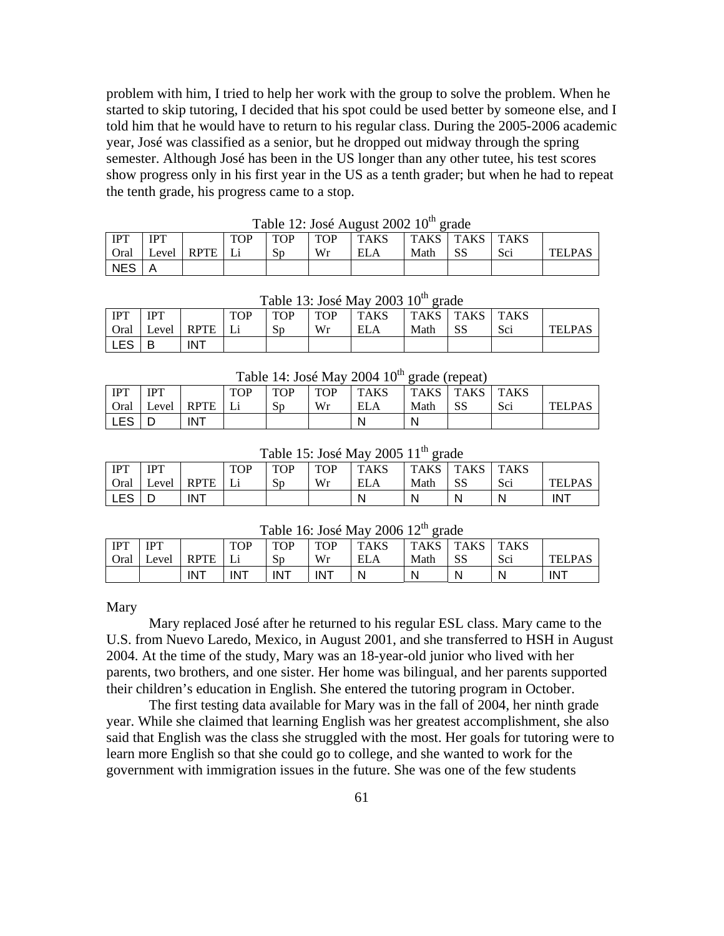problem with him, I tried to help her work with the group to solve the problem. When he started to skip tutoring, I decided that his spot could be used better by someone else, and I told him that he would have to return to his regular class. During the 2005-2006 academic year, José was classified as a senior, but he dropped out midway through the spring semester. Although José has been in the US longer than any other tutee, his test scores show progress only in his first year in the US as a tenth grader; but when he had to repeat the tenth grade, his progress came to a stop.

|            | $1400C$ $12.908C$ $1905$ $19C$ $200Z$ $10C$ |                   |            |            |            |            |                |      |     |               |  |  |  |  |
|------------|---------------------------------------------|-------------------|------------|------------|------------|------------|----------------|------|-----|---------------|--|--|--|--|
| <b>IPT</b> | <b>IPT</b>                                  |                   | <b>TOP</b> | <b>TOP</b> | <b>TOP</b> | l TAKS     | TAKS TAKS TAKS |      |     |               |  |  |  |  |
| Oral       |                                             | Level   RPTE   Li |            | Sp         | Wr         | <b>ELA</b> | Math           | - SS | Sci | <b>TELPAS</b> |  |  |  |  |
| NES        |                                             |                   |            |            |            |            |                |      |     |               |  |  |  |  |

Table  $12 \cdot \text{Log}$  August  $2002$   $10^{th}$  grade

|            | Table 13: José May 2003 10 <sup>th</sup> grade |                          |            |            |            |             |                  |    |     |               |  |  |  |  |
|------------|------------------------------------------------|--------------------------|------------|------------|------------|-------------|------------------|----|-----|---------------|--|--|--|--|
| <b>IPT</b> | <b>IPT</b>                                     |                          | <b>TOP</b> | <b>TOP</b> | <b>TOP</b> | <b>TAKS</b> | $TAKS$ TAKS TAKS |    |     |               |  |  |  |  |
|            |                                                | Oral   Level   RPTE   Li |            | Sp         | Wr         | <b>ELA</b>  | Math             | SS | Sci | <b>TELPAS</b> |  |  |  |  |
| <b>LES</b> | B                                              | <b>INT</b>               |            |            |            |             |                  |    |     |               |  |  |  |  |

Table  $14$ : José May 2004  $10^{\text{th}}$  grade (repeat)

|              |            |            |            |            |            | Table 14. Jose May 2004 TO grade (repeat) |      |           |        |               |
|--------------|------------|------------|------------|------------|------------|-------------------------------------------|------|-----------|--------|---------------|
| <b>IPT</b>   | <b>IPT</b> |            | <b>TOP</b> | <b>TOP</b> | <b>TOP</b> | TAKS                                      |      | TAKS TAKS | l TAKS |               |
| Oral         | Level      | RPTE   Li  |            | Sp         | Wr         | <b>ELA</b>                                | Math | -SS       | Sci    | <b>TELPAS</b> |
| $'$ LES $ _$ |            | <b>INT</b> |            |            |            |                                           | N    |           |        |               |

Table 15: José May 2005  $11<sup>th</sup>$  grade

| <b>IPT</b> | <b>IPT</b> |             | <b>TOP</b> | <b>TOP</b> | <b>TOP</b> | <b>TAKS</b> | <b>TAKS</b> | <b>TAKS</b> | <b>TAKS</b> |               |
|------------|------------|-------------|------------|------------|------------|-------------|-------------|-------------|-------------|---------------|
| Oral       | Level      | <b>RPTE</b> |            | Sp         | Wr         | <b>ELA</b>  | Math        | <b>SS</b>   | Sci         | <b>TELPAS</b> |
| LES        | ◡          | <b>INT</b>  |            |            |            | N           | N           | N           | N           | <b>INT</b>    |

Table 16: José May 2006 12<sup>th</sup> grade

|      | $10000 \pm 00000 \pm 00000000$ |             |            |            |            |             |             |      |             |               |  |  |  |  |
|------|--------------------------------|-------------|------------|------------|------------|-------------|-------------|------|-------------|---------------|--|--|--|--|
| IPT  | <b>IPT</b>                     |             | <b>TOP</b> | <b>TOP</b> | <b>TOP</b> | <b>TAKS</b> | <b>TAKS</b> | TAKS | <b>TAKS</b> |               |  |  |  |  |
| Oral | Level                          | <b>RPTE</b> |            | Sp         | Wr         | <b>ELA</b>  | Math        | -SS  | Sci         | <b>TELPAS</b> |  |  |  |  |
|      |                                | <b>INT</b>  | INT        | <b>INT</b> | <b>INT</b> | N           |             | N.   | N           | <b>INT</b>    |  |  |  |  |

Mary

 Mary replaced José after he returned to his regular ESL class. Mary came to the U.S. from Nuevo Laredo, Mexico, in August 2001, and she transferred to HSH in August 2004. At the time of the study, Mary was an 18-year-old junior who lived with her parents, two brothers, and one sister. Her home was bilingual, and her parents supported their children's education in English. She entered the tutoring program in October.

 The first testing data available for Mary was in the fall of 2004, her ninth grade year. While she claimed that learning English was her greatest accomplishment, she also said that English was the class she struggled with the most. Her goals for tutoring were to learn more English so that she could go to college, and she wanted to work for the government with immigration issues in the future. She was one of the few students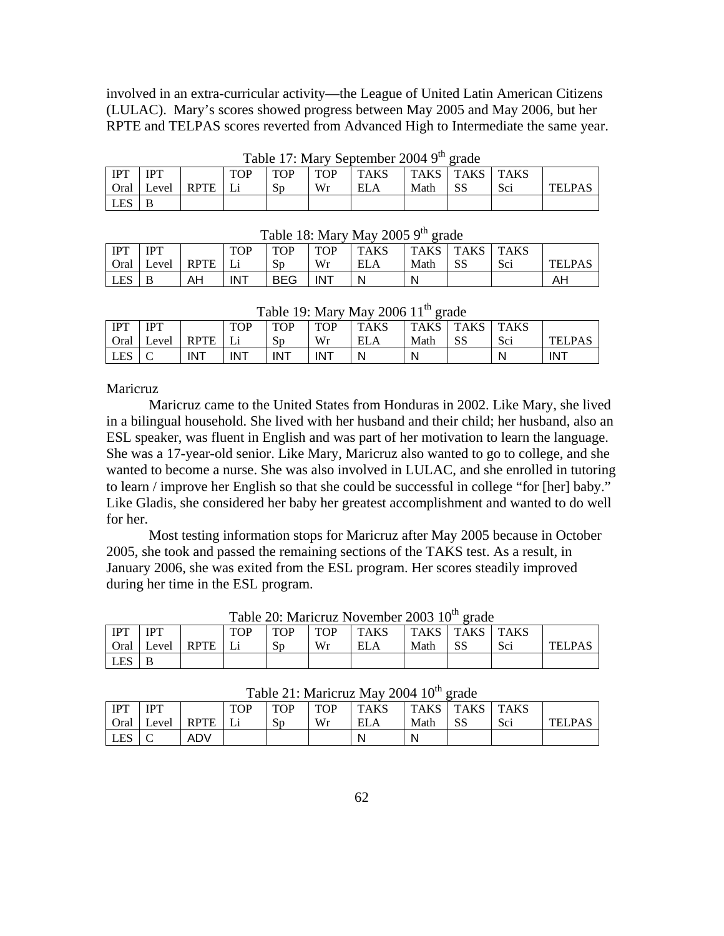involved in an extra-curricular activity—the League of United Latin American Citizens (LULAC). Mary's scores showed progress between May 2005 and May 2006, but her RPTE and TELPAS scores reverted from Advanced High to Intermediate the same year.

|            | $1400 \times 17$ , $191 \times 1900 \times 1100$ |      |            |            |            |      |                       |     |     |               |  |  |  |  |
|------------|--------------------------------------------------|------|------------|------------|------------|------|-----------------------|-----|-----|---------------|--|--|--|--|
| <b>IPT</b> | <b>IPT</b>                                       |      | <b>TOP</b> | <b>TOP</b> | <b>TOP</b> | TAKS | <b>TAKS TAKS TAKS</b> |     |     |               |  |  |  |  |
|            | Oral Level                                       | RPTE |            | Sp         | Wr         |      | Math                  | -SS | Sci | <b>TELPAS</b> |  |  |  |  |
| <b>LES</b> |                                                  |      |            |            |            |      |                       |     |     |               |  |  |  |  |

Table 17: Mary September 2004 9<sup>th</sup> grade

|             | Table To: Mary May 2000 9 grade |             |            |            |            |             |      |             |        |               |  |  |  |  |
|-------------|---------------------------------|-------------|------------|------------|------------|-------------|------|-------------|--------|---------------|--|--|--|--|
| <b>IPT</b>  | <b>IPT</b>                      |             | <b>TOP</b> | <b>TOP</b> | <b>TOP</b> | <b>TAKS</b> | TAKS | <b>TAKS</b> | l TAKS |               |  |  |  |  |
| <b>Oral</b> | Level                           | <b>RPTE</b> |            | Sp         | Wr         | ELA         | Math | SS          | Sci    | <b>TELPAS</b> |  |  |  |  |
| ' LES       | B                               | AH          | <b>INT</b> | <b>BEG</b> | <b>INT</b> | N           | N    |             |        | AΗ            |  |  |  |  |

 $T_{\text{obs}}$  19: Mary May 2005 0<sup>th</sup> grade

|            | $1.0010 + 1.0110 + 1.001$<br>.<br>$\sim$ $\sim$ $\sim$ $\sim$ $\sim$<br>------ |             |            |            |            |             |             |             |             |               |  |  |  |  |
|------------|--------------------------------------------------------------------------------|-------------|------------|------------|------------|-------------|-------------|-------------|-------------|---------------|--|--|--|--|
| IPT        | <b>IPT</b>                                                                     |             | <b>TOP</b> | <b>TOP</b> | <b>TOP</b> | <b>TAKS</b> | <b>TAKS</b> | <b>TAKS</b> | <b>TAKS</b> |               |  |  |  |  |
| Oral       | Level                                                                          | <b>RPTF</b> |            | Sp         | Wr         | <b>ELA</b>  | Math        | SS          | Sci         | <b>TELPAS</b> |  |  |  |  |
| <b>LES</b> |                                                                                | <b>INT</b>  | <b>INT</b> | <b>INT</b> | <b>INT</b> | N           | N           |             |             | <b>INT</b>    |  |  |  |  |

# Table 19: Mary May 2006 11<sup>th</sup> grade

## **Maricruz**

 Maricruz came to the United States from Honduras in 2002. Like Mary, she lived in a bilingual household. She lived with her husband and their child; her husband, also an ESL speaker, was fluent in English and was part of her motivation to learn the language. She was a 17-year-old senior. Like Mary, Maricruz also wanted to go to college, and she wanted to become a nurse. She was also involved in LULAC, and she enrolled in tutoring to learn / improve her English so that she could be successful in college "for [her] baby." Like Gladis, she considered her baby her greatest accomplishment and wanted to do well for her.

 Most testing information stops for Maricruz after May 2005 because in October 2005, she took and passed the remaining sections of the TAKS test. As a result, in January 2006, she was exited from the ESL program. Her scores steadily improved during her time in the ESL program.

|            | $1400 \times 20$ . Matricial Fortune 2009 To $\epsilon$ 1440 |             |     |            |            |             |       |      |             |               |  |  |  |  |
|------------|--------------------------------------------------------------|-------------|-----|------------|------------|-------------|-------|------|-------------|---------------|--|--|--|--|
| <b>IPT</b> | <b>IDT</b>                                                   |             | TOP | <b>TOP</b> | <b>TOP</b> | <b>TAKS</b> | TAKS. | TAKS | <b>TAKS</b> |               |  |  |  |  |
| Oral       | Level                                                        | <b>RPTE</b> |     | Sp         | Wr         | ELA         | Math  | SS   | Sci         | <b>TELPAS</b> |  |  |  |  |
| LES        |                                                              |             |     |            |            |             |       |      |             |               |  |  |  |  |

| Table 20: Maricruz November 2003 10 <sup>th</sup> grade |  |  |  |
|---------------------------------------------------------|--|--|--|
|---------------------------------------------------------|--|--|--|

|            | Table 21: Maricruz May 2004 10 <sup>th</sup> grade |             |            |            |            |             |             |             |             |         |  |  |  |  |
|------------|----------------------------------------------------|-------------|------------|------------|------------|-------------|-------------|-------------|-------------|---------|--|--|--|--|
| <b>IPT</b> | IPT                                                |             | <b>TOP</b> | <b>TOP</b> | <b>TOP</b> | <b>TAKS</b> | <b>TAKS</b> | <b>TAKS</b> | <b>TAKS</b> |         |  |  |  |  |
| Oral       | Level                                              | <b>RPTE</b> |            | Sp         | Wr         | ELA         | Math        |             | Sci         | TEI PAS |  |  |  |  |
|            |                                                    | ADV         |            |            |            | N           | N           |             |             |         |  |  |  |  |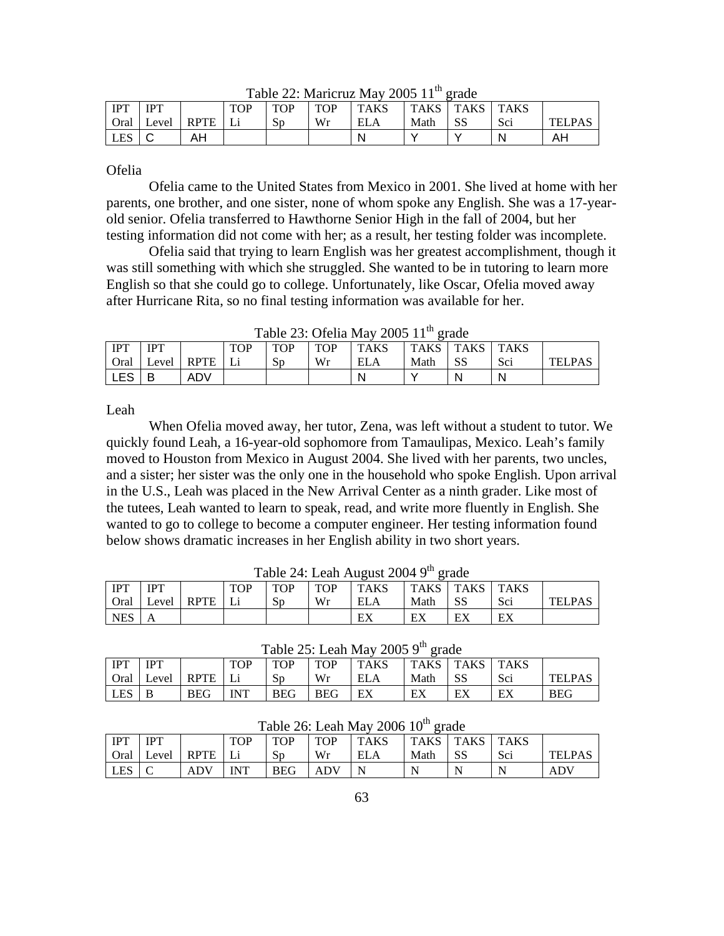| <b>IPT</b> | <b>IDT</b> |             | <b>TOP</b> | <b>TOP</b> | <b>TOP</b> | <b>TAKS</b> | <b>TAKS</b> | <b>TAKS</b> | <b>TAKS</b> |               |
|------------|------------|-------------|------------|------------|------------|-------------|-------------|-------------|-------------|---------------|
| Oral       | Level      | <b>RPTE</b> |            | Sp         | Wr         | <b>ELA</b>  | Math        | SS          | Sci         | <b>TELPAS</b> |
| <b>LES</b> |            | AΗ          |            |            |            |             |             |             | N           | AH            |

Table 22: Maricruz May 2005  $11<sup>th</sup>$  grade

Ofelia

 Ofelia came to the United States from Mexico in 2001. She lived at home with her parents, one brother, and one sister, none of whom spoke any English. She was a 17-yearold senior. Ofelia transferred to Hawthorne Senior High in the fall of 2004, but her testing information did not come with her; as a result, her testing folder was incomplete.

 Ofelia said that trying to learn English was her greatest accomplishment, though it was still something with which she struggled. She wanted to be in tutoring to learn more English so that she could go to college. Unfortunately, like Oscar, Ofelia moved away after Hurricane Rita, so no final testing information was available for her.

| $14010 = 0.01011411410000111$<br><u>__</u> |            |             |            |            |            |             |             |             |             |               |  |  |
|--------------------------------------------|------------|-------------|------------|------------|------------|-------------|-------------|-------------|-------------|---------------|--|--|
| <b>IPT</b>                                 | <b>IPT</b> |             | <b>TOP</b> | <b>TOP</b> | <b>TOP</b> | <b>TAKS</b> | <b>TAKS</b> | <b>TAKS</b> | <b>TAKS</b> |               |  |  |
| <b>Oral</b>                                | Level      | <b>RPTE</b> |            | Sp         | Wr         | ELA         | Math        | SS          | Sci         | <b>TELPAS</b> |  |  |
| LES                                        |            | ADV         |            |            |            | N           |             |             | -N          |               |  |  |

Table 23: Ofelia May 2005  $11^{\text{th}}$  grade

Leah

 When Ofelia moved away, her tutor, Zena, was left without a student to tutor. We quickly found Leah, a 16-year-old sophomore from Tamaulipas, Mexico. Leah's family moved to Houston from Mexico in August 2004. She lived with her parents, two uncles, and a sister; her sister was the only one in the household who spoke English. Upon arrival in the U.S., Leah was placed in the New Arrival Center as a ninth grader. Like most of the tutees, Leah wanted to learn to speak, read, and write more fluently in English. She wanted to go to college to become a computer engineer. Her testing information found below shows dramatic increases in her English ability in two short years.

|            | I avie 24. Leali August 2004 9<br>- graue |             |     |            |     |             |             |             |             |        |  |  |  |
|------------|-------------------------------------------|-------------|-----|------------|-----|-------------|-------------|-------------|-------------|--------|--|--|--|
| <b>IPT</b> | <b>IPT</b>                                |             | TOP | <b>TOP</b> | TOP | <b>TAKS</b> | <b>TAKS</b> | <b>TAKS</b> | <b>TAKS</b> |        |  |  |  |
| Oral       | Level                                     | <b>RPTE</b> |     | Sp         | Wr  | <b>ELA</b>  | Math        | SS          | Sci         | TELPAS |  |  |  |
| <b>NES</b> |                                           |             |     |            |     | EX          | ЕX          | EX          | EX          |        |  |  |  |

Table  $24:$  Leah August  $2004$   $9^{th}$  grade

| Table 25: Leah May 2005 $9th$ grade                                                              |                   |      |            |            |            |            |      |     |     |               |  |  |
|--------------------------------------------------------------------------------------------------|-------------------|------|------------|------------|------------|------------|------|-----|-----|---------------|--|--|
| <b>IPT</b><br>TAKS   TAKS   TAKS<br>TAKS<br><b>IPT</b><br><b>TOP</b><br><b>TOP</b><br><b>TOP</b> |                   |      |            |            |            |            |      |     |     |               |  |  |
| Oral                                                                                             | Level   RPTE   Li |      |            | Sp         | Wr         | <b>ELA</b> | Math | -SS | Sci | <b>TELPAS</b> |  |  |
| LES <sub>1</sub>                                                                                 |                   | BEG- | <b>INT</b> | <b>BEG</b> | <b>BEG</b> | EX         | ЕX   | EX  | EX  | <b>BEG</b>    |  |  |

|                  | $10000 \, \text{L}$ . Legan Ivia $\frac{2000}{1000}$ IV $\frac{21000}{1000}$ |             |     |            |            |             |             |             |             |               |  |  |  |
|------------------|------------------------------------------------------------------------------|-------------|-----|------------|------------|-------------|-------------|-------------|-------------|---------------|--|--|--|
| IPT              | <b>IPT</b>                                                                   |             | TOP | <b>TOP</b> | <b>TOP</b> | <b>TAKS</b> | <b>TAKS</b> | <b>TAKS</b> | <b>TAKS</b> |               |  |  |  |
| <b>Oral</b>      | Level                                                                        | <b>RPTE</b> |     | $S_{D}$    | Wr         | ELA         | Math        | <b>SS</b>   | Sci         | <b>TELPAS</b> |  |  |  |
| LES <sup>1</sup> |                                                                              | <b>ADV</b>  | INT | <b>BEG</b> | ADV        |             | N           |             |             | ADV           |  |  |  |

Table  $26$ : Leah May  $2006 10^{th}$  grade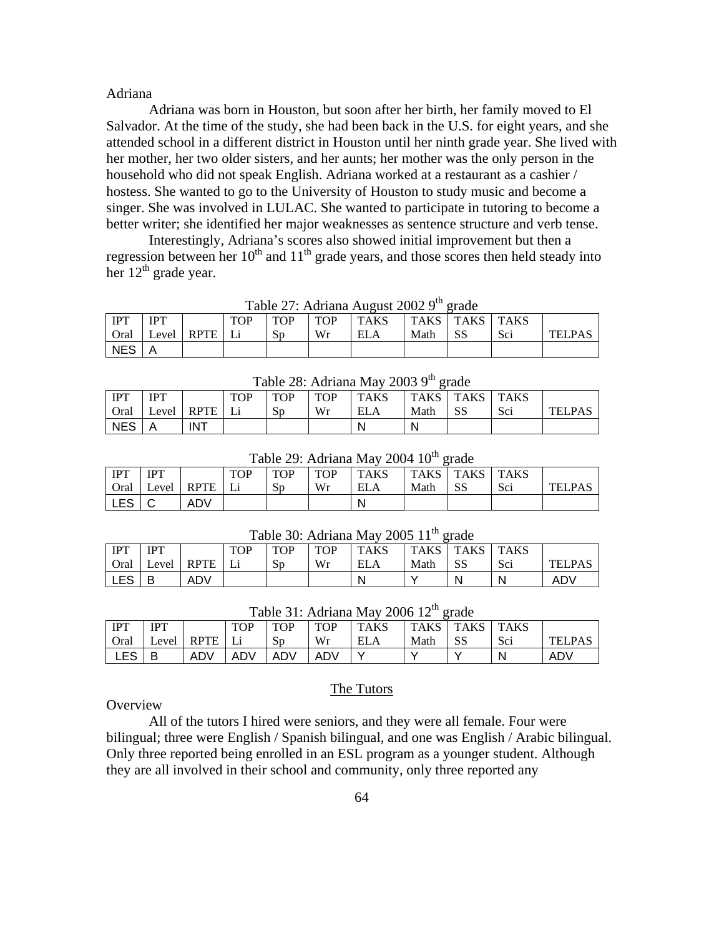## Adriana

 Adriana was born in Houston, but soon after her birth, her family moved to El Salvador. At the time of the study, she had been back in the U.S. for eight years, and she attended school in a different district in Houston until her ninth grade year. She lived with her mother, her two older sisters, and her aunts; her mother was the only person in the household who did not speak English. Adriana worked at a restaurant as a cashier / hostess. She wanted to go to the University of Houston to study music and become a singer. She was involved in LULAC. She wanted to participate in tutoring to become a better writer; she identified her major weaknesses as sentence structure and verb tense.

 Interestingly, Adriana's scores also showed initial improvement but then a regression between her  $10<sup>th</sup>$  and  $11<sup>th</sup>$  grade years, and those scores then held steady into her 12<sup>th</sup> grade year.

|            | Table 27. Authana August 2002 7 grade |               |            |                |            |            |      |                    |     |               |  |  |  |
|------------|---------------------------------------|---------------|------------|----------------|------------|------------|------|--------------------|-----|---------------|--|--|--|
| <b>IPT</b> | <b>IPT</b>                            |               | <b>TOP</b> | <b>TOP</b>     | <b>TOP</b> | TAKS       |      | TAKS   TAKS   TAKS |     |               |  |  |  |
| Oral       |                                       | Level RPTE Li |            | S <sub>D</sub> | Wr         | <b>ELA</b> | Math |                    | Sci | <b>TELPAS</b> |  |  |  |
| NES        |                                       |               |            |                |            |            |      |                    |     |               |  |  |  |

Table  $27:$  Adriana August 2002  $9^{th}$  grade

| $1.0010 = 0.110110101011000$<br>-----<br>----- |            |             |            |     |            |             |      |             |             |               |  |  |
|------------------------------------------------|------------|-------------|------------|-----|------------|-------------|------|-------------|-------------|---------------|--|--|
| <b>IPT</b>                                     | <b>IPT</b> |             | <b>TOP</b> | TOP | <b>TOP</b> | <b>TAKS</b> | TAKS | <b>TAKS</b> | <b>TAKS</b> |               |  |  |
| Oral                                           | Level      | <b>RPTE</b> |            | Sp  | Wr         | <b>ELA</b>  | Math | SS          | Sci         | <b>TELPAS</b> |  |  |
| <b>NES</b>                                     | Α          | <b>INT</b>  |            |     |            | N.          | N    |             |             |               |  |  |

Table  $28:$  Adriana May  $2003.9<sup>th</sup>$  grade

| Table 29: Adriana May 2004 10 <sup>th</sup> grade |            |            |            |            |            |             |      |             |             |               |  |  |
|---------------------------------------------------|------------|------------|------------|------------|------------|-------------|------|-------------|-------------|---------------|--|--|
| <b>IPT</b>                                        | <b>IPT</b> |            | <b>TOP</b> | <b>TOP</b> | <b>TOP</b> | <b>TAKS</b> | TAKS | <b>TAKS</b> | <b>TAKS</b> |               |  |  |
| Oral                                              |            | Level RPTE | Li         | $S_{D}$    | Wr         | <b>ELA</b>  | Math |             | Sci         | <b>TELPAS</b> |  |  |
| LES                                               |            | ADV        |            |            |            | N           |      |             |             |               |  |  |

Table 30: Adriana May 2005  $11<sup>th</sup>$  grade

|             | -----      |             |            |            |            |             |             |                  |     |               |  |  |  |
|-------------|------------|-------------|------------|------------|------------|-------------|-------------|------------------|-----|---------------|--|--|--|
| i IPT       | <b>IPT</b> |             | <b>TOP</b> | <b>TOP</b> | <b>TOP</b> | <b>TAKS</b> | <b>TAKS</b> | <b>TAKS</b> TAKS |     |               |  |  |  |
| <b>Oral</b> | Level      | <b>RPTE</b> |            | Sp         | Wr         | ELA         | Math        | SS               | Sci | <b>TELPAS</b> |  |  |  |
| I LES       |            | <b>ADV</b>  |            |            |            | N           |             |                  |     | ADV           |  |  |  |

| $1$ able 51. Additated May 2000 12 grade |            |      |            |            |            |             |       |             |             |               |  |  |
|------------------------------------------|------------|------|------------|------------|------------|-------------|-------|-------------|-------------|---------------|--|--|
| <b>IPT</b>                               | <b>IPT</b> |      | <b>TOP</b> | <b>TOP</b> | <b>TOP</b> | <b>TAKS</b> | TAKS. | <b>TAKS</b> | <b>TAKS</b> |               |  |  |
| Oral                                     | Level      | RPTE |            | Sp         | Wr         | ELA         | Math  | SS          | Sci         | <b>TELPAS</b> |  |  |
| ∟ES                                      |            | ADV  | ADV        | ADV        | ADV        |             |       |             |             | ADV           |  |  |

Table 21: Adriana May 2006 12<sup>th</sup> grade

### **Overview**

 All of the tutors I hired were seniors, and they were all female. Four were bilingual; three were English / Spanish bilingual, and one was English / Arabic bilingual. Only three reported being enrolled in an ESL program as a younger student. Although they are all involved in their school and community, only three reported any

The Tutors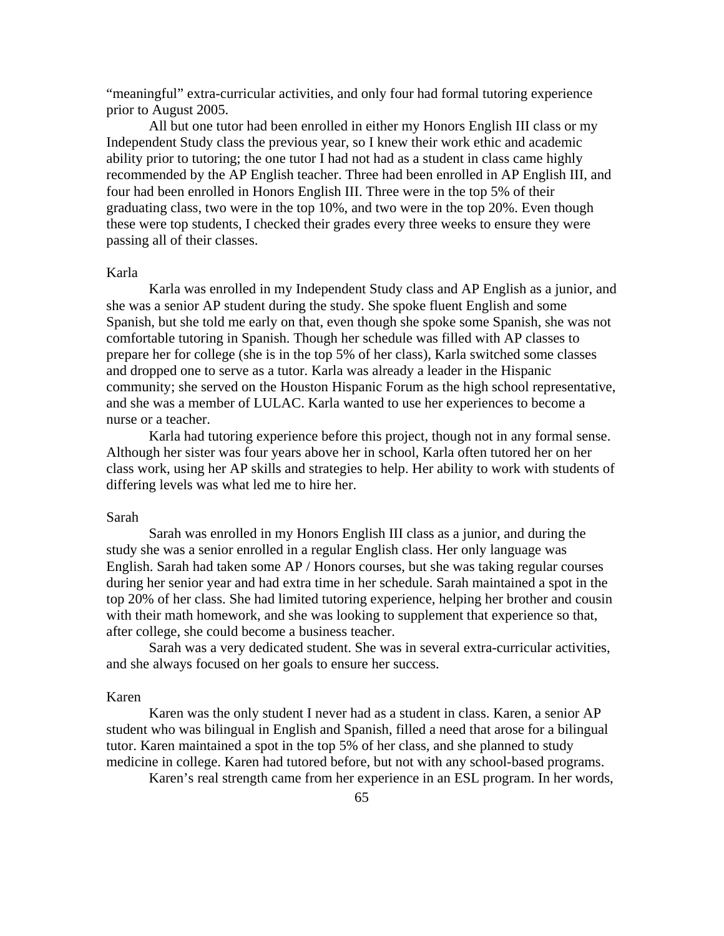"meaningful" extra-curricular activities, and only four had formal tutoring experience prior to August 2005.

 All but one tutor had been enrolled in either my Honors English III class or my Independent Study class the previous year, so I knew their work ethic and academic ability prior to tutoring; the one tutor I had not had as a student in class came highly recommended by the AP English teacher. Three had been enrolled in AP English III, and four had been enrolled in Honors English III. Three were in the top 5% of their graduating class, two were in the top 10%, and two were in the top 20%. Even though these were top students, I checked their grades every three weeks to ensure they were passing all of their classes.

## Karla

 Karla was enrolled in my Independent Study class and AP English as a junior, and she was a senior AP student during the study. She spoke fluent English and some Spanish, but she told me early on that, even though she spoke some Spanish, she was not comfortable tutoring in Spanish. Though her schedule was filled with AP classes to prepare her for college (she is in the top 5% of her class), Karla switched some classes and dropped one to serve as a tutor. Karla was already a leader in the Hispanic community; she served on the Houston Hispanic Forum as the high school representative, and she was a member of LULAC. Karla wanted to use her experiences to become a nurse or a teacher.

 Karla had tutoring experience before this project, though not in any formal sense. Although her sister was four years above her in school, Karla often tutored her on her class work, using her AP skills and strategies to help. Her ability to work with students of differing levels was what led me to hire her.

#### Sarah

 Sarah was enrolled in my Honors English III class as a junior, and during the study she was a senior enrolled in a regular English class. Her only language was English. Sarah had taken some AP / Honors courses, but she was taking regular courses during her senior year and had extra time in her schedule. Sarah maintained a spot in the top 20% of her class. She had limited tutoring experience, helping her brother and cousin with their math homework, and she was looking to supplement that experience so that, after college, she could become a business teacher.

 Sarah was a very dedicated student. She was in several extra-curricular activities, and she always focused on her goals to ensure her success.

## Karen

 Karen was the only student I never had as a student in class. Karen, a senior AP student who was bilingual in English and Spanish, filled a need that arose for a bilingual tutor. Karen maintained a spot in the top 5% of her class, and she planned to study medicine in college. Karen had tutored before, but not with any school-based programs.

Karen's real strength came from her experience in an ESL program. In her words,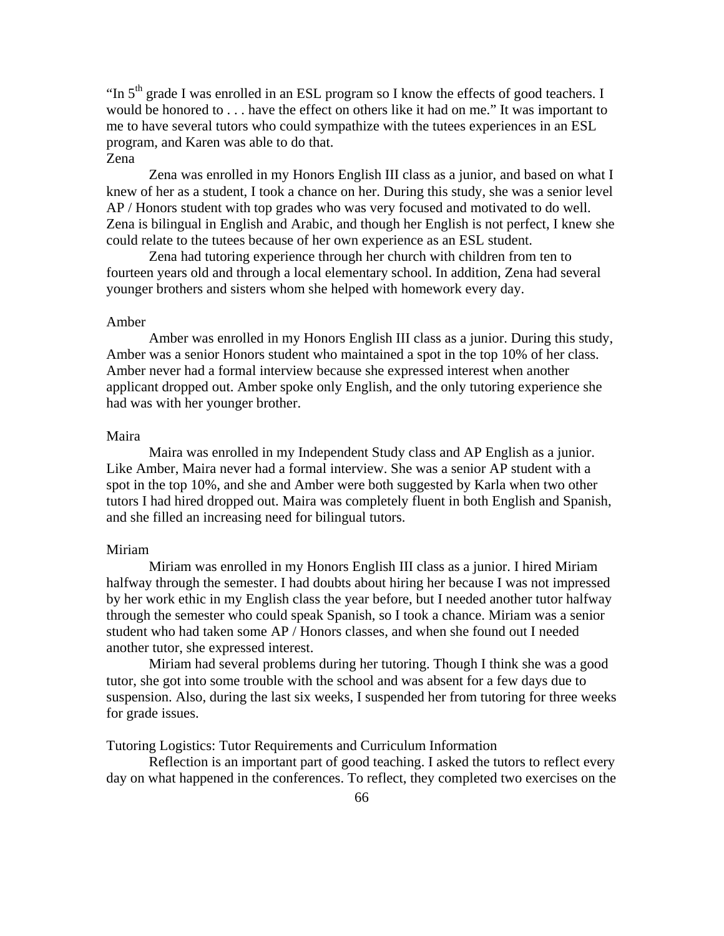"In  $5<sup>th</sup>$  grade I was enrolled in an ESL program so I know the effects of good teachers. I would be honored to . . . have the effect on others like it had on me." It was important to me to have several tutors who could sympathize with the tutees experiences in an ESL program, and Karen was able to do that. Zena

 Zena was enrolled in my Honors English III class as a junior, and based on what I knew of her as a student, I took a chance on her. During this study, she was a senior level AP / Honors student with top grades who was very focused and motivated to do well. Zena is bilingual in English and Arabic, and though her English is not perfect, I knew she could relate to the tutees because of her own experience as an ESL student.

 Zena had tutoring experience through her church with children from ten to fourteen years old and through a local elementary school. In addition, Zena had several younger brothers and sisters whom she helped with homework every day.

### Amber

 Amber was enrolled in my Honors English III class as a junior. During this study, Amber was a senior Honors student who maintained a spot in the top 10% of her class. Amber never had a formal interview because she expressed interest when another applicant dropped out. Amber spoke only English, and the only tutoring experience she had was with her younger brother.

# Maira

 Maira was enrolled in my Independent Study class and AP English as a junior. Like Amber, Maira never had a formal interview. She was a senior AP student with a spot in the top 10%, and she and Amber were both suggested by Karla when two other tutors I had hired dropped out. Maira was completely fluent in both English and Spanish, and she filled an increasing need for bilingual tutors.

### Miriam

 Miriam was enrolled in my Honors English III class as a junior. I hired Miriam halfway through the semester. I had doubts about hiring her because I was not impressed by her work ethic in my English class the year before, but I needed another tutor halfway through the semester who could speak Spanish, so I took a chance. Miriam was a senior student who had taken some AP / Honors classes, and when she found out I needed another tutor, she expressed interest.

 Miriam had several problems during her tutoring. Though I think she was a good tutor, she got into some trouble with the school and was absent for a few days due to suspension. Also, during the last six weeks, I suspended her from tutoring for three weeks for grade issues.

Tutoring Logistics: Tutor Requirements and Curriculum Information

Reflection is an important part of good teaching. I asked the tutors to reflect every day on what happened in the conferences. To reflect, they completed two exercises on the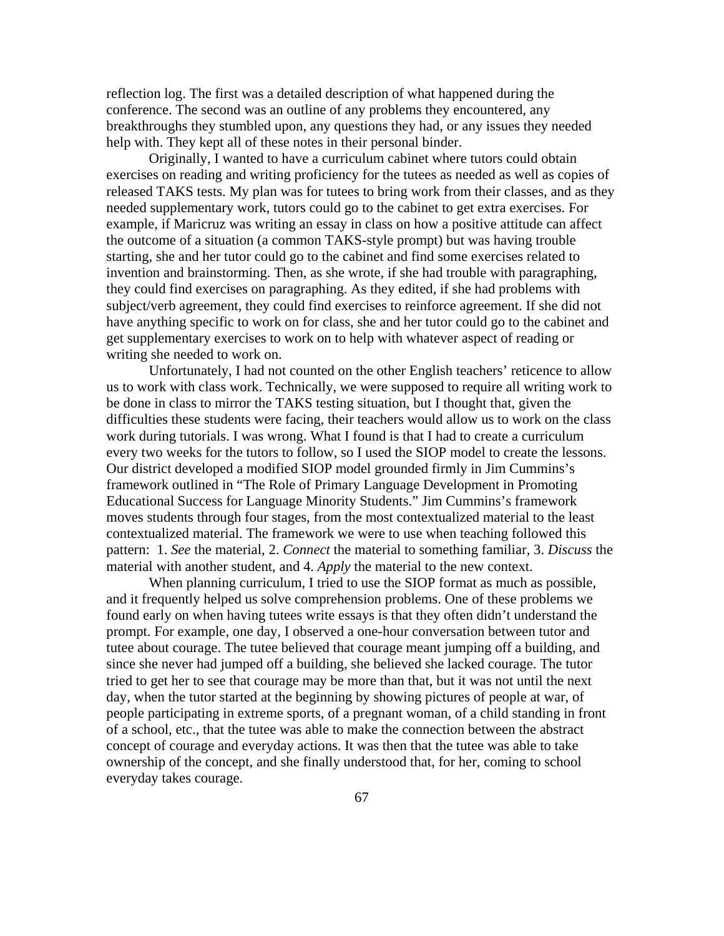reflection log. The first was a detailed description of what happened during the conference. The second was an outline of any problems they encountered, any breakthroughs they stumbled upon, any questions they had, or any issues they needed help with. They kept all of these notes in their personal binder.

Originally, I wanted to have a curriculum cabinet where tutors could obtain exercises on reading and writing proficiency for the tutees as needed as well as copies of released TAKS tests. My plan was for tutees to bring work from their classes, and as they needed supplementary work, tutors could go to the cabinet to get extra exercises. For example, if Maricruz was writing an essay in class on how a positive attitude can affect the outcome of a situation (a common TAKS-style prompt) but was having trouble starting, she and her tutor could go to the cabinet and find some exercises related to invention and brainstorming. Then, as she wrote, if she had trouble with paragraphing, they could find exercises on paragraphing. As they edited, if she had problems with subject/verb agreement, they could find exercises to reinforce agreement. If she did not have anything specific to work on for class, she and her tutor could go to the cabinet and get supplementary exercises to work on to help with whatever aspect of reading or writing she needed to work on.

Unfortunately, I had not counted on the other English teachers' reticence to allow us to work with class work. Technically, we were supposed to require all writing work to be done in class to mirror the TAKS testing situation, but I thought that, given the difficulties these students were facing, their teachers would allow us to work on the class work during tutorials. I was wrong. What I found is that I had to create a curriculum every two weeks for the tutors to follow, so I used the SIOP model to create the lessons. Our district developed a modified SIOP model grounded firmly in Jim Cummins's framework outlined in "The Role of Primary Language Development in Promoting Educational Success for Language Minority Students." Jim Cummins's framework moves students through four stages, from the most contextualized material to the least contextualized material. The framework we were to use when teaching followed this pattern: 1. *See* the material, 2. *Connect* the material to something familiar, 3. *Discuss* the material with another student, and 4. *Apply* the material to the new context.

When planning curriculum, I tried to use the SIOP format as much as possible, and it frequently helped us solve comprehension problems. One of these problems we found early on when having tutees write essays is that they often didn't understand the prompt. For example, one day, I observed a one-hour conversation between tutor and tutee about courage. The tutee believed that courage meant jumping off a building, and since she never had jumped off a building, she believed she lacked courage. The tutor tried to get her to see that courage may be more than that, but it was not until the next day, when the tutor started at the beginning by showing pictures of people at war, of people participating in extreme sports, of a pregnant woman, of a child standing in front of a school, etc., that the tutee was able to make the connection between the abstract concept of courage and everyday actions. It was then that the tutee was able to take ownership of the concept, and she finally understood that, for her, coming to school everyday takes courage.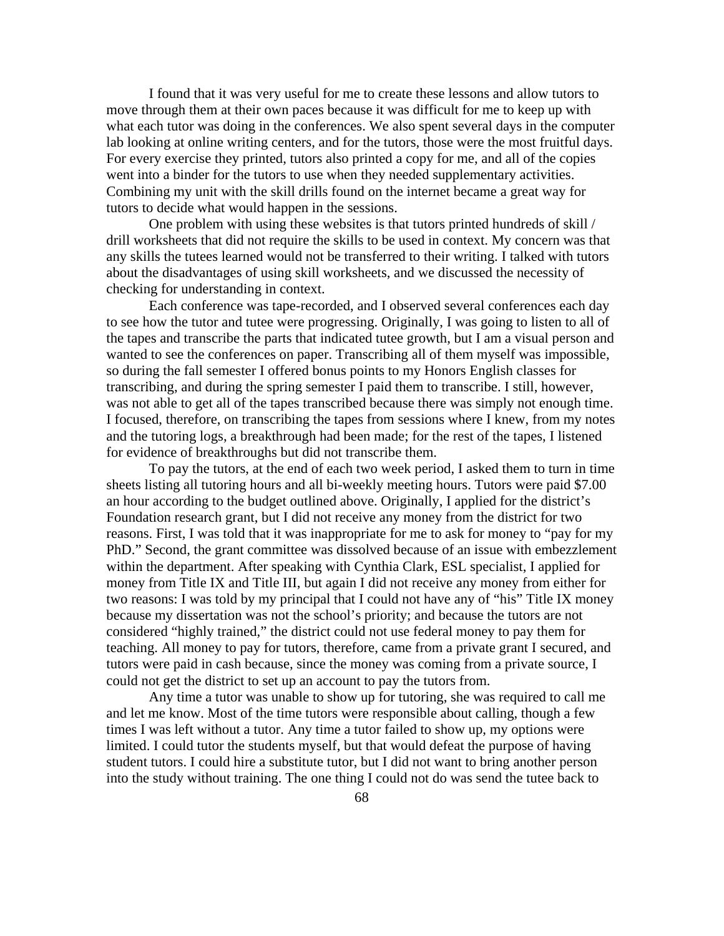I found that it was very useful for me to create these lessons and allow tutors to move through them at their own paces because it was difficult for me to keep up with what each tutor was doing in the conferences. We also spent several days in the computer lab looking at online writing centers, and for the tutors, those were the most fruitful days. For every exercise they printed, tutors also printed a copy for me, and all of the copies went into a binder for the tutors to use when they needed supplementary activities. Combining my unit with the skill drills found on the internet became a great way for tutors to decide what would happen in the sessions.

One problem with using these websites is that tutors printed hundreds of skill / drill worksheets that did not require the skills to be used in context. My concern was that any skills the tutees learned would not be transferred to their writing. I talked with tutors about the disadvantages of using skill worksheets, and we discussed the necessity of checking for understanding in context.

Each conference was tape-recorded, and I observed several conferences each day to see how the tutor and tutee were progressing. Originally, I was going to listen to all of the tapes and transcribe the parts that indicated tutee growth, but I am a visual person and wanted to see the conferences on paper. Transcribing all of them myself was impossible, so during the fall semester I offered bonus points to my Honors English classes for transcribing, and during the spring semester I paid them to transcribe. I still, however, was not able to get all of the tapes transcribed because there was simply not enough time. I focused, therefore, on transcribing the tapes from sessions where I knew, from my notes and the tutoring logs, a breakthrough had been made; for the rest of the tapes, I listened for evidence of breakthroughs but did not transcribe them.

To pay the tutors, at the end of each two week period, I asked them to turn in time sheets listing all tutoring hours and all bi-weekly meeting hours. Tutors were paid \$7.00 an hour according to the budget outlined above. Originally, I applied for the district's Foundation research grant, but I did not receive any money from the district for two reasons. First, I was told that it was inappropriate for me to ask for money to "pay for my PhD." Second, the grant committee was dissolved because of an issue with embezzlement within the department. After speaking with Cynthia Clark, ESL specialist, I applied for money from Title IX and Title III, but again I did not receive any money from either for two reasons: I was told by my principal that I could not have any of "his" Title IX money because my dissertation was not the school's priority; and because the tutors are not considered "highly trained," the district could not use federal money to pay them for teaching. All money to pay for tutors, therefore, came from a private grant I secured, and tutors were paid in cash because, since the money was coming from a private source, I could not get the district to set up an account to pay the tutors from.

Any time a tutor was unable to show up for tutoring, she was required to call me and let me know. Most of the time tutors were responsible about calling, though a few times I was left without a tutor. Any time a tutor failed to show up, my options were limited. I could tutor the students myself, but that would defeat the purpose of having student tutors. I could hire a substitute tutor, but I did not want to bring another person into the study without training. The one thing I could not do was send the tutee back to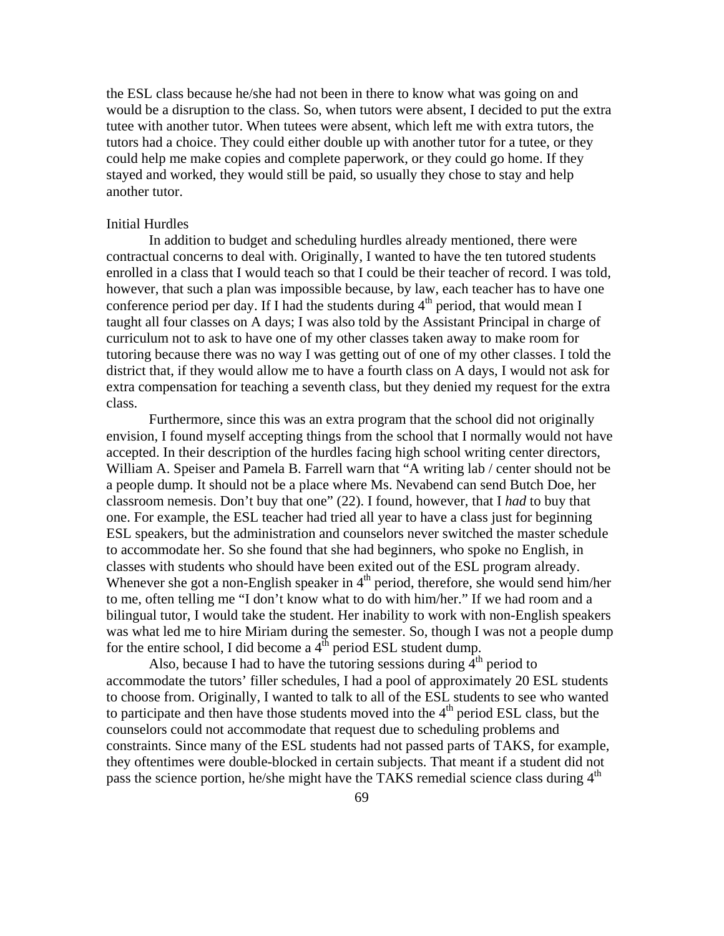the ESL class because he/she had not been in there to know what was going on and would be a disruption to the class. So, when tutors were absent, I decided to put the extra tutee with another tutor. When tutees were absent, which left me with extra tutors, the tutors had a choice. They could either double up with another tutor for a tutee, or they could help me make copies and complete paperwork, or they could go home. If they stayed and worked, they would still be paid, so usually they chose to stay and help another tutor.

## Initial Hurdles

In addition to budget and scheduling hurdles already mentioned, there were contractual concerns to deal with. Originally, I wanted to have the ten tutored students enrolled in a class that I would teach so that I could be their teacher of record. I was told, however, that such a plan was impossible because, by law, each teacher has to have one conference period per day. If I had the students during  $4<sup>th</sup>$  period, that would mean I taught all four classes on A days; I was also told by the Assistant Principal in charge of curriculum not to ask to have one of my other classes taken away to make room for tutoring because there was no way I was getting out of one of my other classes. I told the district that, if they would allow me to have a fourth class on A days, I would not ask for extra compensation for teaching a seventh class, but they denied my request for the extra class.

 Furthermore, since this was an extra program that the school did not originally envision, I found myself accepting things from the school that I normally would not have accepted. In their description of the hurdles facing high school writing center directors, William A. Speiser and Pamela B. Farrell warn that "A writing lab / center should not be a people dump. It should not be a place where Ms. Nevabend can send Butch Doe, her classroom nemesis. Don't buy that one" (22). I found, however, that I *had* to buy that one. For example, the ESL teacher had tried all year to have a class just for beginning ESL speakers, but the administration and counselors never switched the master schedule to accommodate her. So she found that she had beginners, who spoke no English, in classes with students who should have been exited out of the ESL program already. Whenever she got a non-English speaker in  $4<sup>th</sup>$  period, therefore, she would send him/her to me, often telling me "I don't know what to do with him/her." If we had room and a bilingual tutor, I would take the student. Her inability to work with non-English speakers was what led me to hire Miriam during the semester. So, though I was not a people dump for the entire school, I did become a  $4^{\text{th}}$  period ESL student dump.

Also, because I had to have the tutoring sessions during  $\overline{4}^{th}$  period to accommodate the tutors' filler schedules, I had a pool of approximately 20 ESL students to choose from. Originally, I wanted to talk to all of the ESL students to see who wanted to participate and then have those students moved into the  $4<sup>th</sup>$  period ESL class, but the counselors could not accommodate that request due to scheduling problems and constraints. Since many of the ESL students had not passed parts of TAKS, for example, they oftentimes were double-blocked in certain subjects. That meant if a student did not pass the science portion, he/she might have the TAKS remedial science class during  $4<sup>th</sup>$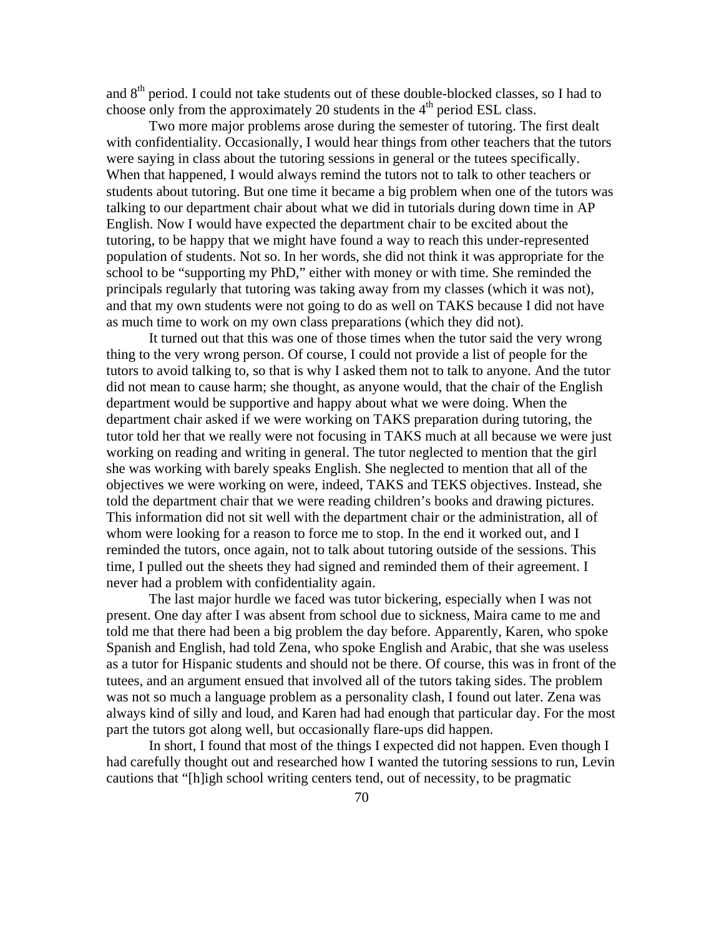and 8<sup>th</sup> period. I could not take students out of these double-blocked classes, so I had to choose only from the approximately 20 students in the  $4<sup>th</sup>$  period ESL class.

 Two more major problems arose during the semester of tutoring. The first dealt with confidentiality. Occasionally, I would hear things from other teachers that the tutors were saying in class about the tutoring sessions in general or the tutees specifically. When that happened, I would always remind the tutors not to talk to other teachers or students about tutoring. But one time it became a big problem when one of the tutors was talking to our department chair about what we did in tutorials during down time in AP English. Now I would have expected the department chair to be excited about the tutoring, to be happy that we might have found a way to reach this under-represented population of students. Not so. In her words, she did not think it was appropriate for the school to be "supporting my PhD," either with money or with time. She reminded the principals regularly that tutoring was taking away from my classes (which it was not), and that my own students were not going to do as well on TAKS because I did not have as much time to work on my own class preparations (which they did not).

 It turned out that this was one of those times when the tutor said the very wrong thing to the very wrong person. Of course, I could not provide a list of people for the tutors to avoid talking to, so that is why I asked them not to talk to anyone. And the tutor did not mean to cause harm; she thought, as anyone would, that the chair of the English department would be supportive and happy about what we were doing. When the department chair asked if we were working on TAKS preparation during tutoring, the tutor told her that we really were not focusing in TAKS much at all because we were just working on reading and writing in general. The tutor neglected to mention that the girl she was working with barely speaks English. She neglected to mention that all of the objectives we were working on were, indeed, TAKS and TEKS objectives. Instead, she told the department chair that we were reading children's books and drawing pictures. This information did not sit well with the department chair or the administration, all of whom were looking for a reason to force me to stop. In the end it worked out, and I reminded the tutors, once again, not to talk about tutoring outside of the sessions. This time, I pulled out the sheets they had signed and reminded them of their agreement. I never had a problem with confidentiality again.

 The last major hurdle we faced was tutor bickering, especially when I was not present. One day after I was absent from school due to sickness, Maira came to me and told me that there had been a big problem the day before. Apparently, Karen, who spoke Spanish and English, had told Zena, who spoke English and Arabic, that she was useless as a tutor for Hispanic students and should not be there. Of course, this was in front of the tutees, and an argument ensued that involved all of the tutors taking sides. The problem was not so much a language problem as a personality clash, I found out later. Zena was always kind of silly and loud, and Karen had had enough that particular day. For the most part the tutors got along well, but occasionally flare-ups did happen.

In short, I found that most of the things I expected did not happen. Even though I had carefully thought out and researched how I wanted the tutoring sessions to run, Levin cautions that "[h]igh school writing centers tend, out of necessity, to be pragmatic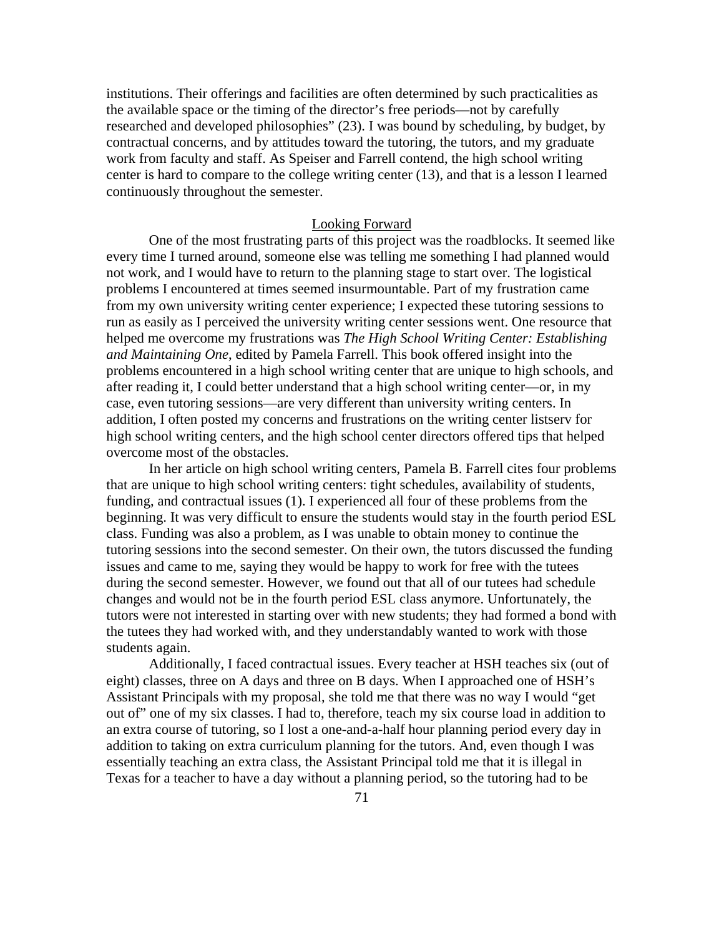institutions. Their offerings and facilities are often determined by such practicalities as the available space or the timing of the director's free periods—not by carefully researched and developed philosophies" (23). I was bound by scheduling, by budget, by contractual concerns, and by attitudes toward the tutoring, the tutors, and my graduate work from faculty and staff. As Speiser and Farrell contend, the high school writing center is hard to compare to the college writing center (13), and that is a lesson I learned continuously throughout the semester.

### Looking Forward

 One of the most frustrating parts of this project was the roadblocks. It seemed like every time I turned around, someone else was telling me something I had planned would not work, and I would have to return to the planning stage to start over. The logistical problems I encountered at times seemed insurmountable. Part of my frustration came from my own university writing center experience; I expected these tutoring sessions to run as easily as I perceived the university writing center sessions went. One resource that helped me overcome my frustrations was *The High School Writing Center: Establishing and Maintaining One*, edited by Pamela Farrell. This book offered insight into the problems encountered in a high school writing center that are unique to high schools, and after reading it, I could better understand that a high school writing center—or, in my case, even tutoring sessions—are very different than university writing centers. In addition, I often posted my concerns and frustrations on the writing center listserv for high school writing centers, and the high school center directors offered tips that helped overcome most of the obstacles.

 In her article on high school writing centers, Pamela B. Farrell cites four problems that are unique to high school writing centers: tight schedules, availability of students, funding, and contractual issues (1). I experienced all four of these problems from the beginning. It was very difficult to ensure the students would stay in the fourth period ESL class. Funding was also a problem, as I was unable to obtain money to continue the tutoring sessions into the second semester. On their own, the tutors discussed the funding issues and came to me, saying they would be happy to work for free with the tutees during the second semester. However, we found out that all of our tutees had schedule changes and would not be in the fourth period ESL class anymore. Unfortunately, the tutors were not interested in starting over with new students; they had formed a bond with the tutees they had worked with, and they understandably wanted to work with those students again.

 Additionally, I faced contractual issues. Every teacher at HSH teaches six (out of eight) classes, three on A days and three on B days. When I approached one of HSH's Assistant Principals with my proposal, she told me that there was no way I would "get out of" one of my six classes. I had to, therefore, teach my six course load in addition to an extra course of tutoring, so I lost a one-and-a-half hour planning period every day in addition to taking on extra curriculum planning for the tutors. And, even though I was essentially teaching an extra class, the Assistant Principal told me that it is illegal in Texas for a teacher to have a day without a planning period, so the tutoring had to be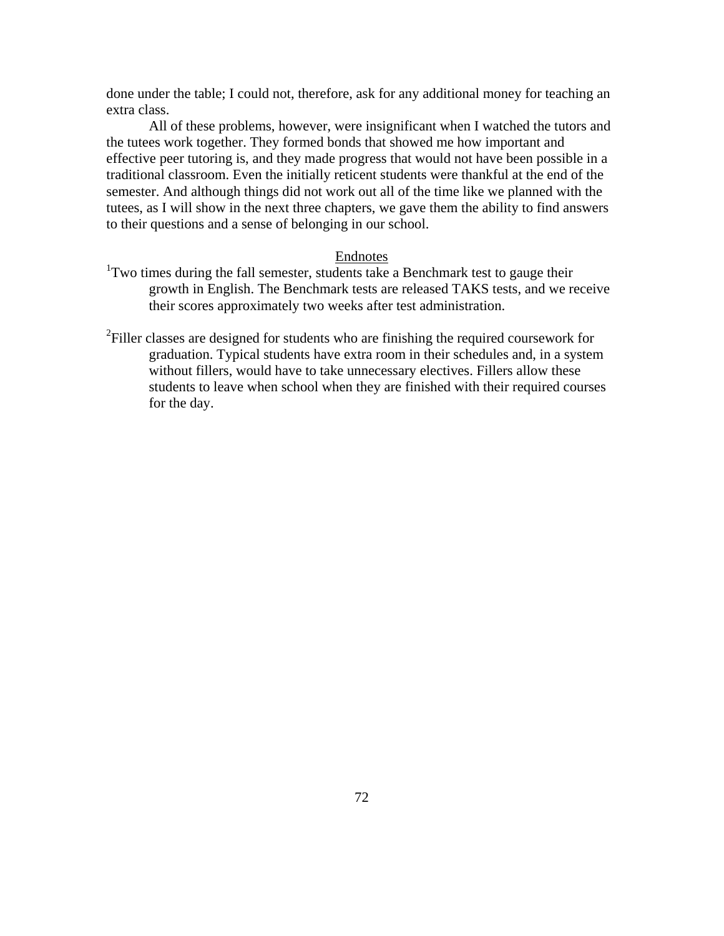done under the table; I could not, therefore, ask for any additional money for teaching an extra class.

 All of these problems, however, were insignificant when I watched the tutors and the tutees work together. They formed bonds that showed me how important and effective peer tutoring is, and they made progress that would not have been possible in a traditional classroom. Even the initially reticent students were thankful at the end of the semester. And although things did not work out all of the time like we planned with the tutees, as I will show in the next three chapters, we gave them the ability to find answers to their questions and a sense of belonging in our school.

## Endnotes

- <sup>1</sup>Two times during the fall semester, students take a Benchmark test to gauge their growth in English. The Benchmark tests are released TAKS tests, and we receive their scores approximately two weeks after test administration.
- $2$ Filler classes are designed for students who are finishing the required coursework for graduation. Typical students have extra room in their schedules and, in a system without fillers, would have to take unnecessary electives. Fillers allow these students to leave when school when they are finished with their required courses for the day.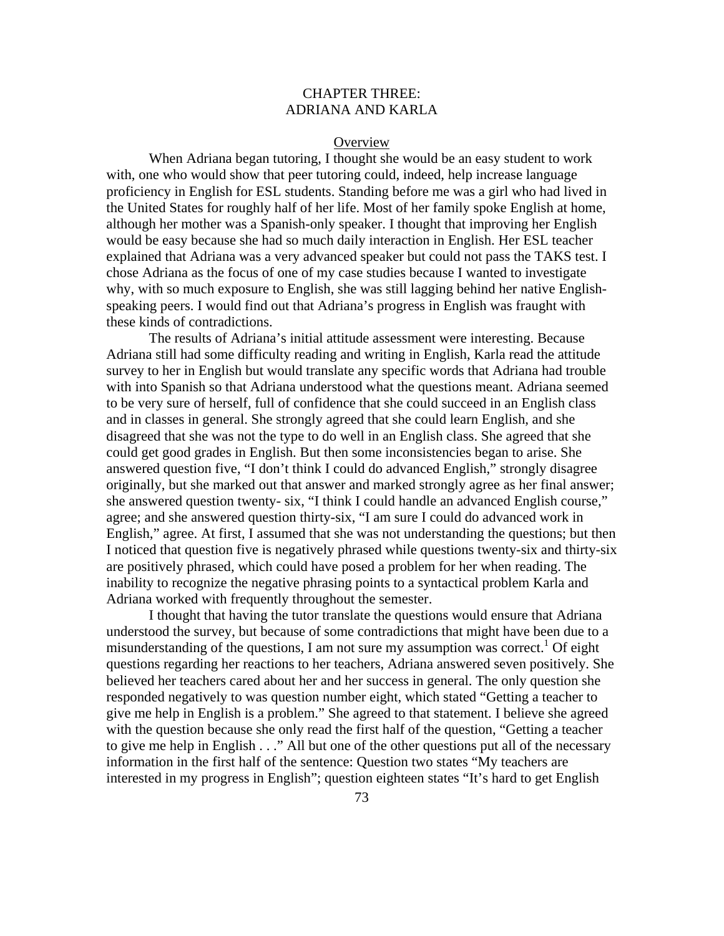# CHAPTER THREE: ADRIANA AND KARLA

#### **Overview**

 When Adriana began tutoring, I thought she would be an easy student to work with, one who would show that peer tutoring could, indeed, help increase language proficiency in English for ESL students. Standing before me was a girl who had lived in the United States for roughly half of her life. Most of her family spoke English at home, although her mother was a Spanish-only speaker. I thought that improving her English would be easy because she had so much daily interaction in English. Her ESL teacher explained that Adriana was a very advanced speaker but could not pass the TAKS test. I chose Adriana as the focus of one of my case studies because I wanted to investigate why, with so much exposure to English, she was still lagging behind her native Englishspeaking peers. I would find out that Adriana's progress in English was fraught with these kinds of contradictions.

 The results of Adriana's initial attitude assessment were interesting. Because Adriana still had some difficulty reading and writing in English, Karla read the attitude survey to her in English but would translate any specific words that Adriana had trouble with into Spanish so that Adriana understood what the questions meant. Adriana seemed to be very sure of herself, full of confidence that she could succeed in an English class and in classes in general. She strongly agreed that she could learn English, and she disagreed that she was not the type to do well in an English class. She agreed that she could get good grades in English. But then some inconsistencies began to arise. She answered question five, "I don't think I could do advanced English," strongly disagree originally, but she marked out that answer and marked strongly agree as her final answer; she answered question twenty- six, "I think I could handle an advanced English course," agree; and she answered question thirty-six, "I am sure I could do advanced work in English," agree. At first, I assumed that she was not understanding the questions; but then I noticed that question five is negatively phrased while questions twenty-six and thirty-six are positively phrased, which could have posed a problem for her when reading. The inability to recognize the negative phrasing points to a syntactical problem Karla and Adriana worked with frequently throughout the semester.

 I thought that having the tutor translate the questions would ensure that Adriana understood the survey, but because of some contradictions that might have been due to a misunderstanding of the questions, I am not sure my assumption was correct.<sup>1</sup> Of eight questions regarding her reactions to her teachers, Adriana answered seven positively. She believed her teachers cared about her and her success in general. The only question she responded negatively to was question number eight, which stated "Getting a teacher to give me help in English is a problem." She agreed to that statement. I believe she agreed with the question because she only read the first half of the question, "Getting a teacher to give me help in English . . ." All but one of the other questions put all of the necessary information in the first half of the sentence: Question two states "My teachers are interested in my progress in English"; question eighteen states "It's hard to get English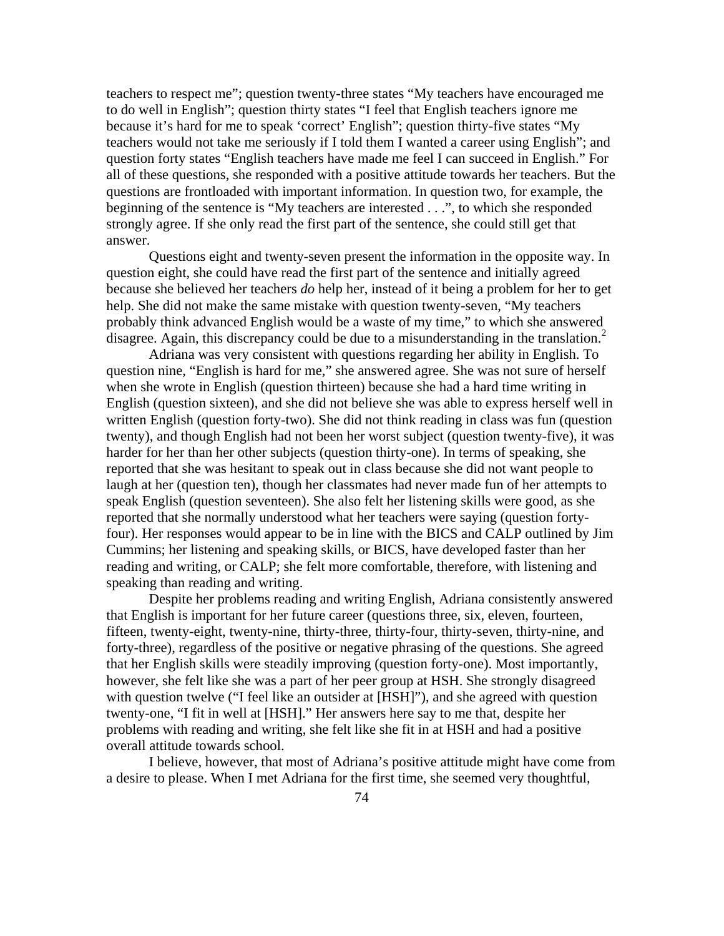teachers to respect me"; question twenty-three states "My teachers have encouraged me to do well in English"; question thirty states "I feel that English teachers ignore me because it's hard for me to speak 'correct' English"; question thirty-five states "My teachers would not take me seriously if I told them I wanted a career using English"; and question forty states "English teachers have made me feel I can succeed in English." For all of these questions, she responded with a positive attitude towards her teachers. But the questions are frontloaded with important information. In question two, for example, the beginning of the sentence is "My teachers are interested . . .", to which she responded strongly agree. If she only read the first part of the sentence, she could still get that answer.

 Questions eight and twenty-seven present the information in the opposite way. In question eight, she could have read the first part of the sentence and initially agreed because she believed her teachers *do* help her, instead of it being a problem for her to get help. She did not make the same mistake with question twenty-seven, "My teachers probably think advanced English would be a waste of my time," to which she answered disagree. Again, this discrepancy could be due to a misunderstanding in the translation.<sup>2</sup>

 Adriana was very consistent with questions regarding her ability in English. To question nine, "English is hard for me," she answered agree. She was not sure of herself when she wrote in English (question thirteen) because she had a hard time writing in English (question sixteen), and she did not believe she was able to express herself well in written English (question forty-two). She did not think reading in class was fun (question twenty), and though English had not been her worst subject (question twenty-five), it was harder for her than her other subjects (question thirty-one). In terms of speaking, she reported that she was hesitant to speak out in class because she did not want people to laugh at her (question ten), though her classmates had never made fun of her attempts to speak English (question seventeen). She also felt her listening skills were good, as she reported that she normally understood what her teachers were saying (question fortyfour). Her responses would appear to be in line with the BICS and CALP outlined by Jim Cummins; her listening and speaking skills, or BICS, have developed faster than her reading and writing, or CALP; she felt more comfortable, therefore, with listening and speaking than reading and writing.

Despite her problems reading and writing English, Adriana consistently answered that English is important for her future career (questions three, six, eleven, fourteen, fifteen, twenty-eight, twenty-nine, thirty-three, thirty-four, thirty-seven, thirty-nine, and forty-three), regardless of the positive or negative phrasing of the questions. She agreed that her English skills were steadily improving (question forty-one). Most importantly, however, she felt like she was a part of her peer group at HSH. She strongly disagreed with question twelve ("I feel like an outsider at [HSH]"), and she agreed with question twenty-one, "I fit in well at [HSH]." Her answers here say to me that, despite her problems with reading and writing, she felt like she fit in at HSH and had a positive overall attitude towards school.

I believe, however, that most of Adriana's positive attitude might have come from a desire to please. When I met Adriana for the first time, she seemed very thoughtful,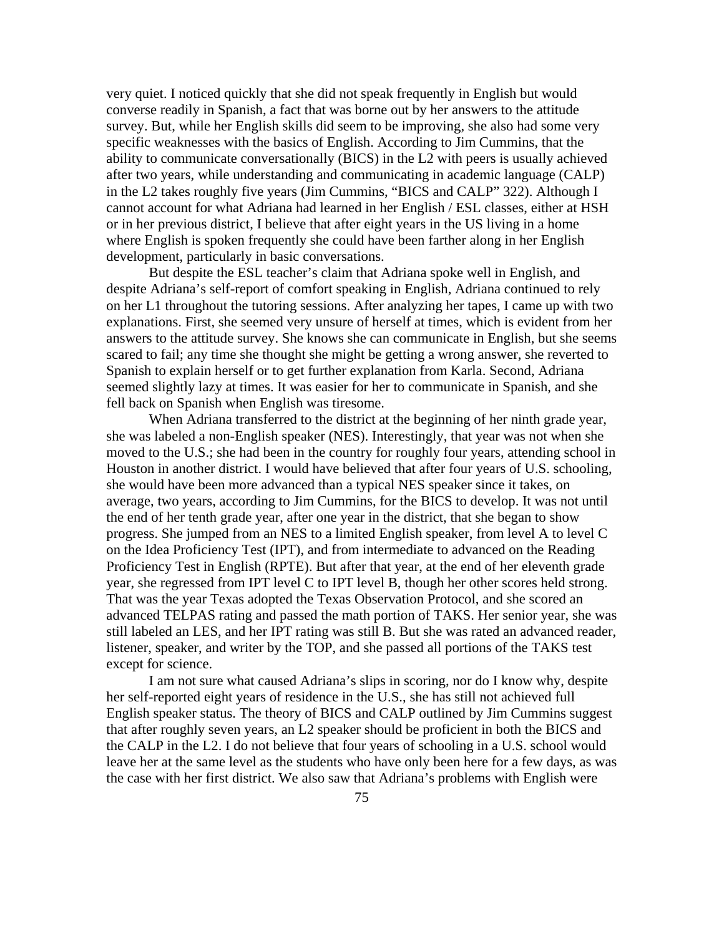very quiet. I noticed quickly that she did not speak frequently in English but would converse readily in Spanish, a fact that was borne out by her answers to the attitude survey. But, while her English skills did seem to be improving, she also had some very specific weaknesses with the basics of English. According to Jim Cummins, that the ability to communicate conversationally (BICS) in the L2 with peers is usually achieved after two years, while understanding and communicating in academic language (CALP) in the L2 takes roughly five years (Jim Cummins, "BICS and CALP" 322). Although I cannot account for what Adriana had learned in her English / ESL classes, either at HSH or in her previous district, I believe that after eight years in the US living in a home where English is spoken frequently she could have been farther along in her English development, particularly in basic conversations.

But despite the ESL teacher's claim that Adriana spoke well in English, and despite Adriana's self-report of comfort speaking in English, Adriana continued to rely on her L1 throughout the tutoring sessions. After analyzing her tapes, I came up with two explanations. First, she seemed very unsure of herself at times, which is evident from her answers to the attitude survey. She knows she can communicate in English, but she seems scared to fail; any time she thought she might be getting a wrong answer, she reverted to Spanish to explain herself or to get further explanation from Karla. Second, Adriana seemed slightly lazy at times. It was easier for her to communicate in Spanish, and she fell back on Spanish when English was tiresome.

When Adriana transferred to the district at the beginning of her ninth grade year, she was labeled a non-English speaker (NES). Interestingly, that year was not when she moved to the U.S.; she had been in the country for roughly four years, attending school in Houston in another district. I would have believed that after four years of U.S. schooling, she would have been more advanced than a typical NES speaker since it takes, on average, two years, according to Jim Cummins, for the BICS to develop. It was not until the end of her tenth grade year, after one year in the district, that she began to show progress. She jumped from an NES to a limited English speaker, from level A to level C on the Idea Proficiency Test (IPT), and from intermediate to advanced on the Reading Proficiency Test in English (RPTE). But after that year, at the end of her eleventh grade year, she regressed from IPT level C to IPT level B, though her other scores held strong. That was the year Texas adopted the Texas Observation Protocol, and she scored an advanced TELPAS rating and passed the math portion of TAKS. Her senior year, she was still labeled an LES, and her IPT rating was still B. But she was rated an advanced reader, listener, speaker, and writer by the TOP, and she passed all portions of the TAKS test except for science.

I am not sure what caused Adriana's slips in scoring, nor do I know why, despite her self-reported eight years of residence in the U.S., she has still not achieved full English speaker status. The theory of BICS and CALP outlined by Jim Cummins suggest that after roughly seven years, an L2 speaker should be proficient in both the BICS and the CALP in the L2. I do not believe that four years of schooling in a U.S. school would leave her at the same level as the students who have only been here for a few days, as was the case with her first district. We also saw that Adriana's problems with English were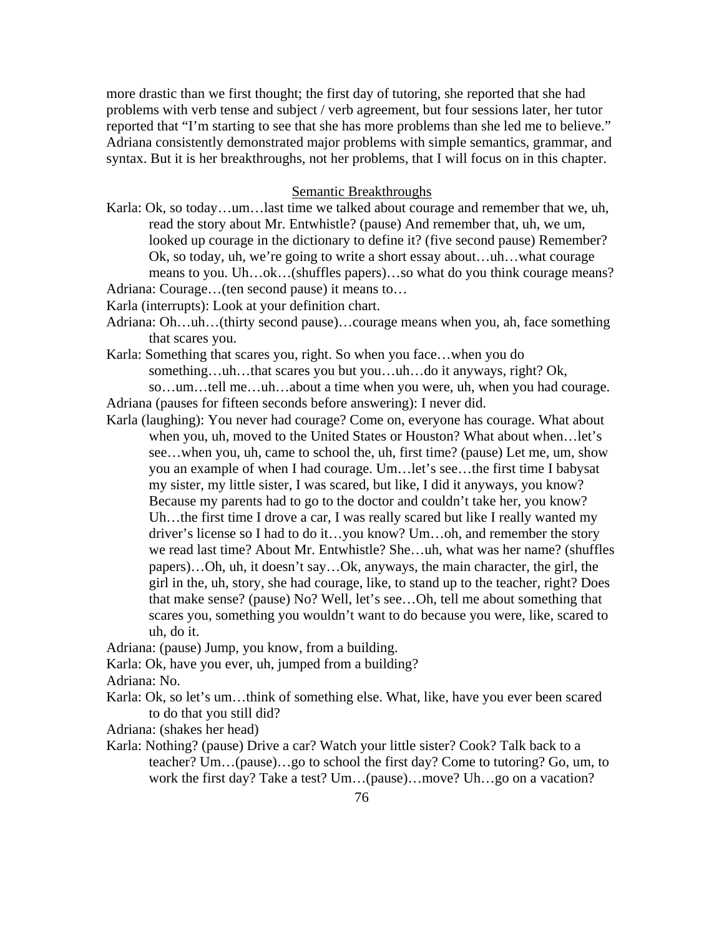more drastic than we first thought; the first day of tutoring, she reported that she had problems with verb tense and subject / verb agreement, but four sessions later, her tutor reported that "I'm starting to see that she has more problems than she led me to believe." Adriana consistently demonstrated major problems with simple semantics, grammar, and syntax. But it is her breakthroughs, not her problems, that I will focus on in this chapter.

### Semantic Breakthroughs

Karla: Ok, so today…um…last time we talked about courage and remember that we, uh, read the story about Mr. Entwhistle? (pause) And remember that, uh, we um, looked up courage in the dictionary to define it? (five second pause) Remember? Ok, so today, uh, we're going to write a short essay about…uh…what courage means to you. Uh…ok…(shuffles papers)…so what do you think courage means?

Adriana: Courage…(ten second pause) it means to…

Karla (interrupts): Look at your definition chart.

- Adriana: Oh…uh…(thirty second pause)…courage means when you, ah, face something that scares you.
- Karla: Something that scares you, right. So when you face…when you do something…uh…that scares you but you…uh…do it anyways, right? Ok, so…um…tell me…uh…about a time when you were, uh, when you had courage.
- Adriana (pauses for fifteen seconds before answering): I never did.
- Karla (laughing): You never had courage? Come on, everyone has courage. What about when you, uh, moved to the United States or Houston? What about when…let's see…when you, uh, came to school the, uh, first time? (pause) Let me, um, show you an example of when I had courage. Um…let's see…the first time I babysat my sister, my little sister, I was scared, but like, I did it anyways, you know? Because my parents had to go to the doctor and couldn't take her, you know? Uh…the first time I drove a car, I was really scared but like I really wanted my driver's license so I had to do it…you know? Um…oh, and remember the story we read last time? About Mr. Entwhistle? She…uh, what was her name? (shuffles papers)…Oh, uh, it doesn't say…Ok, anyways, the main character, the girl, the girl in the, uh, story, she had courage, like, to stand up to the teacher, right? Does that make sense? (pause) No? Well, let's see…Oh, tell me about something that scares you, something you wouldn't want to do because you were, like, scared to uh, do it.

Adriana: (pause) Jump, you know, from a building.

Karla: Ok, have you ever, uh, jumped from a building?

Adriana: No.

Karla: Ok, so let's um…think of something else. What, like, have you ever been scared to do that you still did?

Adriana: (shakes her head)

Karla: Nothing? (pause) Drive a car? Watch your little sister? Cook? Talk back to a teacher? Um…(pause)…go to school the first day? Come to tutoring? Go, um, to work the first day? Take a test? Um…(pause)…move? Uh…go on a vacation?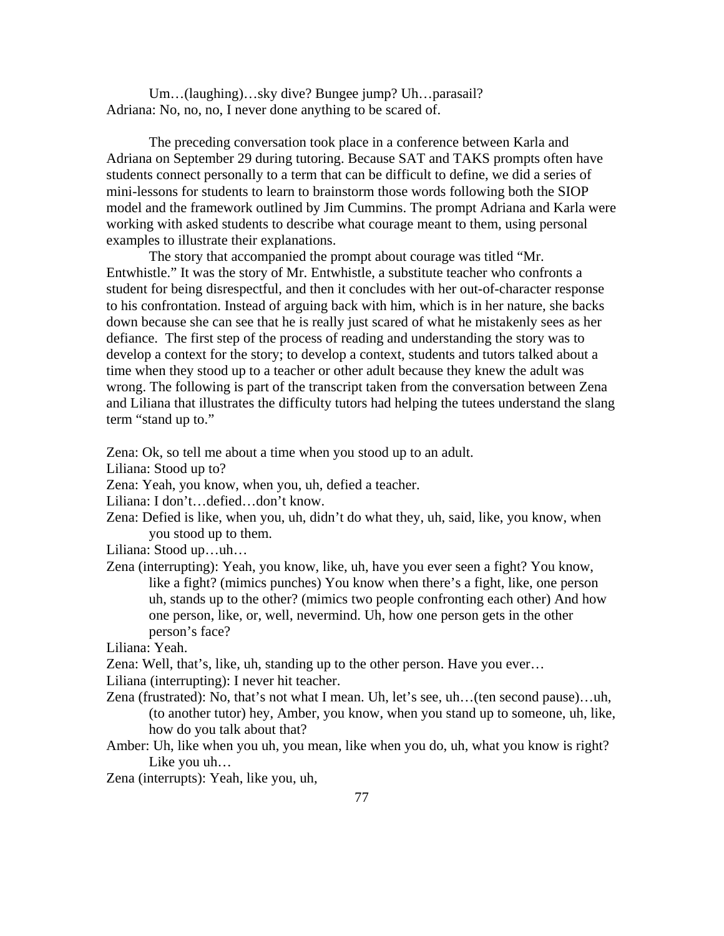Um…(laughing)…sky dive? Bungee jump? Uh…parasail? Adriana: No, no, no, I never done anything to be scared of.

 The preceding conversation took place in a conference between Karla and Adriana on September 29 during tutoring. Because SAT and TAKS prompts often have students connect personally to a term that can be difficult to define, we did a series of mini-lessons for students to learn to brainstorm those words following both the SIOP model and the framework outlined by Jim Cummins. The prompt Adriana and Karla were working with asked students to describe what courage meant to them, using personal examples to illustrate their explanations.

 The story that accompanied the prompt about courage was titled "Mr. Entwhistle." It was the story of Mr. Entwhistle, a substitute teacher who confronts a student for being disrespectful, and then it concludes with her out-of-character response to his confrontation. Instead of arguing back with him, which is in her nature, she backs down because she can see that he is really just scared of what he mistakenly sees as her defiance. The first step of the process of reading and understanding the story was to develop a context for the story; to develop a context, students and tutors talked about a time when they stood up to a teacher or other adult because they knew the adult was wrong. The following is part of the transcript taken from the conversation between Zena and Liliana that illustrates the difficulty tutors had helping the tutees understand the slang term "stand up to."

Zena: Ok, so tell me about a time when you stood up to an adult.

Liliana: Stood up to?

Zena: Yeah, you know, when you, uh, defied a teacher.

Liliana: I don't…defied…don't know.

Zena: Defied is like, when you, uh, didn't do what they, uh, said, like, you know, when you stood up to them.

Liliana: Stood up…uh…

Zena (interrupting): Yeah, you know, like, uh, have you ever seen a fight? You know, like a fight? (mimics punches) You know when there's a fight, like, one person uh, stands up to the other? (mimics two people confronting each other) And how one person, like, or, well, nevermind. Uh, how one person gets in the other person's face?

Liliana: Yeah.

Zena: Well, that's, like, uh, standing up to the other person. Have you ever…

Liliana (interrupting): I never hit teacher.

- Zena (frustrated): No, that's not what I mean. Uh, let's see, uh…(ten second pause)…uh, (to another tutor) hey, Amber, you know, when you stand up to someone, uh, like, how do you talk about that?
- Amber: Uh, like when you uh, you mean, like when you do, uh, what you know is right? Like you uh…

Zena (interrupts): Yeah, like you, uh,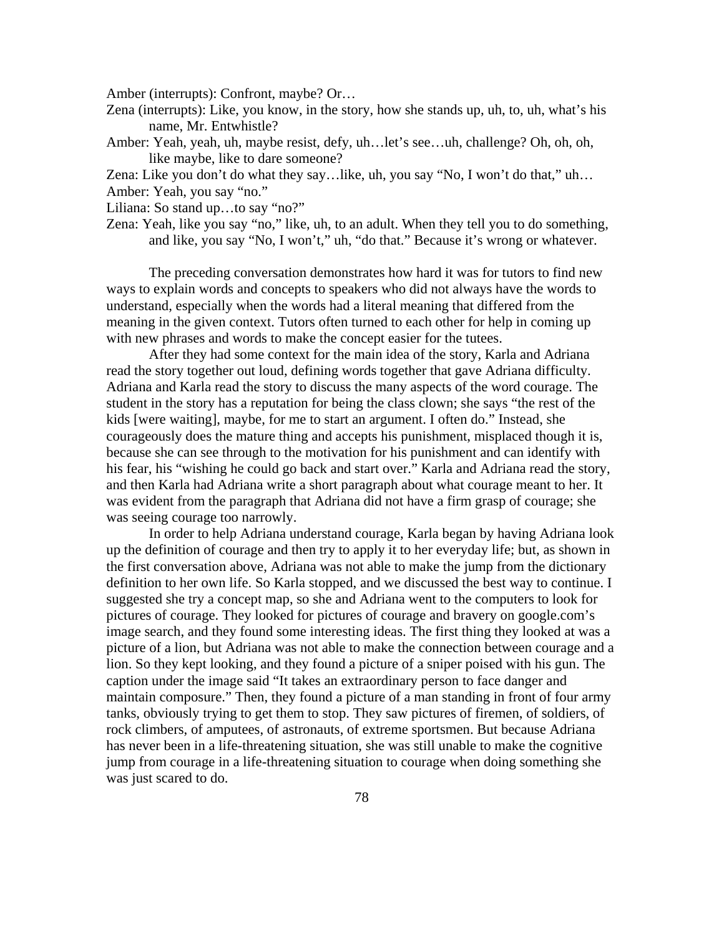Amber (interrupts): Confront, maybe? Or…

Zena (interrupts): Like, you know, in the story, how she stands up, uh, to, uh, what's his name, Mr. Entwhistle?

Amber: Yeah, yeah, uh, maybe resist, defy, uh…let's see…uh, challenge? Oh, oh, oh, like maybe, like to dare someone?

Zena: Like you don't do what they say…like, uh, you say "No, I won't do that," uh… Amber: Yeah, you say "no."

Liliana: So stand up…to say "no?"

Zena: Yeah, like you say "no," like, uh, to an adult. When they tell you to do something, and like, you say "No, I won't," uh, "do that." Because it's wrong or whatever.

 The preceding conversation demonstrates how hard it was for tutors to find new ways to explain words and concepts to speakers who did not always have the words to understand, especially when the words had a literal meaning that differed from the meaning in the given context. Tutors often turned to each other for help in coming up with new phrases and words to make the concept easier for the tutees.

 After they had some context for the main idea of the story, Karla and Adriana read the story together out loud, defining words together that gave Adriana difficulty. Adriana and Karla read the story to discuss the many aspects of the word courage. The student in the story has a reputation for being the class clown; she says "the rest of the kids [were waiting], maybe, for me to start an argument. I often do." Instead, she courageously does the mature thing and accepts his punishment, misplaced though it is, because she can see through to the motivation for his punishment and can identify with his fear, his "wishing he could go back and start over." Karla and Adriana read the story, and then Karla had Adriana write a short paragraph about what courage meant to her. It was evident from the paragraph that Adriana did not have a firm grasp of courage; she was seeing courage too narrowly.

 In order to help Adriana understand courage, Karla began by having Adriana look up the definition of courage and then try to apply it to her everyday life; but, as shown in the first conversation above, Adriana was not able to make the jump from the dictionary definition to her own life. So Karla stopped, and we discussed the best way to continue. I suggested she try a concept map, so she and Adriana went to the computers to look for pictures of courage. They looked for pictures of courage and bravery on google.com's image search, and they found some interesting ideas. The first thing they looked at was a picture of a lion, but Adriana was not able to make the connection between courage and a lion. So they kept looking, and they found a picture of a sniper poised with his gun. The caption under the image said "It takes an extraordinary person to face danger and maintain composure." Then, they found a picture of a man standing in front of four army tanks, obviously trying to get them to stop. They saw pictures of firemen, of soldiers, of rock climbers, of amputees, of astronauts, of extreme sportsmen. But because Adriana has never been in a life-threatening situation, she was still unable to make the cognitive jump from courage in a life-threatening situation to courage when doing something she was just scared to do.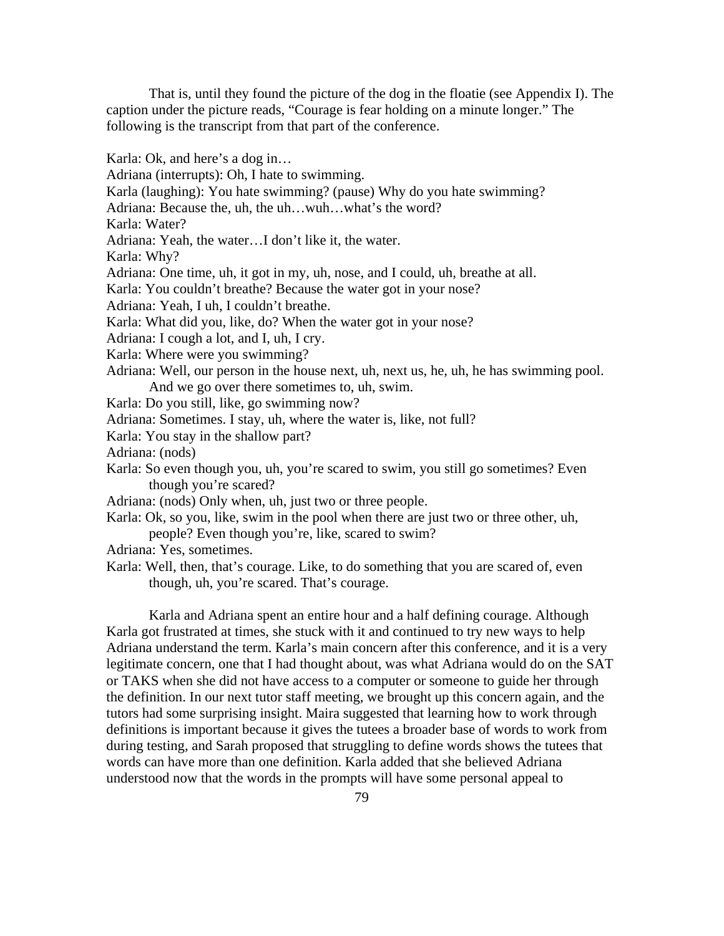That is, until they found the picture of the dog in the floatie (see Appendix I). The caption under the picture reads, "Courage is fear holding on a minute longer." The following is the transcript from that part of the conference.

Karla: Ok, and here's a dog in…

Adriana (interrupts): Oh, I hate to swimming. Karla (laughing): You hate swimming? (pause) Why do you hate swimming? Adriana: Because the, uh, the uh…wuh…what's the word? Karla: Water? Adriana: Yeah, the water…I don't like it, the water. Karla: Why? Adriana: One time, uh, it got in my, uh, nose, and I could, uh, breathe at all. Karla: You couldn't breathe? Because the water got in your nose? Adriana: Yeah, I uh, I couldn't breathe. Karla: What did you, like, do? When the water got in your nose? Adriana: I cough a lot, and I, uh, I cry. Karla: Where were you swimming? Adriana: Well, our person in the house next, uh, next us, he, uh, he has swimming pool. And we go over there sometimes to, uh, swim. Karla: Do you still, like, go swimming now? Adriana: Sometimes. I stay, uh, where the water is, like, not full? Karla: You stay in the shallow part? Adriana: (nods) Karla: So even though you, uh, you're scared to swim, you still go sometimes? Even though you're scared? Adriana: (nods) Only when, uh, just two or three people. Karla: Ok, so you, like, swim in the pool when there are just two or three other, uh, people? Even though you're, like, scared to swim? Adriana: Yes, sometimes.

Karla: Well, then, that's courage. Like, to do something that you are scared of, even though, uh, you're scared. That's courage.

Karla and Adriana spent an entire hour and a half defining courage. Although Karla got frustrated at times, she stuck with it and continued to try new ways to help Adriana understand the term. Karla's main concern after this conference, and it is a very legitimate concern, one that I had thought about, was what Adriana would do on the SAT or TAKS when she did not have access to a computer or someone to guide her through the definition. In our next tutor staff meeting, we brought up this concern again, and the tutors had some surprising insight. Maira suggested that learning how to work through definitions is important because it gives the tutees a broader base of words to work from during testing, and Sarah proposed that struggling to define words shows the tutees that words can have more than one definition. Karla added that she believed Adriana understood now that the words in the prompts will have some personal appeal to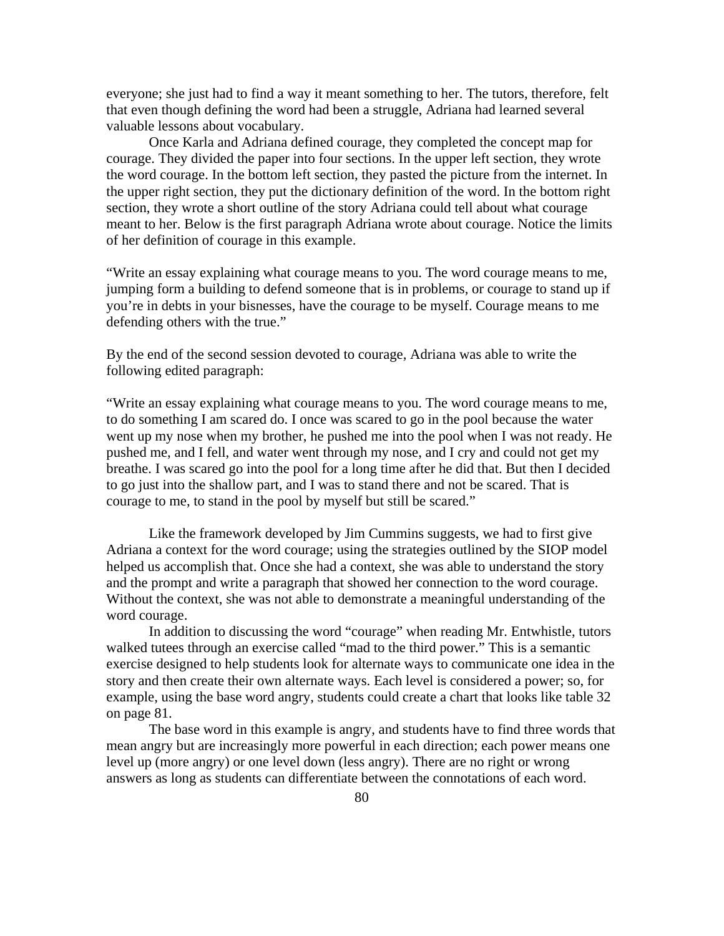everyone; she just had to find a way it meant something to her. The tutors, therefore, felt that even though defining the word had been a struggle, Adriana had learned several valuable lessons about vocabulary.

Once Karla and Adriana defined courage, they completed the concept map for courage. They divided the paper into four sections. In the upper left section, they wrote the word courage. In the bottom left section, they pasted the picture from the internet. In the upper right section, they put the dictionary definition of the word. In the bottom right section, they wrote a short outline of the story Adriana could tell about what courage meant to her. Below is the first paragraph Adriana wrote about courage. Notice the limits of her definition of courage in this example.

"Write an essay explaining what courage means to you. The word courage means to me, jumping form a building to defend someone that is in problems, or courage to stand up if you're in debts in your bisnesses, have the courage to be myself. Courage means to me defending others with the true."

By the end of the second session devoted to courage, Adriana was able to write the following edited paragraph:

"Write an essay explaining what courage means to you. The word courage means to me, to do something I am scared do. I once was scared to go in the pool because the water went up my nose when my brother, he pushed me into the pool when I was not ready. He pushed me, and I fell, and water went through my nose, and I cry and could not get my breathe. I was scared go into the pool for a long time after he did that. But then I decided to go just into the shallow part, and I was to stand there and not be scared. That is courage to me, to stand in the pool by myself but still be scared."

Like the framework developed by Jim Cummins suggests, we had to first give Adriana a context for the word courage; using the strategies outlined by the SIOP model helped us accomplish that. Once she had a context, she was able to understand the story and the prompt and write a paragraph that showed her connection to the word courage. Without the context, she was not able to demonstrate a meaningful understanding of the word courage.

 In addition to discussing the word "courage" when reading Mr. Entwhistle, tutors walked tutees through an exercise called "mad to the third power." This is a semantic exercise designed to help students look for alternate ways to communicate one idea in the story and then create their own alternate ways. Each level is considered a power; so, for example, using the base word angry, students could create a chart that looks like table 32 on page 81.

The base word in this example is angry, and students have to find three words that mean angry but are increasingly more powerful in each direction; each power means one level up (more angry) or one level down (less angry). There are no right or wrong answers as long as students can differentiate between the connotations of each word.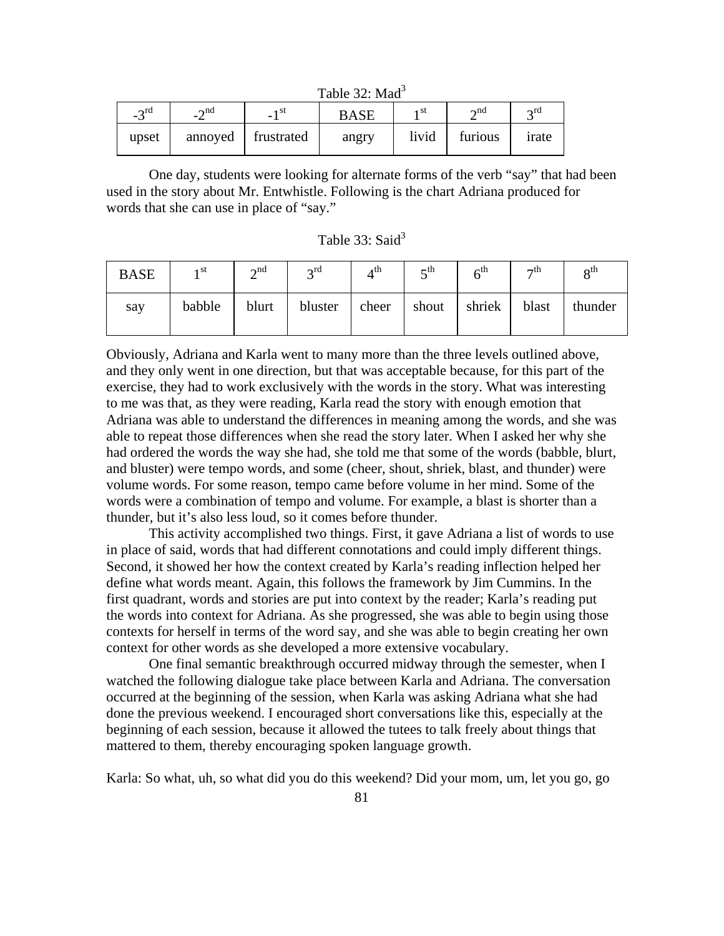Table 32: Mad<sup>3</sup>

| $\gamma$ rd<br>- 1 | $\sim$ nd<br>$ \cdot$ | 1 St<br>-          | <b>BASE</b> | 1 St  | $\sim$ nd | $\sim$ rd |
|--------------------|-----------------------|--------------------|-------------|-------|-----------|-----------|
| upset              |                       | annoyed frustrated | angry       | livid | furious   | irate     |

One day, students were looking for alternate forms of the verb "say" that had been used in the story about Mr. Entwhistle. Following is the chart Adriana produced for words that she can use in place of "say."

| Table 33: Said <sup>3</sup> |  |  |
|-----------------------------|--|--|
|-----------------------------|--|--|

| <b>BASE</b> | 1 St   | $\lambda$ nd | $\gamma$ rd | 4th   | th-   | $6^{\rm th}$ | $\neg$ th | $\mathbf{o}^{\text{th}}$ |
|-------------|--------|--------------|-------------|-------|-------|--------------|-----------|--------------------------|
| say         | babble | blurt        | bluster     | cheer | shout | shriek       | blast     | thunder                  |

Obviously, Adriana and Karla went to many more than the three levels outlined above, and they only went in one direction, but that was acceptable because, for this part of the exercise, they had to work exclusively with the words in the story. What was interesting to me was that, as they were reading, Karla read the story with enough emotion that Adriana was able to understand the differences in meaning among the words, and she was able to repeat those differences when she read the story later. When I asked her why she had ordered the words the way she had, she told me that some of the words (babble, blurt, and bluster) were tempo words, and some (cheer, shout, shriek, blast, and thunder) were volume words. For some reason, tempo came before volume in her mind. Some of the words were a combination of tempo and volume. For example, a blast is shorter than a thunder, but it's also less loud, so it comes before thunder.

 This activity accomplished two things. First, it gave Adriana a list of words to use in place of said, words that had different connotations and could imply different things. Second, it showed her how the context created by Karla's reading inflection helped her define what words meant. Again, this follows the framework by Jim Cummins. In the first quadrant, words and stories are put into context by the reader; Karla's reading put the words into context for Adriana. As she progressed, she was able to begin using those contexts for herself in terms of the word say, and she was able to begin creating her own context for other words as she developed a more extensive vocabulary.

 One final semantic breakthrough occurred midway through the semester, when I watched the following dialogue take place between Karla and Adriana. The conversation occurred at the beginning of the session, when Karla was asking Adriana what she had done the previous weekend. I encouraged short conversations like this, especially at the beginning of each session, because it allowed the tutees to talk freely about things that mattered to them, thereby encouraging spoken language growth.

Karla: So what, uh, so what did you do this weekend? Did your mom, um, let you go, go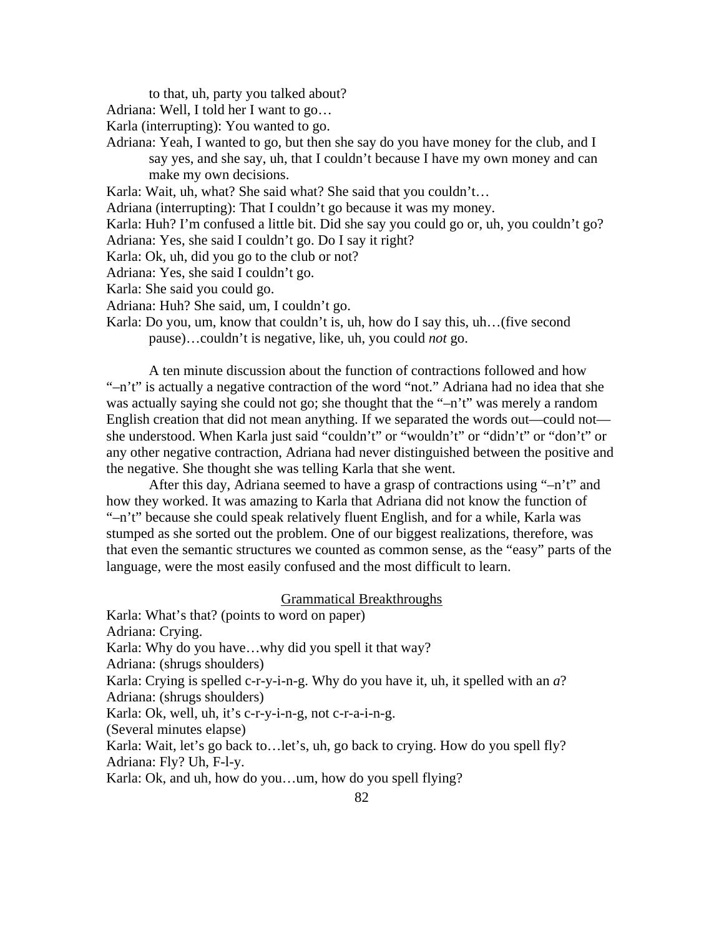to that, uh, party you talked about?

Adriana: Well, I told her I want to go…

Karla (interrupting): You wanted to go.

Adriana: Yeah, I wanted to go, but then she say do you have money for the club, and I say yes, and she say, uh, that I couldn't because I have my own money and can make my own decisions.

Karla: Wait, uh, what? She said what? She said that you couldn't…

Adriana (interrupting): That I couldn't go because it was my money.

Karla: Huh? I'm confused a little bit. Did she say you could go or, uh, you couldn't go?

- Adriana: Yes, she said I couldn't go. Do I say it right?
- Karla: Ok, uh, did you go to the club or not?
- Adriana: Yes, she said I couldn't go.

Karla: She said you could go.

Adriana: Huh? She said, um, I couldn't go.

Karla: Do you, um, know that couldn't is, uh, how do I say this, uh…(five second pause)…couldn't is negative, like, uh, you could *not* go.

A ten minute discussion about the function of contractions followed and how "–n't" is actually a negative contraction of the word "not." Adriana had no idea that she was actually saying she could not go; she thought that the "–n't" was merely a random English creation that did not mean anything. If we separated the words out—could not she understood. When Karla just said "couldn't" or "wouldn't" or "didn't" or "don't" or any other negative contraction, Adriana had never distinguished between the positive and the negative. She thought she was telling Karla that she went.

 After this day, Adriana seemed to have a grasp of contractions using "–n't" and how they worked. It was amazing to Karla that Adriana did not know the function of "–n't" because she could speak relatively fluent English, and for a while, Karla was stumped as she sorted out the problem. One of our biggest realizations, therefore, was that even the semantic structures we counted as common sense, as the "easy" parts of the language, were the most easily confused and the most difficult to learn.

# Grammatical Breakthroughs

Karla: What's that? (points to word on paper) Adriana: Crying. Karla: Why do you have…why did you spell it that way? Adriana: (shrugs shoulders) Karla: Crying is spelled c-r-y-i-n-g. Why do you have it, uh, it spelled with an *a*? Adriana: (shrugs shoulders) Karla: Ok, well, uh, it's c-r-y-i-n-g, not c-r-a-i-n-g. (Several minutes elapse) Karla: Wait, let's go back to…let's, uh, go back to crying. How do you spell fly? Adriana: Fly? Uh, F-l-y. Karla: Ok, and uh, how do you…um, how do you spell flying?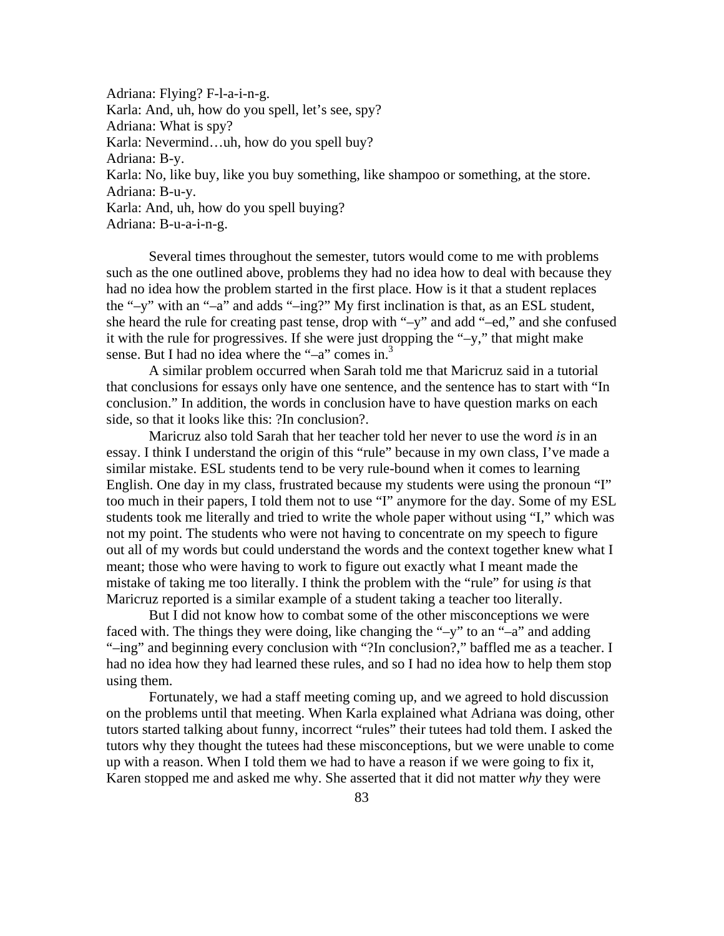Adriana: Flying? F-l-a-i-n-g. Karla: And, uh, how do you spell, let's see, spy? Adriana: What is spy? Karla: Nevermind…uh, how do you spell buy? Adriana: B-y. Karla: No, like buy, like you buy something, like shampoo or something, at the store. Adriana: B-u-y. Karla: And, uh, how do you spell buying? Adriana: B-u-a-i-n-g.

 Several times throughout the semester, tutors would come to me with problems such as the one outlined above, problems they had no idea how to deal with because they had no idea how the problem started in the first place. How is it that a student replaces the "–y" with an "–a" and adds "–ing?" My first inclination is that, as an ESL student, she heard the rule for creating past tense, drop with "–y" and add "–ed," and she confused it with the rule for progressives. If she were just dropping the "–y," that might make sense. But I had no idea where the "-a" comes in.<sup>3</sup>

 A similar problem occurred when Sarah told me that Maricruz said in a tutorial that conclusions for essays only have one sentence, and the sentence has to start with "In conclusion." In addition, the words in conclusion have to have question marks on each side, so that it looks like this: ?In conclusion?.

Maricruz also told Sarah that her teacher told her never to use the word *is* in an essay. I think I understand the origin of this "rule" because in my own class, I've made a similar mistake. ESL students tend to be very rule-bound when it comes to learning English. One day in my class, frustrated because my students were using the pronoun "I" too much in their papers, I told them not to use "I" anymore for the day. Some of my ESL students took me literally and tried to write the whole paper without using "I," which was not my point. The students who were not having to concentrate on my speech to figure out all of my words but could understand the words and the context together knew what I meant; those who were having to work to figure out exactly what I meant made the mistake of taking me too literally. I think the problem with the "rule" for using *is* that Maricruz reported is a similar example of a student taking a teacher too literally.

But I did not know how to combat some of the other misconceptions we were faced with. The things they were doing, like changing the "-y" to an "-a" and adding "–ing" and beginning every conclusion with "?In conclusion?," baffled me as a teacher. I had no idea how they had learned these rules, and so I had no idea how to help them stop using them.

Fortunately, we had a staff meeting coming up, and we agreed to hold discussion on the problems until that meeting. When Karla explained what Adriana was doing, other tutors started talking about funny, incorrect "rules" their tutees had told them. I asked the tutors why they thought the tutees had these misconceptions, but we were unable to come up with a reason. When I told them we had to have a reason if we were going to fix it, Karen stopped me and asked me why. She asserted that it did not matter *why* they were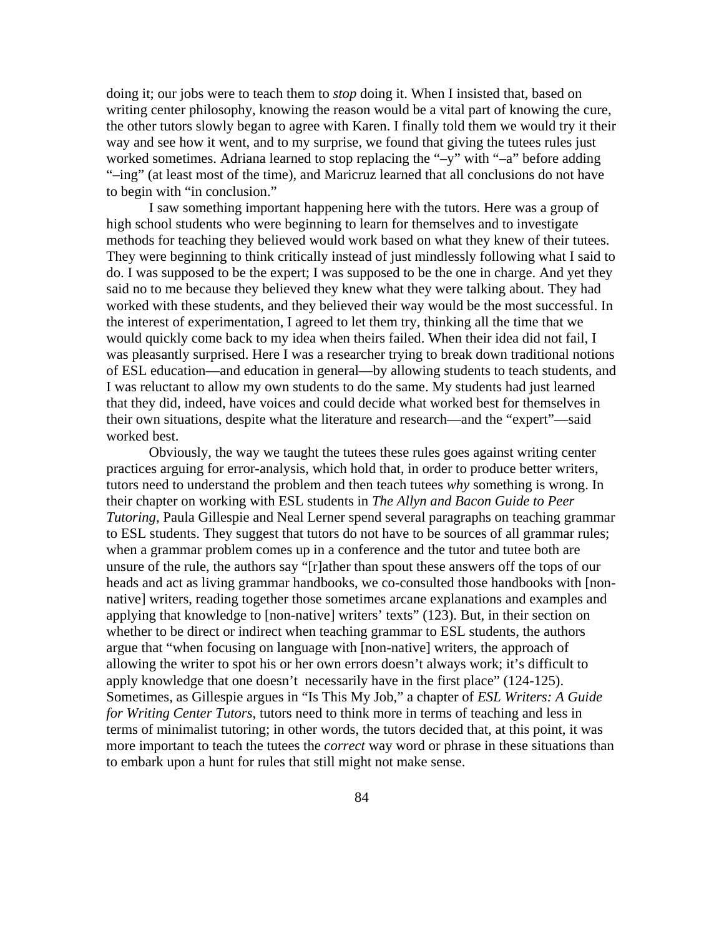doing it; our jobs were to teach them to *stop* doing it. When I insisted that, based on writing center philosophy, knowing the reason would be a vital part of knowing the cure, the other tutors slowly began to agree with Karen. I finally told them we would try it their way and see how it went, and to my surprise, we found that giving the tutees rules just worked sometimes. Adriana learned to stop replacing the "-y" with "-a" before adding "–ing" (at least most of the time), and Maricruz learned that all conclusions do not have to begin with "in conclusion."

I saw something important happening here with the tutors. Here was a group of high school students who were beginning to learn for themselves and to investigate methods for teaching they believed would work based on what they knew of their tutees. They were beginning to think critically instead of just mindlessly following what I said to do. I was supposed to be the expert; I was supposed to be the one in charge. And yet they said no to me because they believed they knew what they were talking about. They had worked with these students, and they believed their way would be the most successful. In the interest of experimentation, I agreed to let them try, thinking all the time that we would quickly come back to my idea when theirs failed. When their idea did not fail, I was pleasantly surprised. Here I was a researcher trying to break down traditional notions of ESL education—and education in general—by allowing students to teach students, and I was reluctant to allow my own students to do the same. My students had just learned that they did, indeed, have voices and could decide what worked best for themselves in their own situations, despite what the literature and research—and the "expert"—said worked best.

Obviously, the way we taught the tutees these rules goes against writing center practices arguing for error-analysis, which hold that, in order to produce better writers, tutors need to understand the problem and then teach tutees *why* something is wrong. In their chapter on working with ESL students in *The Allyn and Bacon Guide to Peer Tutoring*, Paula Gillespie and Neal Lerner spend several paragraphs on teaching grammar to ESL students. They suggest that tutors do not have to be sources of all grammar rules; when a grammar problem comes up in a conference and the tutor and tutee both are unsure of the rule, the authors say "[r]ather than spout these answers off the tops of our heads and act as living grammar handbooks, we co-consulted those handbooks with [nonnative] writers, reading together those sometimes arcane explanations and examples and applying that knowledge to [non-native] writers' texts" (123). But, in their section on whether to be direct or indirect when teaching grammar to ESL students, the authors argue that "when focusing on language with [non-native] writers, the approach of allowing the writer to spot his or her own errors doesn't always work; it's difficult to apply knowledge that one doesn't necessarily have in the first place" (124-125). Sometimes, as Gillespie argues in "Is This My Job," a chapter of *ESL Writers: A Guide for Writing Center Tutors*, tutors need to think more in terms of teaching and less in terms of minimalist tutoring; in other words, the tutors decided that, at this point, it was more important to teach the tutees the *correct* way word or phrase in these situations than to embark upon a hunt for rules that still might not make sense.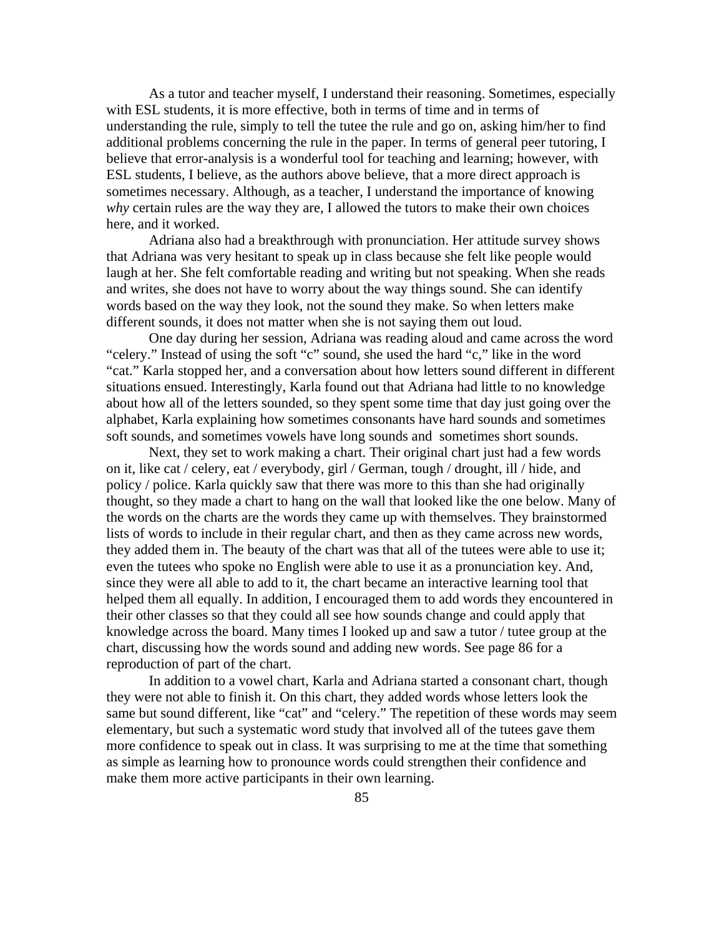As a tutor and teacher myself, I understand their reasoning. Sometimes, especially with ESL students, it is more effective, both in terms of time and in terms of understanding the rule, simply to tell the tutee the rule and go on, asking him/her to find additional problems concerning the rule in the paper. In terms of general peer tutoring, I believe that error-analysis is a wonderful tool for teaching and learning; however, with ESL students, I believe, as the authors above believe, that a more direct approach is sometimes necessary. Although, as a teacher, I understand the importance of knowing *why* certain rules are the way they are, I allowed the tutors to make their own choices here, and it worked.

Adriana also had a breakthrough with pronunciation. Her attitude survey shows that Adriana was very hesitant to speak up in class because she felt like people would laugh at her. She felt comfortable reading and writing but not speaking. When she reads and writes, she does not have to worry about the way things sound. She can identify words based on the way they look, not the sound they make. So when letters make different sounds, it does not matter when she is not saying them out loud.

One day during her session, Adriana was reading aloud and came across the word "celery." Instead of using the soft "c" sound, she used the hard "c," like in the word "cat." Karla stopped her, and a conversation about how letters sound different in different situations ensued. Interestingly, Karla found out that Adriana had little to no knowledge about how all of the letters sounded, so they spent some time that day just going over the alphabet, Karla explaining how sometimes consonants have hard sounds and sometimes soft sounds, and sometimes vowels have long sounds and sometimes short sounds.

Next, they set to work making a chart. Their original chart just had a few words on it, like cat / celery, eat / everybody, girl / German, tough / drought, ill / hide, and policy / police. Karla quickly saw that there was more to this than she had originally thought, so they made a chart to hang on the wall that looked like the one below. Many of the words on the charts are the words they came up with themselves. They brainstormed lists of words to include in their regular chart, and then as they came across new words, they added them in. The beauty of the chart was that all of the tutees were able to use it; even the tutees who spoke no English were able to use it as a pronunciation key. And, since they were all able to add to it, the chart became an interactive learning tool that helped them all equally. In addition, I encouraged them to add words they encountered in their other classes so that they could all see how sounds change and could apply that knowledge across the board. Many times I looked up and saw a tutor / tutee group at the chart, discussing how the words sound and adding new words. See page 86 for a reproduction of part of the chart.

In addition to a vowel chart, Karla and Adriana started a consonant chart, though they were not able to finish it. On this chart, they added words whose letters look the same but sound different, like "cat" and "celery." The repetition of these words may seem elementary, but such a systematic word study that involved all of the tutees gave them more confidence to speak out in class. It was surprising to me at the time that something as simple as learning how to pronounce words could strengthen their confidence and make them more active participants in their own learning.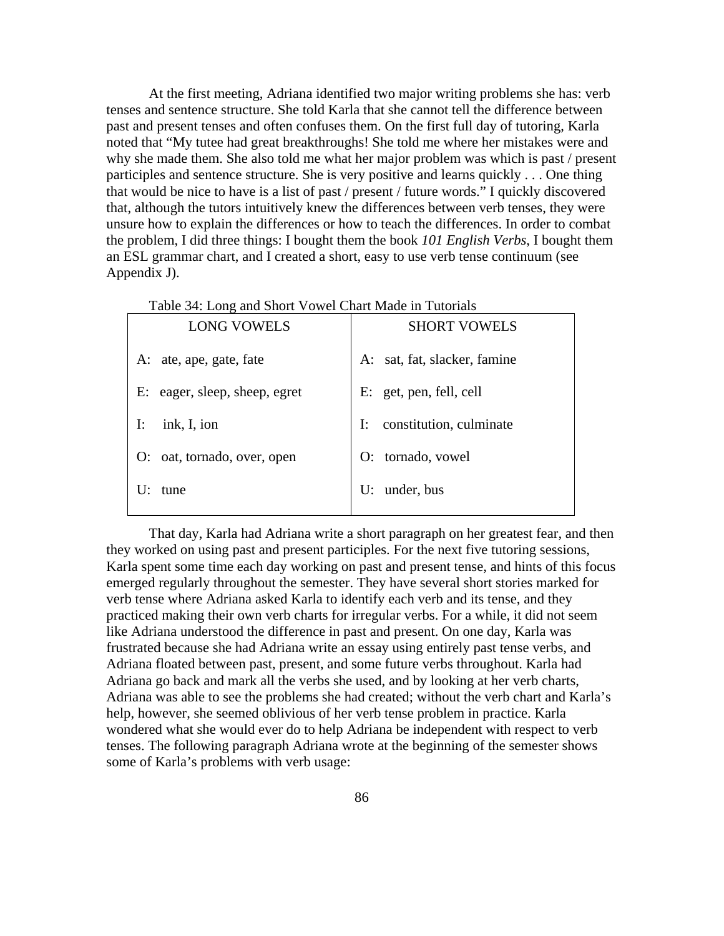At the first meeting, Adriana identified two major writing problems she has: verb tenses and sentence structure. She told Karla that she cannot tell the difference between past and present tenses and often confuses them. On the first full day of tutoring, Karla noted that "My tutee had great breakthroughs! She told me where her mistakes were and why she made them. She also told me what her major problem was which is past / present participles and sentence structure. She is very positive and learns quickly . . . One thing that would be nice to have is a list of past / present / future words." I quickly discovered that, although the tutors intuitively knew the differences between verb tenses, they were unsure how to explain the differences or how to teach the differences. In order to combat the problem, I did three things: I bought them the book *101 English Verbs*, I bought them an ESL grammar chart, and I created a short, easy to use verb tense continuum (see Appendix J).

| <b>LONG VOWELS</b>               | <b>SHORT VOWELS</b>           |
|----------------------------------|-------------------------------|
| A: ate, ape, gate, fate          | A: sat, fat, slacker, famine  |
| eager, sleep, sheep, egret<br>E: | E: get, pen, fell, cell       |
| ink, I, ion<br>I:                | I:<br>constitution, culminate |
| O: oat, tornado, over, open      | tornado, vowel<br>O:          |
| tune                             | under, bus<br>U:              |

Table 34: Long and Short Vowel Chart Made in Tutorials

That day, Karla had Adriana write a short paragraph on her greatest fear, and then they worked on using past and present participles. For the next five tutoring sessions, Karla spent some time each day working on past and present tense, and hints of this focus emerged regularly throughout the semester. They have several short stories marked for verb tense where Adriana asked Karla to identify each verb and its tense, and they practiced making their own verb charts for irregular verbs. For a while, it did not seem like Adriana understood the difference in past and present. On one day, Karla was frustrated because she had Adriana write an essay using entirely past tense verbs, and Adriana floated between past, present, and some future verbs throughout. Karla had Adriana go back and mark all the verbs she used, and by looking at her verb charts, Adriana was able to see the problems she had created; without the verb chart and Karla's help, however, she seemed oblivious of her verb tense problem in practice. Karla wondered what she would ever do to help Adriana be independent with respect to verb tenses. The following paragraph Adriana wrote at the beginning of the semester shows some of Karla's problems with verb usage: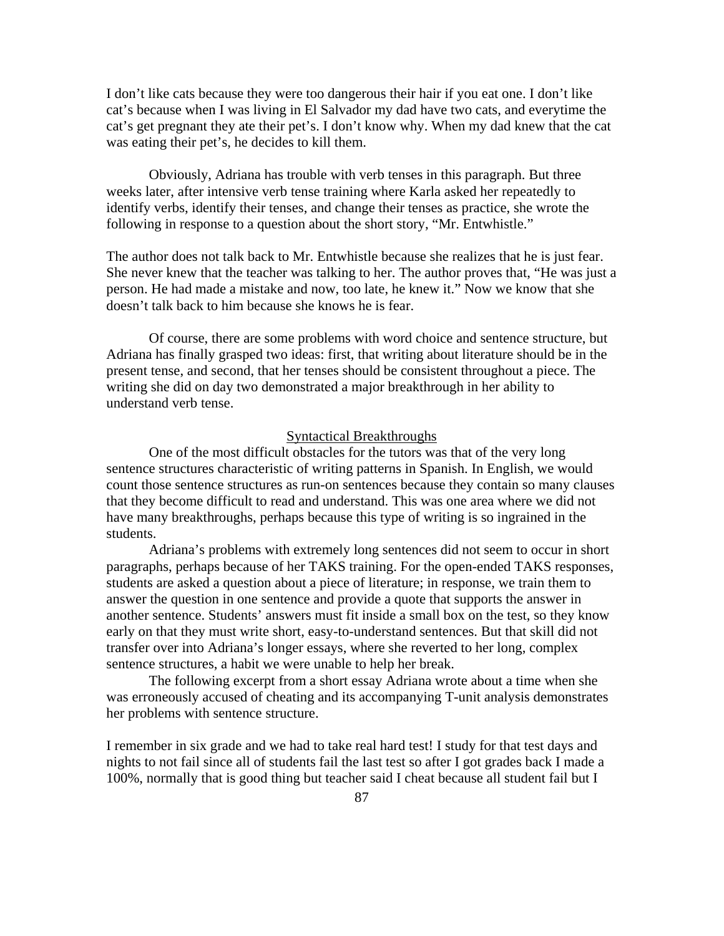I don't like cats because they were too dangerous their hair if you eat one. I don't like cat's because when I was living in El Salvador my dad have two cats, and everytime the cat's get pregnant they ate their pet's. I don't know why. When my dad knew that the cat was eating their pet's, he decides to kill them.

Obviously, Adriana has trouble with verb tenses in this paragraph. But three weeks later, after intensive verb tense training where Karla asked her repeatedly to identify verbs, identify their tenses, and change their tenses as practice, she wrote the following in response to a question about the short story, "Mr. Entwhistle."

The author does not talk back to Mr. Entwhistle because she realizes that he is just fear. She never knew that the teacher was talking to her. The author proves that, "He was just a person. He had made a mistake and now, too late, he knew it." Now we know that she doesn't talk back to him because she knows he is fear.

Of course, there are some problems with word choice and sentence structure, but Adriana has finally grasped two ideas: first, that writing about literature should be in the present tense, and second, that her tenses should be consistent throughout a piece. The writing she did on day two demonstrated a major breakthrough in her ability to understand verb tense.

## Syntactical Breakthroughs

 One of the most difficult obstacles for the tutors was that of the very long sentence structures characteristic of writing patterns in Spanish. In English, we would count those sentence structures as run-on sentences because they contain so many clauses that they become difficult to read and understand. This was one area where we did not have many breakthroughs, perhaps because this type of writing is so ingrained in the students.

 Adriana's problems with extremely long sentences did not seem to occur in short paragraphs, perhaps because of her TAKS training. For the open-ended TAKS responses, students are asked a question about a piece of literature; in response, we train them to answer the question in one sentence and provide a quote that supports the answer in another sentence. Students' answers must fit inside a small box on the test, so they know early on that they must write short, easy-to-understand sentences. But that skill did not transfer over into Adriana's longer essays, where she reverted to her long, complex sentence structures, a habit we were unable to help her break.

 The following excerpt from a short essay Adriana wrote about a time when she was erroneously accused of cheating and its accompanying T-unit analysis demonstrates her problems with sentence structure.

I remember in six grade and we had to take real hard test! I study for that test days and nights to not fail since all of students fail the last test so after I got grades back I made a 100%, normally that is good thing but teacher said I cheat because all student fail but I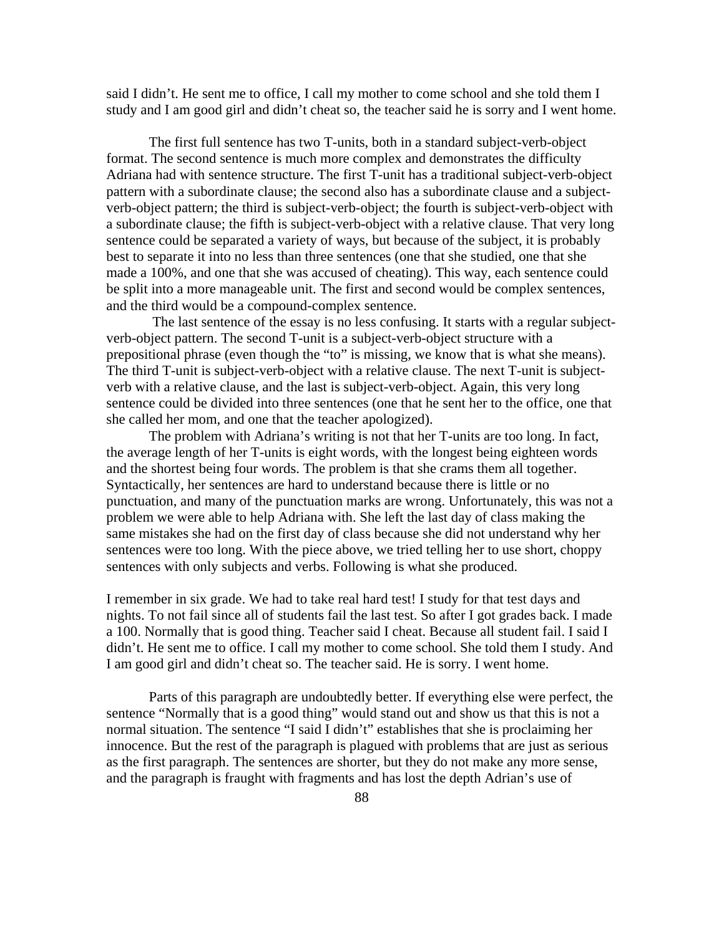said I didn't. He sent me to office, I call my mother to come school and she told them I study and I am good girl and didn't cheat so, the teacher said he is sorry and I went home.

The first full sentence has two T-units, both in a standard subject-verb-object format. The second sentence is much more complex and demonstrates the difficulty Adriana had with sentence structure. The first T-unit has a traditional subject-verb-object pattern with a subordinate clause; the second also has a subordinate clause and a subjectverb-object pattern; the third is subject-verb-object; the fourth is subject-verb-object with a subordinate clause; the fifth is subject-verb-object with a relative clause. That very long sentence could be separated a variety of ways, but because of the subject, it is probably best to separate it into no less than three sentences (one that she studied, one that she made a 100%, and one that she was accused of cheating). This way, each sentence could be split into a more manageable unit. The first and second would be complex sentences, and the third would be a compound-complex sentence.

 The last sentence of the essay is no less confusing. It starts with a regular subjectverb-object pattern. The second T-unit is a subject-verb-object structure with a prepositional phrase (even though the "to" is missing, we know that is what she means). The third T-unit is subject-verb-object with a relative clause. The next T-unit is subjectverb with a relative clause, and the last is subject-verb-object. Again, this very long sentence could be divided into three sentences (one that he sent her to the office, one that she called her mom, and one that the teacher apologized).

 The problem with Adriana's writing is not that her T-units are too long. In fact, the average length of her T-units is eight words, with the longest being eighteen words and the shortest being four words. The problem is that she crams them all together. Syntactically, her sentences are hard to understand because there is little or no punctuation, and many of the punctuation marks are wrong. Unfortunately, this was not a problem we were able to help Adriana with. She left the last day of class making the same mistakes she had on the first day of class because she did not understand why her sentences were too long. With the piece above, we tried telling her to use short, choppy sentences with only subjects and verbs. Following is what she produced.

I remember in six grade. We had to take real hard test! I study for that test days and nights. To not fail since all of students fail the last test. So after I got grades back. I made a 100. Normally that is good thing. Teacher said I cheat. Because all student fail. I said I didn't. He sent me to office. I call my mother to come school. She told them I study. And I am good girl and didn't cheat so. The teacher said. He is sorry. I went home.

 Parts of this paragraph are undoubtedly better. If everything else were perfect, the sentence "Normally that is a good thing" would stand out and show us that this is not a normal situation. The sentence "I said I didn't" establishes that she is proclaiming her innocence. But the rest of the paragraph is plagued with problems that are just as serious as the first paragraph. The sentences are shorter, but they do not make any more sense, and the paragraph is fraught with fragments and has lost the depth Adrian's use of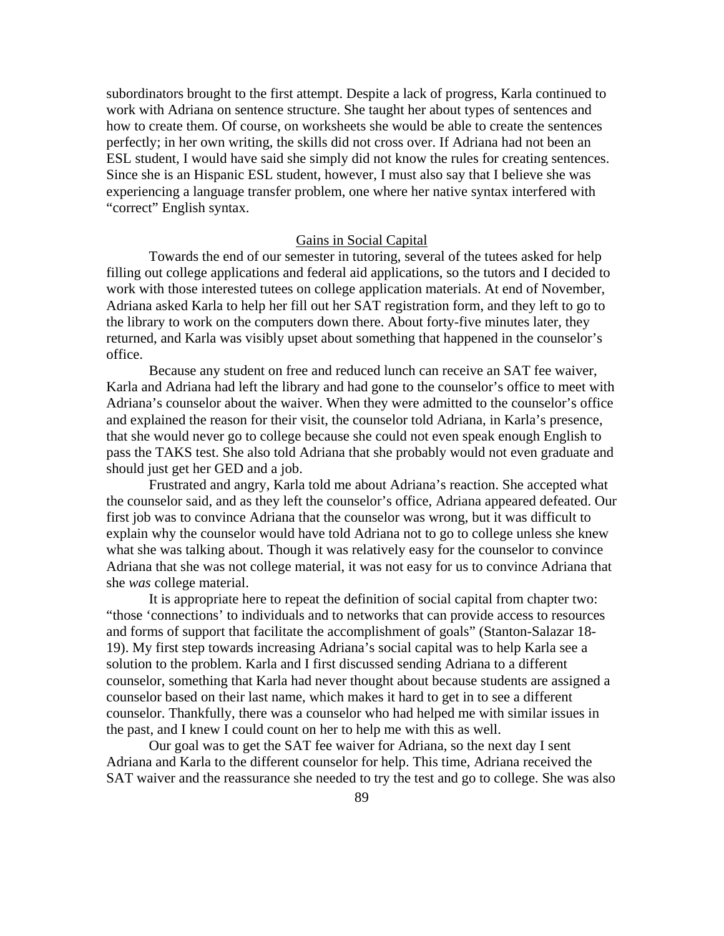subordinators brought to the first attempt. Despite a lack of progress, Karla continued to work with Adriana on sentence structure. She taught her about types of sentences and how to create them. Of course, on worksheets she would be able to create the sentences perfectly; in her own writing, the skills did not cross over. If Adriana had not been an ESL student, I would have said she simply did not know the rules for creating sentences. Since she is an Hispanic ESL student, however, I must also say that I believe she was experiencing a language transfer problem, one where her native syntax interfered with "correct" English syntax.

# Gains in Social Capital

 Towards the end of our semester in tutoring, several of the tutees asked for help filling out college applications and federal aid applications, so the tutors and I decided to work with those interested tutees on college application materials. At end of November, Adriana asked Karla to help her fill out her SAT registration form, and they left to go to the library to work on the computers down there. About forty-five minutes later, they returned, and Karla was visibly upset about something that happened in the counselor's office.

 Because any student on free and reduced lunch can receive an SAT fee waiver, Karla and Adriana had left the library and had gone to the counselor's office to meet with Adriana's counselor about the waiver. When they were admitted to the counselor's office and explained the reason for their visit, the counselor told Adriana, in Karla's presence, that she would never go to college because she could not even speak enough English to pass the TAKS test. She also told Adriana that she probably would not even graduate and should just get her GED and a job.

 Frustrated and angry, Karla told me about Adriana's reaction. She accepted what the counselor said, and as they left the counselor's office, Adriana appeared defeated. Our first job was to convince Adriana that the counselor was wrong, but it was difficult to explain why the counselor would have told Adriana not to go to college unless she knew what she was talking about. Though it was relatively easy for the counselor to convince Adriana that she was not college material, it was not easy for us to convince Adriana that she *was* college material.

 It is appropriate here to repeat the definition of social capital from chapter two: "those 'connections' to individuals and to networks that can provide access to resources and forms of support that facilitate the accomplishment of goals" (Stanton-Salazar 18- 19). My first step towards increasing Adriana's social capital was to help Karla see a solution to the problem. Karla and I first discussed sending Adriana to a different counselor, something that Karla had never thought about because students are assigned a counselor based on their last name, which makes it hard to get in to see a different counselor. Thankfully, there was a counselor who had helped me with similar issues in the past, and I knew I could count on her to help me with this as well.

 Our goal was to get the SAT fee waiver for Adriana, so the next day I sent Adriana and Karla to the different counselor for help. This time, Adriana received the SAT waiver and the reassurance she needed to try the test and go to college. She was also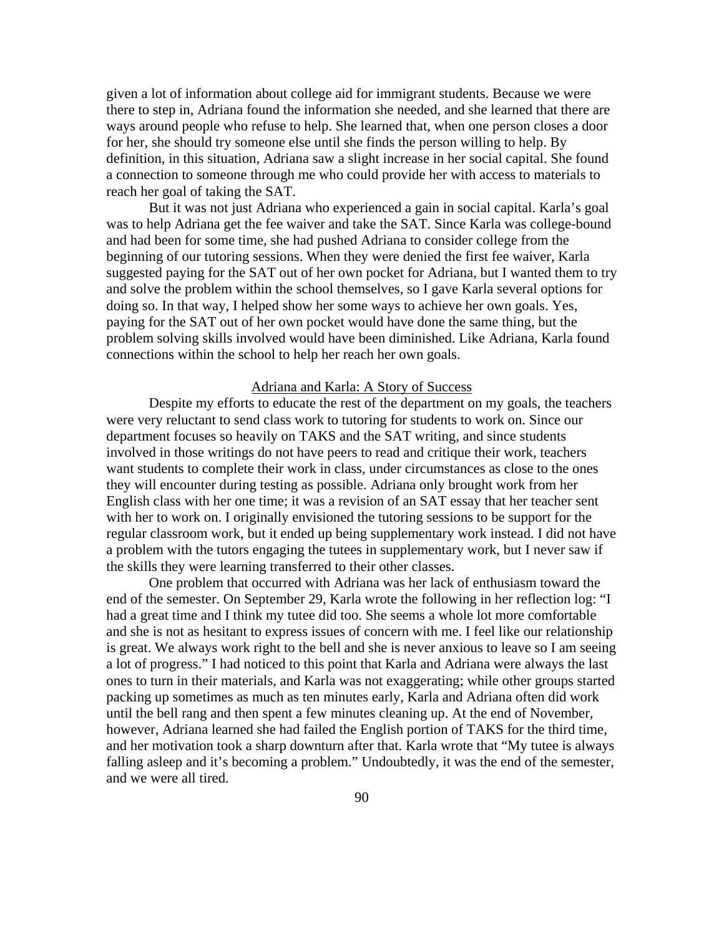given a lot of information about college aid for immigrant students. Because we were there to step in, Adriana found the information she needed, and she learned that there are ways around people who refuse to help. She learned that, when one person closes a door for her, she should try someone else until she finds the person willing to help. By definition, in this situation, Adriana saw a slight increase in her social capital. She found a connection to someone through me who could provide her with access to materials to reach her goal of taking the SAT.

 But it was not just Adriana who experienced a gain in social capital. Karla's goal was to help Adriana get the fee waiver and take the SAT. Since Karla was college-bound and had been for some time, she had pushed Adriana to consider college from the beginning of our tutoring sessions. When they were denied the first fee waiver, Karla suggested paying for the SAT out of her own pocket for Adriana, but I wanted them to try and solve the problem within the school themselves, so I gave Karla several options for doing so. In that way, I helped show her some ways to achieve her own goals. Yes, paying for the SAT out of her own pocket would have done the same thing, but the problem solving skills involved would have been diminished. Like Adriana, Karla found connections within the school to help her reach her own goals.

## Adriana and Karla: A Story of Success

 Despite my efforts to educate the rest of the department on my goals, the teachers were very reluctant to send class work to tutoring for students to work on. Since our department focuses so heavily on TAKS and the SAT writing, and since students involved in those writings do not have peers to read and critique their work, teachers want students to complete their work in class, under circumstances as close to the ones they will encounter during testing as possible. Adriana only brought work from her English class with her one time; it was a revision of an SAT essay that her teacher sent with her to work on. I originally envisioned the tutoring sessions to be support for the regular classroom work, but it ended up being supplementary work instead. I did not have a problem with the tutors engaging the tutees in supplementary work, but I never saw if the skills they were learning transferred to their other classes.

 One problem that occurred with Adriana was her lack of enthusiasm toward the end of the semester. On September 29, Karla wrote the following in her reflection log: "I had a great time and I think my tutee did too. She seems a whole lot more comfortable and she is not as hesitant to express issues of concern with me. I feel like our relationship is great. We always work right to the bell and she is never anxious to leave so I am seeing a lot of progress." I had noticed to this point that Karla and Adriana were always the last ones to turn in their materials, and Karla was not exaggerating; while other groups started packing up sometimes as much as ten minutes early, Karla and Adriana often did work until the bell rang and then spent a few minutes cleaning up. At the end of November, however, Adriana learned she had failed the English portion of TAKS for the third time, and her motivation took a sharp downturn after that. Karla wrote that "My tutee is always falling asleep and it's becoming a problem." Undoubtedly, it was the end of the semester, and we were all tired.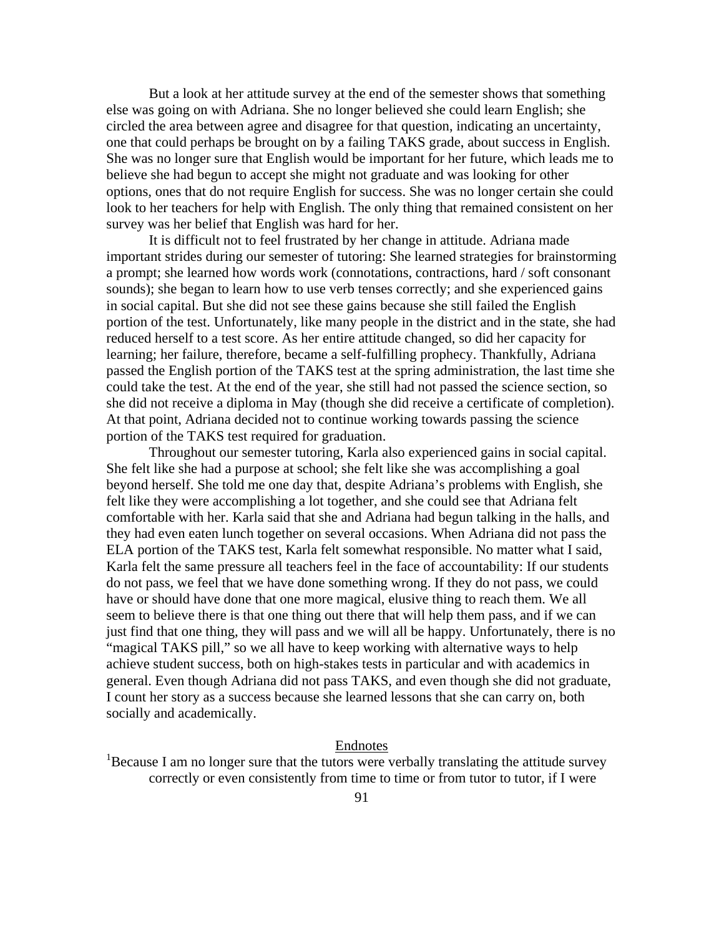But a look at her attitude survey at the end of the semester shows that something else was going on with Adriana. She no longer believed she could learn English; she circled the area between agree and disagree for that question, indicating an uncertainty, one that could perhaps be brought on by a failing TAKS grade, about success in English. She was no longer sure that English would be important for her future, which leads me to believe she had begun to accept she might not graduate and was looking for other options, ones that do not require English for success. She was no longer certain she could look to her teachers for help with English. The only thing that remained consistent on her survey was her belief that English was hard for her.

 It is difficult not to feel frustrated by her change in attitude. Adriana made important strides during our semester of tutoring: She learned strategies for brainstorming a prompt; she learned how words work (connotations, contractions, hard / soft consonant sounds); she began to learn how to use verb tenses correctly; and she experienced gains in social capital. But she did not see these gains because she still failed the English portion of the test. Unfortunately, like many people in the district and in the state, she had reduced herself to a test score. As her entire attitude changed, so did her capacity for learning; her failure, therefore, became a self-fulfilling prophecy. Thankfully, Adriana passed the English portion of the TAKS test at the spring administration, the last time she could take the test. At the end of the year, she still had not passed the science section, so she did not receive a diploma in May (though she did receive a certificate of completion). At that point, Adriana decided not to continue working towards passing the science portion of the TAKS test required for graduation.

 Throughout our semester tutoring, Karla also experienced gains in social capital. She felt like she had a purpose at school; she felt like she was accomplishing a goal beyond herself. She told me one day that, despite Adriana's problems with English, she felt like they were accomplishing a lot together, and she could see that Adriana felt comfortable with her. Karla said that she and Adriana had begun talking in the halls, and they had even eaten lunch together on several occasions. When Adriana did not pass the ELA portion of the TAKS test, Karla felt somewhat responsible. No matter what I said, Karla felt the same pressure all teachers feel in the face of accountability: If our students do not pass, we feel that we have done something wrong. If they do not pass, we could have or should have done that one more magical, elusive thing to reach them. We all seem to believe there is that one thing out there that will help them pass, and if we can just find that one thing, they will pass and we will all be happy. Unfortunately, there is no "magical TAKS pill," so we all have to keep working with alternative ways to help achieve student success, both on high-stakes tests in particular and with academics in general. Even though Adriana did not pass TAKS, and even though she did not graduate, I count her story as a success because she learned lessons that she can carry on, both socially and academically.

### Endnotes

<sup>1</sup>Because I am no longer sure that the tutors were verbally translating the attitude survey correctly or even consistently from time to time or from tutor to tutor, if I were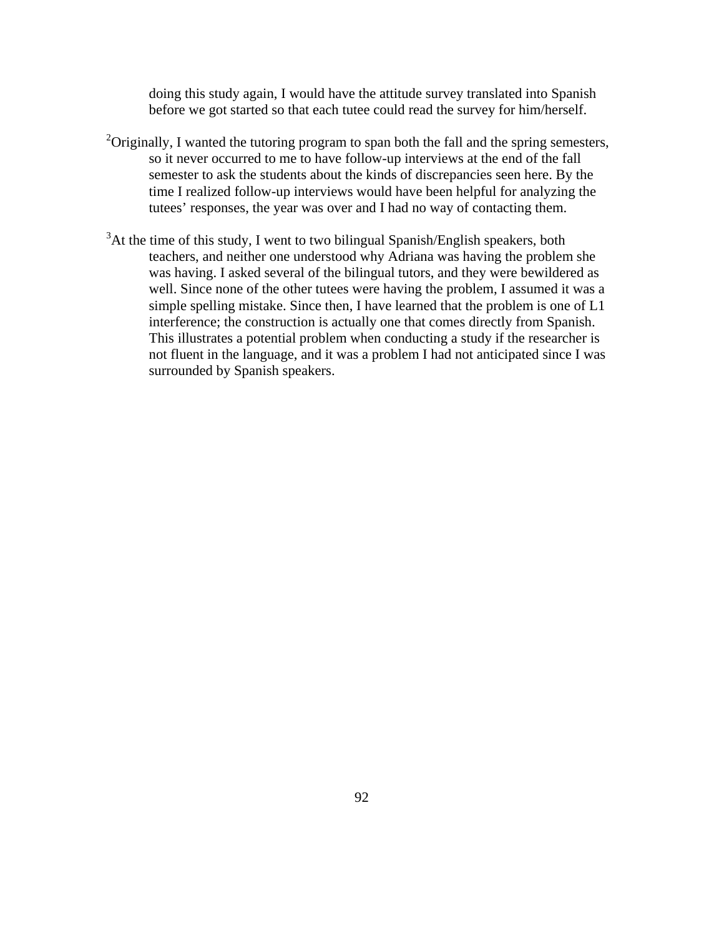doing this study again, I would have the attitude survey translated into Spanish before we got started so that each tutee could read the survey for him/herself.

- $2$ Originally, I wanted the tutoring program to span both the fall and the spring semesters, so it never occurred to me to have follow-up interviews at the end of the fall semester to ask the students about the kinds of discrepancies seen here. By the time I realized follow-up interviews would have been helpful for analyzing the tutees' responses, the year was over and I had no way of contacting them.
- $3$ At the time of this study, I went to two bilingual Spanish/English speakers, both teachers, and neither one understood why Adriana was having the problem she was having. I asked several of the bilingual tutors, and they were bewildered as well. Since none of the other tutees were having the problem, I assumed it was a simple spelling mistake. Since then, I have learned that the problem is one of L1 interference; the construction is actually one that comes directly from Spanish. This illustrates a potential problem when conducting a study if the researcher is not fluent in the language, and it was a problem I had not anticipated since I was surrounded by Spanish speakers.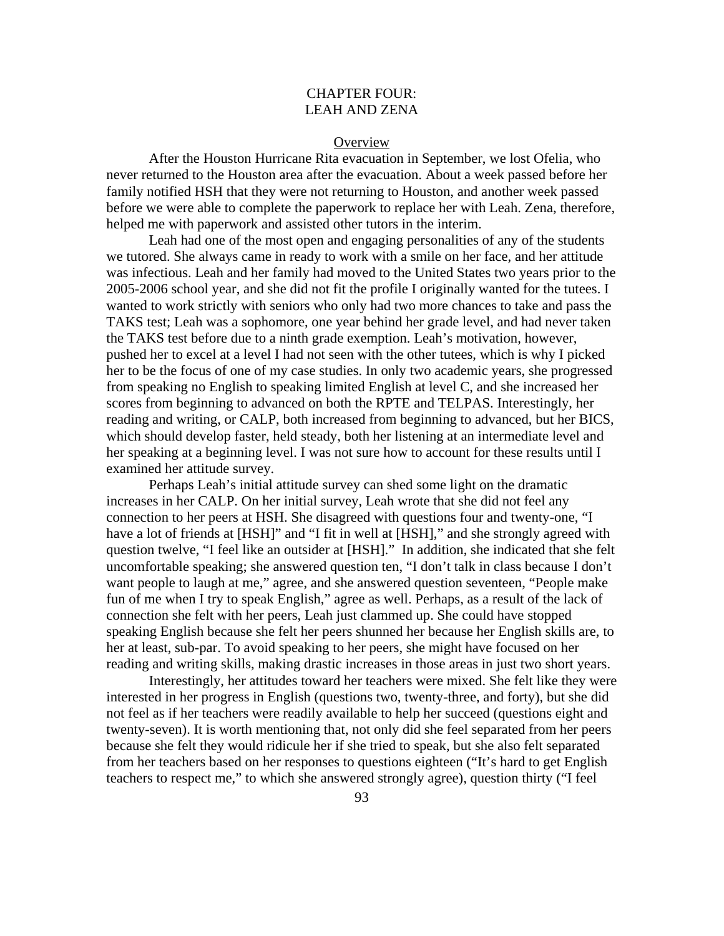# CHAPTER FOUR: LEAH AND ZENA

### **Overview**

After the Houston Hurricane Rita evacuation in September, we lost Ofelia, who never returned to the Houston area after the evacuation. About a week passed before her family notified HSH that they were not returning to Houston, and another week passed before we were able to complete the paperwork to replace her with Leah. Zena, therefore, helped me with paperwork and assisted other tutors in the interim.

 Leah had one of the most open and engaging personalities of any of the students we tutored. She always came in ready to work with a smile on her face, and her attitude was infectious. Leah and her family had moved to the United States two years prior to the 2005-2006 school year, and she did not fit the profile I originally wanted for the tutees. I wanted to work strictly with seniors who only had two more chances to take and pass the TAKS test; Leah was a sophomore, one year behind her grade level, and had never taken the TAKS test before due to a ninth grade exemption. Leah's motivation, however, pushed her to excel at a level I had not seen with the other tutees, which is why I picked her to be the focus of one of my case studies. In only two academic years, she progressed from speaking no English to speaking limited English at level C, and she increased her scores from beginning to advanced on both the RPTE and TELPAS. Interestingly, her reading and writing, or CALP, both increased from beginning to advanced, but her BICS, which should develop faster, held steady, both her listening at an intermediate level and her speaking at a beginning level. I was not sure how to account for these results until I examined her attitude survey.

 Perhaps Leah's initial attitude survey can shed some light on the dramatic increases in her CALP. On her initial survey, Leah wrote that she did not feel any connection to her peers at HSH. She disagreed with questions four and twenty-one, "I have a lot of friends at [HSH]" and "I fit in well at [HSH]," and she strongly agreed with question twelve, "I feel like an outsider at [HSH]." In addition, she indicated that she felt uncomfortable speaking; she answered question ten, "I don't talk in class because I don't want people to laugh at me," agree, and she answered question seventeen, "People make fun of me when I try to speak English," agree as well. Perhaps, as a result of the lack of connection she felt with her peers, Leah just clammed up. She could have stopped speaking English because she felt her peers shunned her because her English skills are, to her at least, sub-par. To avoid speaking to her peers, she might have focused on her reading and writing skills, making drastic increases in those areas in just two short years.

Interestingly, her attitudes toward her teachers were mixed. She felt like they were interested in her progress in English (questions two, twenty-three, and forty), but she did not feel as if her teachers were readily available to help her succeed (questions eight and twenty-seven). It is worth mentioning that, not only did she feel separated from her peers because she felt they would ridicule her if she tried to speak, but she also felt separated from her teachers based on her responses to questions eighteen ("It's hard to get English teachers to respect me," to which she answered strongly agree), question thirty ("I feel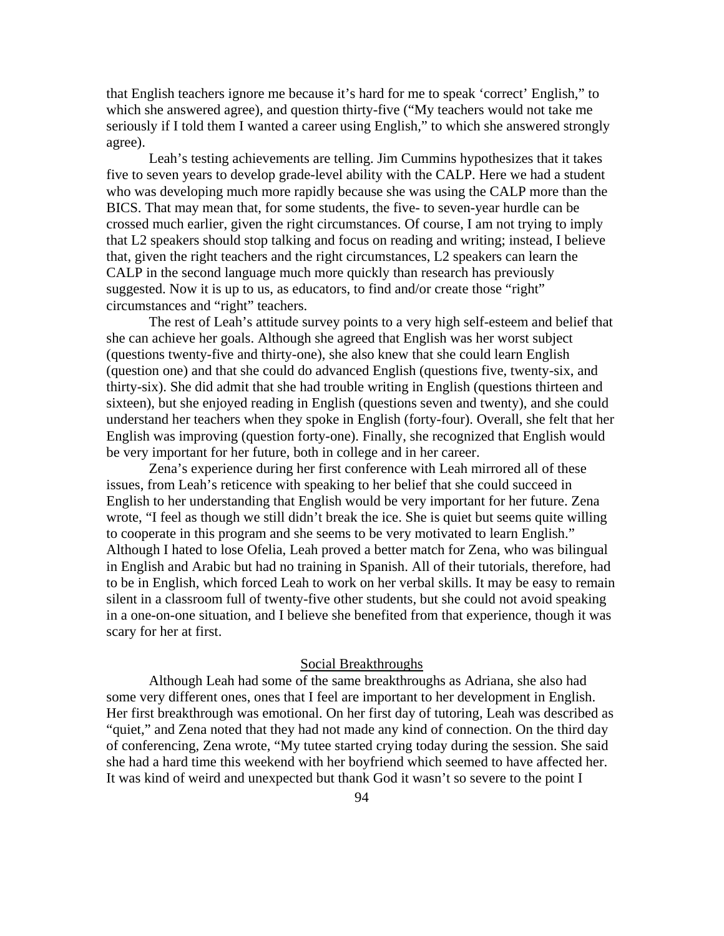that English teachers ignore me because it's hard for me to speak 'correct' English," to which she answered agree), and question thirty-five ("My teachers would not take me seriously if I told them I wanted a career using English," to which she answered strongly agree).

 Leah's testing achievements are telling. Jim Cummins hypothesizes that it takes five to seven years to develop grade-level ability with the CALP. Here we had a student who was developing much more rapidly because she was using the CALP more than the BICS. That may mean that, for some students, the five- to seven-year hurdle can be crossed much earlier, given the right circumstances. Of course, I am not trying to imply that L2 speakers should stop talking and focus on reading and writing; instead, I believe that, given the right teachers and the right circumstances, L2 speakers can learn the CALP in the second language much more quickly than research has previously suggested. Now it is up to us, as educators, to find and/or create those "right" circumstances and "right" teachers.

 The rest of Leah's attitude survey points to a very high self-esteem and belief that she can achieve her goals. Although she agreed that English was her worst subject (questions twenty-five and thirty-one), she also knew that she could learn English (question one) and that she could do advanced English (questions five, twenty-six, and thirty-six). She did admit that she had trouble writing in English (questions thirteen and sixteen), but she enjoyed reading in English (questions seven and twenty), and she could understand her teachers when they spoke in English (forty-four). Overall, she felt that her English was improving (question forty-one). Finally, she recognized that English would be very important for her future, both in college and in her career.

 Zena's experience during her first conference with Leah mirrored all of these issues, from Leah's reticence with speaking to her belief that she could succeed in English to her understanding that English would be very important for her future. Zena wrote, "I feel as though we still didn't break the ice. She is quiet but seems quite willing to cooperate in this program and she seems to be very motivated to learn English." Although I hated to lose Ofelia, Leah proved a better match for Zena, who was bilingual in English and Arabic but had no training in Spanish. All of their tutorials, therefore, had to be in English, which forced Leah to work on her verbal skills. It may be easy to remain silent in a classroom full of twenty-five other students, but she could not avoid speaking in a one-on-one situation, and I believe she benefited from that experience, though it was scary for her at first.

## Social Breakthroughs

Although Leah had some of the same breakthroughs as Adriana, she also had some very different ones, ones that I feel are important to her development in English. Her first breakthrough was emotional. On her first day of tutoring, Leah was described as "quiet," and Zena noted that they had not made any kind of connection. On the third day of conferencing, Zena wrote, "My tutee started crying today during the session. She said she had a hard time this weekend with her boyfriend which seemed to have affected her. It was kind of weird and unexpected but thank God it wasn't so severe to the point I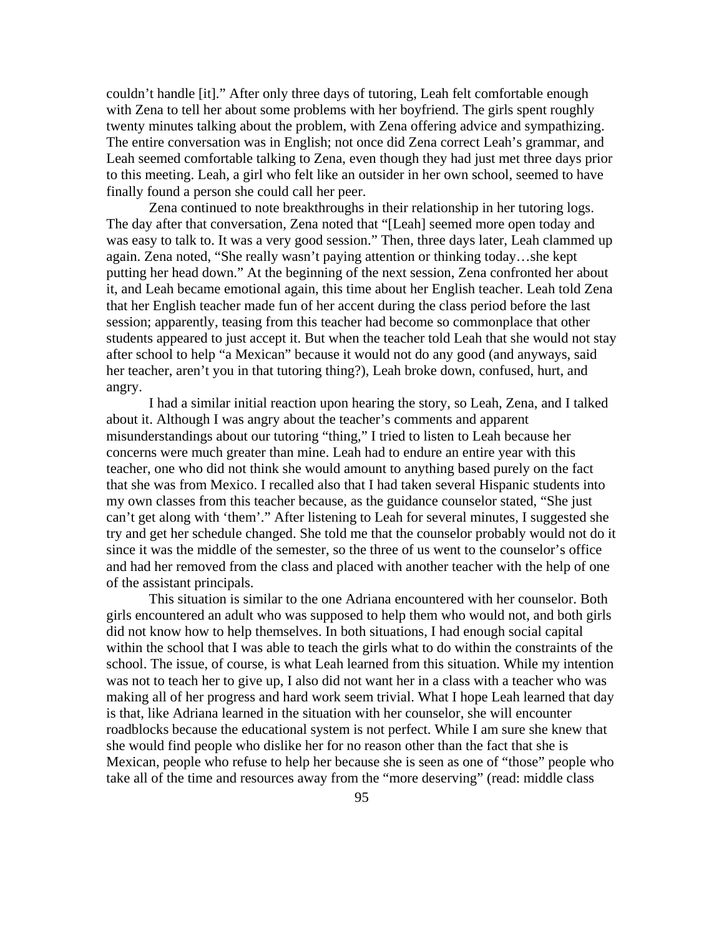couldn't handle [it]." After only three days of tutoring, Leah felt comfortable enough with Zena to tell her about some problems with her boyfriend. The girls spent roughly twenty minutes talking about the problem, with Zena offering advice and sympathizing. The entire conversation was in English; not once did Zena correct Leah's grammar, and Leah seemed comfortable talking to Zena, even though they had just met three days prior to this meeting. Leah, a girl who felt like an outsider in her own school, seemed to have finally found a person she could call her peer.

 Zena continued to note breakthroughs in their relationship in her tutoring logs. The day after that conversation, Zena noted that "[Leah] seemed more open today and was easy to talk to. It was a very good session." Then, three days later, Leah clammed up again. Zena noted, "She really wasn't paying attention or thinking today…she kept putting her head down." At the beginning of the next session, Zena confronted her about it, and Leah became emotional again, this time about her English teacher. Leah told Zena that her English teacher made fun of her accent during the class period before the last session; apparently, teasing from this teacher had become so commonplace that other students appeared to just accept it. But when the teacher told Leah that she would not stay after school to help "a Mexican" because it would not do any good (and anyways, said her teacher, aren't you in that tutoring thing?), Leah broke down, confused, hurt, and angry.

 I had a similar initial reaction upon hearing the story, so Leah, Zena, and I talked about it. Although I was angry about the teacher's comments and apparent misunderstandings about our tutoring "thing," I tried to listen to Leah because her concerns were much greater than mine. Leah had to endure an entire year with this teacher, one who did not think she would amount to anything based purely on the fact that she was from Mexico. I recalled also that I had taken several Hispanic students into my own classes from this teacher because, as the guidance counselor stated, "She just can't get along with 'them'." After listening to Leah for several minutes, I suggested she try and get her schedule changed. She told me that the counselor probably would not do it since it was the middle of the semester, so the three of us went to the counselor's office and had her removed from the class and placed with another teacher with the help of one of the assistant principals.

This situation is similar to the one Adriana encountered with her counselor. Both girls encountered an adult who was supposed to help them who would not, and both girls did not know how to help themselves. In both situations, I had enough social capital within the school that I was able to teach the girls what to do within the constraints of the school. The issue, of course, is what Leah learned from this situation. While my intention was not to teach her to give up, I also did not want her in a class with a teacher who was making all of her progress and hard work seem trivial. What I hope Leah learned that day is that, like Adriana learned in the situation with her counselor, she will encounter roadblocks because the educational system is not perfect. While I am sure she knew that she would find people who dislike her for no reason other than the fact that she is Mexican, people who refuse to help her because she is seen as one of "those" people who take all of the time and resources away from the "more deserving" (read: middle class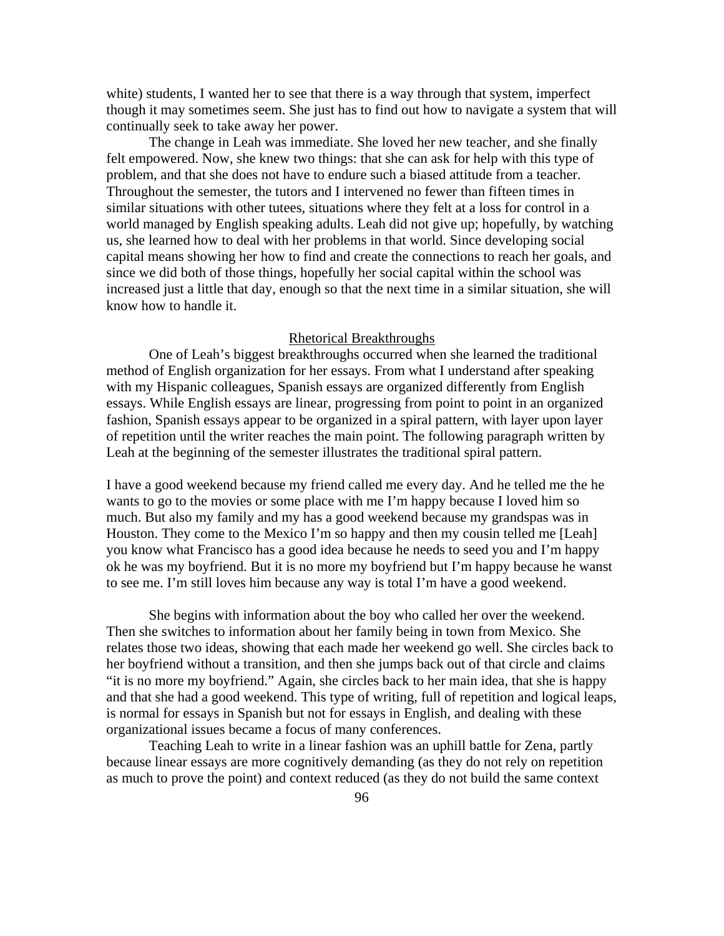white) students, I wanted her to see that there is a way through that system, imperfect though it may sometimes seem. She just has to find out how to navigate a system that will continually seek to take away her power.

 The change in Leah was immediate. She loved her new teacher, and she finally felt empowered. Now, she knew two things: that she can ask for help with this type of problem, and that she does not have to endure such a biased attitude from a teacher. Throughout the semester, the tutors and I intervened no fewer than fifteen times in similar situations with other tutees, situations where they felt at a loss for control in a world managed by English speaking adults. Leah did not give up; hopefully, by watching us, she learned how to deal with her problems in that world. Since developing social capital means showing her how to find and create the connections to reach her goals, and since we did both of those things, hopefully her social capital within the school was increased just a little that day, enough so that the next time in a similar situation, she will know how to handle it.

## Rhetorical Breakthroughs

 One of Leah's biggest breakthroughs occurred when she learned the traditional method of English organization for her essays. From what I understand after speaking with my Hispanic colleagues, Spanish essays are organized differently from English essays. While English essays are linear, progressing from point to point in an organized fashion, Spanish essays appear to be organized in a spiral pattern, with layer upon layer of repetition until the writer reaches the main point. The following paragraph written by Leah at the beginning of the semester illustrates the traditional spiral pattern.

I have a good weekend because my friend called me every day. And he telled me the he wants to go to the movies or some place with me I'm happy because I loved him so much. But also my family and my has a good weekend because my grandspas was in Houston. They come to the Mexico I'm so happy and then my cousin telled me [Leah] you know what Francisco has a good idea because he needs to seed you and I'm happy ok he was my boyfriend. But it is no more my boyfriend but I'm happy because he wanst to see me. I'm still loves him because any way is total I'm have a good weekend.

 She begins with information about the boy who called her over the weekend. Then she switches to information about her family being in town from Mexico. She relates those two ideas, showing that each made her weekend go well. She circles back to her boyfriend without a transition, and then she jumps back out of that circle and claims "it is no more my boyfriend." Again, she circles back to her main idea, that she is happy and that she had a good weekend. This type of writing, full of repetition and logical leaps, is normal for essays in Spanish but not for essays in English, and dealing with these organizational issues became a focus of many conferences.

 Teaching Leah to write in a linear fashion was an uphill battle for Zena, partly because linear essays are more cognitively demanding (as they do not rely on repetition as much to prove the point) and context reduced (as they do not build the same context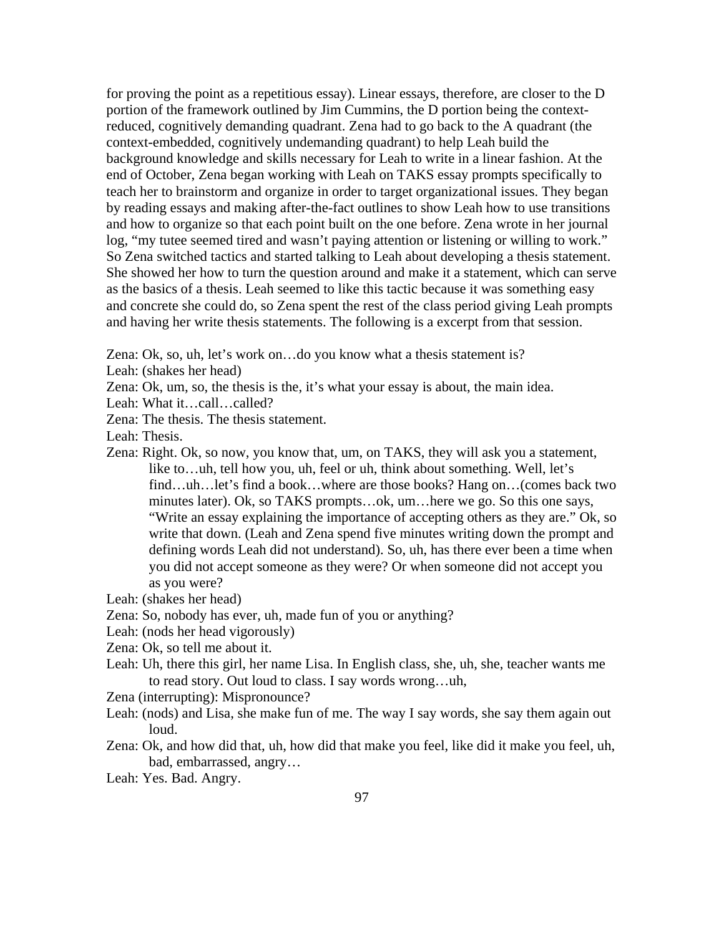for proving the point as a repetitious essay). Linear essays, therefore, are closer to the D portion of the framework outlined by Jim Cummins, the D portion being the contextreduced, cognitively demanding quadrant. Zena had to go back to the A quadrant (the context-embedded, cognitively undemanding quadrant) to help Leah build the background knowledge and skills necessary for Leah to write in a linear fashion. At the end of October, Zena began working with Leah on TAKS essay prompts specifically to teach her to brainstorm and organize in order to target organizational issues. They began by reading essays and making after-the-fact outlines to show Leah how to use transitions and how to organize so that each point built on the one before. Zena wrote in her journal log, "my tutee seemed tired and wasn't paying attention or listening or willing to work." So Zena switched tactics and started talking to Leah about developing a thesis statement. She showed her how to turn the question around and make it a statement, which can serve as the basics of a thesis. Leah seemed to like this tactic because it was something easy and concrete she could do, so Zena spent the rest of the class period giving Leah prompts and having her write thesis statements. The following is a excerpt from that session.

Zena: Ok, so, uh, let's work on…do you know what a thesis statement is?

- Leah: (shakes her head)
- Zena: Ok, um, so, the thesis is the, it's what your essay is about, the main idea.
- Leah: What it…call…called?
- Zena: The thesis. The thesis statement.
- Leah: Thesis.
- Zena: Right. Ok, so now, you know that, um, on TAKS, they will ask you a statement, like to…uh, tell how you, uh, feel or uh, think about something. Well, let's find…uh…let's find a book…where are those books? Hang on…(comes back two minutes later). Ok, so TAKS prompts…ok, um…here we go. So this one says, "Write an essay explaining the importance of accepting others as they are." Ok, so write that down. (Leah and Zena spend five minutes writing down the prompt and defining words Leah did not understand). So, uh, has there ever been a time when you did not accept someone as they were? Or when someone did not accept you as you were?
- Leah: (shakes her head)
- Zena: So, nobody has ever, uh, made fun of you or anything?
- Leah: (nods her head vigorously)
- Zena: Ok, so tell me about it.
- Leah: Uh, there this girl, her name Lisa. In English class, she, uh, she, teacher wants me to read story. Out loud to class. I say words wrong…uh,
- Zena (interrupting): Mispronounce?
- Leah: (nods) and Lisa, she make fun of me. The way I say words, she say them again out loud.
- Zena: Ok, and how did that, uh, how did that make you feel, like did it make you feel, uh, bad, embarrassed, angry…
- Leah: Yes. Bad. Angry.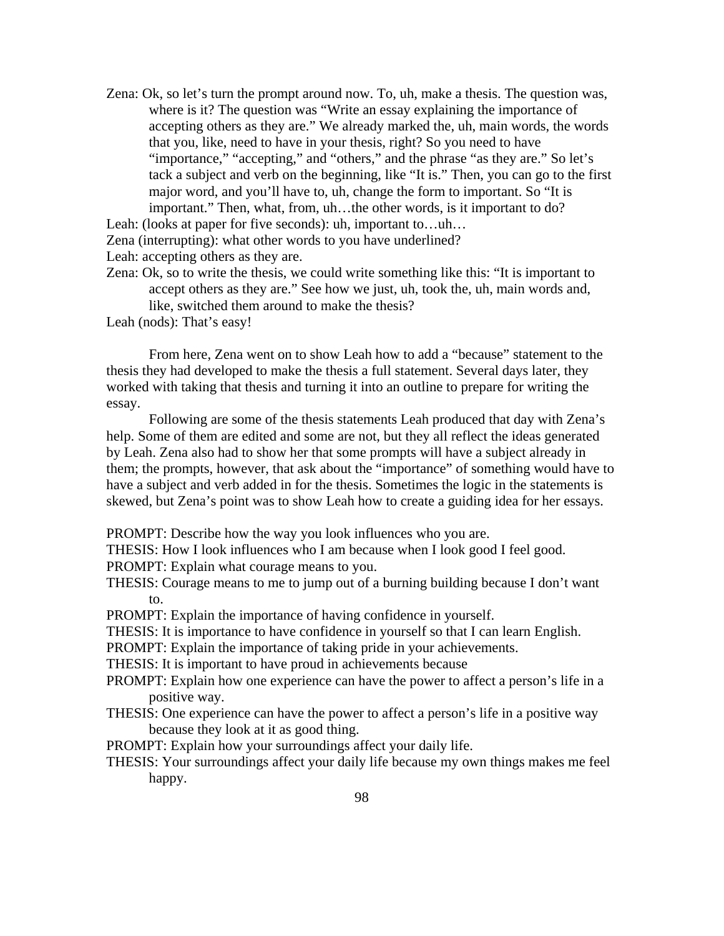Zena: Ok, so let's turn the prompt around now. To, uh, make a thesis. The question was, where is it? The question was "Write an essay explaining the importance of accepting others as they are." We already marked the, uh, main words, the words that you, like, need to have in your thesis, right? So you need to have "importance," "accepting," and "others," and the phrase "as they are." So let's tack a subject and verb on the beginning, like "It is." Then, you can go to the first major word, and you'll have to, uh, change the form to important. So "It is important." Then, what, from, uh…the other words, is it important to do?

Leah: (looks at paper for five seconds): uh, important to...uh...

Zena (interrupting): what other words to you have underlined?

Leah: accepting others as they are.

Zena: Ok, so to write the thesis, we could write something like this: "It is important to accept others as they are." See how we just, uh, took the, uh, main words and, like, switched them around to make the thesis?

Leah (nods): That's easy!

 From here, Zena went on to show Leah how to add a "because" statement to the thesis they had developed to make the thesis a full statement. Several days later, they worked with taking that thesis and turning it into an outline to prepare for writing the essay.

Following are some of the thesis statements Leah produced that day with Zena's help. Some of them are edited and some are not, but they all reflect the ideas generated by Leah. Zena also had to show her that some prompts will have a subject already in them; the prompts, however, that ask about the "importance" of something would have to have a subject and verb added in for the thesis. Sometimes the logic in the statements is skewed, but Zena's point was to show Leah how to create a guiding idea for her essays.

PROMPT: Describe how the way you look influences who you are.

THESIS: How I look influences who I am because when I look good I feel good.

PROMPT: Explain what courage means to you.

THESIS: Courage means to me to jump out of a burning building because I don't want to.

PROMPT: Explain the importance of having confidence in yourself.

THESIS: It is importance to have confidence in yourself so that I can learn English.

PROMPT: Explain the importance of taking pride in your achievements.

THESIS: It is important to have proud in achievements because

- PROMPT: Explain how one experience can have the power to affect a person's life in a positive way.
- THESIS: One experience can have the power to affect a person's life in a positive way because they look at it as good thing.
- PROMPT: Explain how your surroundings affect your daily life.
- THESIS: Your surroundings affect your daily life because my own things makes me feel happy.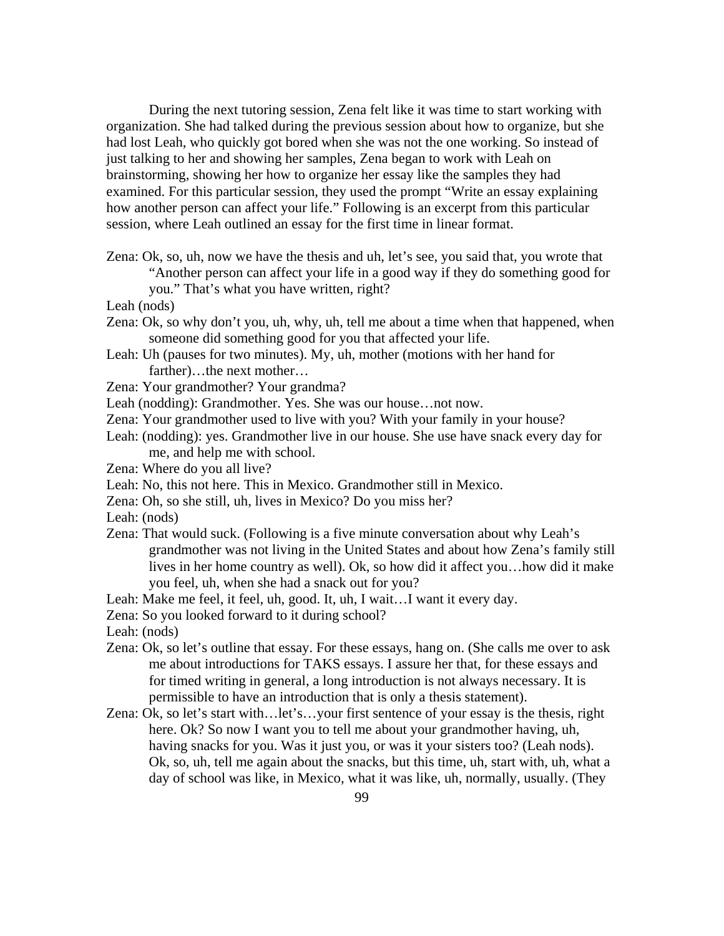During the next tutoring session, Zena felt like it was time to start working with organization. She had talked during the previous session about how to organize, but she had lost Leah, who quickly got bored when she was not the one working. So instead of just talking to her and showing her samples, Zena began to work with Leah on brainstorming, showing her how to organize her essay like the samples they had examined. For this particular session, they used the prompt "Write an essay explaining how another person can affect your life." Following is an excerpt from this particular session, where Leah outlined an essay for the first time in linear format.

- Zena: Ok, so, uh, now we have the thesis and uh, let's see, you said that, you wrote that "Another person can affect your life in a good way if they do something good for
	- you." That's what you have written, right?
- Leah (nods)
- Zena: Ok, so why don't you, uh, why, uh, tell me about a time when that happened, when someone did something good for you that affected your life.
- Leah: Uh (pauses for two minutes). My, uh, mother (motions with her hand for farther)...the next mother...
- Zena: Your grandmother? Your grandma?
- Leah (nodding): Grandmother. Yes. She was our house…not now.
- Zena: Your grandmother used to live with you? With your family in your house?
- Leah: (nodding): yes. Grandmother live in our house. She use have snack every day for me, and help me with school.
- Zena: Where do you all live?
- Leah: No, this not here. This in Mexico. Grandmother still in Mexico.
- Zena: Oh, so she still, uh, lives in Mexico? Do you miss her?
- Leah: (nods)
- Zena: That would suck. (Following is a five minute conversation about why Leah's grandmother was not living in the United States and about how Zena's family still lives in her home country as well). Ok, so how did it affect you…how did it make you feel, uh, when she had a snack out for you?
- Leah: Make me feel, it feel, uh, good. It, uh, I wait...I want it every day.
- Zena: So you looked forward to it during school?
- Leah: (nods)
- Zena: Ok, so let's outline that essay. For these essays, hang on. (She calls me over to ask me about introductions for TAKS essays. I assure her that, for these essays and for timed writing in general, a long introduction is not always necessary. It is permissible to have an introduction that is only a thesis statement).
- Zena: Ok, so let's start with…let's…your first sentence of your essay is the thesis, right here. Ok? So now I want you to tell me about your grandmother having, uh, having snacks for you. Was it just you, or was it your sisters too? (Leah nods). Ok, so, uh, tell me again about the snacks, but this time, uh, start with, uh, what a day of school was like, in Mexico, what it was like, uh, normally, usually. (They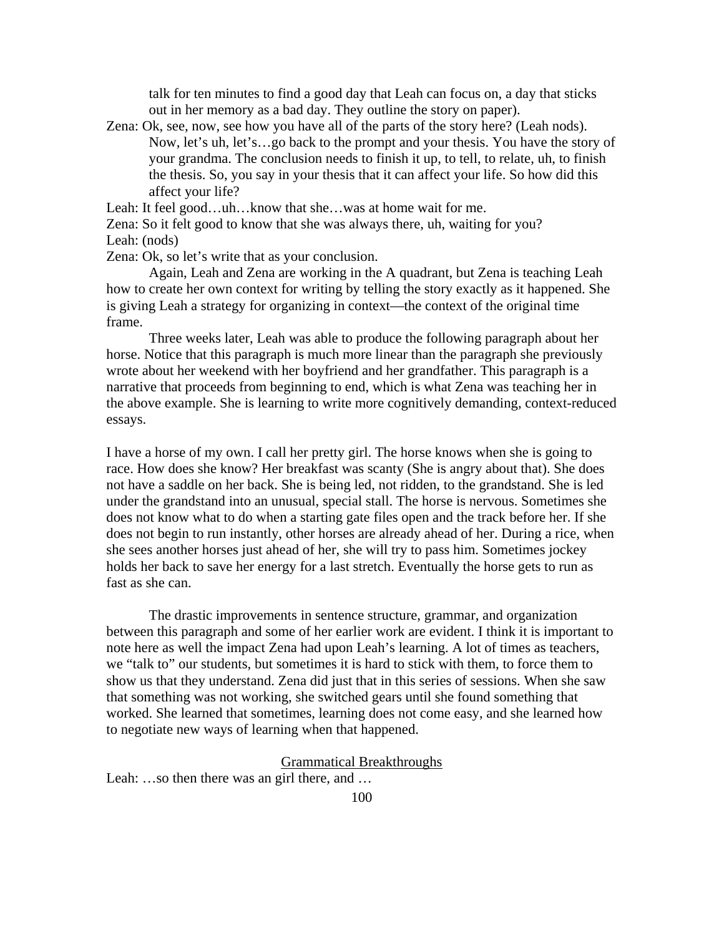talk for ten minutes to find a good day that Leah can focus on, a day that sticks out in her memory as a bad day. They outline the story on paper).

Zena: Ok, see, now, see how you have all of the parts of the story here? (Leah nods). Now, let's uh, let's…go back to the prompt and your thesis. You have the story of your grandma. The conclusion needs to finish it up, to tell, to relate, uh, to finish the thesis. So, you say in your thesis that it can affect your life. So how did this affect your life?

Leah: It feel good...uh...know that she...was at home wait for me.

Zena: So it felt good to know that she was always there, uh, waiting for you? Leah: (nods)

Zena: Ok, so let's write that as your conclusion.

Again, Leah and Zena are working in the A quadrant, but Zena is teaching Leah how to create her own context for writing by telling the story exactly as it happened. She is giving Leah a strategy for organizing in context—the context of the original time frame.

Three weeks later, Leah was able to produce the following paragraph about her horse. Notice that this paragraph is much more linear than the paragraph she previously wrote about her weekend with her boyfriend and her grandfather. This paragraph is a narrative that proceeds from beginning to end, which is what Zena was teaching her in the above example. She is learning to write more cognitively demanding, context-reduced essays.

I have a horse of my own. I call her pretty girl. The horse knows when she is going to race. How does she know? Her breakfast was scanty (She is angry about that). She does not have a saddle on her back. She is being led, not ridden, to the grandstand. She is led under the grandstand into an unusual, special stall. The horse is nervous. Sometimes she does not know what to do when a starting gate files open and the track before her. If she does not begin to run instantly, other horses are already ahead of her. During a rice, when she sees another horses just ahead of her, she will try to pass him. Sometimes jockey holds her back to save her energy for a last stretch. Eventually the horse gets to run as fast as she can.

The drastic improvements in sentence structure, grammar, and organization between this paragraph and some of her earlier work are evident. I think it is important to note here as well the impact Zena had upon Leah's learning. A lot of times as teachers, we "talk to" our students, but sometimes it is hard to stick with them, to force them to show us that they understand. Zena did just that in this series of sessions. When she saw that something was not working, she switched gears until she found something that worked. She learned that sometimes, learning does not come easy, and she learned how to negotiate new ways of learning when that happened.

## Grammatical Breakthroughs

Leah: ...so then there was an girl there, and ...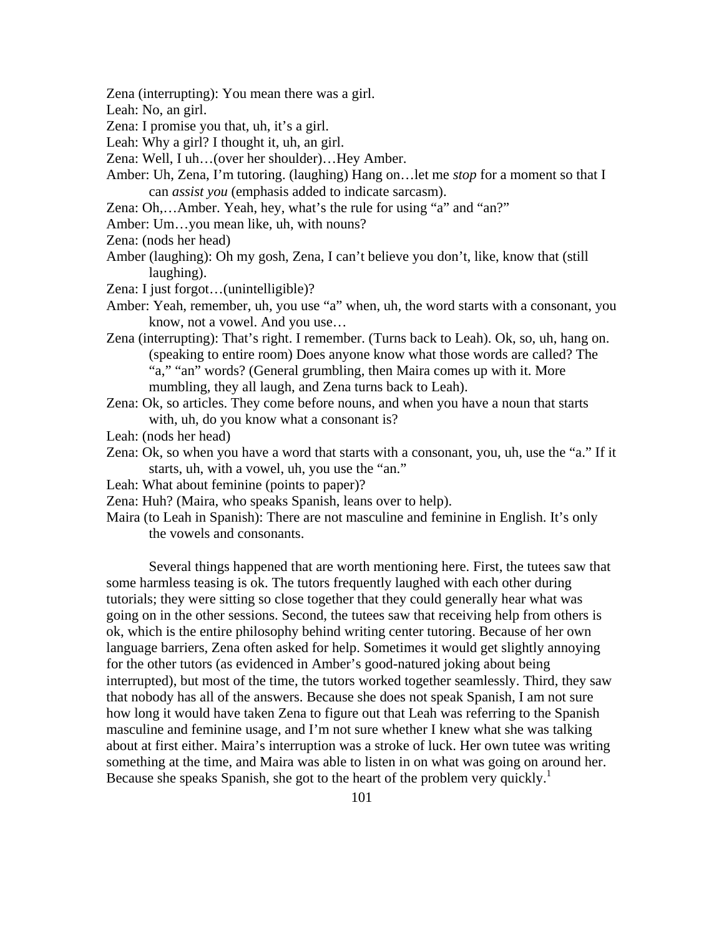Zena (interrupting): You mean there was a girl.

Leah: No, an girl.

Zena: I promise you that, uh, it's a girl.

Leah: Why a girl? I thought it, uh, an girl.

- Zena: Well, I uh…(over her shoulder)…Hey Amber.
- Amber: Uh, Zena, I'm tutoring. (laughing) Hang on…let me *stop* for a moment so that I can *assist you* (emphasis added to indicate sarcasm).
- Zena: Oh,...Amber. Yeah, hey, what's the rule for using "a" and "an?"
- Amber: Um…you mean like, uh, with nouns?
- Zena: (nods her head)
- Amber (laughing): Oh my gosh, Zena, I can't believe you don't, like, know that (still laughing).
- Zena: I just forgot…(unintelligible)?
- Amber: Yeah, remember, uh, you use "a" when, uh, the word starts with a consonant, you know, not a vowel. And you use…
- Zena (interrupting): That's right. I remember. (Turns back to Leah). Ok, so, uh, hang on. (speaking to entire room) Does anyone know what those words are called? The "a," "an" words? (General grumbling, then Maira comes up with it. More mumbling, they all laugh, and Zena turns back to Leah).
- Zena: Ok, so articles. They come before nouns, and when you have a noun that starts with, uh, do you know what a consonant is?
- Leah: (nods her head)
- Zena: Ok, so when you have a word that starts with a consonant, you, uh, use the "a." If it starts, uh, with a vowel, uh, you use the "an."
- Leah: What about feminine (points to paper)?
- Zena: Huh? (Maira, who speaks Spanish, leans over to help).
- Maira (to Leah in Spanish): There are not masculine and feminine in English. It's only the vowels and consonants.

 Several things happened that are worth mentioning here. First, the tutees saw that some harmless teasing is ok. The tutors frequently laughed with each other during tutorials; they were sitting so close together that they could generally hear what was going on in the other sessions. Second, the tutees saw that receiving help from others is ok, which is the entire philosophy behind writing center tutoring. Because of her own language barriers, Zena often asked for help. Sometimes it would get slightly annoying for the other tutors (as evidenced in Amber's good-natured joking about being interrupted), but most of the time, the tutors worked together seamlessly. Third, they saw that nobody has all of the answers. Because she does not speak Spanish, I am not sure how long it would have taken Zena to figure out that Leah was referring to the Spanish masculine and feminine usage, and I'm not sure whether I knew what she was talking about at first either. Maira's interruption was a stroke of luck. Her own tutee was writing something at the time, and Maira was able to listen in on what was going on around her. Because she speaks Spanish, she got to the heart of the problem very quickly.<sup>1</sup>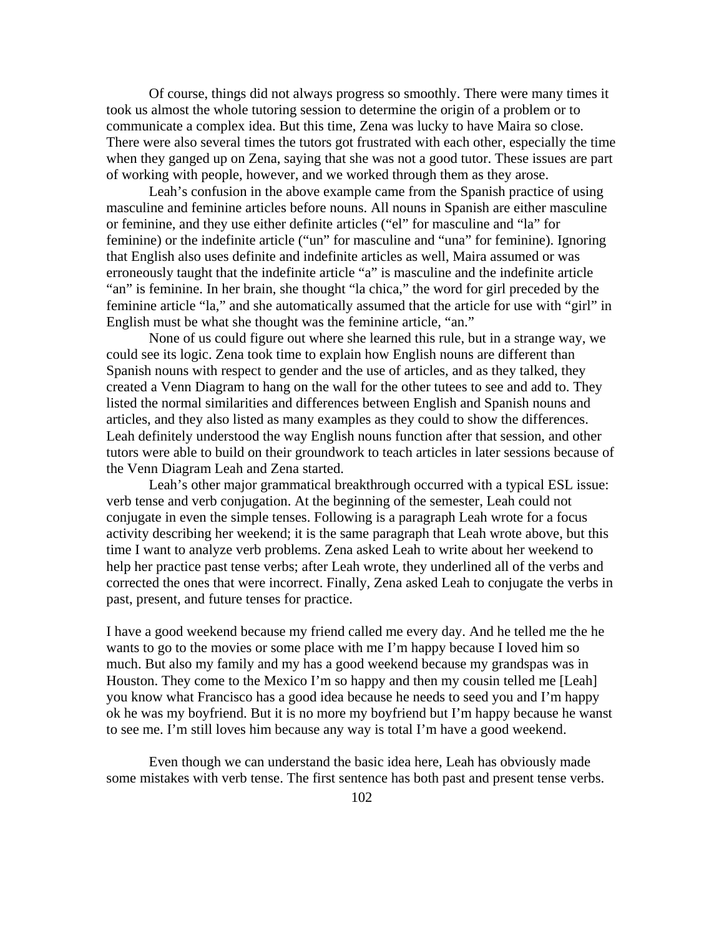Of course, things did not always progress so smoothly. There were many times it took us almost the whole tutoring session to determine the origin of a problem or to communicate a complex idea. But this time, Zena was lucky to have Maira so close. There were also several times the tutors got frustrated with each other, especially the time when they ganged up on Zena, saying that she was not a good tutor. These issues are part of working with people, however, and we worked through them as they arose.

 Leah's confusion in the above example came from the Spanish practice of using masculine and feminine articles before nouns. All nouns in Spanish are either masculine or feminine, and they use either definite articles ("el" for masculine and "la" for feminine) or the indefinite article ("un" for masculine and "una" for feminine). Ignoring that English also uses definite and indefinite articles as well, Maira assumed or was erroneously taught that the indefinite article "a" is masculine and the indefinite article "an" is feminine. In her brain, she thought "la chica," the word for girl preceded by the feminine article "la," and she automatically assumed that the article for use with "girl" in English must be what she thought was the feminine article, "an."

 None of us could figure out where she learned this rule, but in a strange way, we could see its logic. Zena took time to explain how English nouns are different than Spanish nouns with respect to gender and the use of articles, and as they talked, they created a Venn Diagram to hang on the wall for the other tutees to see and add to. They listed the normal similarities and differences between English and Spanish nouns and articles, and they also listed as many examples as they could to show the differences. Leah definitely understood the way English nouns function after that session, and other tutors were able to build on their groundwork to teach articles in later sessions because of the Venn Diagram Leah and Zena started.

 Leah's other major grammatical breakthrough occurred with a typical ESL issue: verb tense and verb conjugation. At the beginning of the semester, Leah could not conjugate in even the simple tenses. Following is a paragraph Leah wrote for a focus activity describing her weekend; it is the same paragraph that Leah wrote above, but this time I want to analyze verb problems. Zena asked Leah to write about her weekend to help her practice past tense verbs; after Leah wrote, they underlined all of the verbs and corrected the ones that were incorrect. Finally, Zena asked Leah to conjugate the verbs in past, present, and future tenses for practice.

I have a good weekend because my friend called me every day. And he telled me the he wants to go to the movies or some place with me I'm happy because I loved him so much. But also my family and my has a good weekend because my grandspas was in Houston. They come to the Mexico I'm so happy and then my cousin telled me [Leah] you know what Francisco has a good idea because he needs to seed you and I'm happy ok he was my boyfriend. But it is no more my boyfriend but I'm happy because he wanst to see me. I'm still loves him because any way is total I'm have a good weekend.

Even though we can understand the basic idea here, Leah has obviously made some mistakes with verb tense. The first sentence has both past and present tense verbs.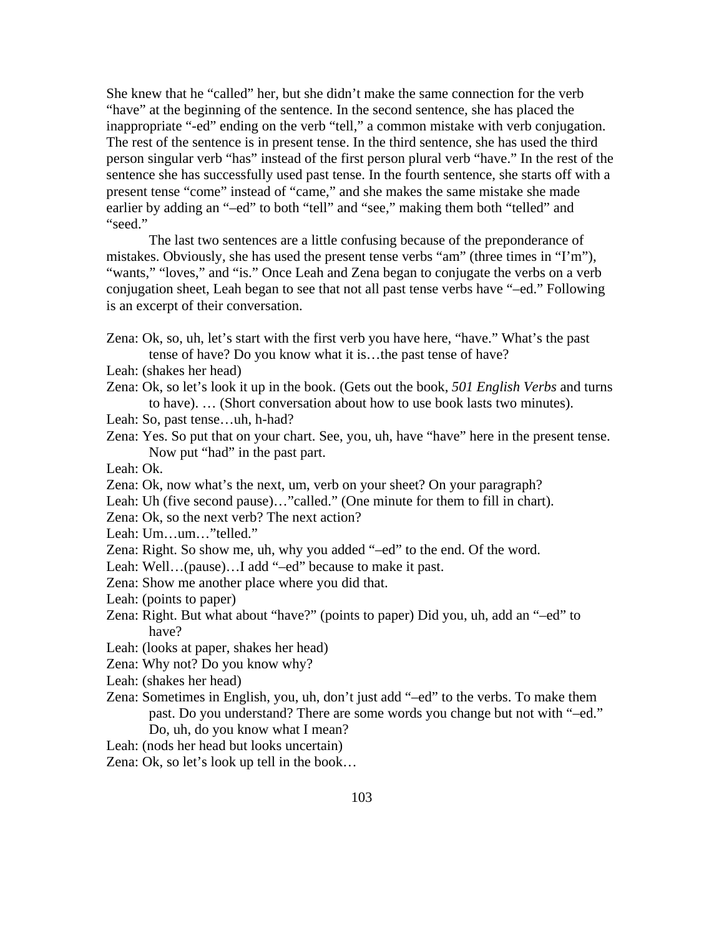She knew that he "called" her, but she didn't make the same connection for the verb "have" at the beginning of the sentence. In the second sentence, she has placed the inappropriate "*-*ed" ending on the verb "tell," a common mistake with verb conjugation. The rest of the sentence is in present tense. In the third sentence, she has used the third person singular verb "has" instead of the first person plural verb "have." In the rest of the sentence she has successfully used past tense. In the fourth sentence, she starts off with a present tense "come" instead of "came," and she makes the same mistake she made earlier by adding an "*–*ed" to both "tell" and "see," making them both "telled" and "seed."

The last two sentences are a little confusing because of the preponderance of mistakes. Obviously, she has used the present tense verbs "am" (three times in "I'm"), "wants," "loves," and "is." Once Leah and Zena began to conjugate the verbs on a verb conjugation sheet, Leah began to see that not all past tense verbs have "–ed." Following is an excerpt of their conversation.

- Zena: Ok, so, uh, let's start with the first verb you have here, "have." What's the past tense of have? Do you know what it is…the past tense of have?
- Leah: (shakes her head)
- Zena: Ok, so let's look it up in the book. (Gets out the book, *501 English Verbs* and turns to have). … (Short conversation about how to use book lasts two minutes).
- Leah: So, past tense…uh, h-had?
- Zena: Yes. So put that on your chart. See, you, uh, have "have" here in the present tense. Now put "had" in the past part.
- Leah: Ok.
- Zena: Ok, now what's the next, um, verb on your sheet? On your paragraph?
- Leah: Uh (five second pause)..."called." (One minute for them to fill in chart).
- Zena: Ok, so the next verb? The next action?
- Leah: Um…um…"telled."
- Zena: Right. So show me, uh, why you added "–ed" to the end. Of the word.
- Leah: Well...(pause)...I add "–ed" because to make it past.
- Zena: Show me another place where you did that.
- Leah: (points to paper)
- Zena: Right. But what about "have?" (points to paper) Did you, uh, add an "–ed" to have?
- Leah: (looks at paper, shakes her head)
- Zena: Why not? Do you know why?
- Leah: (shakes her head)
- Zena: Sometimes in English, you, uh, don't just add "–ed" to the verbs. To make them past. Do you understand? There are some words you change but not with "–ed." Do, uh, do you know what I mean?
- Leah: (nods her head but looks uncertain)
- Zena: Ok, so let's look up tell in the book…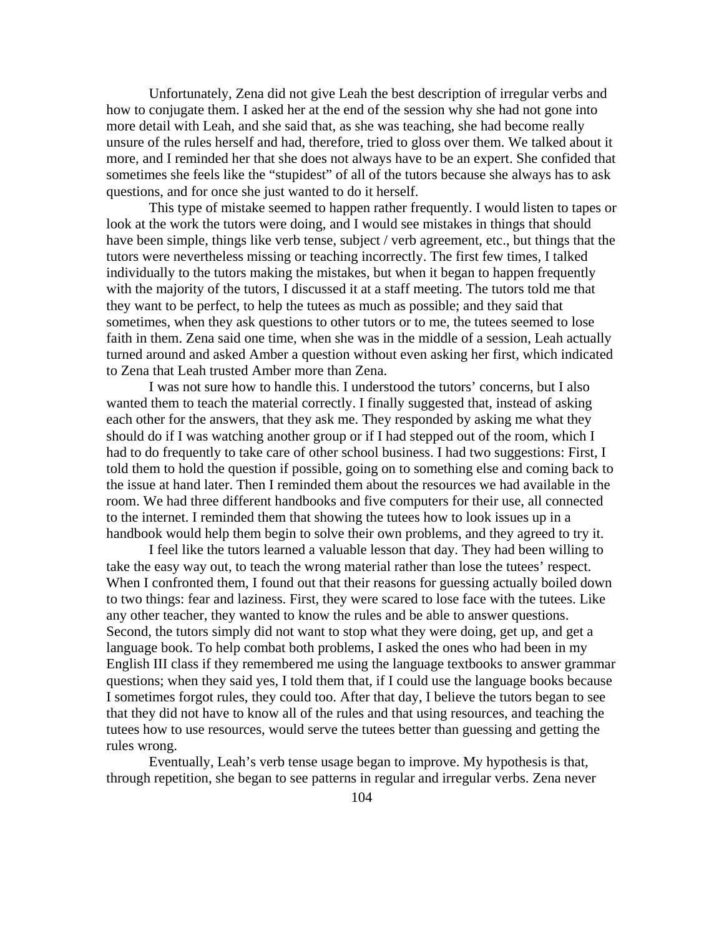Unfortunately, Zena did not give Leah the best description of irregular verbs and how to conjugate them. I asked her at the end of the session why she had not gone into more detail with Leah, and she said that, as she was teaching, she had become really unsure of the rules herself and had, therefore, tried to gloss over them. We talked about it more, and I reminded her that she does not always have to be an expert. She confided that sometimes she feels like the "stupidest" of all of the tutors because she always has to ask questions, and for once she just wanted to do it herself.

 This type of mistake seemed to happen rather frequently. I would listen to tapes or look at the work the tutors were doing, and I would see mistakes in things that should have been simple, things like verb tense, subject / verb agreement, etc., but things that the tutors were nevertheless missing or teaching incorrectly. The first few times, I talked individually to the tutors making the mistakes, but when it began to happen frequently with the majority of the tutors, I discussed it at a staff meeting. The tutors told me that they want to be perfect, to help the tutees as much as possible; and they said that sometimes, when they ask questions to other tutors or to me, the tutees seemed to lose faith in them. Zena said one time, when she was in the middle of a session, Leah actually turned around and asked Amber a question without even asking her first, which indicated to Zena that Leah trusted Amber more than Zena.

 I was not sure how to handle this. I understood the tutors' concerns, but I also wanted them to teach the material correctly. I finally suggested that, instead of asking each other for the answers, that they ask me. They responded by asking me what they should do if I was watching another group or if I had stepped out of the room, which I had to do frequently to take care of other school business. I had two suggestions: First, I told them to hold the question if possible, going on to something else and coming back to the issue at hand later. Then I reminded them about the resources we had available in the room. We had three different handbooks and five computers for their use, all connected to the internet. I reminded them that showing the tutees how to look issues up in a handbook would help them begin to solve their own problems, and they agreed to try it.

 I feel like the tutors learned a valuable lesson that day. They had been willing to take the easy way out, to teach the wrong material rather than lose the tutees' respect. When I confronted them, I found out that their reasons for guessing actually boiled down to two things: fear and laziness. First, they were scared to lose face with the tutees. Like any other teacher, they wanted to know the rules and be able to answer questions. Second, the tutors simply did not want to stop what they were doing, get up, and get a language book. To help combat both problems, I asked the ones who had been in my English III class if they remembered me using the language textbooks to answer grammar questions; when they said yes, I told them that, if I could use the language books because I sometimes forgot rules, they could too. After that day, I believe the tutors began to see that they did not have to know all of the rules and that using resources, and teaching the tutees how to use resources, would serve the tutees better than guessing and getting the rules wrong.

 Eventually, Leah's verb tense usage began to improve. My hypothesis is that, through repetition, she began to see patterns in regular and irregular verbs. Zena never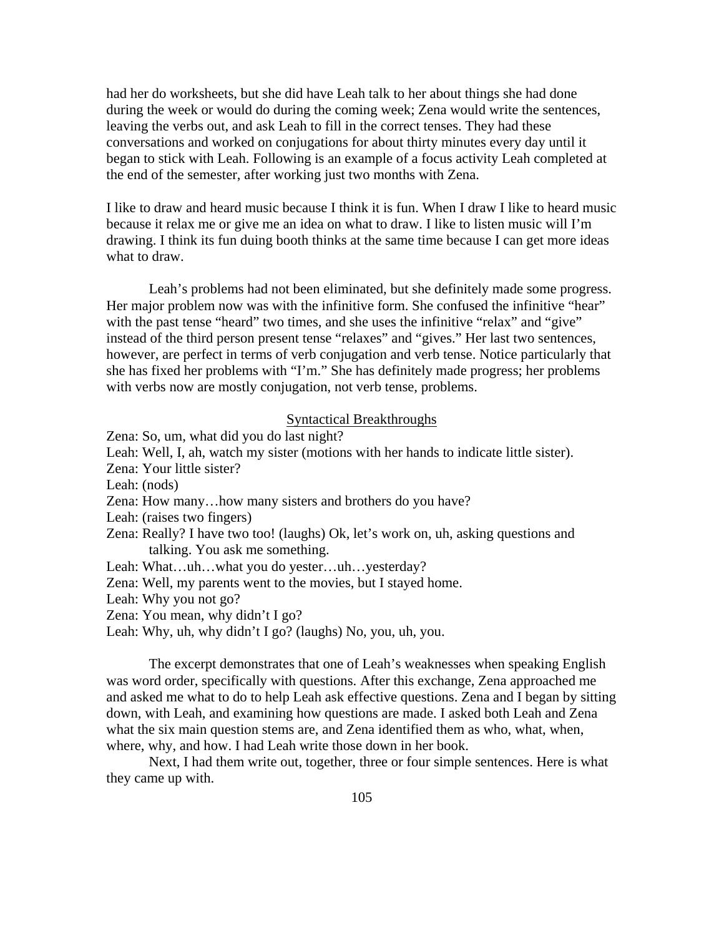had her do worksheets, but she did have Leah talk to her about things she had done during the week or would do during the coming week; Zena would write the sentences, leaving the verbs out, and ask Leah to fill in the correct tenses. They had these conversations and worked on conjugations for about thirty minutes every day until it began to stick with Leah. Following is an example of a focus activity Leah completed at the end of the semester, after working just two months with Zena.

I like to draw and heard music because I think it is fun. When I draw I like to heard music because it relax me or give me an idea on what to draw. I like to listen music will I'm drawing. I think its fun duing booth thinks at the same time because I can get more ideas what to draw.

Leah's problems had not been eliminated, but she definitely made some progress. Her major problem now was with the infinitive form. She confused the infinitive "hear" with the past tense "heard" two times, and she uses the infinitive "relax" and "give" instead of the third person present tense "relaxes" and "gives." Her last two sentences, however, are perfect in terms of verb conjugation and verb tense. Notice particularly that she has fixed her problems with "I'm." She has definitely made progress; her problems with verbs now are mostly conjugation, not verb tense, problems.

## Syntactical Breakthroughs

- Zena: So, um, what did you do last night?
- Leah: Well, I, ah, watch my sister (motions with her hands to indicate little sister).
- Zena: Your little sister?
- Leah: (nods)
- Zena: How many…how many sisters and brothers do you have?
- Leah: (raises two fingers)
- Zena: Really? I have two too! (laughs) Ok, let's work on, uh, asking questions and talking. You ask me something.
- Leah: What...uh...what you do yester...uh...yesterday?
- Zena: Well, my parents went to the movies, but I stayed home.
- Leah: Why you not go?
- Zena: You mean, why didn't I go?
- Leah: Why, uh, why didn't I go? (laughs) No, you, uh, you.

 The excerpt demonstrates that one of Leah's weaknesses when speaking English was word order, specifically with questions. After this exchange, Zena approached me and asked me what to do to help Leah ask effective questions. Zena and I began by sitting down, with Leah, and examining how questions are made. I asked both Leah and Zena what the six main question stems are, and Zena identified them as who, what, when, where, why, and how. I had Leah write those down in her book.

 Next, I had them write out, together, three or four simple sentences. Here is what they came up with.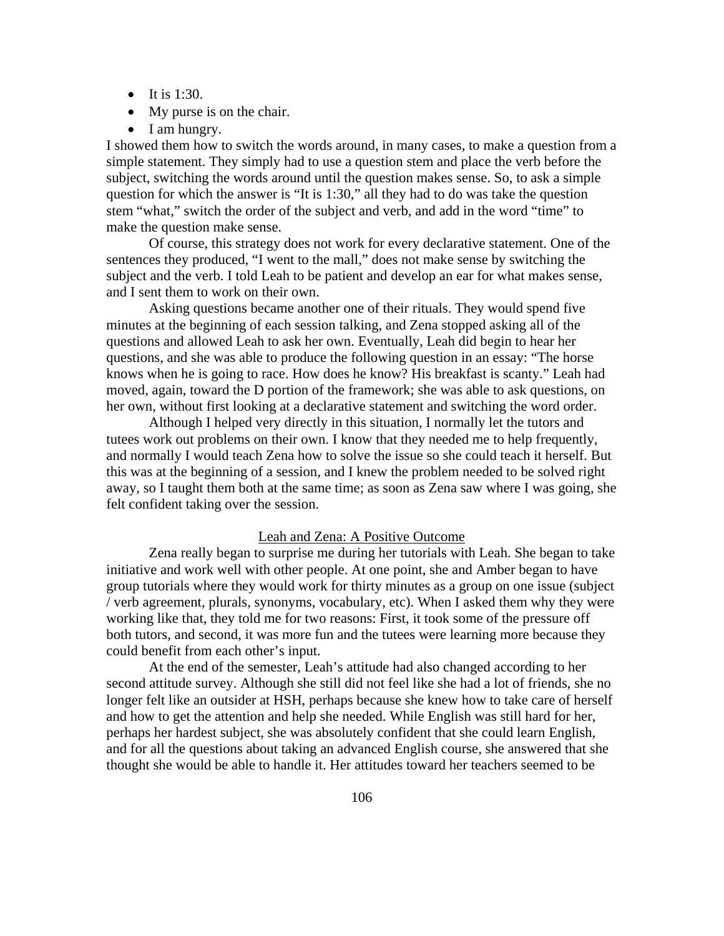- It is  $1:30$ .
- My purse is on the chair.
- I am hungry.

I showed them how to switch the words around, in many cases, to make a question from a simple statement. They simply had to use a question stem and place the verb before the subject, switching the words around until the question makes sense. So, to ask a simple question for which the answer is "It is 1:30," all they had to do was take the question stem "what," switch the order of the subject and verb, and add in the word "time" to make the question make sense.

 Of course, this strategy does not work for every declarative statement. One of the sentences they produced, "I went to the mall," does not make sense by switching the subject and the verb. I told Leah to be patient and develop an ear for what makes sense, and I sent them to work on their own.

 Asking questions became another one of their rituals. They would spend five minutes at the beginning of each session talking, and Zena stopped asking all of the questions and allowed Leah to ask her own. Eventually, Leah did begin to hear her questions, and she was able to produce the following question in an essay: "The horse knows when he is going to race. How does he know? His breakfast is scanty." Leah had moved, again, toward the D portion of the framework; she was able to ask questions, on her own, without first looking at a declarative statement and switching the word order.

 Although I helped very directly in this situation, I normally let the tutors and tutees work out problems on their own. I know that they needed me to help frequently, and normally I would teach Zena how to solve the issue so she could teach it herself. But this was at the beginning of a session, and I knew the problem needed to be solved right away, so I taught them both at the same time; as soon as Zena saw where I was going, she felt confident taking over the session.

#### Leah and Zena: A Positive Outcome

 Zena really began to surprise me during her tutorials with Leah. She began to take initiative and work well with other people. At one point, she and Amber began to have group tutorials where they would work for thirty minutes as a group on one issue (subject / verb agreement, plurals, synonyms, vocabulary, etc). When I asked them why they were working like that, they told me for two reasons: First, it took some of the pressure off both tutors, and second, it was more fun and the tutees were learning more because they could benefit from each other's input.

 At the end of the semester, Leah's attitude had also changed according to her second attitude survey. Although she still did not feel like she had a lot of friends, she no longer felt like an outsider at HSH, perhaps because she knew how to take care of herself and how to get the attention and help she needed. While English was still hard for her, perhaps her hardest subject, she was absolutely confident that she could learn English, and for all the questions about taking an advanced English course, she answered that she thought she would be able to handle it. Her attitudes toward her teachers seemed to be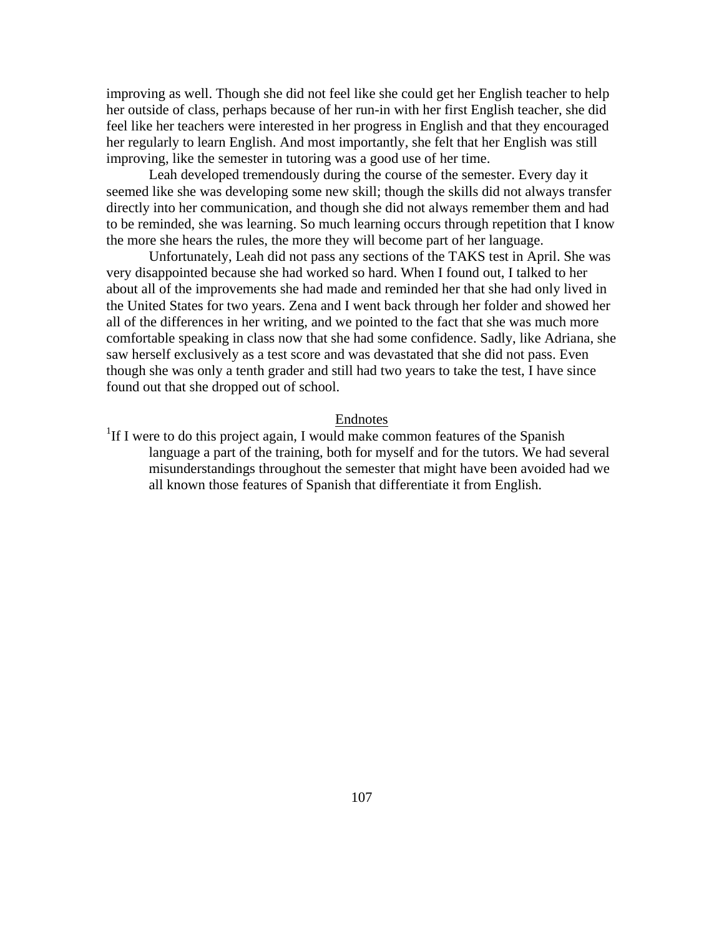improving as well. Though she did not feel like she could get her English teacher to help her outside of class, perhaps because of her run-in with her first English teacher, she did feel like her teachers were interested in her progress in English and that they encouraged her regularly to learn English. And most importantly, she felt that her English was still improving, like the semester in tutoring was a good use of her time.

Leah developed tremendously during the course of the semester. Every day it seemed like she was developing some new skill; though the skills did not always transfer directly into her communication, and though she did not always remember them and had to be reminded, she was learning. So much learning occurs through repetition that I know the more she hears the rules, the more they will become part of her language.

Unfortunately, Leah did not pass any sections of the TAKS test in April. She was very disappointed because she had worked so hard. When I found out, I talked to her about all of the improvements she had made and reminded her that she had only lived in the United States for two years. Zena and I went back through her folder and showed her all of the differences in her writing, and we pointed to the fact that she was much more comfortable speaking in class now that she had some confidence. Sadly, like Adriana, she saw herself exclusively as a test score and was devastated that she did not pass. Even though she was only a tenth grader and still had two years to take the test, I have since found out that she dropped out of school.

Endnotes<br><sup>1</sup>If I were to do this project again, I would make common features of the Spanish language a part of the training, both for myself and for the tutors. We had several misunderstandings throughout the semester that might have been avoided had we all known those features of Spanish that differentiate it from English.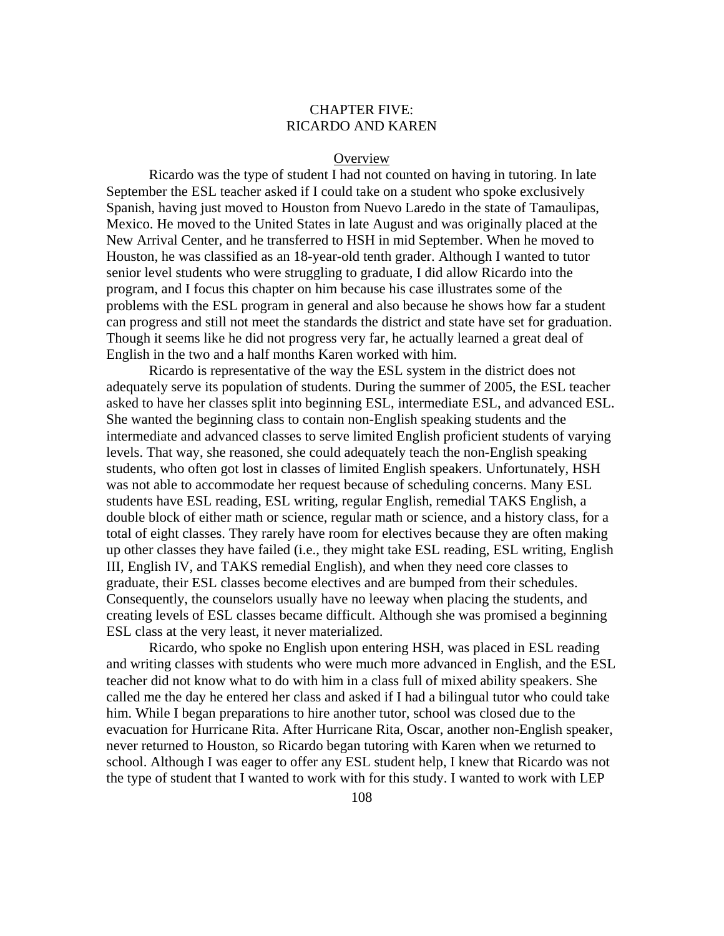# CHAPTER FIVE: RICARDO AND KAREN

#### **Overview**

 Ricardo was the type of student I had not counted on having in tutoring. In late September the ESL teacher asked if I could take on a student who spoke exclusively Spanish, having just moved to Houston from Nuevo Laredo in the state of Tamaulipas, Mexico. He moved to the United States in late August and was originally placed at the New Arrival Center, and he transferred to HSH in mid September. When he moved to Houston, he was classified as an 18-year-old tenth grader. Although I wanted to tutor senior level students who were struggling to graduate, I did allow Ricardo into the program, and I focus this chapter on him because his case illustrates some of the problems with the ESL program in general and also because he shows how far a student can progress and still not meet the standards the district and state have set for graduation. Though it seems like he did not progress very far, he actually learned a great deal of English in the two and a half months Karen worked with him.

 Ricardo is representative of the way the ESL system in the district does not adequately serve its population of students. During the summer of 2005, the ESL teacher asked to have her classes split into beginning ESL, intermediate ESL, and advanced ESL. She wanted the beginning class to contain non-English speaking students and the intermediate and advanced classes to serve limited English proficient students of varying levels. That way, she reasoned, she could adequately teach the non-English speaking students, who often got lost in classes of limited English speakers. Unfortunately, HSH was not able to accommodate her request because of scheduling concerns. Many ESL students have ESL reading, ESL writing, regular English, remedial TAKS English, a double block of either math or science, regular math or science, and a history class, for a total of eight classes. They rarely have room for electives because they are often making up other classes they have failed (i.e., they might take ESL reading, ESL writing, English III, English IV, and TAKS remedial English), and when they need core classes to graduate, their ESL classes become electives and are bumped from their schedules. Consequently, the counselors usually have no leeway when placing the students, and creating levels of ESL classes became difficult. Although she was promised a beginning ESL class at the very least, it never materialized.

Ricardo, who spoke no English upon entering HSH, was placed in ESL reading and writing classes with students who were much more advanced in English, and the ESL teacher did not know what to do with him in a class full of mixed ability speakers. She called me the day he entered her class and asked if I had a bilingual tutor who could take him. While I began preparations to hire another tutor, school was closed due to the evacuation for Hurricane Rita. After Hurricane Rita, Oscar, another non-English speaker, never returned to Houston, so Ricardo began tutoring with Karen when we returned to school. Although I was eager to offer any ESL student help, I knew that Ricardo was not the type of student that I wanted to work with for this study. I wanted to work with LEP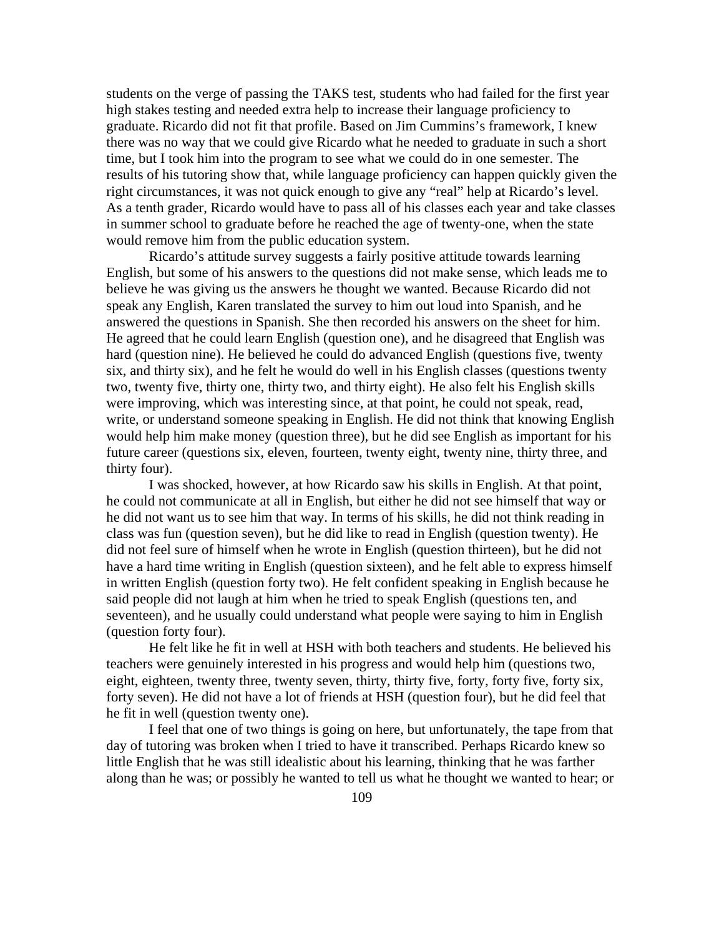students on the verge of passing the TAKS test, students who had failed for the first year high stakes testing and needed extra help to increase their language proficiency to graduate. Ricardo did not fit that profile. Based on Jim Cummins's framework, I knew there was no way that we could give Ricardo what he needed to graduate in such a short time, but I took him into the program to see what we could do in one semester. The results of his tutoring show that, while language proficiency can happen quickly given the right circumstances, it was not quick enough to give any "real" help at Ricardo's level. As a tenth grader, Ricardo would have to pass all of his classes each year and take classes in summer school to graduate before he reached the age of twenty-one, when the state would remove him from the public education system.

Ricardo's attitude survey suggests a fairly positive attitude towards learning English, but some of his answers to the questions did not make sense, which leads me to believe he was giving us the answers he thought we wanted. Because Ricardo did not speak any English, Karen translated the survey to him out loud into Spanish, and he answered the questions in Spanish. She then recorded his answers on the sheet for him. He agreed that he could learn English (question one), and he disagreed that English was hard (question nine). He believed he could do advanced English (questions five, twenty six, and thirty six), and he felt he would do well in his English classes (questions twenty two, twenty five, thirty one, thirty two, and thirty eight). He also felt his English skills were improving, which was interesting since, at that point, he could not speak, read, write, or understand someone speaking in English. He did not think that knowing English would help him make money (question three), but he did see English as important for his future career (questions six, eleven, fourteen, twenty eight, twenty nine, thirty three, and thirty four).

I was shocked, however, at how Ricardo saw his skills in English. At that point, he could not communicate at all in English, but either he did not see himself that way or he did not want us to see him that way. In terms of his skills, he did not think reading in class was fun (question seven), but he did like to read in English (question twenty). He did not feel sure of himself when he wrote in English (question thirteen), but he did not have a hard time writing in English (question sixteen), and he felt able to express himself in written English (question forty two). He felt confident speaking in English because he said people did not laugh at him when he tried to speak English (questions ten, and seventeen), and he usually could understand what people were saying to him in English (question forty four).

He felt like he fit in well at HSH with both teachers and students. He believed his teachers were genuinely interested in his progress and would help him (questions two, eight, eighteen, twenty three, twenty seven, thirty, thirty five, forty, forty five, forty six, forty seven). He did not have a lot of friends at HSH (question four), but he did feel that he fit in well (question twenty one).

I feel that one of two things is going on here, but unfortunately, the tape from that day of tutoring was broken when I tried to have it transcribed. Perhaps Ricardo knew so little English that he was still idealistic about his learning, thinking that he was farther along than he was; or possibly he wanted to tell us what he thought we wanted to hear; or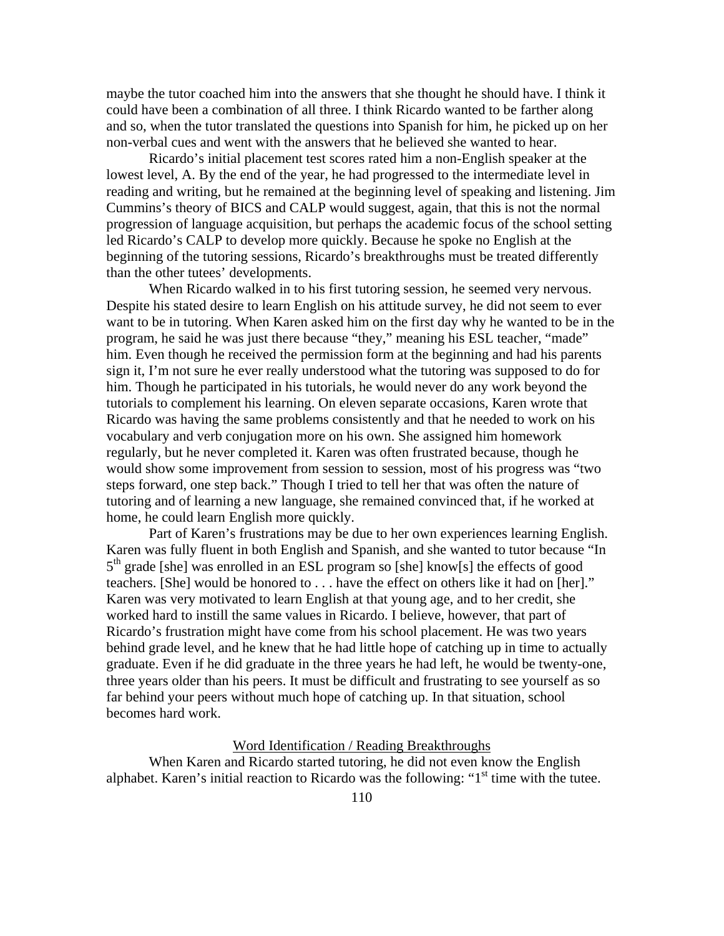maybe the tutor coached him into the answers that she thought he should have. I think it could have been a combination of all three. I think Ricardo wanted to be farther along and so, when the tutor translated the questions into Spanish for him, he picked up on her non-verbal cues and went with the answers that he believed she wanted to hear.

Ricardo's initial placement test scores rated him a non-English speaker at the lowest level, A. By the end of the year, he had progressed to the intermediate level in reading and writing, but he remained at the beginning level of speaking and listening. Jim Cummins's theory of BICS and CALP would suggest, again, that this is not the normal progression of language acquisition, but perhaps the academic focus of the school setting led Ricardo's CALP to develop more quickly. Because he spoke no English at the beginning of the tutoring sessions, Ricardo's breakthroughs must be treated differently than the other tutees' developments.

When Ricardo walked in to his first tutoring session, he seemed very nervous. Despite his stated desire to learn English on his attitude survey, he did not seem to ever want to be in tutoring. When Karen asked him on the first day why he wanted to be in the program, he said he was just there because "they," meaning his ESL teacher, "made" him. Even though he received the permission form at the beginning and had his parents sign it, I'm not sure he ever really understood what the tutoring was supposed to do for him. Though he participated in his tutorials, he would never do any work beyond the tutorials to complement his learning. On eleven separate occasions, Karen wrote that Ricardo was having the same problems consistently and that he needed to work on his vocabulary and verb conjugation more on his own. She assigned him homework regularly, but he never completed it. Karen was often frustrated because, though he would show some improvement from session to session, most of his progress was "two steps forward, one step back." Though I tried to tell her that was often the nature of tutoring and of learning a new language, she remained convinced that, if he worked at home, he could learn English more quickly.

Part of Karen's frustrations may be due to her own experiences learning English. Karen was fully fluent in both English and Spanish, and she wanted to tutor because "In  $5<sup>th</sup>$  grade [she] was enrolled in an ESL program so [she] know[s] the effects of good teachers. [She] would be honored to . . . have the effect on others like it had on [her]." Karen was very motivated to learn English at that young age, and to her credit, she worked hard to instill the same values in Ricardo. I believe, however, that part of Ricardo's frustration might have come from his school placement. He was two years behind grade level, and he knew that he had little hope of catching up in time to actually graduate. Even if he did graduate in the three years he had left, he would be twenty-one, three years older than his peers. It must be difficult and frustrating to see yourself as so far behind your peers without much hope of catching up. In that situation, school becomes hard work.

#### Word Identification / Reading Breakthroughs

 When Karen and Ricardo started tutoring, he did not even know the English alphabet. Karen's initial reaction to Ricardo was the following: " $1<sup>st</sup>$  time with the tutee.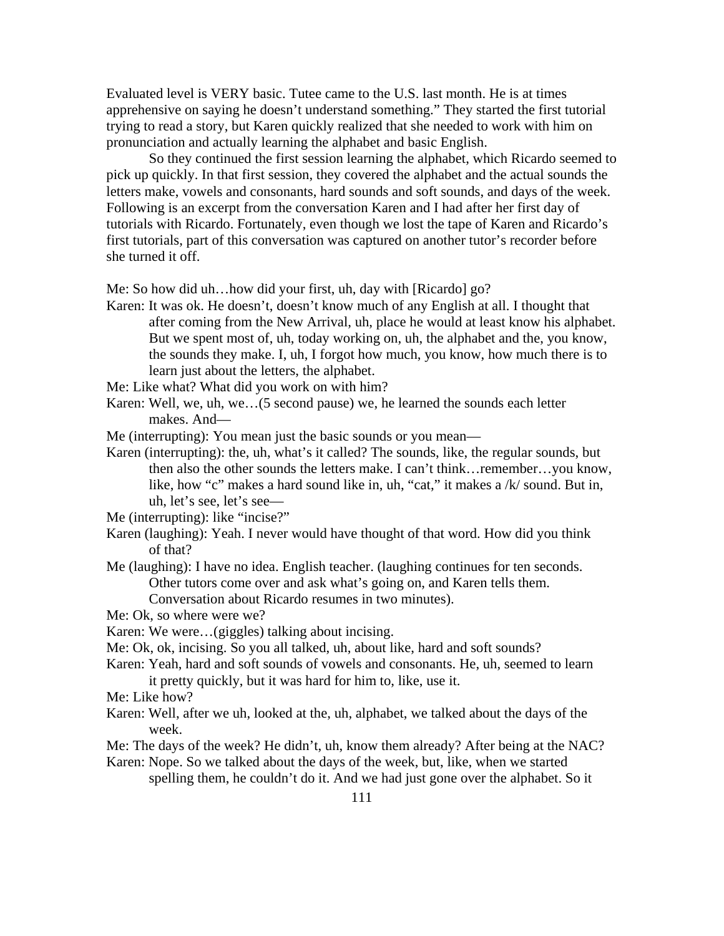Evaluated level is VERY basic. Tutee came to the U.S. last month. He is at times apprehensive on saying he doesn't understand something." They started the first tutorial trying to read a story, but Karen quickly realized that she needed to work with him on pronunciation and actually learning the alphabet and basic English.

 So they continued the first session learning the alphabet, which Ricardo seemed to pick up quickly. In that first session, they covered the alphabet and the actual sounds the letters make, vowels and consonants, hard sounds and soft sounds, and days of the week. Following is an excerpt from the conversation Karen and I had after her first day of tutorials with Ricardo. Fortunately, even though we lost the tape of Karen and Ricardo's first tutorials, part of this conversation was captured on another tutor's recorder before she turned it off.

Me: So how did uh…how did your first, uh, day with [Ricardo] go?

Karen: It was ok. He doesn't, doesn't know much of any English at all. I thought that after coming from the New Arrival, uh, place he would at least know his alphabet. But we spent most of, uh, today working on, uh, the alphabet and the, you know, the sounds they make. I, uh, I forgot how much, you know, how much there is to learn just about the letters, the alphabet.

Me: Like what? What did you work on with him?

- Karen: Well, we, uh, we…(5 second pause) we, he learned the sounds each letter makes. And—
- Me (interrupting): You mean just the basic sounds or you mean—
- Karen (interrupting): the, uh, what's it called? The sounds, like, the regular sounds, but then also the other sounds the letters make. I can't think…remember…you know, like, how "c" makes a hard sound like in, uh, "cat," it makes a /k/ sound. But in, uh, let's see, let's see—

- Karen (laughing): Yeah. I never would have thought of that word. How did you think of that?
- Me (laughing): I have no idea. English teacher. (laughing continues for ten seconds. Other tutors come over and ask what's going on, and Karen tells them. Conversation about Ricardo resumes in two minutes).

Me: Ok, so where were we?

- Karen: We were…(giggles) talking about incising.
- Me: Ok, ok, incising. So you all talked, uh, about like, hard and soft sounds?
- Karen: Yeah, hard and soft sounds of vowels and consonants. He, uh, seemed to learn it pretty quickly, but it was hard for him to, like, use it.

Me: Like how?

- Karen: Well, after we uh, looked at the, uh, alphabet, we talked about the days of the week.
- Me: The days of the week? He didn't, uh, know them already? After being at the NAC?

Karen: Nope. So we talked about the days of the week, but, like, when we started spelling them, he couldn't do it. And we had just gone over the alphabet. So it

Me (interrupting): like "incise?"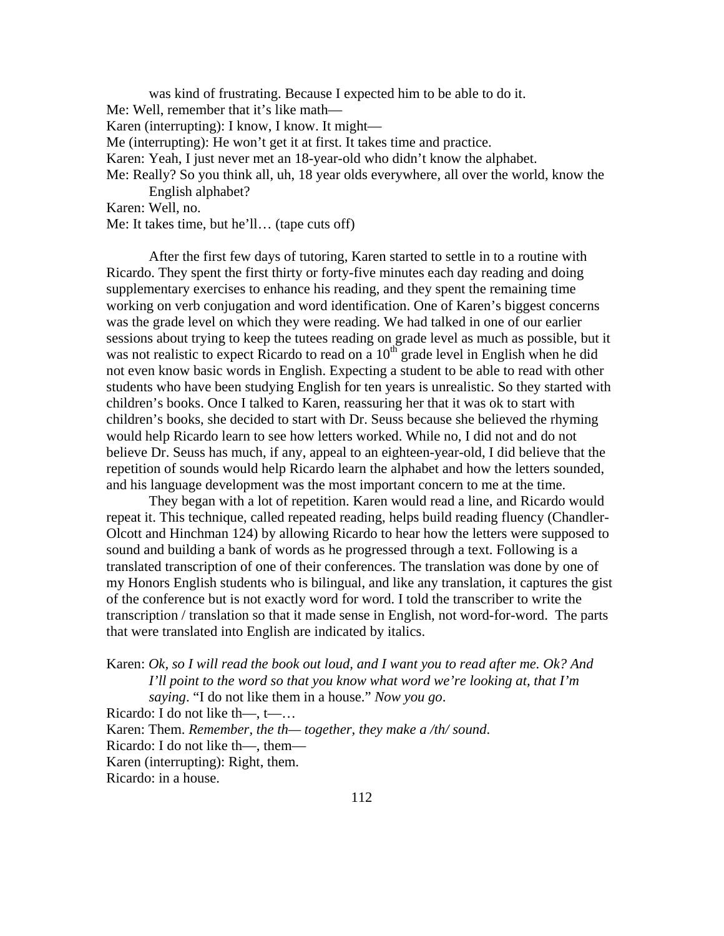was kind of frustrating. Because I expected him to be able to do it. Me: Well, remember that it's like math— Karen (interrupting): I know, I know. It might— Me (interrupting): He won't get it at first. It takes time and practice. Karen: Yeah, I just never met an 18-year-old who didn't know the alphabet. Me: Really? So you think all, uh, 18 year olds everywhere, all over the world, know the English alphabet? Karen: Well, no.

Me: It takes time, but he'll… (tape cuts off)

After the first few days of tutoring, Karen started to settle in to a routine with Ricardo. They spent the first thirty or forty-five minutes each day reading and doing supplementary exercises to enhance his reading, and they spent the remaining time working on verb conjugation and word identification. One of Karen's biggest concerns was the grade level on which they were reading. We had talked in one of our earlier sessions about trying to keep the tutees reading on grade level as much as possible, but it was not realistic to expect Ricardo to read on a  $10<sup>th</sup>$  grade level in English when he did not even know basic words in English. Expecting a student to be able to read with other students who have been studying English for ten years is unrealistic. So they started with children's books. Once I talked to Karen, reassuring her that it was ok to start with children's books, she decided to start with Dr. Seuss because she believed the rhyming would help Ricardo learn to see how letters worked. While no, I did not and do not believe Dr. Seuss has much, if any, appeal to an eighteen-year-old, I did believe that the repetition of sounds would help Ricardo learn the alphabet and how the letters sounded, and his language development was the most important concern to me at the time.

 They began with a lot of repetition. Karen would read a line, and Ricardo would repeat it. This technique, called repeated reading, helps build reading fluency (Chandler-Olcott and Hinchman 124) by allowing Ricardo to hear how the letters were supposed to sound and building a bank of words as he progressed through a text. Following is a translated transcription of one of their conferences. The translation was done by one of my Honors English students who is bilingual, and like any translation, it captures the gist of the conference but is not exactly word for word. I told the transcriber to write the transcription / translation so that it made sense in English, not word-for-word. The parts that were translated into English are indicated by italics.

Karen: *Ok, so I will read the book out loud, and I want you to read after me. Ok? And I'll point to the word so that you know what word we're looking at, that I'm saying*. "I do not like them in a house." *Now you go*.

Ricardo: I do not like th—, t—…

Karen: Them. *Remember, the th— together, they make a /th/ sound*.

Ricardo: I do not like th—, them—

Karen (interrupting): Right, them.

Ricardo: in a house.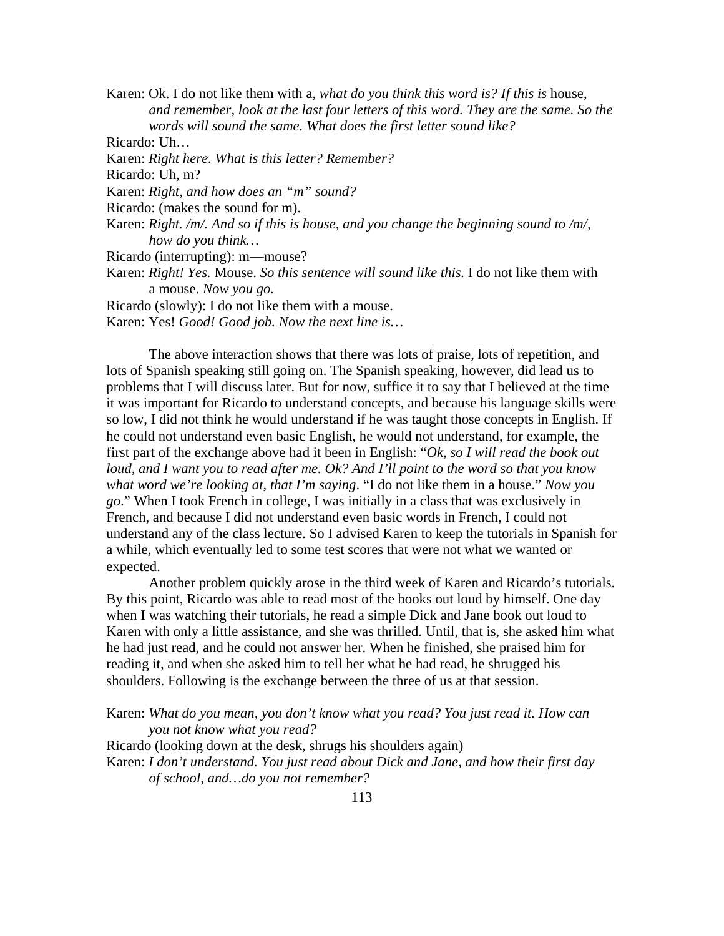Karen: Ok. I do not like them with a, *what do you think this word is? If this is* house, and remember, look at the last four letters of this word. They are the same. So the *words will sound the same. What does the first letter sound like?* 

Ricardo: Uh…

Karen: *Right here. What is this letter? Remember?* 

Ricardo: Uh, m?

Karen: *Right, and how does an "m" sound?* 

Ricardo: (makes the sound for m).

Karen: *Right. /m/. And so if this is house, and you change the beginning sound to /m/, how do you think…*

Ricardo (interrupting): m—mouse?

Karen: *Right! Yes.* Mouse. *So this sentence will sound like this.* I do not like them with a mouse. *Now you go.* 

Ricardo (slowly): I do not like them with a mouse.

Karen: Yes! *Good! Good job. Now the next line is…*

The above interaction shows that there was lots of praise, lots of repetition, and lots of Spanish speaking still going on. The Spanish speaking, however, did lead us to problems that I will discuss later. But for now, suffice it to say that I believed at the time it was important for Ricardo to understand concepts, and because his language skills were so low, I did not think he would understand if he was taught those concepts in English. If he could not understand even basic English, he would not understand, for example, the first part of the exchange above had it been in English: "*Ok, so I will read the book out loud, and I want you to read after me. Ok? And I'll point to the word so that you know what word we're looking at, that I'm saying*. "I do not like them in a house." *Now you go*." When I took French in college, I was initially in a class that was exclusively in French, and because I did not understand even basic words in French, I could not understand any of the class lecture. So I advised Karen to keep the tutorials in Spanish for a while, which eventually led to some test scores that were not what we wanted or expected.

 Another problem quickly arose in the third week of Karen and Ricardo's tutorials. By this point, Ricardo was able to read most of the books out loud by himself. One day when I was watching their tutorials, he read a simple Dick and Jane book out loud to Karen with only a little assistance, and she was thrilled. Until, that is, she asked him what he had just read, and he could not answer her. When he finished, she praised him for reading it, and when she asked him to tell her what he had read, he shrugged his shoulders. Following is the exchange between the three of us at that session.

Karen: *What do you mean, you don't know what you read? You just read it. How can you not know what you read?* 

Ricardo (looking down at the desk, shrugs his shoulders again)

Karen: *I don't understand. You just read about Dick and Jane, and how their first day of school, and…do you not remember?*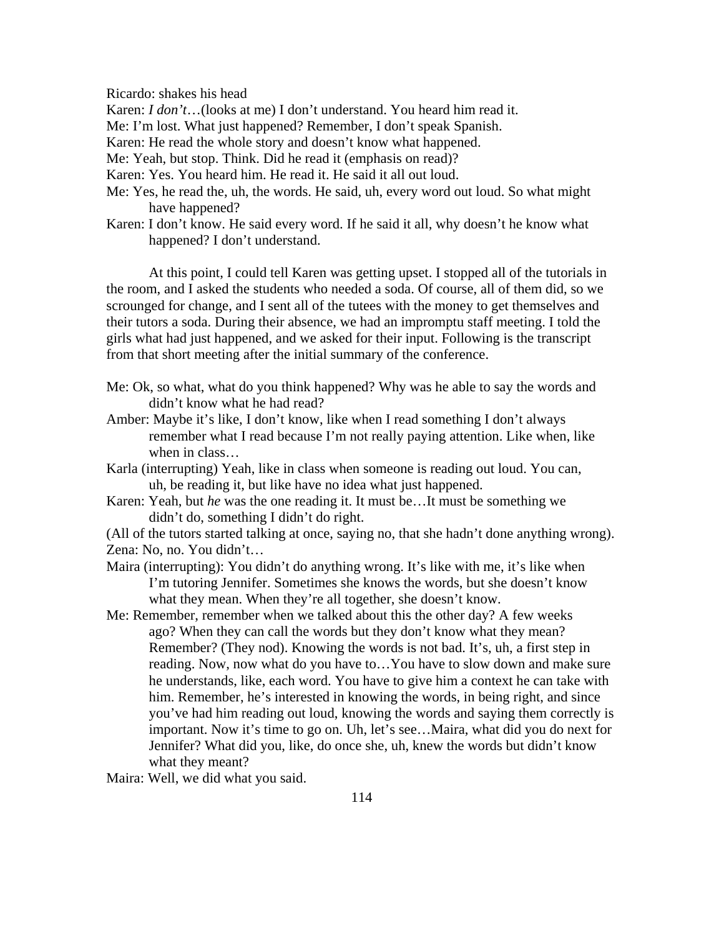Ricardo: shakes his head

Karen: *I don't*…(looks at me) I don't understand. You heard him read it.

Me: I'm lost. What just happened? Remember, I don't speak Spanish.

Karen: He read the whole story and doesn't know what happened.

Me: Yeah, but stop. Think. Did he read it (emphasis on read)?

- Karen: Yes. You heard him. He read it. He said it all out loud.
- Me: Yes, he read the, uh, the words. He said, uh, every word out loud. So what might have happened?
- Karen: I don't know. He said every word. If he said it all, why doesn't he know what happened? I don't understand.

At this point, I could tell Karen was getting upset. I stopped all of the tutorials in the room, and I asked the students who needed a soda. Of course, all of them did, so we scrounged for change, and I sent all of the tutees with the money to get themselves and their tutors a soda. During their absence, we had an impromptu staff meeting. I told the girls what had just happened, and we asked for their input. Following is the transcript from that short meeting after the initial summary of the conference.

- Me: Ok, so what, what do you think happened? Why was he able to say the words and didn't know what he had read?
- Amber: Maybe it's like, I don't know, like when I read something I don't always remember what I read because I'm not really paying attention. Like when, like when in class…
- Karla (interrupting) Yeah, like in class when someone is reading out loud. You can, uh, be reading it, but like have no idea what just happened.
- Karen: Yeah, but *he* was the one reading it. It must be…It must be something we didn't do, something I didn't do right.

(All of the tutors started talking at once, saying no, that she hadn't done anything wrong). Zena: No, no. You didn't…

- Maira (interrupting): You didn't do anything wrong. It's like with me, it's like when I'm tutoring Jennifer. Sometimes she knows the words, but she doesn't know what they mean. When they're all together, she doesn't know.
- Me: Remember, remember when we talked about this the other day? A few weeks ago? When they can call the words but they don't know what they mean? Remember? (They nod). Knowing the words is not bad. It's, uh, a first step in reading. Now, now what do you have to…You have to slow down and make sure he understands, like, each word. You have to give him a context he can take with him. Remember, he's interested in knowing the words, in being right, and since you've had him reading out loud, knowing the words and saying them correctly is important. Now it's time to go on. Uh, let's see…Maira, what did you do next for Jennifer? What did you, like, do once she, uh, knew the words but didn't know what they meant?

Maira: Well, we did what you said.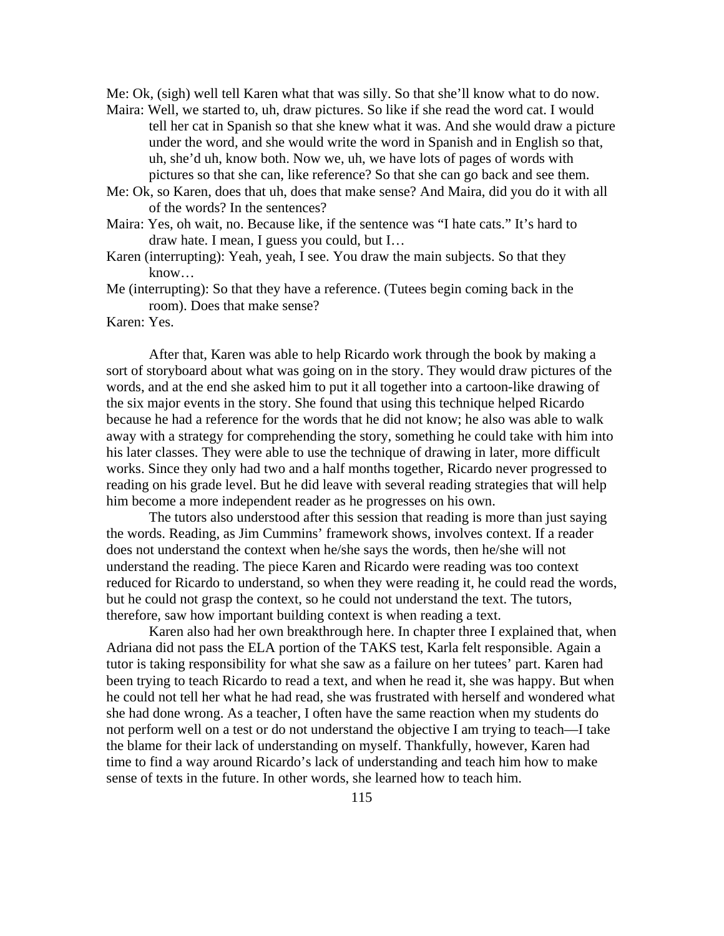Me: Ok, (sigh) well tell Karen what that was silly. So that she'll know what to do now.

- Maira: Well, we started to, uh, draw pictures. So like if she read the word cat. I would tell her cat in Spanish so that she knew what it was. And she would draw a picture under the word, and she would write the word in Spanish and in English so that, uh, she'd uh, know both. Now we, uh, we have lots of pages of words with pictures so that she can, like reference? So that she can go back and see them.
- Me: Ok, so Karen, does that uh, does that make sense? And Maira, did you do it with all of the words? In the sentences?
- Maira: Yes, oh wait, no. Because like, if the sentence was "I hate cats." It's hard to draw hate. I mean, I guess you could, but I…
- Karen (interrupting): Yeah, yeah, I see. You draw the main subjects. So that they know…
- Me (interrupting): So that they have a reference. (Tutees begin coming back in the room). Does that make sense?

#### Karen: Yes.

 After that, Karen was able to help Ricardo work through the book by making a sort of storyboard about what was going on in the story. They would draw pictures of the words, and at the end she asked him to put it all together into a cartoon-like drawing of the six major events in the story. She found that using this technique helped Ricardo because he had a reference for the words that he did not know; he also was able to walk away with a strategy for comprehending the story, something he could take with him into his later classes. They were able to use the technique of drawing in later, more difficult works. Since they only had two and a half months together, Ricardo never progressed to reading on his grade level. But he did leave with several reading strategies that will help him become a more independent reader as he progresses on his own.

 The tutors also understood after this session that reading is more than just saying the words. Reading, as Jim Cummins' framework shows, involves context. If a reader does not understand the context when he/she says the words, then he/she will not understand the reading. The piece Karen and Ricardo were reading was too context reduced for Ricardo to understand, so when they were reading it, he could read the words, but he could not grasp the context, so he could not understand the text. The tutors, therefore, saw how important building context is when reading a text.

 Karen also had her own breakthrough here. In chapter three I explained that, when Adriana did not pass the ELA portion of the TAKS test, Karla felt responsible. Again a tutor is taking responsibility for what she saw as a failure on her tutees' part. Karen had been trying to teach Ricardo to read a text, and when he read it, she was happy. But when he could not tell her what he had read, she was frustrated with herself and wondered what she had done wrong. As a teacher, I often have the same reaction when my students do not perform well on a test or do not understand the objective I am trying to teach—I take the blame for their lack of understanding on myself. Thankfully, however, Karen had time to find a way around Ricardo's lack of understanding and teach him how to make sense of texts in the future. In other words, she learned how to teach him.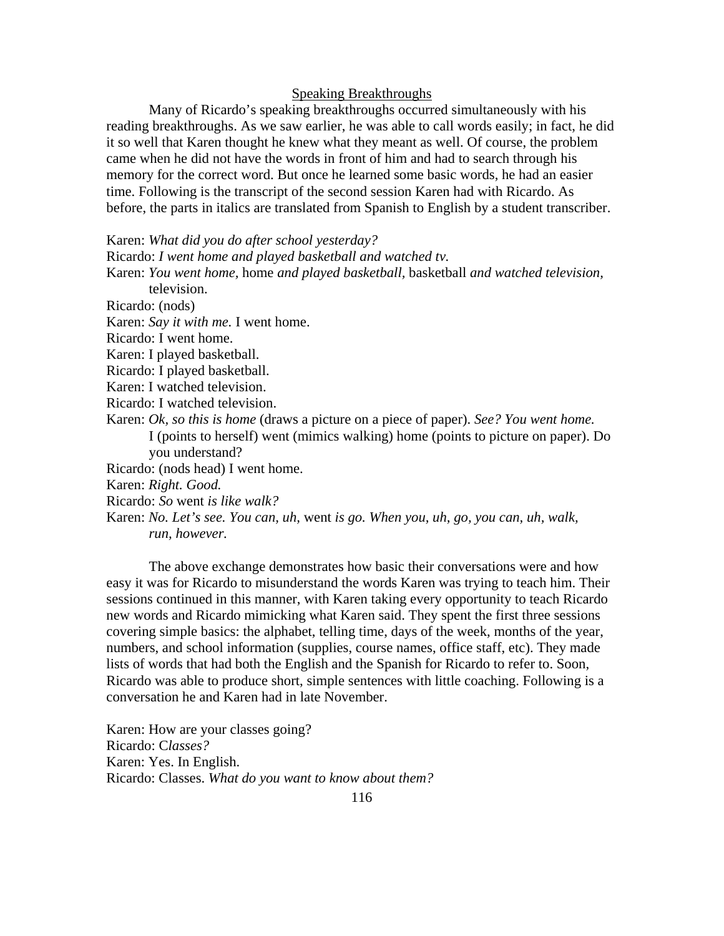# Speaking Breakthroughs

 Many of Ricardo's speaking breakthroughs occurred simultaneously with his reading breakthroughs. As we saw earlier, he was able to call words easily; in fact, he did it so well that Karen thought he knew what they meant as well. Of course, the problem came when he did not have the words in front of him and had to search through his memory for the correct word. But once he learned some basic words, he had an easier time. Following is the transcript of the second session Karen had with Ricardo. As before, the parts in italics are translated from Spanish to English by a student transcriber.

Karen: *What did you do after school yesterday?* 

Ricardo: *I went home and played basketball and watched tv.* 

Karen: *You went home,* home *and played basketball,* basketball *and watched television,* 

television. Ricardo: (nods)

Karen: *Say it with me.* I went home.

Ricardo: I went home.

Karen: I played basketball.

Ricardo: I played basketball.

Karen: I watched television.

Ricardo: I watched television.

Karen: *Ok, so this is home* (draws a picture on a piece of paper). *See? You went home.*  I (points to herself) went (mimics walking) home (points to picture on paper). Do you understand?

Ricardo: (nods head) I went home.

Karen: *Right. Good.*

Ricardo: *So* went *is like walk?* 

Karen: *No. Let's see. You can, uh,* went *is go. When you, uh, go, you can, uh, walk, run, however.*

 The above exchange demonstrates how basic their conversations were and how easy it was for Ricardo to misunderstand the words Karen was trying to teach him. Their sessions continued in this manner, with Karen taking every opportunity to teach Ricardo new words and Ricardo mimicking what Karen said. They spent the first three sessions covering simple basics: the alphabet, telling time, days of the week, months of the year, numbers, and school information (supplies, course names, office staff, etc). They made lists of words that had both the English and the Spanish for Ricardo to refer to. Soon, Ricardo was able to produce short, simple sentences with little coaching. Following is a conversation he and Karen had in late November.

Karen: How are your classes going? Ricardo: C*lasses?*  Karen: Yes. In English. Ricardo: Classes. *What do you want to know about them?*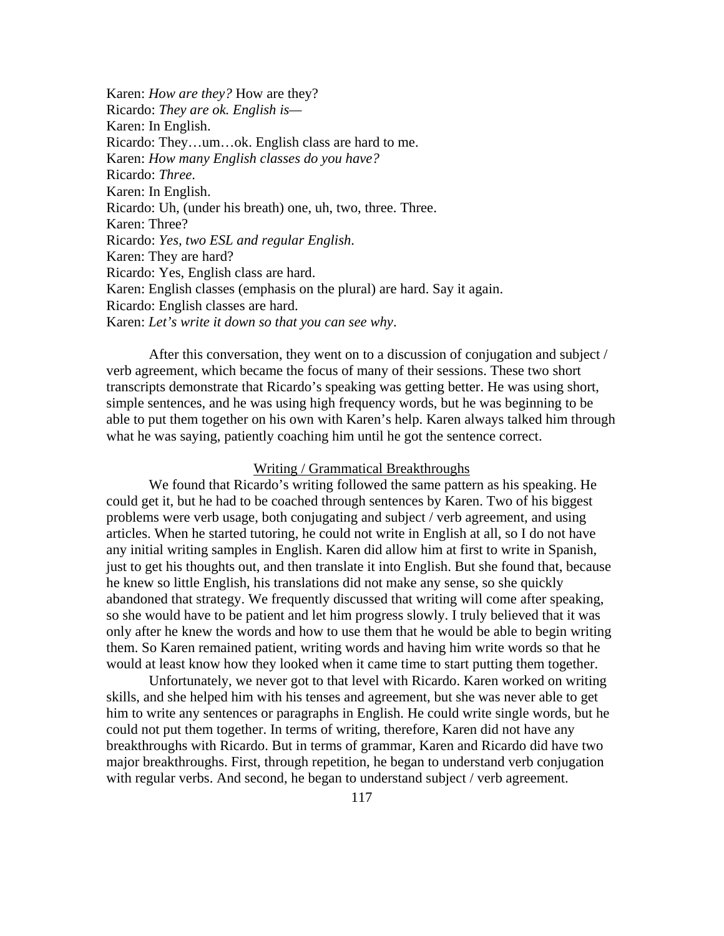Karen: *How are they?* How are they? Ricardo: *They are ok. English is—* Karen: In English. Ricardo: They…um…ok. English class are hard to me. Karen: *How many English classes do you have?* Ricardo: *Three*. Karen: In English. Ricardo: Uh, (under his breath) one, uh, two, three. Three. Karen: Three? Ricardo: *Yes, two ESL and regular English*. Karen: They are hard? Ricardo: Yes, English class are hard. Karen: English classes (emphasis on the plural) are hard. Say it again. Ricardo: English classes are hard. Karen: *Let's write it down so that you can see why*.

After this conversation, they went on to a discussion of conjugation and subject / verb agreement, which became the focus of many of their sessions. These two short transcripts demonstrate that Ricardo's speaking was getting better. He was using short, simple sentences, and he was using high frequency words, but he was beginning to be able to put them together on his own with Karen's help. Karen always talked him through what he was saying, patiently coaching him until he got the sentence correct.

#### Writing / Grammatical Breakthroughs

 We found that Ricardo's writing followed the same pattern as his speaking. He could get it, but he had to be coached through sentences by Karen. Two of his biggest problems were verb usage, both conjugating and subject / verb agreement, and using articles. When he started tutoring, he could not write in English at all, so I do not have any initial writing samples in English. Karen did allow him at first to write in Spanish, just to get his thoughts out, and then translate it into English. But she found that, because he knew so little English, his translations did not make any sense, so she quickly abandoned that strategy. We frequently discussed that writing will come after speaking, so she would have to be patient and let him progress slowly. I truly believed that it was only after he knew the words and how to use them that he would be able to begin writing them. So Karen remained patient, writing words and having him write words so that he would at least know how they looked when it came time to start putting them together.

 Unfortunately, we never got to that level with Ricardo. Karen worked on writing skills, and she helped him with his tenses and agreement, but she was never able to get him to write any sentences or paragraphs in English. He could write single words, but he could not put them together. In terms of writing, therefore, Karen did not have any breakthroughs with Ricardo. But in terms of grammar, Karen and Ricardo did have two major breakthroughs. First, through repetition, he began to understand verb conjugation with regular verbs. And second, he began to understand subject / verb agreement.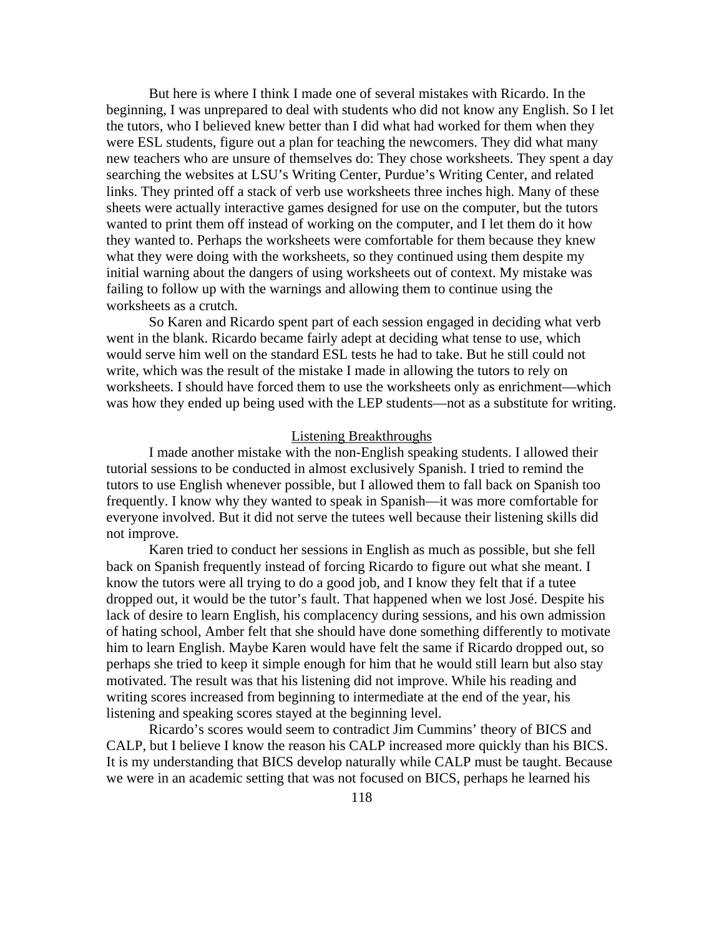But here is where I think I made one of several mistakes with Ricardo. In the beginning, I was unprepared to deal with students who did not know any English. So I let the tutors, who I believed knew better than I did what had worked for them when they were ESL students, figure out a plan for teaching the newcomers. They did what many new teachers who are unsure of themselves do: They chose worksheets. They spent a day searching the websites at LSU's Writing Center, Purdue's Writing Center, and related links. They printed off a stack of verb use worksheets three inches high. Many of these sheets were actually interactive games designed for use on the computer, but the tutors wanted to print them off instead of working on the computer, and I let them do it how they wanted to. Perhaps the worksheets were comfortable for them because they knew what they were doing with the worksheets, so they continued using them despite my initial warning about the dangers of using worksheets out of context. My mistake was failing to follow up with the warnings and allowing them to continue using the worksheets as a crutch.

 So Karen and Ricardo spent part of each session engaged in deciding what verb went in the blank. Ricardo became fairly adept at deciding what tense to use, which would serve him well on the standard ESL tests he had to take. But he still could not write, which was the result of the mistake I made in allowing the tutors to rely on worksheets. I should have forced them to use the worksheets only as enrichment—which was how they ended up being used with the LEP students—not as a substitute for writing.

#### Listening Breakthroughs

 I made another mistake with the non-English speaking students. I allowed their tutorial sessions to be conducted in almost exclusively Spanish. I tried to remind the tutors to use English whenever possible, but I allowed them to fall back on Spanish too frequently. I know why they wanted to speak in Spanish—it was more comfortable for everyone involved. But it did not serve the tutees well because their listening skills did not improve.

 Karen tried to conduct her sessions in English as much as possible, but she fell back on Spanish frequently instead of forcing Ricardo to figure out what she meant. I know the tutors were all trying to do a good job, and I know they felt that if a tutee dropped out, it would be the tutor's fault. That happened when we lost José. Despite his lack of desire to learn English, his complacency during sessions, and his own admission of hating school, Amber felt that she should have done something differently to motivate him to learn English. Maybe Karen would have felt the same if Ricardo dropped out, so perhaps she tried to keep it simple enough for him that he would still learn but also stay motivated. The result was that his listening did not improve. While his reading and writing scores increased from beginning to intermediate at the end of the year, his listening and speaking scores stayed at the beginning level.

 Ricardo's scores would seem to contradict Jim Cummins' theory of BICS and CALP, but I believe I know the reason his CALP increased more quickly than his BICS. It is my understanding that BICS develop naturally while CALP must be taught. Because we were in an academic setting that was not focused on BICS, perhaps he learned his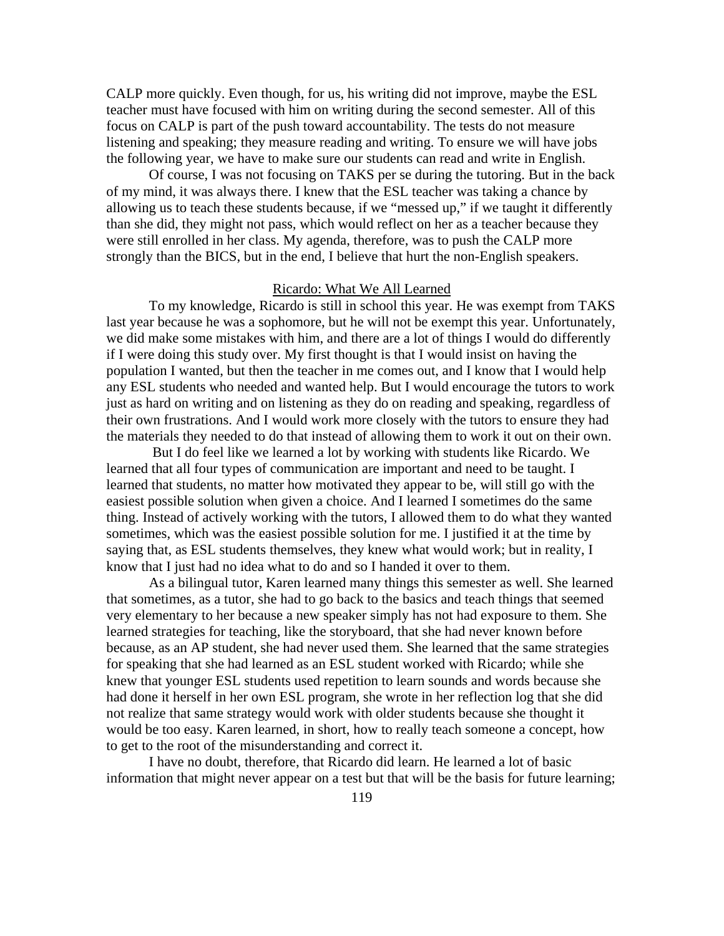CALP more quickly. Even though, for us, his writing did not improve, maybe the ESL teacher must have focused with him on writing during the second semester. All of this focus on CALP is part of the push toward accountability. The tests do not measure listening and speaking; they measure reading and writing. To ensure we will have jobs the following year, we have to make sure our students can read and write in English.

 Of course, I was not focusing on TAKS per se during the tutoring. But in the back of my mind, it was always there. I knew that the ESL teacher was taking a chance by allowing us to teach these students because, if we "messed up," if we taught it differently than she did, they might not pass, which would reflect on her as a teacher because they were still enrolled in her class. My agenda, therefore, was to push the CALP more strongly than the BICS, but in the end, I believe that hurt the non-English speakers.

## Ricardo: What We All Learned

 To my knowledge, Ricardo is still in school this year. He was exempt from TAKS last year because he was a sophomore, but he will not be exempt this year. Unfortunately, we did make some mistakes with him, and there are a lot of things I would do differently if I were doing this study over. My first thought is that I would insist on having the population I wanted, but then the teacher in me comes out, and I know that I would help any ESL students who needed and wanted help. But I would encourage the tutors to work just as hard on writing and on listening as they do on reading and speaking, regardless of their own frustrations. And I would work more closely with the tutors to ensure they had the materials they needed to do that instead of allowing them to work it out on their own.

 But I do feel like we learned a lot by working with students like Ricardo. We learned that all four types of communication are important and need to be taught. I learned that students, no matter how motivated they appear to be, will still go with the easiest possible solution when given a choice. And I learned I sometimes do the same thing. Instead of actively working with the tutors, I allowed them to do what they wanted sometimes, which was the easiest possible solution for me. I justified it at the time by saying that, as ESL students themselves, they knew what would work; but in reality, I know that I just had no idea what to do and so I handed it over to them.

 As a bilingual tutor, Karen learned many things this semester as well. She learned that sometimes, as a tutor, she had to go back to the basics and teach things that seemed very elementary to her because a new speaker simply has not had exposure to them. She learned strategies for teaching, like the storyboard, that she had never known before because, as an AP student, she had never used them. She learned that the same strategies for speaking that she had learned as an ESL student worked with Ricardo; while she knew that younger ESL students used repetition to learn sounds and words because she had done it herself in her own ESL program, she wrote in her reflection log that she did not realize that same strategy would work with older students because she thought it would be too easy. Karen learned, in short, how to really teach someone a concept, how to get to the root of the misunderstanding and correct it.

 I have no doubt, therefore, that Ricardo did learn. He learned a lot of basic information that might never appear on a test but that will be the basis for future learning;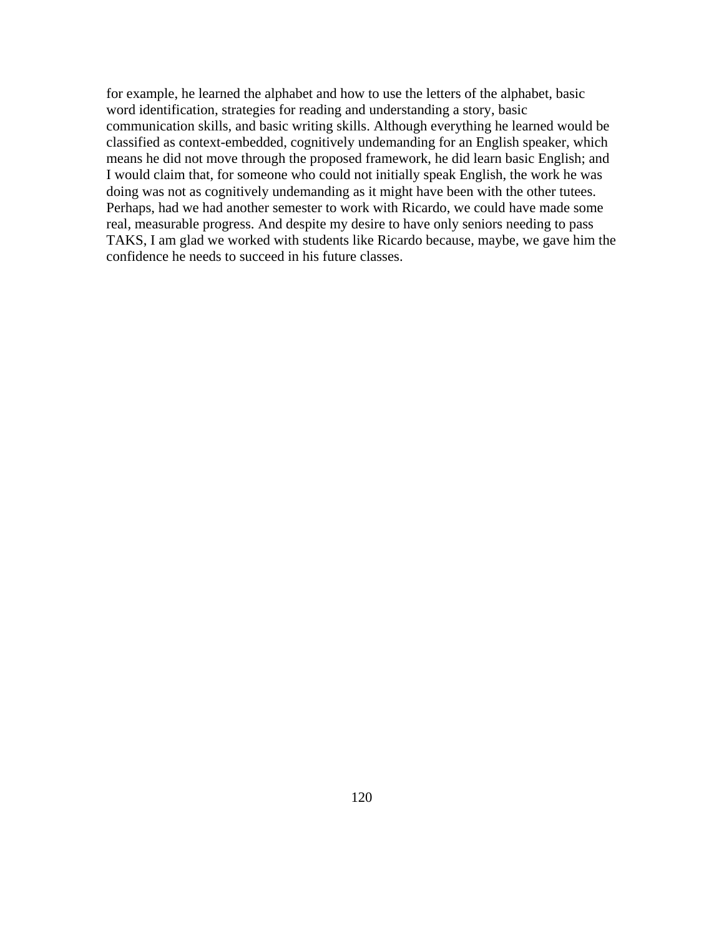for example, he learned the alphabet and how to use the letters of the alphabet, basic word identification, strategies for reading and understanding a story, basic communication skills, and basic writing skills. Although everything he learned would be classified as context-embedded, cognitively undemanding for an English speaker, which means he did not move through the proposed framework, he did learn basic English; and I would claim that, for someone who could not initially speak English, the work he was doing was not as cognitively undemanding as it might have been with the other tutees. Perhaps, had we had another semester to work with Ricardo, we could have made some real, measurable progress. And despite my desire to have only seniors needing to pass TAKS, I am glad we worked with students like Ricardo because, maybe, we gave him the confidence he needs to succeed in his future classes.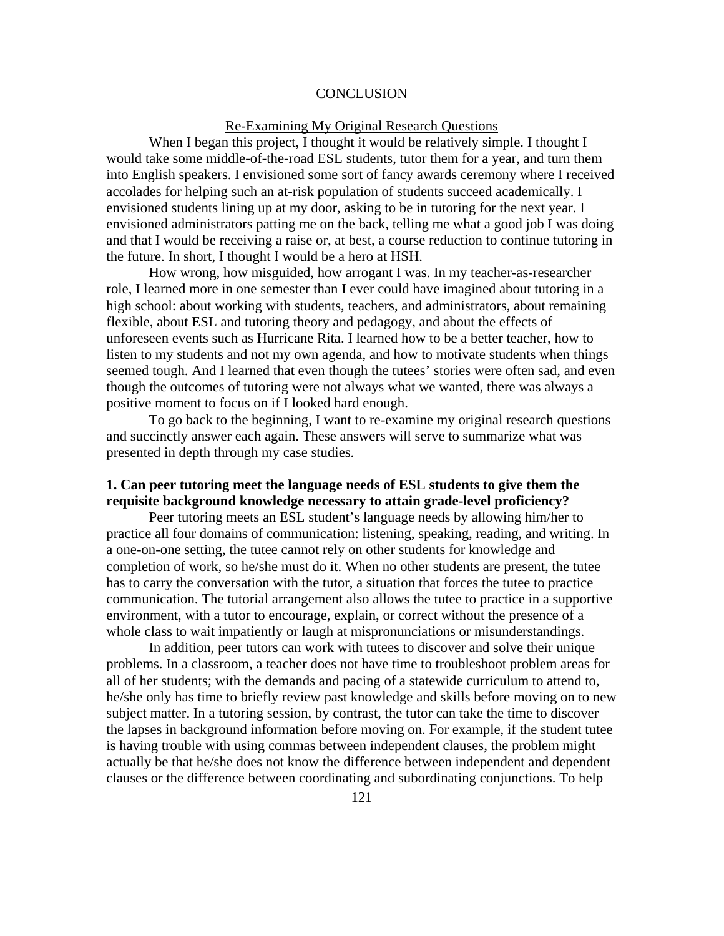#### **CONCLUSION**

## Re-Examining My Original Research Questions

When I began this project, I thought it would be relatively simple. I thought I would take some middle-of-the-road ESL students, tutor them for a year, and turn them into English speakers. I envisioned some sort of fancy awards ceremony where I received accolades for helping such an at-risk population of students succeed academically. I envisioned students lining up at my door, asking to be in tutoring for the next year. I envisioned administrators patting me on the back, telling me what a good job I was doing and that I would be receiving a raise or, at best, a course reduction to continue tutoring in the future. In short, I thought I would be a hero at HSH.

 How wrong, how misguided, how arrogant I was. In my teacher-as-researcher role, I learned more in one semester than I ever could have imagined about tutoring in a high school: about working with students, teachers, and administrators, about remaining flexible, about ESL and tutoring theory and pedagogy, and about the effects of unforeseen events such as Hurricane Rita. I learned how to be a better teacher, how to listen to my students and not my own agenda, and how to motivate students when things seemed tough. And I learned that even though the tutees' stories were often sad, and even though the outcomes of tutoring were not always what we wanted, there was always a positive moment to focus on if I looked hard enough.

To go back to the beginning, I want to re-examine my original research questions and succinctly answer each again. These answers will serve to summarize what was presented in depth through my case studies.

## **1. Can peer tutoring meet the language needs of ESL students to give them the requisite background knowledge necessary to attain grade-level proficiency?**

Peer tutoring meets an ESL student's language needs by allowing him/her to practice all four domains of communication: listening, speaking, reading, and writing. In a one-on-one setting, the tutee cannot rely on other students for knowledge and completion of work, so he/she must do it. When no other students are present, the tutee has to carry the conversation with the tutor, a situation that forces the tutee to practice communication. The tutorial arrangement also allows the tutee to practice in a supportive environment, with a tutor to encourage, explain, or correct without the presence of a whole class to wait impatiently or laugh at mispronunciations or misunderstandings.

In addition, peer tutors can work with tutees to discover and solve their unique problems. In a classroom, a teacher does not have time to troubleshoot problem areas for all of her students; with the demands and pacing of a statewide curriculum to attend to, he/she only has time to briefly review past knowledge and skills before moving on to new subject matter. In a tutoring session, by contrast, the tutor can take the time to discover the lapses in background information before moving on. For example, if the student tutee is having trouble with using commas between independent clauses, the problem might actually be that he/she does not know the difference between independent and dependent clauses or the difference between coordinating and subordinating conjunctions. To help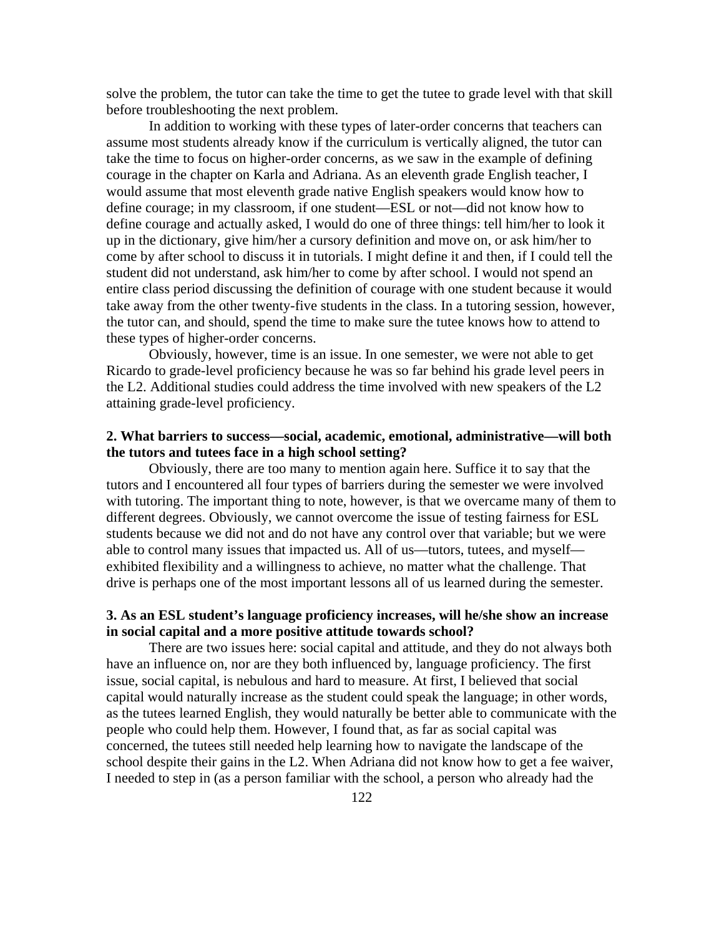solve the problem, the tutor can take the time to get the tutee to grade level with that skill before troubleshooting the next problem.

In addition to working with these types of later-order concerns that teachers can assume most students already know if the curriculum is vertically aligned, the tutor can take the time to focus on higher-order concerns, as we saw in the example of defining courage in the chapter on Karla and Adriana. As an eleventh grade English teacher, I would assume that most eleventh grade native English speakers would know how to define courage; in my classroom, if one student—ESL or not—did not know how to define courage and actually asked, I would do one of three things: tell him/her to look it up in the dictionary, give him/her a cursory definition and move on, or ask him/her to come by after school to discuss it in tutorials. I might define it and then, if I could tell the student did not understand, ask him/her to come by after school. I would not spend an entire class period discussing the definition of courage with one student because it would take away from the other twenty-five students in the class. In a tutoring session, however, the tutor can, and should, spend the time to make sure the tutee knows how to attend to these types of higher-order concerns.

Obviously, however, time is an issue. In one semester, we were not able to get Ricardo to grade-level proficiency because he was so far behind his grade level peers in the L2. Additional studies could address the time involved with new speakers of the L2 attaining grade-level proficiency.

# **2. What barriers to success—social, academic, emotional, administrative—will both the tutors and tutees face in a high school setting?**

Obviously, there are too many to mention again here. Suffice it to say that the tutors and I encountered all four types of barriers during the semester we were involved with tutoring. The important thing to note, however, is that we overcame many of them to different degrees. Obviously, we cannot overcome the issue of testing fairness for ESL students because we did not and do not have any control over that variable; but we were able to control many issues that impacted us. All of us—tutors, tutees, and myself exhibited flexibility and a willingness to achieve, no matter what the challenge. That drive is perhaps one of the most important lessons all of us learned during the semester.

# **3. As an ESL student's language proficiency increases, will he/she show an increase in social capital and a more positive attitude towards school?**

There are two issues here: social capital and attitude, and they do not always both have an influence on, nor are they both influenced by, language proficiency. The first issue, social capital, is nebulous and hard to measure. At first, I believed that social capital would naturally increase as the student could speak the language; in other words, as the tutees learned English, they would naturally be better able to communicate with the people who could help them. However, I found that, as far as social capital was concerned, the tutees still needed help learning how to navigate the landscape of the school despite their gains in the L2. When Adriana did not know how to get a fee waiver, I needed to step in (as a person familiar with the school, a person who already had the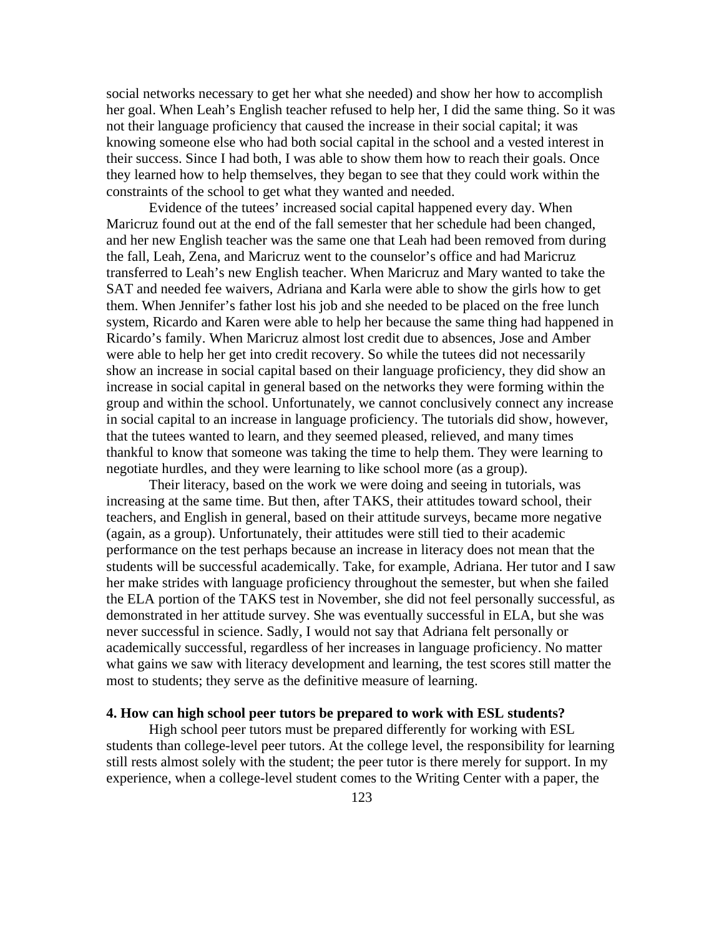social networks necessary to get her what she needed) and show her how to accomplish her goal. When Leah's English teacher refused to help her, I did the same thing. So it was not their language proficiency that caused the increase in their social capital; it was knowing someone else who had both social capital in the school and a vested interest in their success. Since I had both, I was able to show them how to reach their goals. Once they learned how to help themselves, they began to see that they could work within the constraints of the school to get what they wanted and needed.

Evidence of the tutees' increased social capital happened every day. When Maricruz found out at the end of the fall semester that her schedule had been changed, and her new English teacher was the same one that Leah had been removed from during the fall, Leah, Zena, and Maricruz went to the counselor's office and had Maricruz transferred to Leah's new English teacher. When Maricruz and Mary wanted to take the SAT and needed fee waivers, Adriana and Karla were able to show the girls how to get them. When Jennifer's father lost his job and she needed to be placed on the free lunch system, Ricardo and Karen were able to help her because the same thing had happened in Ricardo's family. When Maricruz almost lost credit due to absences, Jose and Amber were able to help her get into credit recovery. So while the tutees did not necessarily show an increase in social capital based on their language proficiency, they did show an increase in social capital in general based on the networks they were forming within the group and within the school. Unfortunately, we cannot conclusively connect any increase in social capital to an increase in language proficiency. The tutorials did show, however, that the tutees wanted to learn, and they seemed pleased, relieved, and many times thankful to know that someone was taking the time to help them. They were learning to negotiate hurdles, and they were learning to like school more (as a group).

Their literacy, based on the work we were doing and seeing in tutorials, was increasing at the same time. But then, after TAKS, their attitudes toward school, their teachers, and English in general, based on their attitude surveys, became more negative (again, as a group). Unfortunately, their attitudes were still tied to their academic performance on the test perhaps because an increase in literacy does not mean that the students will be successful academically. Take, for example, Adriana. Her tutor and I saw her make strides with language proficiency throughout the semester, but when she failed the ELA portion of the TAKS test in November, she did not feel personally successful, as demonstrated in her attitude survey. She was eventually successful in ELA, but she was never successful in science. Sadly, I would not say that Adriana felt personally or academically successful, regardless of her increases in language proficiency. No matter what gains we saw with literacy development and learning, the test scores still matter the most to students; they serve as the definitive measure of learning.

## **4. How can high school peer tutors be prepared to work with ESL students?**

High school peer tutors must be prepared differently for working with ESL students than college-level peer tutors. At the college level, the responsibility for learning still rests almost solely with the student; the peer tutor is there merely for support. In my experience, when a college-level student comes to the Writing Center with a paper, the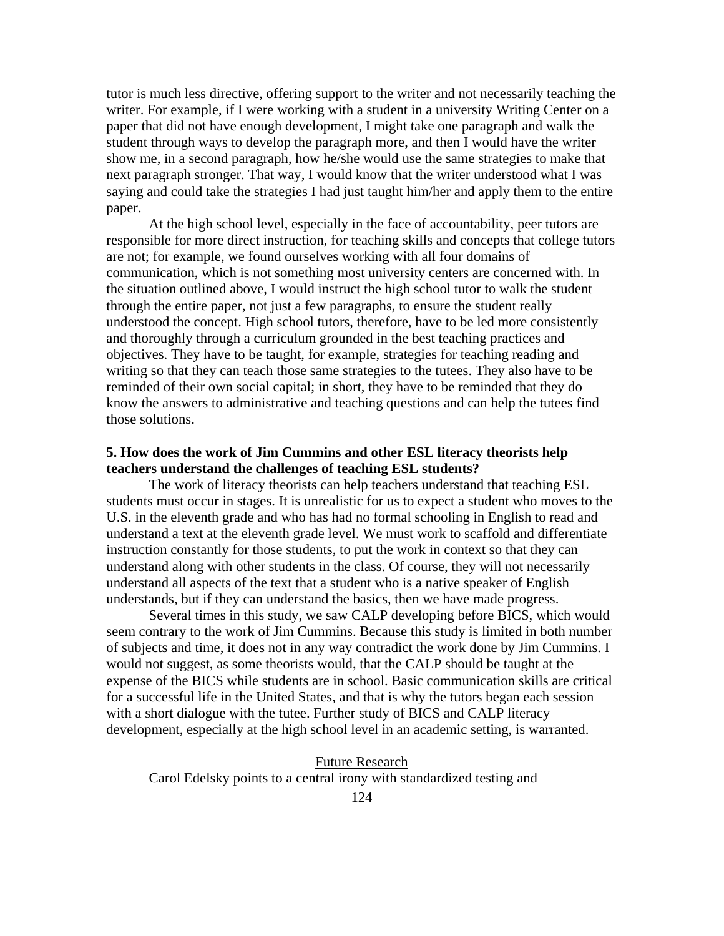tutor is much less directive, offering support to the writer and not necessarily teaching the writer. For example, if I were working with a student in a university Writing Center on a paper that did not have enough development, I might take one paragraph and walk the student through ways to develop the paragraph more, and then I would have the writer show me, in a second paragraph, how he/she would use the same strategies to make that next paragraph stronger. That way, I would know that the writer understood what I was saying and could take the strategies I had just taught him/her and apply them to the entire paper.

At the high school level, especially in the face of accountability, peer tutors are responsible for more direct instruction, for teaching skills and concepts that college tutors are not; for example, we found ourselves working with all four domains of communication, which is not something most university centers are concerned with. In the situation outlined above, I would instruct the high school tutor to walk the student through the entire paper, not just a few paragraphs, to ensure the student really understood the concept. High school tutors, therefore, have to be led more consistently and thoroughly through a curriculum grounded in the best teaching practices and objectives. They have to be taught, for example, strategies for teaching reading and writing so that they can teach those same strategies to the tutees. They also have to be reminded of their own social capital; in short, they have to be reminded that they do know the answers to administrative and teaching questions and can help the tutees find those solutions.

# **5. How does the work of Jim Cummins and other ESL literacy theorists help teachers understand the challenges of teaching ESL students?**

The work of literacy theorists can help teachers understand that teaching ESL students must occur in stages. It is unrealistic for us to expect a student who moves to the U.S. in the eleventh grade and who has had no formal schooling in English to read and understand a text at the eleventh grade level. We must work to scaffold and differentiate instruction constantly for those students, to put the work in context so that they can understand along with other students in the class. Of course, they will not necessarily understand all aspects of the text that a student who is a native speaker of English understands, but if they can understand the basics, then we have made progress.

Several times in this study, we saw CALP developing before BICS, which would seem contrary to the work of Jim Cummins. Because this study is limited in both number of subjects and time, it does not in any way contradict the work done by Jim Cummins. I would not suggest, as some theorists would, that the CALP should be taught at the expense of the BICS while students are in school. Basic communication skills are critical for a successful life in the United States, and that is why the tutors began each session with a short dialogue with the tutee. Further study of BICS and CALP literacy development, especially at the high school level in an academic setting, is warranted.

Future Research Carol Edelsky points to a central irony with standardized testing and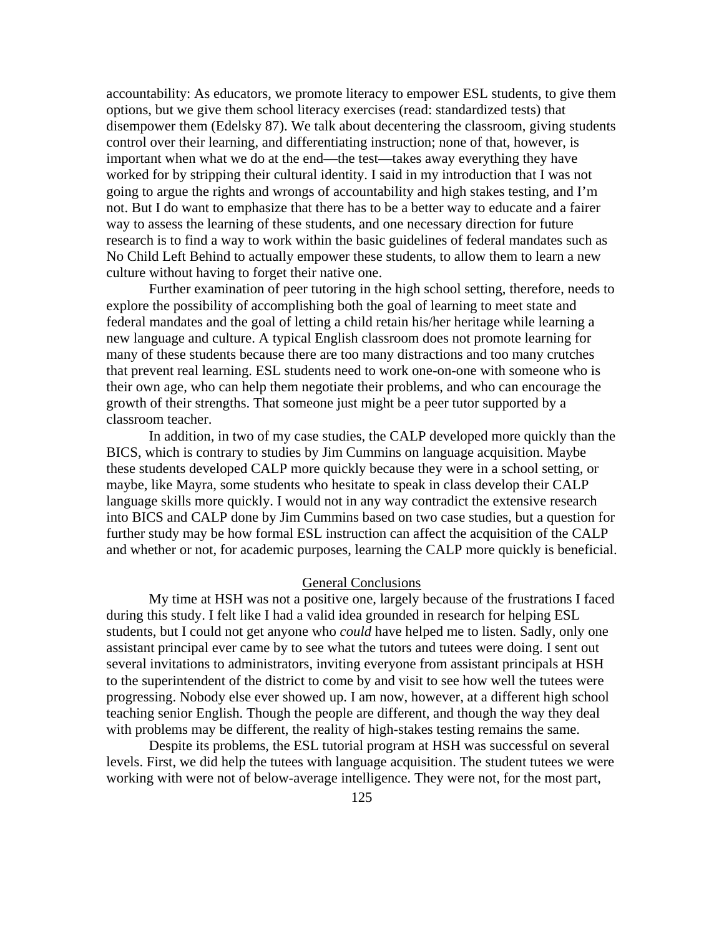accountability: As educators, we promote literacy to empower ESL students, to give them options, but we give them school literacy exercises (read: standardized tests) that disempower them (Edelsky 87). We talk about decentering the classroom, giving students control over their learning, and differentiating instruction; none of that, however, is important when what we do at the end—the test—takes away everything they have worked for by stripping their cultural identity. I said in my introduction that I was not going to argue the rights and wrongs of accountability and high stakes testing, and I'm not. But I do want to emphasize that there has to be a better way to educate and a fairer way to assess the learning of these students, and one necessary direction for future research is to find a way to work within the basic guidelines of federal mandates such as No Child Left Behind to actually empower these students, to allow them to learn a new culture without having to forget their native one.

Further examination of peer tutoring in the high school setting, therefore, needs to explore the possibility of accomplishing both the goal of learning to meet state and federal mandates and the goal of letting a child retain his/her heritage while learning a new language and culture. A typical English classroom does not promote learning for many of these students because there are too many distractions and too many crutches that prevent real learning. ESL students need to work one-on-one with someone who is their own age, who can help them negotiate their problems, and who can encourage the growth of their strengths. That someone just might be a peer tutor supported by a classroom teacher.

In addition, in two of my case studies, the CALP developed more quickly than the BICS, which is contrary to studies by Jim Cummins on language acquisition. Maybe these students developed CALP more quickly because they were in a school setting, or maybe, like Mayra, some students who hesitate to speak in class develop their CALP language skills more quickly. I would not in any way contradict the extensive research into BICS and CALP done by Jim Cummins based on two case studies, but a question for further study may be how formal ESL instruction can affect the acquisition of the CALP and whether or not, for academic purposes, learning the CALP more quickly is beneficial.

#### General Conclusions

My time at HSH was not a positive one, largely because of the frustrations I faced during this study. I felt like I had a valid idea grounded in research for helping ESL students, but I could not get anyone who *could* have helped me to listen. Sadly, only one assistant principal ever came by to see what the tutors and tutees were doing. I sent out several invitations to administrators, inviting everyone from assistant principals at HSH to the superintendent of the district to come by and visit to see how well the tutees were progressing. Nobody else ever showed up. I am now, however, at a different high school teaching senior English. Though the people are different, and though the way they deal with problems may be different, the reality of high-stakes testing remains the same.

Despite its problems, the ESL tutorial program at HSH was successful on several levels. First, we did help the tutees with language acquisition. The student tutees we were working with were not of below-average intelligence. They were not, for the most part,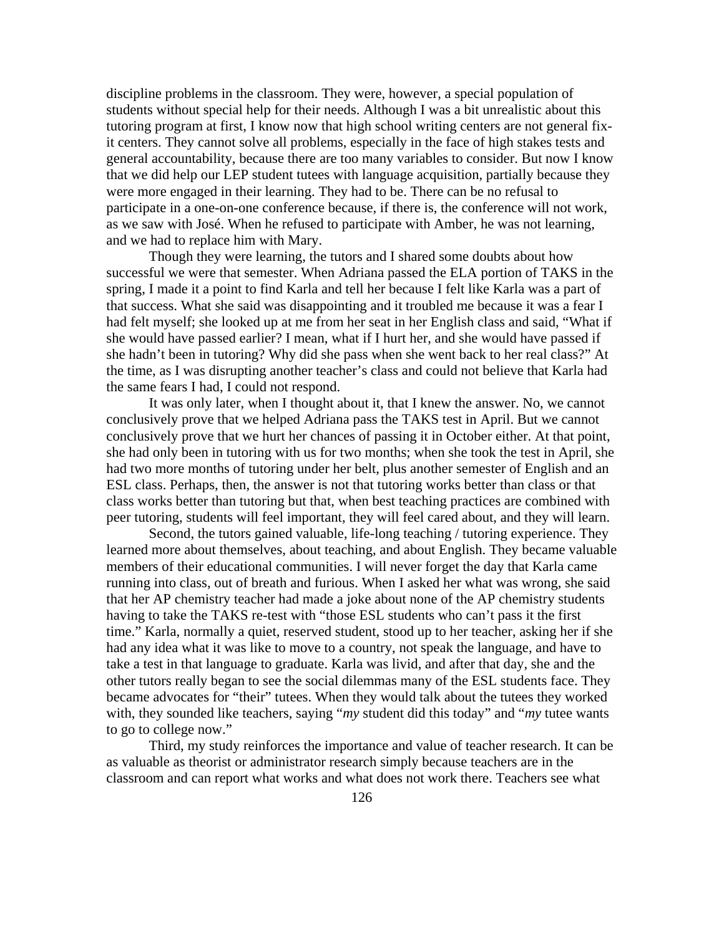discipline problems in the classroom. They were, however, a special population of students without special help for their needs. Although I was a bit unrealistic about this tutoring program at first, I know now that high school writing centers are not general fixit centers. They cannot solve all problems, especially in the face of high stakes tests and general accountability, because there are too many variables to consider. But now I know that we did help our LEP student tutees with language acquisition, partially because they were more engaged in their learning. They had to be. There can be no refusal to participate in a one-on-one conference because, if there is, the conference will not work, as we saw with José. When he refused to participate with Amber, he was not learning, and we had to replace him with Mary.

Though they were learning, the tutors and I shared some doubts about how successful we were that semester. When Adriana passed the ELA portion of TAKS in the spring, I made it a point to find Karla and tell her because I felt like Karla was a part of that success. What she said was disappointing and it troubled me because it was a fear I had felt myself; she looked up at me from her seat in her English class and said, "What if she would have passed earlier? I mean, what if I hurt her, and she would have passed if she hadn't been in tutoring? Why did she pass when she went back to her real class?" At the time, as I was disrupting another teacher's class and could not believe that Karla had the same fears I had, I could not respond.

It was only later, when I thought about it, that I knew the answer. No, we cannot conclusively prove that we helped Adriana pass the TAKS test in April. But we cannot conclusively prove that we hurt her chances of passing it in October either. At that point, she had only been in tutoring with us for two months; when she took the test in April, she had two more months of tutoring under her belt, plus another semester of English and an ESL class. Perhaps, then, the answer is not that tutoring works better than class or that class works better than tutoring but that, when best teaching practices are combined with peer tutoring, students will feel important, they will feel cared about, and they will learn.

 Second, the tutors gained valuable, life-long teaching / tutoring experience. They learned more about themselves, about teaching, and about English. They became valuable members of their educational communities. I will never forget the day that Karla came running into class, out of breath and furious. When I asked her what was wrong, she said that her AP chemistry teacher had made a joke about none of the AP chemistry students having to take the TAKS re-test with "those ESL students who can't pass it the first time." Karla, normally a quiet, reserved student, stood up to her teacher, asking her if she had any idea what it was like to move to a country, not speak the language, and have to take a test in that language to graduate. Karla was livid, and after that day, she and the other tutors really began to see the social dilemmas many of the ESL students face. They became advocates for "their" tutees. When they would talk about the tutees they worked with, they sounded like teachers, saying "*my* student did this today" and "*my* tutee wants" to go to college now."

 Third, my study reinforces the importance and value of teacher research. It can be as valuable as theorist or administrator research simply because teachers are in the classroom and can report what works and what does not work there. Teachers see what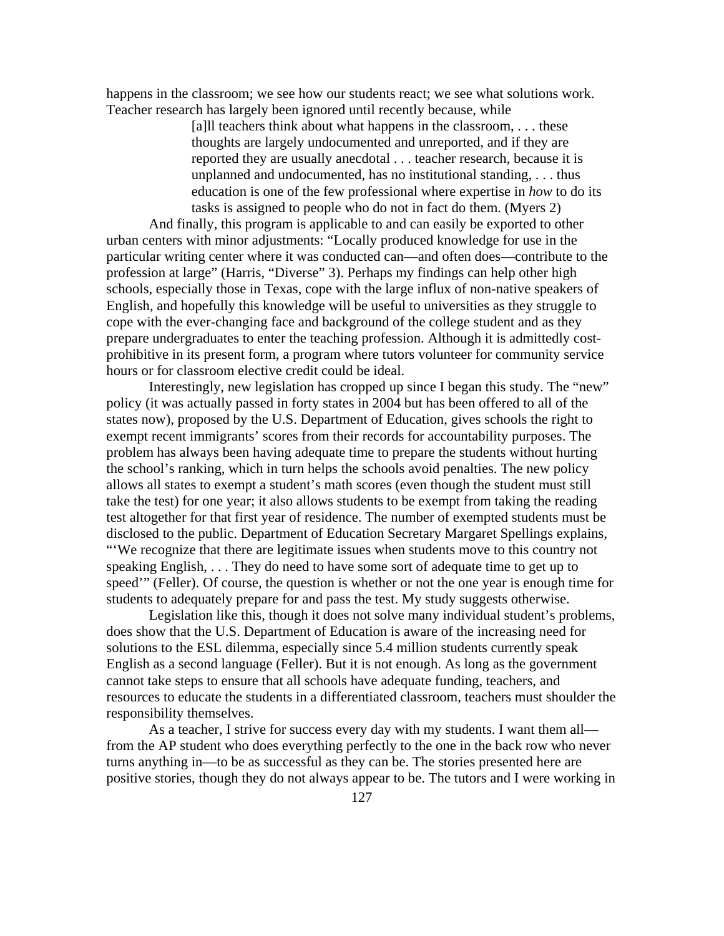happens in the classroom; we see how our students react; we see what solutions work. Teacher research has largely been ignored until recently because, while

> [a]ll teachers think about what happens in the classroom,  $\dots$  these thoughts are largely undocumented and unreported, and if they are reported they are usually anecdotal . . . teacher research, because it is unplanned and undocumented, has no institutional standing, . . . thus education is one of the few professional where expertise in *how* to do its tasks is assigned to people who do not in fact do them. (Myers 2)

 And finally, this program is applicable to and can easily be exported to other urban centers with minor adjustments: "Locally produced knowledge for use in the particular writing center where it was conducted can—and often does—contribute to the profession at large" (Harris, "Diverse" 3). Perhaps my findings can help other high schools, especially those in Texas, cope with the large influx of non-native speakers of English, and hopefully this knowledge will be useful to universities as they struggle to cope with the ever-changing face and background of the college student and as they prepare undergraduates to enter the teaching profession. Although it is admittedly costprohibitive in its present form, a program where tutors volunteer for community service hours or for classroom elective credit could be ideal.

 Interestingly, new legislation has cropped up since I began this study. The "new" policy (it was actually passed in forty states in 2004 but has been offered to all of the states now), proposed by the U.S. Department of Education, gives schools the right to exempt recent immigrants' scores from their records for accountability purposes. The problem has always been having adequate time to prepare the students without hurting the school's ranking, which in turn helps the schools avoid penalties. The new policy allows all states to exempt a student's math scores (even though the student must still take the test) for one year; it also allows students to be exempt from taking the reading test altogether for that first year of residence. The number of exempted students must be disclosed to the public. Department of Education Secretary Margaret Spellings explains, "'We recognize that there are legitimate issues when students move to this country not speaking English, . . . They do need to have some sort of adequate time to get up to speed'" (Feller). Of course, the question is whether or not the one year is enough time for students to adequately prepare for and pass the test. My study suggests otherwise.

 Legislation like this, though it does not solve many individual student's problems, does show that the U.S. Department of Education is aware of the increasing need for solutions to the ESL dilemma, especially since 5.4 million students currently speak English as a second language (Feller). But it is not enough. As long as the government cannot take steps to ensure that all schools have adequate funding, teachers, and resources to educate the students in a differentiated classroom, teachers must shoulder the responsibility themselves.

As a teacher, I strive for success every day with my students. I want them all from the AP student who does everything perfectly to the one in the back row who never turns anything in—to be as successful as they can be. The stories presented here are positive stories, though they do not always appear to be. The tutors and I were working in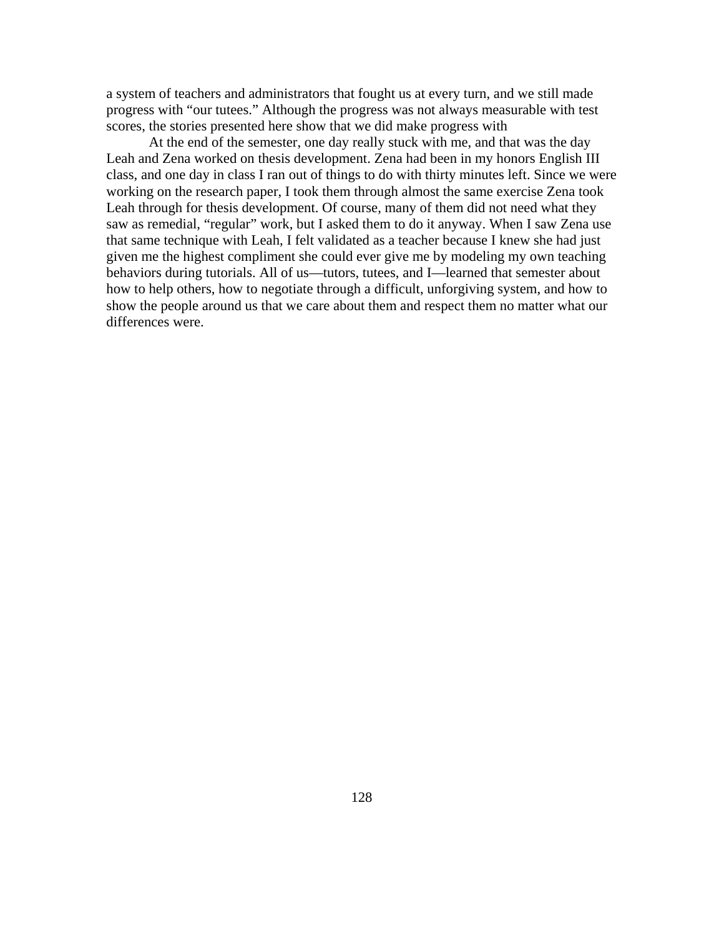a system of teachers and administrators that fought us at every turn, and we still made progress with "our tutees." Although the progress was not always measurable with test scores, the stories presented here show that we did make progress with

 At the end of the semester, one day really stuck with me, and that was the day Leah and Zena worked on thesis development. Zena had been in my honors English III class, and one day in class I ran out of things to do with thirty minutes left. Since we were working on the research paper, I took them through almost the same exercise Zena took Leah through for thesis development. Of course, many of them did not need what they saw as remedial, "regular" work, but I asked them to do it anyway. When I saw Zena use that same technique with Leah, I felt validated as a teacher because I knew she had just given me the highest compliment she could ever give me by modeling my own teaching behaviors during tutorials. All of us—tutors, tutees, and I—learned that semester about how to help others, how to negotiate through a difficult, unforgiving system, and how to show the people around us that we care about them and respect them no matter what our differences were.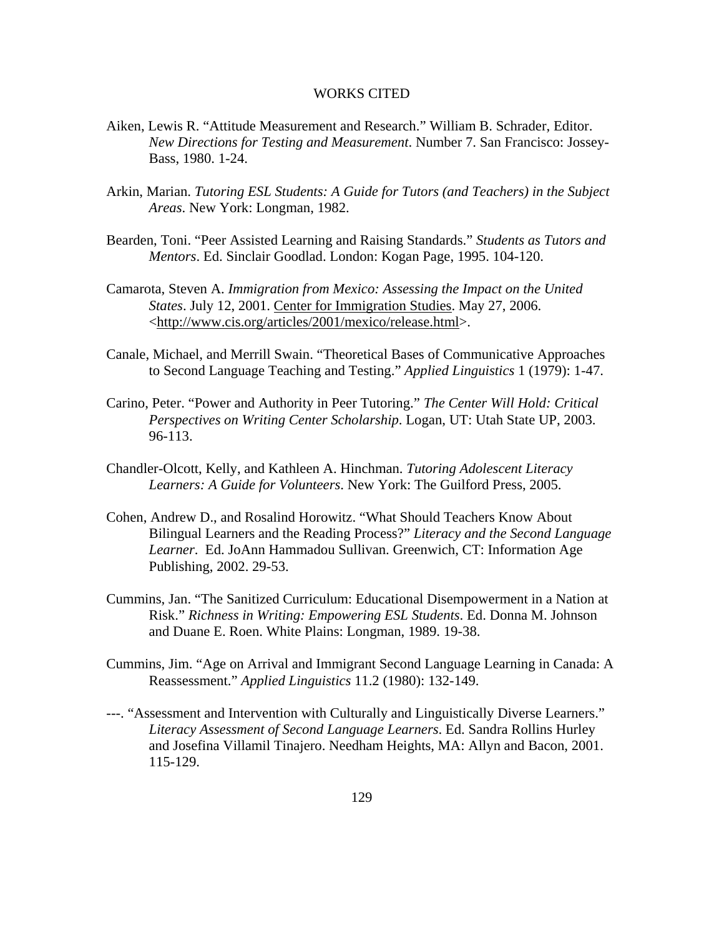## WORKS CITED

- Aiken, Lewis R. "Attitude Measurement and Research." William B. Schrader, Editor. *New Directions for Testing and Measurement*. Number 7. San Francisco: Jossey-Bass, 1980. 1-24.
- Arkin, Marian. *Tutoring ESL Students: A Guide for Tutors (and Teachers) in the Subject Areas*. New York: Longman, 1982.
- Bearden, Toni. "Peer Assisted Learning and Raising Standards." *Students as Tutors and Mentors*. Ed. Sinclair Goodlad. London: Kogan Page, 1995. 104-120.
- Camarota, Steven A. *Immigration from Mexico: Assessing the Impact on the United States*. July 12, 2001. Center for Immigration Studies. May 27, 2006. <http://www.cis.org/articles/2001/mexico/release.html>.
- Canale, Michael, and Merrill Swain. "Theoretical Bases of Communicative Approaches to Second Language Teaching and Testing." *Applied Linguistics* 1 (1979): 1-47.
- Carino, Peter. "Power and Authority in Peer Tutoring." *The Center Will Hold: Critical Perspectives on Writing Center Scholarship*. Logan, UT: Utah State UP, 2003. 96-113.
- Chandler-Olcott, Kelly, and Kathleen A. Hinchman. *Tutoring Adolescent Literacy Learners: A Guide for Volunteers*. New York: The Guilford Press, 2005.
- Cohen, Andrew D., and Rosalind Horowitz. "What Should Teachers Know About Bilingual Learners and the Reading Process?" *Literacy and the Second Language Learner*. Ed. JoAnn Hammadou Sullivan. Greenwich, CT: Information Age Publishing, 2002. 29-53.
- Cummins, Jan. "The Sanitized Curriculum: Educational Disempowerment in a Nation at Risk." *Richness in Writing: Empowering ESL Students*. Ed. Donna M. Johnson and Duane E. Roen. White Plains: Longman, 1989. 19-38.
- Cummins, Jim. "Age on Arrival and Immigrant Second Language Learning in Canada: A Reassessment." *Applied Linguistics* 11.2 (1980): 132-149.
- ---. "Assessment and Intervention with Culturally and Linguistically Diverse Learners." *Literacy Assessment of Second Language Learners*. Ed. Sandra Rollins Hurley and Josefina Villamil Tinajero. Needham Heights, MA: Allyn and Bacon, 2001. 115-129.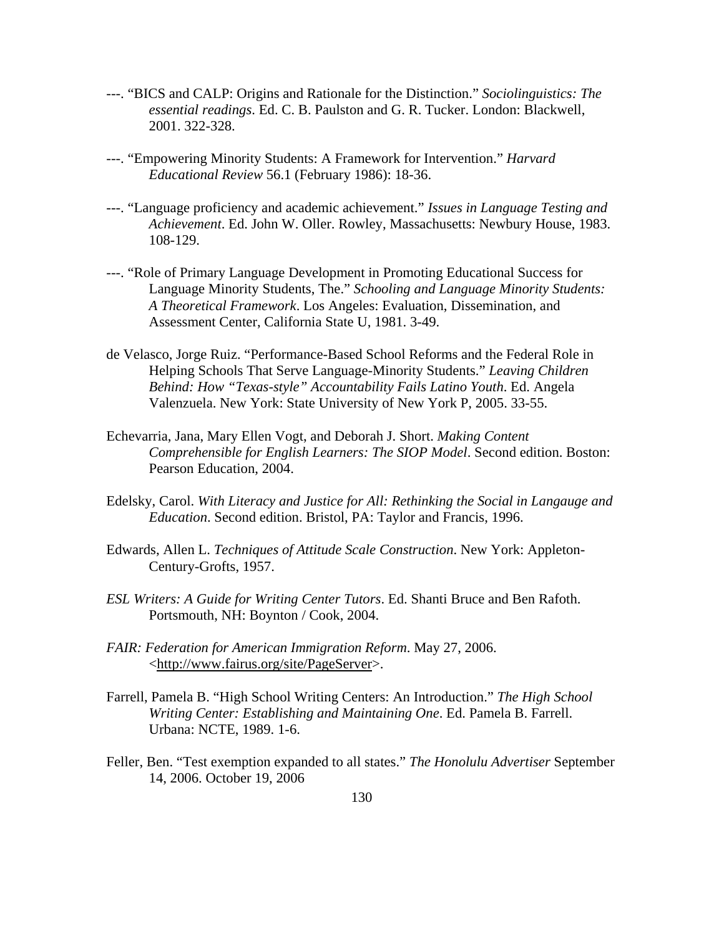- ---. "BICS and CALP: Origins and Rationale for the Distinction." *Sociolinguistics: The essential readings*. Ed. C. B. Paulston and G. R. Tucker. London: Blackwell, 2001. 322-328.
- ---. "Empowering Minority Students: A Framework for Intervention." *Harvard Educational Review* 56.1 (February 1986): 18-36.
- ---. "Language proficiency and academic achievement." *Issues in Language Testing and Achievement*. Ed. John W. Oller. Rowley, Massachusetts: Newbury House, 1983. 108-129.
- ---. "Role of Primary Language Development in Promoting Educational Success for Language Minority Students, The." *Schooling and Language Minority Students: A Theoretical Framework*. Los Angeles: Evaluation, Dissemination, and Assessment Center, California State U, 1981. 3-49.
- de Velasco, Jorge Ruiz. "Performance-Based School Reforms and the Federal Role in Helping Schools That Serve Language-Minority Students." *Leaving Children Behind: How "Texas-style" Accountability Fails Latino Youth*. Ed. Angela Valenzuela. New York: State University of New York P, 2005. 33-55.
- Echevarria, Jana, Mary Ellen Vogt, and Deborah J. Short. *Making Content Comprehensible for English Learners: The SIOP Model*. Second edition. Boston: Pearson Education, 2004.
- Edelsky, Carol. *With Literacy and Justice for All: Rethinking the Social in Langauge and Education*. Second edition. Bristol, PA: Taylor and Francis, 1996.
- Edwards, Allen L. *Techniques of Attitude Scale Construction*. New York: Appleton-Century-Grofts, 1957.
- *ESL Writers: A Guide for Writing Center Tutors*. Ed. Shanti Bruce and Ben Rafoth. Portsmouth, NH: Boynton / Cook, 2004.
- *FAIR: Federation for American Immigration Reform*. May 27, 2006. <http://www.fairus.org/site/PageServer>.
- Farrell, Pamela B. "High School Writing Centers: An Introduction." *The High School Writing Center: Establishing and Maintaining One*. Ed. Pamela B. Farrell. Urbana: NCTE, 1989. 1-6.
- Feller, Ben. "Test exemption expanded to all states." *The Honolulu Advertiser* September 14, 2006. October 19, 2006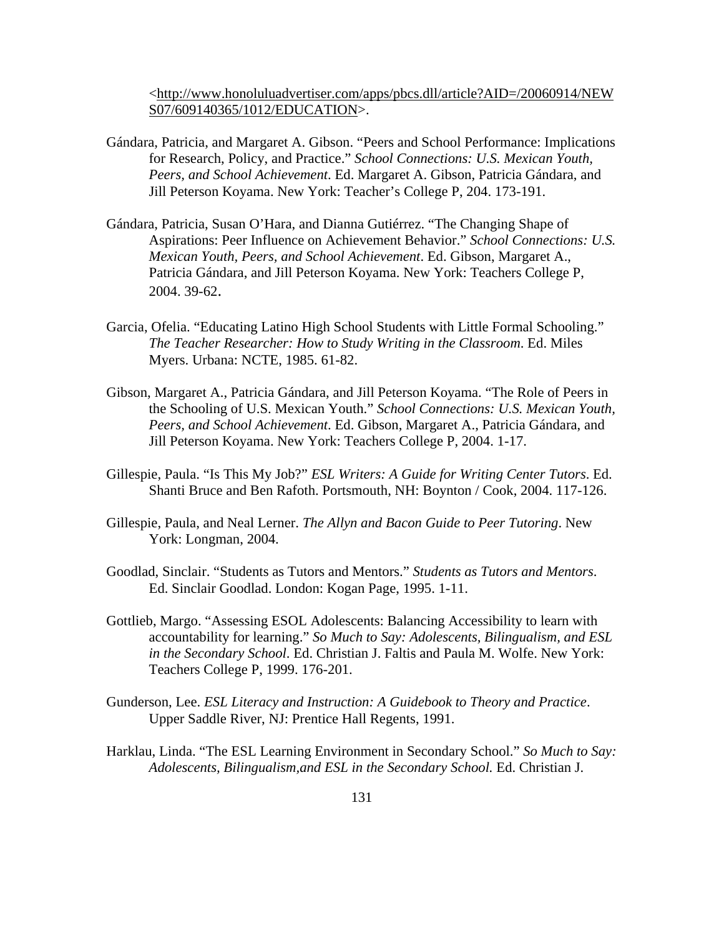<http://www.honoluluadvertiser.com/apps/pbcs.dll/article?AID=/20060914/NEW S07/609140365/1012/EDUCATION>.

- Gándara, Patricia, and Margaret A. Gibson. "Peers and School Performance: Implications for Research, Policy, and Practice." *School Connections: U.S. Mexican Youth, Peers, and School Achievement*. Ed. Margaret A. Gibson, Patricia Gándara, and Jill Peterson Koyama. New York: Teacher's College P, 204. 173-191.
- Gándara, Patricia, Susan O'Hara, and Dianna Gutiérrez. "The Changing Shape of Aspirations: Peer Influence on Achievement Behavior." *School Connections: U.S. Mexican Youth, Peers, and School Achievement*. Ed. Gibson, Margaret A., Patricia Gándara, and Jill Peterson Koyama. New York: Teachers College P, 2004. 39-62.
- Garcia, Ofelia. "Educating Latino High School Students with Little Formal Schooling." *The Teacher Researcher: How to Study Writing in the Classroom*. Ed. Miles Myers. Urbana: NCTE, 1985. 61-82.
- Gibson, Margaret A., Patricia Gándara, and Jill Peterson Koyama. "The Role of Peers in the Schooling of U.S. Mexican Youth." *School Connections: U.S. Mexican Youth, Peers, and School Achievement*. Ed. Gibson, Margaret A., Patricia Gándara, and Jill Peterson Koyama. New York: Teachers College P, 2004. 1-17.
- Gillespie, Paula. "Is This My Job?" *ESL Writers: A Guide for Writing Center Tutors*. Ed. Shanti Bruce and Ben Rafoth. Portsmouth, NH: Boynton / Cook, 2004. 117-126.
- Gillespie, Paula, and Neal Lerner. *The Allyn and Bacon Guide to Peer Tutoring*. New York: Longman, 2004.
- Goodlad, Sinclair. "Students as Tutors and Mentors." *Students as Tutors and Mentors*. Ed. Sinclair Goodlad. London: Kogan Page, 1995. 1-11.
- Gottlieb, Margo. "Assessing ESOL Adolescents: Balancing Accessibility to learn with accountability for learning." *So Much to Say: Adolescents, Bilingualism, and ESL in the Secondary School*. Ed. Christian J. Faltis and Paula M. Wolfe. New York: Teachers College P, 1999. 176-201.
- Gunderson, Lee. *ESL Literacy and Instruction: A Guidebook to Theory and Practice*. Upper Saddle River, NJ: Prentice Hall Regents, 1991.
- Harklau, Linda. "The ESL Learning Environment in Secondary School." *So Much to Say: Adolescents, Bilingualism,and ESL in the Secondary School.* Ed. Christian J.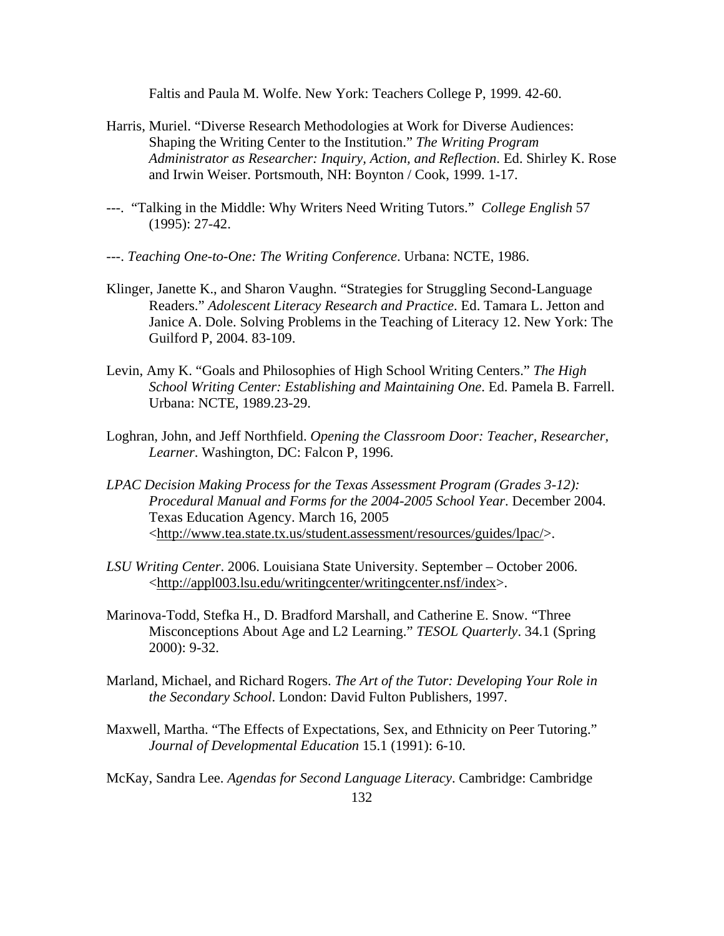Faltis and Paula M. Wolfe. New York: Teachers College P, 1999. 42-60.

- Harris, Muriel. "Diverse Research Methodologies at Work for Diverse Audiences: Shaping the Writing Center to the Institution." *The Writing Program Administrator as Researcher: Inquiry, Action, and Reflection*. Ed. Shirley K. Rose and Irwin Weiser. Portsmouth, NH: Boynton / Cook, 1999. 1-17.
- ---. "Talking in the Middle: Why Writers Need Writing Tutors." *College English* 57 (1995): 27-42.
- ---. *Teaching One-to-One: The Writing Conference*. Urbana: NCTE, 1986.
- Klinger, Janette K., and Sharon Vaughn. "Strategies for Struggling Second-Language Readers." *Adolescent Literacy Research and Practice*. Ed. Tamara L. Jetton and Janice A. Dole. Solving Problems in the Teaching of Literacy 12. New York: The Guilford P, 2004. 83-109.
- Levin, Amy K. "Goals and Philosophies of High School Writing Centers." *The High School Writing Center: Establishing and Maintaining One*. Ed. Pamela B. Farrell. Urbana: NCTE, 1989.23-29.
- Loghran, John, and Jeff Northfield. *Opening the Classroom Door: Teacher, Researcher, Learner*. Washington, DC: Falcon P, 1996.
- *LPAC Decision Making Process for the Texas Assessment Program (Grades 3-12): Procedural Manual and Forms for the 2004-2005 School Year*. December 2004. Texas Education Agency. March 16, 2005 <http://www.tea.state.tx.us/student.assessment/resources/guides/lpac/>.
- *LSU Writing Center*. 2006. Louisiana State University. September October 2006. <http://appl003.lsu.edu/writingcenter/writingcenter.nsf/index>.
- Marinova-Todd, Stefka H., D. Bradford Marshall, and Catherine E. Snow. "Three Misconceptions About Age and L2 Learning." *TESOL Quarterly*. 34.1 (Spring 2000): 9-32.
- Marland, Michael, and Richard Rogers. *The Art of the Tutor: Developing Your Role in the Secondary School*. London: David Fulton Publishers, 1997.
- Maxwell, Martha. "The Effects of Expectations, Sex, and Ethnicity on Peer Tutoring." *Journal of Developmental Education* 15.1 (1991): 6-10.

McKay, Sandra Lee. *Agendas for Second Language Literacy*. Cambridge: Cambridge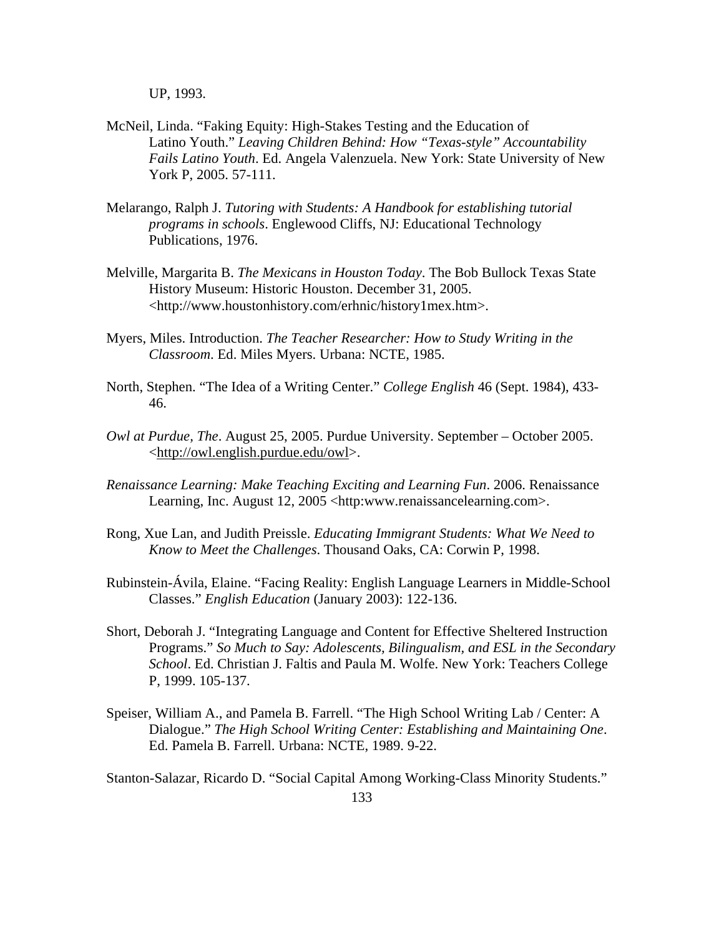UP, 1993.

- McNeil, Linda. "Faking Equity: High-Stakes Testing and the Education of Latino Youth." *Leaving Children Behind: How "Texas-style" Accountability Fails Latino Youth*. Ed. Angela Valenzuela. New York: State University of New York P, 2005. 57-111.
- Melarango, Ralph J. *Tutoring with Students: A Handbook for establishing tutorial programs in schools*. Englewood Cliffs, NJ: Educational Technology Publications, 1976.
- Melville, Margarita B. *The Mexicans in Houston Today*. The Bob Bullock Texas State History Museum: Historic Houston. December 31, 2005. <http://www.houstonhistory.com/erhnic/history1mex.htm>.
- Myers, Miles. Introduction. *The Teacher Researcher: How to Study Writing in the Classroom*. Ed. Miles Myers. Urbana: NCTE, 1985.
- North, Stephen. "The Idea of a Writing Center." *College English* 46 (Sept. 1984), 433- 46.
- *Owl at Purdue, The*. August 25, 2005. Purdue University. September October 2005. <http://owl.english.purdue.edu/owl>.
- *Renaissance Learning: Make Teaching Exciting and Learning Fun*. 2006. Renaissance Learning, Inc. August 12, 2005 <http:www.renaissancelearning.com>.
- Rong, Xue Lan, and Judith Preissle. *Educating Immigrant Students: What We Need to Know to Meet the Challenges*. Thousand Oaks, CA: Corwin P, 1998.
- Rubinstein-Ávila, Elaine. "Facing Reality: English Language Learners in Middle-School Classes." *English Education* (January 2003): 122-136.
- Short, Deborah J. "Integrating Language and Content for Effective Sheltered Instruction Programs." *So Much to Say: Adolescents, Bilingualism, and ESL in the Secondary School*. Ed. Christian J. Faltis and Paula M. Wolfe. New York: Teachers College P, 1999. 105-137.
- Speiser, William A., and Pamela B. Farrell. "The High School Writing Lab / Center: A Dialogue." *The High School Writing Center: Establishing and Maintaining One*. Ed. Pamela B. Farrell. Urbana: NCTE, 1989. 9-22.

Stanton-Salazar, Ricardo D. "Social Capital Among Working-Class Minority Students."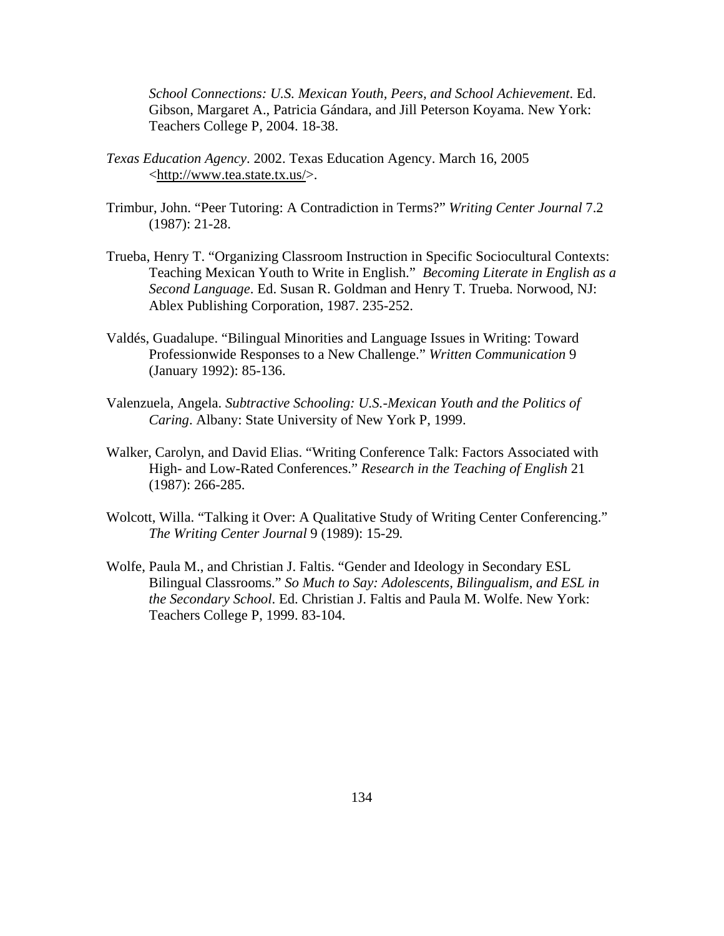*School Connections: U.S. Mexican Youth, Peers, and School Achievement*. Ed. Gibson, Margaret A., Patricia Gándara, and Jill Peterson Koyama. New York: Teachers College P, 2004. 18-38.

- *Texas Education Agency*. 2002. Texas Education Agency. March 16, 2005 <http://www.tea.state.tx.us/>.
- Trimbur, John. "Peer Tutoring: A Contradiction in Terms?" *Writing Center Journal* 7.2 (1987): 21-28.
- Trueba, Henry T. "Organizing Classroom Instruction in Specific Sociocultural Contexts: Teaching Mexican Youth to Write in English." *Becoming Literate in English as a Second Language*. Ed. Susan R. Goldman and Henry T. Trueba. Norwood, NJ: Ablex Publishing Corporation, 1987. 235-252.
- Valdés, Guadalupe. "Bilingual Minorities and Language Issues in Writing: Toward Professionwide Responses to a New Challenge." *Written Communication* 9 (January 1992): 85-136.
- Valenzuela, Angela. *Subtractive Schooling: U.S.-Mexican Youth and the Politics of Caring*. Albany: State University of New York P, 1999.
- Walker, Carolyn, and David Elias. "Writing Conference Talk: Factors Associated with High- and Low-Rated Conferences." *Research in the Teaching of English* 21 (1987): 266-285.
- Wolcott, Willa. "Talking it Over: A Qualitative Study of Writing Center Conferencing." *The Writing Center Journal* 9 (1989): 15-29*.*
- Wolfe, Paula M., and Christian J. Faltis. "Gender and Ideology in Secondary ESL Bilingual Classrooms." *So Much to Say: Adolescents, Bilingualism, and ESL in the Secondary School*. Ed. Christian J. Faltis and Paula M. Wolfe. New York: Teachers College P, 1999. 83-104.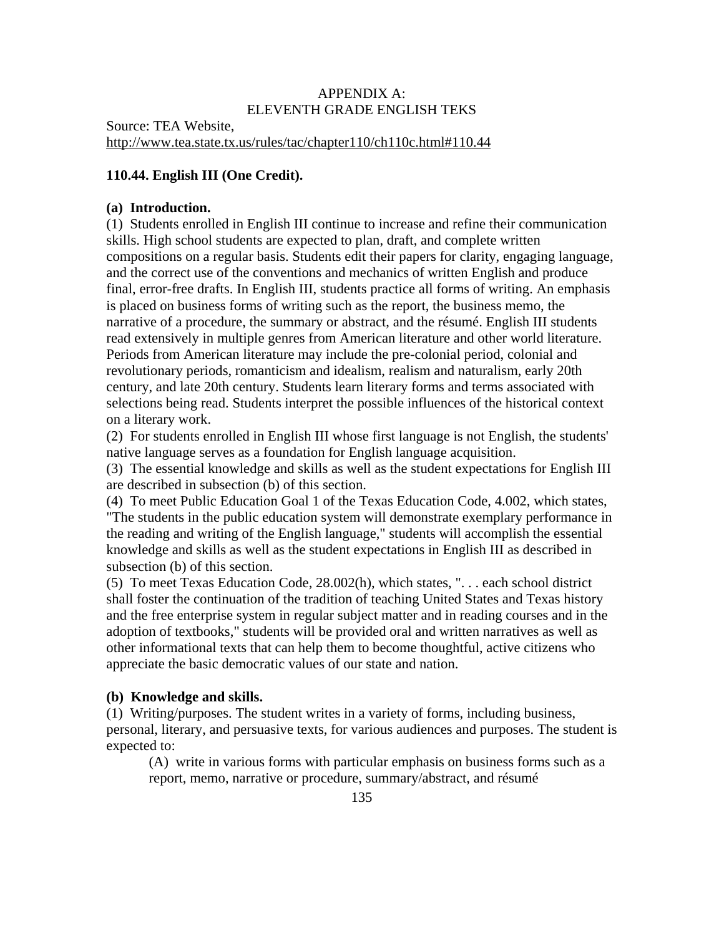## APPENDIX A: ELEVENTH GRADE ENGLISH TEKS

Source: TEA Website, http://www.tea.state.tx.us/rules/tac/chapter110/ch110c.html#110.44

# **110.44. English III (One Credit).**

#### **(a) Introduction.**

(1) Students enrolled in English III continue to increase and refine their communication skills. High school students are expected to plan, draft, and complete written compositions on a regular basis. Students edit their papers for clarity, engaging language, and the correct use of the conventions and mechanics of written English and produce final, error-free drafts. In English III, students practice all forms of writing. An emphasis is placed on business forms of writing such as the report, the business memo, the narrative of a procedure, the summary or abstract, and the résumé. English III students read extensively in multiple genres from American literature and other world literature. Periods from American literature may include the pre-colonial period, colonial and revolutionary periods, romanticism and idealism, realism and naturalism, early 20th century, and late 20th century. Students learn literary forms and terms associated with selections being read. Students interpret the possible influences of the historical context on a literary work.

(2) For students enrolled in English III whose first language is not English, the students' native language serves as a foundation for English language acquisition.

(3) The essential knowledge and skills as well as the student expectations for English III are described in subsection (b) of this section.

(4) To meet Public Education Goal 1 of the Texas Education Code, 4.002, which states, "The students in the public education system will demonstrate exemplary performance in the reading and writing of the English language," students will accomplish the essential knowledge and skills as well as the student expectations in English III as described in subsection (b) of this section.

(5) To meet Texas Education Code, 28.002(h), which states, ". . . each school district shall foster the continuation of the tradition of teaching United States and Texas history and the free enterprise system in regular subject matter and in reading courses and in the adoption of textbooks," students will be provided oral and written narratives as well as other informational texts that can help them to become thoughtful, active citizens who appreciate the basic democratic values of our state and nation.

### **(b) Knowledge and skills.**

(1) Writing/purposes. The student writes in a variety of forms, including business, personal, literary, and persuasive texts, for various audiences and purposes. The student is expected to:

(A) write in various forms with particular emphasis on business forms such as a report, memo, narrative or procedure, summary/abstract, and résumé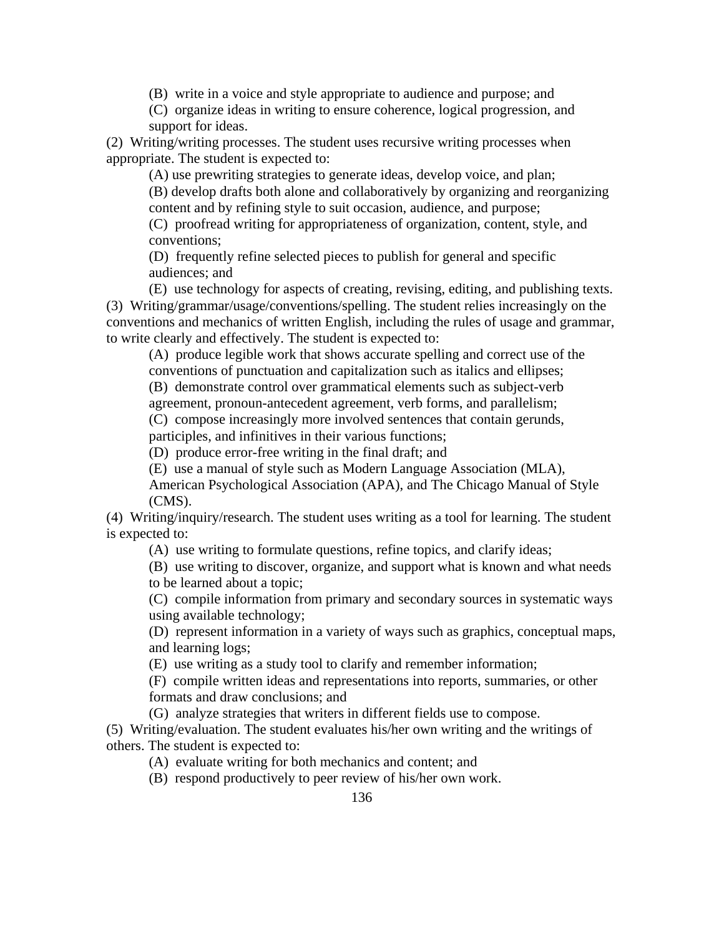(B) write in a voice and style appropriate to audience and purpose; and

(C) organize ideas in writing to ensure coherence, logical progression, and support for ideas.

(2) Writing/writing processes. The student uses recursive writing processes when appropriate. The student is expected to:

(A) use prewriting strategies to generate ideas, develop voice, and plan; (B) develop drafts both alone and collaboratively by organizing and reorganizing content and by refining style to suit occasion, audience, and purpose;

(C) proofread writing for appropriateness of organization, content, style, and conventions;

(D) frequently refine selected pieces to publish for general and specific audiences; and

(E) use technology for aspects of creating, revising, editing, and publishing texts. (3) Writing/grammar/usage/conventions/spelling. The student relies increasingly on the conventions and mechanics of written English, including the rules of usage and grammar, to write clearly and effectively. The student is expected to:

(A) produce legible work that shows accurate spelling and correct use of the conventions of punctuation and capitalization such as italics and ellipses;

(B) demonstrate control over grammatical elements such as subject-verb

agreement, pronoun-antecedent agreement, verb forms, and parallelism;

(C) compose increasingly more involved sentences that contain gerunds, participles, and infinitives in their various functions;

(D) produce error-free writing in the final draft; and

(E) use a manual of style such as Modern Language Association (MLA),

American Psychological Association (APA), and The Chicago Manual of Style (CMS).

(4) Writing/inquiry/research. The student uses writing as a tool for learning. The student is expected to:

(A) use writing to formulate questions, refine topics, and clarify ideas;

(B) use writing to discover, organize, and support what is known and what needs to be learned about a topic;

(C) compile information from primary and secondary sources in systematic ways using available technology;

(D) represent information in a variety of ways such as graphics, conceptual maps, and learning logs;

(E) use writing as a study tool to clarify and remember information;

(F) compile written ideas and representations into reports, summaries, or other formats and draw conclusions; and

(G) analyze strategies that writers in different fields use to compose.

(5) Writing/evaluation. The student evaluates his/her own writing and the writings of others. The student is expected to:

(A) evaluate writing for both mechanics and content; and

(B) respond productively to peer review of his/her own work.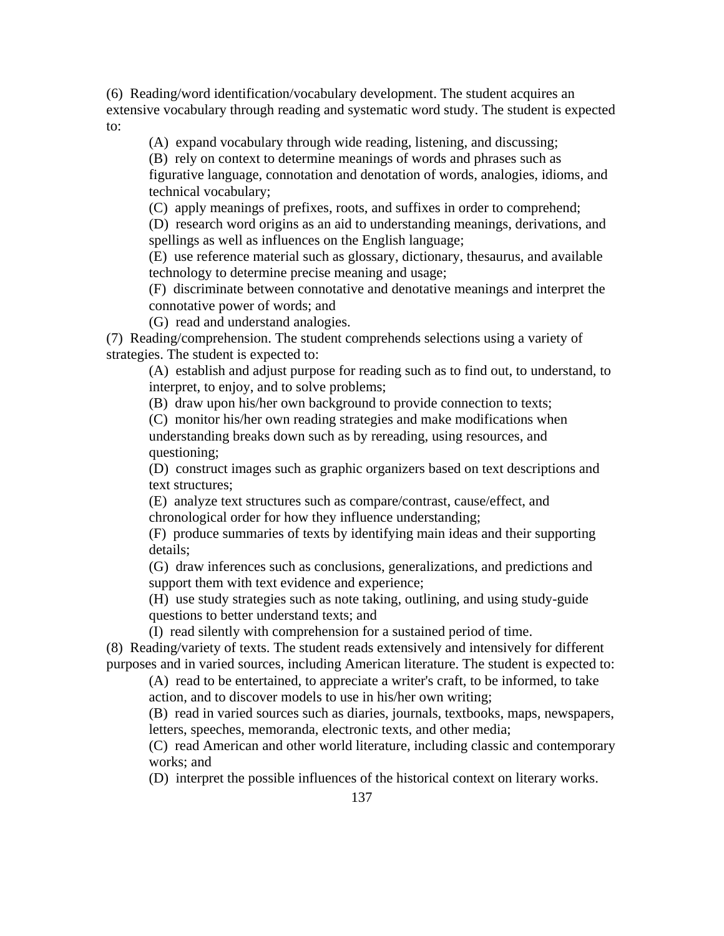(6) Reading/word identification/vocabulary development. The student acquires an extensive vocabulary through reading and systematic word study. The student is expected to:

(A) expand vocabulary through wide reading, listening, and discussing;

(B) rely on context to determine meanings of words and phrases such as

figurative language, connotation and denotation of words, analogies, idioms, and technical vocabulary;

(C) apply meanings of prefixes, roots, and suffixes in order to comprehend;

(D) research word origins as an aid to understanding meanings, derivations, and spellings as well as influences on the English language;

(E) use reference material such as glossary, dictionary, thesaurus, and available technology to determine precise meaning and usage;

(F) discriminate between connotative and denotative meanings and interpret the connotative power of words; and

(G) read and understand analogies.

(7) Reading/comprehension. The student comprehends selections using a variety of strategies. The student is expected to:

(A) establish and adjust purpose for reading such as to find out, to understand, to interpret, to enjoy, and to solve problems;

(B) draw upon his/her own background to provide connection to texts;

(C) monitor his/her own reading strategies and make modifications when understanding breaks down such as by rereading, using resources, and questioning;

(D) construct images such as graphic organizers based on text descriptions and text structures;

(E) analyze text structures such as compare/contrast, cause/effect, and chronological order for how they influence understanding;

(F) produce summaries of texts by identifying main ideas and their supporting details;

(G) draw inferences such as conclusions, generalizations, and predictions and support them with text evidence and experience;

(H) use study strategies such as note taking, outlining, and using study-guide questions to better understand texts; and

(I) read silently with comprehension for a sustained period of time.

(8) Reading/variety of texts. The student reads extensively and intensively for different purposes and in varied sources, including American literature. The student is expected to:

(A) read to be entertained, to appreciate a writer's craft, to be informed, to take action, and to discover models to use in his/her own writing;

(B) read in varied sources such as diaries, journals, textbooks, maps, newspapers, letters, speeches, memoranda, electronic texts, and other media;

(C) read American and other world literature, including classic and contemporary works; and

(D) interpret the possible influences of the historical context on literary works.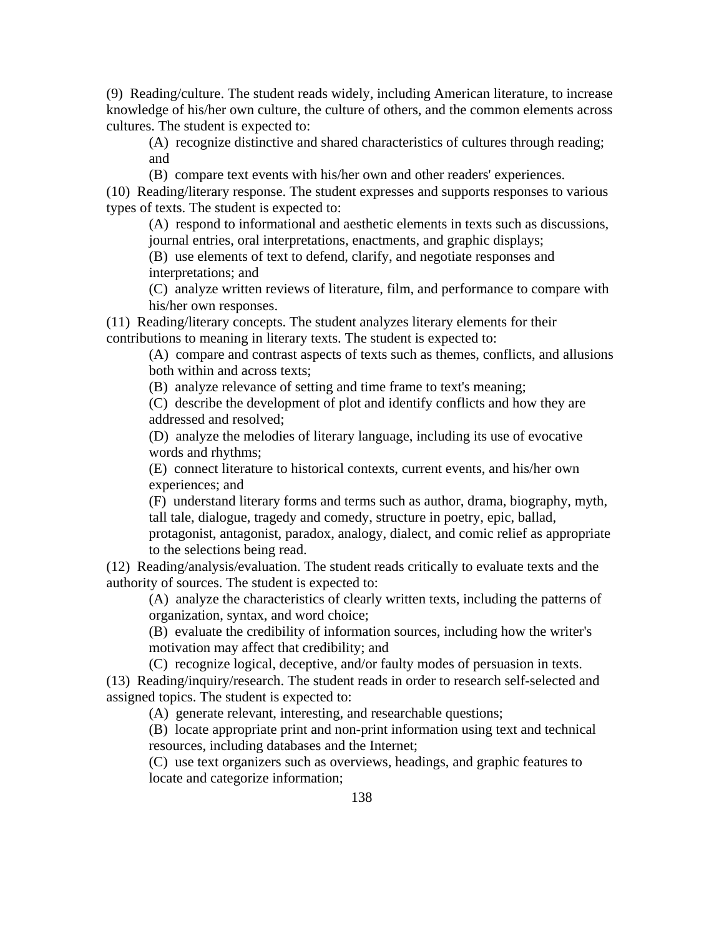(9) Reading/culture. The student reads widely, including American literature, to increase knowledge of his/her own culture, the culture of others, and the common elements across cultures. The student is expected to:

(A) recognize distinctive and shared characteristics of cultures through reading; and

(B) compare text events with his/her own and other readers' experiences.

(10) Reading/literary response. The student expresses and supports responses to various types of texts. The student is expected to:

(A) respond to informational and aesthetic elements in texts such as discussions, journal entries, oral interpretations, enactments, and graphic displays;

(B) use elements of text to defend, clarify, and negotiate responses and interpretations; and

(C) analyze written reviews of literature, film, and performance to compare with his/her own responses.

(11) Reading/literary concepts. The student analyzes literary elements for their contributions to meaning in literary texts. The student is expected to:

(A) compare and contrast aspects of texts such as themes, conflicts, and allusions both within and across texts;

(B) analyze relevance of setting and time frame to text's meaning;

(C) describe the development of plot and identify conflicts and how they are addressed and resolved;

(D) analyze the melodies of literary language, including its use of evocative words and rhythms;

(E) connect literature to historical contexts, current events, and his/her own experiences; and

(F) understand literary forms and terms such as author, drama, biography, myth, tall tale, dialogue, tragedy and comedy, structure in poetry, epic, ballad,

protagonist, antagonist, paradox, analogy, dialect, and comic relief as appropriate to the selections being read.

(12) Reading/analysis/evaluation. The student reads critically to evaluate texts and the authority of sources. The student is expected to:

(A) analyze the characteristics of clearly written texts, including the patterns of organization, syntax, and word choice;

(B) evaluate the credibility of information sources, including how the writer's motivation may affect that credibility; and

(C) recognize logical, deceptive, and/or faulty modes of persuasion in texts.

(13) Reading/inquiry/research. The student reads in order to research self-selected and assigned topics. The student is expected to:

(A) generate relevant, interesting, and researchable questions;

(B) locate appropriate print and non-print information using text and technical resources, including databases and the Internet;

(C) use text organizers such as overviews, headings, and graphic features to locate and categorize information;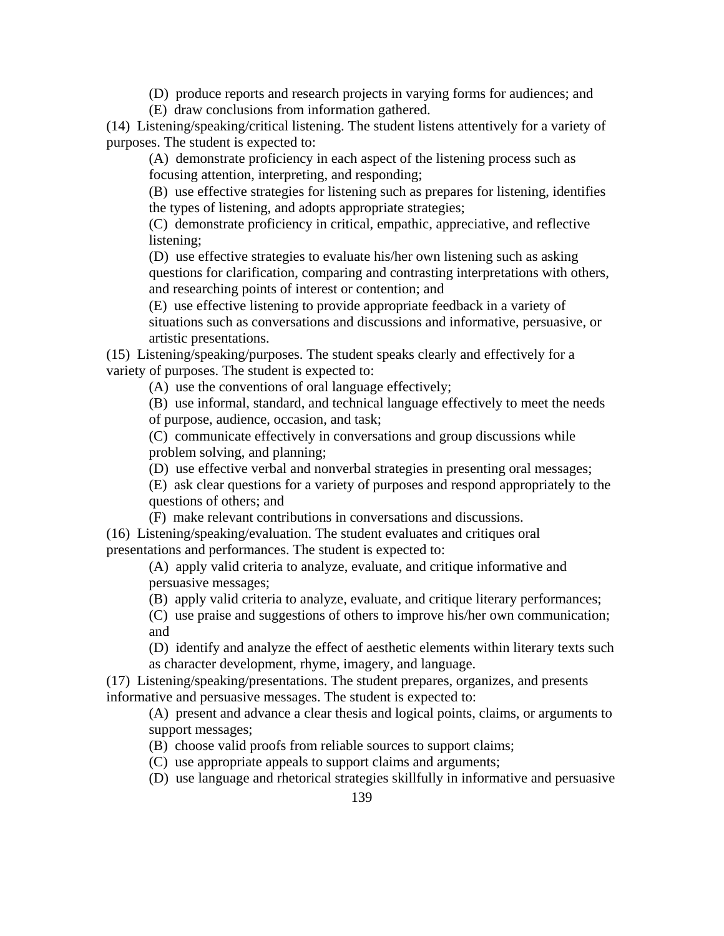(D) produce reports and research projects in varying forms for audiences; and

(E) draw conclusions from information gathered.

(14) Listening/speaking/critical listening. The student listens attentively for a variety of purposes. The student is expected to:

(A) demonstrate proficiency in each aspect of the listening process such as focusing attention, interpreting, and responding;

(B) use effective strategies for listening such as prepares for listening, identifies the types of listening, and adopts appropriate strategies;

(C) demonstrate proficiency in critical, empathic, appreciative, and reflective listening;

(D) use effective strategies to evaluate his/her own listening such as asking questions for clarification, comparing and contrasting interpretations with others, and researching points of interest or contention; and

(E) use effective listening to provide appropriate feedback in a variety of situations such as conversations and discussions and informative, persuasive, or artistic presentations.

(15) Listening/speaking/purposes. The student speaks clearly and effectively for a variety of purposes. The student is expected to:

(A) use the conventions of oral language effectively;

(B) use informal, standard, and technical language effectively to meet the needs of purpose, audience, occasion, and task;

(C) communicate effectively in conversations and group discussions while problem solving, and planning;

(D) use effective verbal and nonverbal strategies in presenting oral messages;

(E) ask clear questions for a variety of purposes and respond appropriately to the questions of others; and

(F) make relevant contributions in conversations and discussions.

(16) Listening/speaking/evaluation. The student evaluates and critiques oral presentations and performances. The student is expected to:

(A) apply valid criteria to analyze, evaluate, and critique informative and persuasive messages;

(B) apply valid criteria to analyze, evaluate, and critique literary performances;

(C) use praise and suggestions of others to improve his/her own communication; and

(D) identify and analyze the effect of aesthetic elements within literary texts such as character development, rhyme, imagery, and language.

(17) Listening/speaking/presentations. The student prepares, organizes, and presents informative and persuasive messages. The student is expected to:

(A) present and advance a clear thesis and logical points, claims, or arguments to support messages;

(B) choose valid proofs from reliable sources to support claims;

(C) use appropriate appeals to support claims and arguments;

(D) use language and rhetorical strategies skillfully in informative and persuasive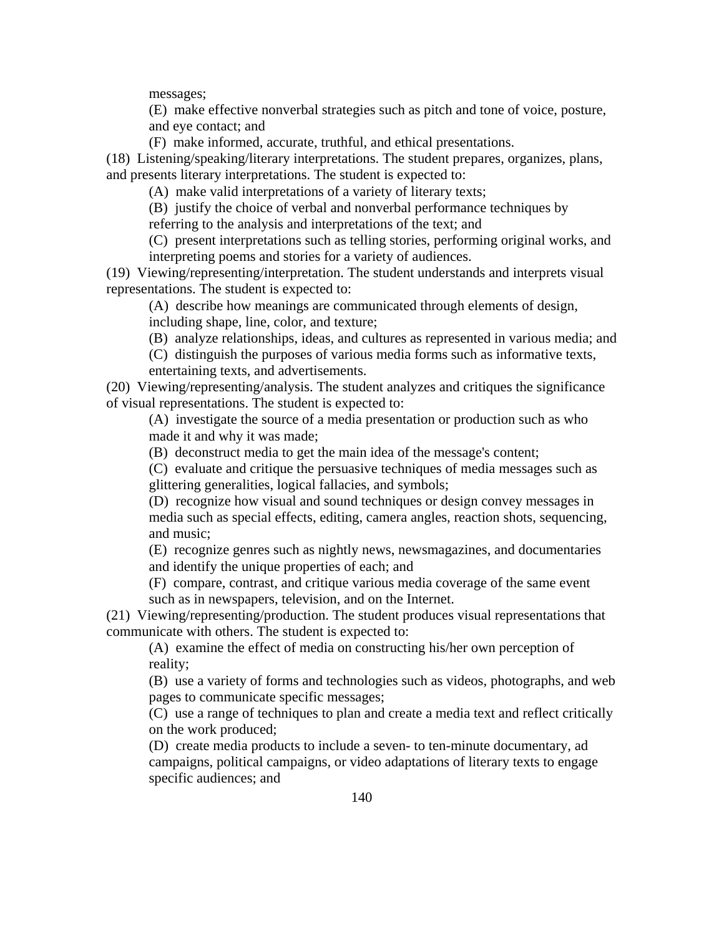messages;

(E) make effective nonverbal strategies such as pitch and tone of voice, posture, and eye contact; and

(F) make informed, accurate, truthful, and ethical presentations.

(18) Listening/speaking/literary interpretations. The student prepares, organizes, plans, and presents literary interpretations. The student is expected to:

(A) make valid interpretations of a variety of literary texts;

(B) justify the choice of verbal and nonverbal performance techniques by referring to the analysis and interpretations of the text; and

(C) present interpretations such as telling stories, performing original works, and interpreting poems and stories for a variety of audiences.

(19) Viewing/representing/interpretation. The student understands and interprets visual representations. The student is expected to:

(A) describe how meanings are communicated through elements of design, including shape, line, color, and texture;

(B) analyze relationships, ideas, and cultures as represented in various media; and

(C) distinguish the purposes of various media forms such as informative texts, entertaining texts, and advertisements.

(20) Viewing/representing/analysis. The student analyzes and critiques the significance of visual representations. The student is expected to:

(A) investigate the source of a media presentation or production such as who made it and why it was made;

(B) deconstruct media to get the main idea of the message's content;

(C) evaluate and critique the persuasive techniques of media messages such as glittering generalities, logical fallacies, and symbols;

(D) recognize how visual and sound techniques or design convey messages in media such as special effects, editing, camera angles, reaction shots, sequencing, and music;

(E) recognize genres such as nightly news, newsmagazines, and documentaries and identify the unique properties of each; and

(F) compare, contrast, and critique various media coverage of the same event such as in newspapers, television, and on the Internet.

(21) Viewing/representing/production. The student produces visual representations that communicate with others. The student is expected to:

(A) examine the effect of media on constructing his/her own perception of reality;

(B) use a variety of forms and technologies such as videos, photographs, and web pages to communicate specific messages;

(C) use a range of techniques to plan and create a media text and reflect critically on the work produced;

(D) create media products to include a seven- to ten-minute documentary, ad campaigns, political campaigns, or video adaptations of literary texts to engage specific audiences; and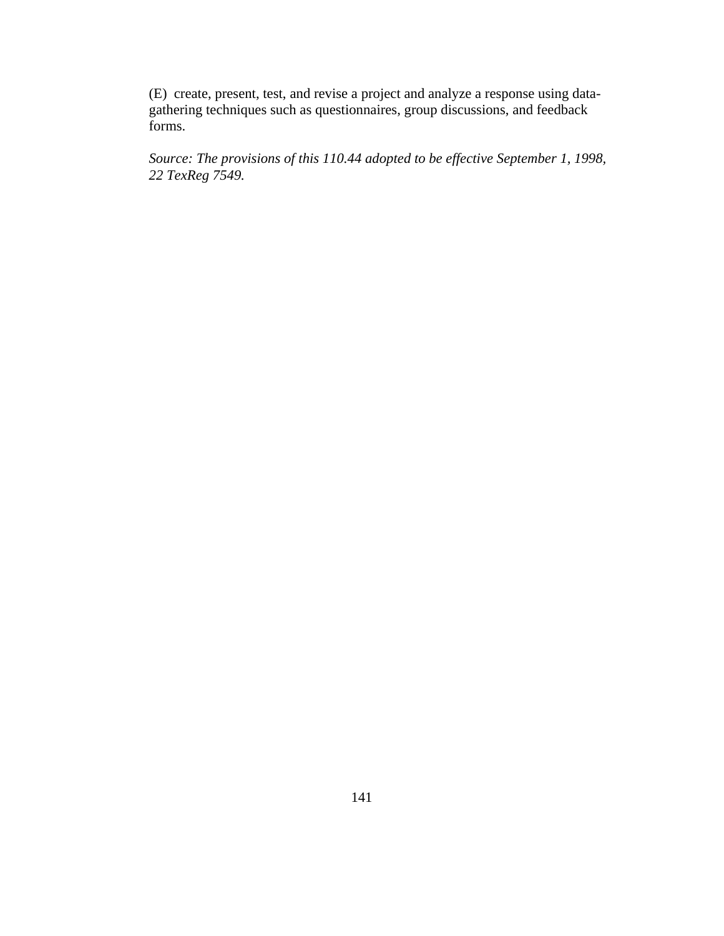(E) create, present, test, and revise a project and analyze a response using datagathering techniques such as questionnaires, group discussions, and feedback forms.

*Source: The provisions of this 110.44 adopted to be effective September 1, 1998, 22 TexReg 7549.*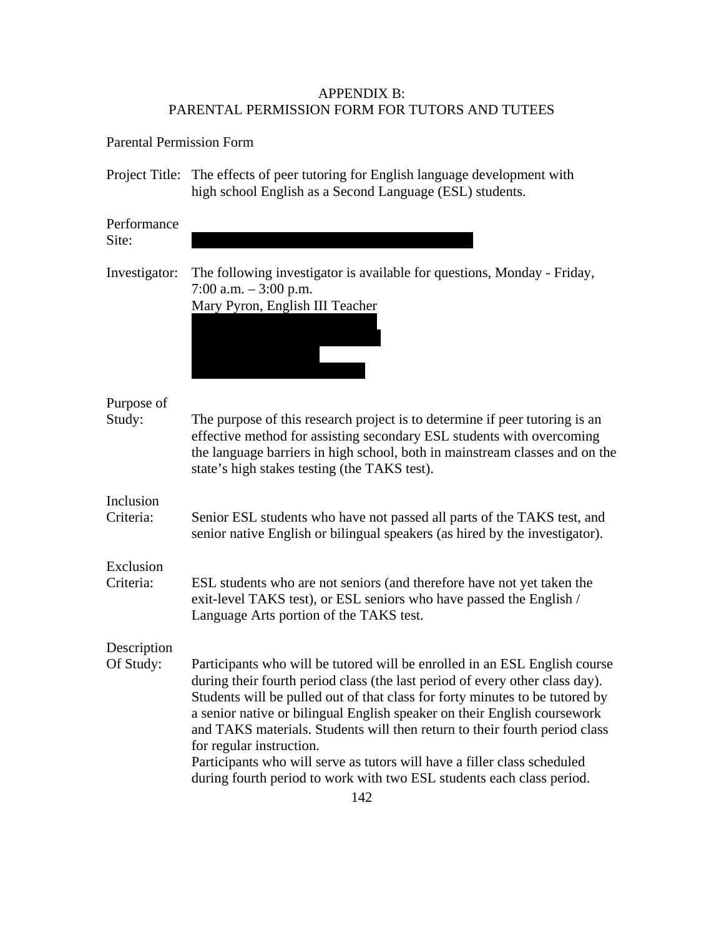# APPENDIX B: PARENTAL PERMISSION FORM FOR TUTORS AND TUTEES

Parental Permission Form

Project Title: The effects of peer tutoring for English language development with high school English as a Second Language (ESL) students.

| Performance<br>Site:     |                                                                                                                                                                                                                                                                                                                                                                                                                                                                                                         |
|--------------------------|---------------------------------------------------------------------------------------------------------------------------------------------------------------------------------------------------------------------------------------------------------------------------------------------------------------------------------------------------------------------------------------------------------------------------------------------------------------------------------------------------------|
| Investigator:            | The following investigator is available for questions, Monday - Friday,<br>7:00 a.m. $-3:00$ p.m.<br>Mary Pyron, English III Teacher                                                                                                                                                                                                                                                                                                                                                                    |
| Purpose of<br>Study:     | The purpose of this research project is to determine if peer tutoring is an<br>effective method for assisting secondary ESL students with overcoming<br>the language barriers in high school, both in mainstream classes and on the<br>state's high stakes testing (the TAKS test).                                                                                                                                                                                                                     |
| Inclusion<br>Criteria:   | Senior ESL students who have not passed all parts of the TAKS test, and<br>senior native English or bilingual speakers (as hired by the investigator).                                                                                                                                                                                                                                                                                                                                                  |
| Exclusion<br>Criteria:   | ESL students who are not seniors (and therefore have not yet taken the<br>exit-level TAKS test), or ESL seniors who have passed the English /<br>Language Arts portion of the TAKS test.                                                                                                                                                                                                                                                                                                                |
| Description<br>Of Study: | Participants who will be tutored will be enrolled in an ESL English course                                                                                                                                                                                                                                                                                                                                                                                                                              |
|                          | during their fourth period class (the last period of every other class day).<br>Students will be pulled out of that class for forty minutes to be tutored by<br>a senior native or bilingual English speaker on their English coursework<br>and TAKS materials. Students will then return to their fourth period class<br>for regular instruction.<br>Participants who will serve as tutors will have a filler class scheduled<br>during fourth period to work with two ESL students each class period. |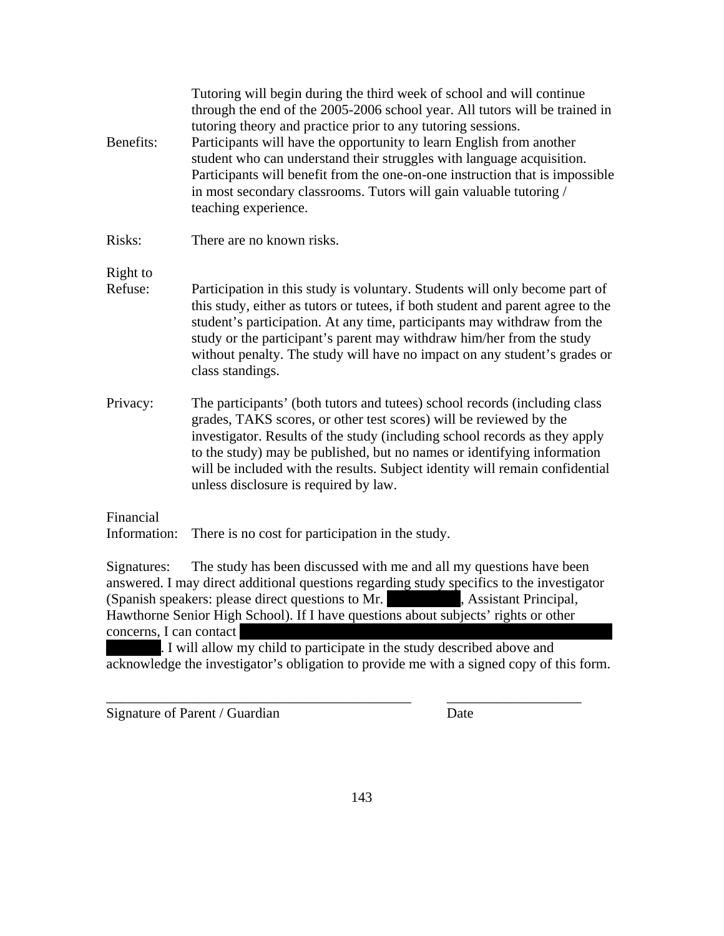| Benefits:                 | Tutoring will begin during the third week of school and will continue<br>through the end of the 2005-2006 school year. All tutors will be trained in<br>tutoring theory and practice prior to any tutoring sessions.<br>Participants will have the opportunity to learn English from another<br>student who can understand their struggles with language acquisition.<br>Participants will benefit from the one-on-one instruction that is impossible<br>in most secondary classrooms. Tutors will gain valuable tutoring /<br>teaching experience. |
|---------------------------|-----------------------------------------------------------------------------------------------------------------------------------------------------------------------------------------------------------------------------------------------------------------------------------------------------------------------------------------------------------------------------------------------------------------------------------------------------------------------------------------------------------------------------------------------------|
| Risks:                    | There are no known risks.                                                                                                                                                                                                                                                                                                                                                                                                                                                                                                                           |
| Right to                  |                                                                                                                                                                                                                                                                                                                                                                                                                                                                                                                                                     |
| Refuse:                   | Participation in this study is voluntary. Students will only become part of<br>this study, either as tutors or tutees, if both student and parent agree to the<br>student's participation. At any time, participants may withdraw from the<br>study or the participant's parent may withdraw him/her from the study<br>without penalty. The study will have no impact on any student's grades or<br>class standings.                                                                                                                                |
| Privacy:                  | The participants' (both tutors and tutees) school records (including class<br>grades, TAKS scores, or other test scores) will be reviewed by the<br>investigator. Results of the study (including school records as they apply<br>to the study) may be published, but no names or identifying information<br>will be included with the results. Subject identity will remain confidential<br>unless disclosure is required by law.                                                                                                                  |
| Financial<br>Information: | There is no cost for participation in the study.                                                                                                                                                                                                                                                                                                                                                                                                                                                                                                    |
| Signatures:               | The study has been discussed with me and all my questions have been                                                                                                                                                                                                                                                                                                                                                                                                                                                                                 |

answered. I may direct additional questions regarding study specifics to the investigator (Spanish speakers: please direct questions to Mr. Assistant Principal, Hawthorne Senior High School). If I have questions about subjects' rights or other concerns, I can contact

. I will allow my child to participate in the study described above and acknowledge the investigator's obligation to provide me with a signed copy of this form.

\_\_\_\_\_\_\_\_\_\_\_\_\_\_\_\_\_\_\_\_\_\_\_\_\_\_\_\_\_\_\_\_\_\_\_\_\_\_\_\_\_\_\_ \_\_\_\_\_\_\_\_\_\_\_\_\_\_\_\_\_\_\_

Signature of Parent / Guardian Date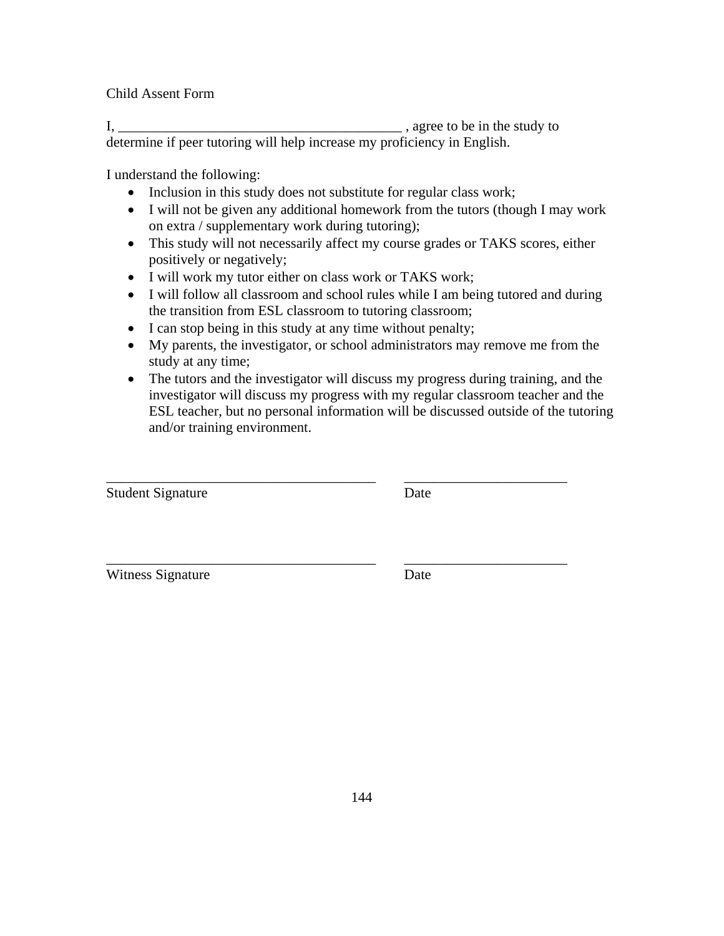Child Assent Form

I, \_\_\_\_\_\_\_\_\_\_\_\_\_\_\_\_\_\_\_\_\_\_\_\_\_\_\_\_\_\_\_\_\_\_\_\_\_\_\_\_ , agree to be in the study to determine if peer tutoring will help increase my proficiency in English.

I understand the following:

- Inclusion in this study does not substitute for regular class work;
- I will not be given any additional homework from the tutors (though I may work on extra / supplementary work during tutoring);
- This study will not necessarily affect my course grades or TAKS scores, either positively or negatively;
- I will work my tutor either on class work or TAKS work;
- I will follow all classroom and school rules while I am being tutored and during the transition from ESL classroom to tutoring classroom;
- I can stop being in this study at any time without penalty;
- My parents, the investigator, or school administrators may remove me from the study at any time;
- The tutors and the investigator will discuss my progress during training, and the investigator will discuss my progress with my regular classroom teacher and the ESL teacher, but no personal information will be discussed outside of the tutoring and/or training environment.

\_\_\_\_\_\_\_\_\_\_\_\_\_\_\_\_\_\_\_\_\_\_\_\_\_\_\_\_\_\_\_\_\_\_\_\_\_\_ \_\_\_\_\_\_\_\_\_\_\_\_\_\_\_\_\_\_\_\_\_\_\_

\_\_\_\_\_\_\_\_\_\_\_\_\_\_\_\_\_\_\_\_\_\_\_\_\_\_\_\_\_\_\_\_\_\_\_\_\_\_ \_\_\_\_\_\_\_\_\_\_\_\_\_\_\_\_\_\_\_\_\_\_\_ Student Signature Date

Witness Signature Date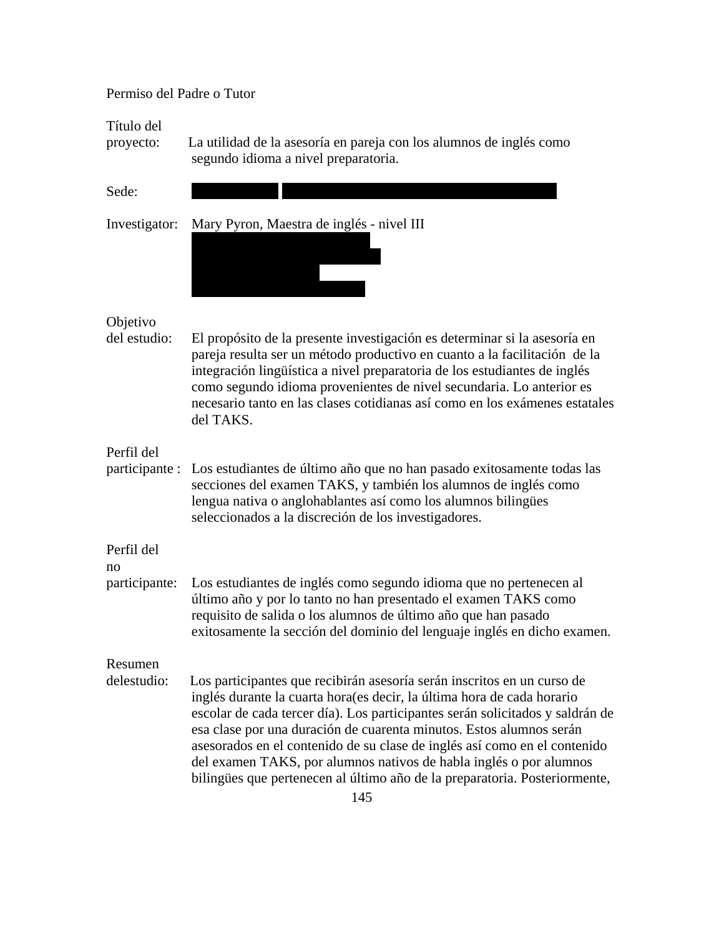# Permiso del Padre o Tutor

Título del

proyecto: La utilidad de la asesoría en pareja con los alumnos de inglés como segundo idioma a nivel preparatoria.

| Sede:                        |                                                                                                                                                                                                                                                                                                                                                                                                                                                                                                                                            |
|------------------------------|--------------------------------------------------------------------------------------------------------------------------------------------------------------------------------------------------------------------------------------------------------------------------------------------------------------------------------------------------------------------------------------------------------------------------------------------------------------------------------------------------------------------------------------------|
| Investigator:                | Mary Pyron, Maestra de inglés - nivel III                                                                                                                                                                                                                                                                                                                                                                                                                                                                                                  |
| Objetivo<br>del estudio:     | El propósito de la presente investigación es determinar si la asesoría en<br>pareja resulta ser un método productivo en cuanto a la facilitación de la<br>integración lingüística a nivel preparatoria de los estudiantes de inglés<br>como segundo idioma provenientes de nivel secundaria. Lo anterior es<br>necesario tanto en las clases cotidianas así como en los exámenes estatales<br>del TAKS.                                                                                                                                    |
| Perfil del<br>participante : | Los estudiantes de último año que no han pasado exitosamente todas las<br>secciones del examen TAKS, y también los alumnos de inglés como<br>lengua nativa o anglohablantes así como los alumnos bilingües<br>seleccionados a la discreción de los investigadores.                                                                                                                                                                                                                                                                         |
| Perfil del<br>no             |                                                                                                                                                                                                                                                                                                                                                                                                                                                                                                                                            |
| participante:                | Los estudiantes de inglés como segundo idioma que no pertenecen al<br>último año y por lo tanto no han presentado el examen TAKS como<br>requisito de salida o los alumnos de último año que han pasado<br>exitosamente la sección del dominio del lenguaje inglés en dicho examen.                                                                                                                                                                                                                                                        |
| Resumen                      |                                                                                                                                                                                                                                                                                                                                                                                                                                                                                                                                            |
| delestudio:                  | Los participantes que recibirán asesoría serán inscritos en un curso de<br>inglés durante la cuarta hora(es decir, la última hora de cada horario<br>escolar de cada tercer día). Los participantes serán solicitados y saldrán de<br>esa clase por una duración de cuarenta minutos. Estos alumnos serán<br>asesorados en el contenido de su clase de inglés así como en el contenido<br>del examen TAKS, por alumnos nativos de habla inglés o por alumnos<br>bilingües que pertenecen al último año de la preparatoria. Posteriormente, |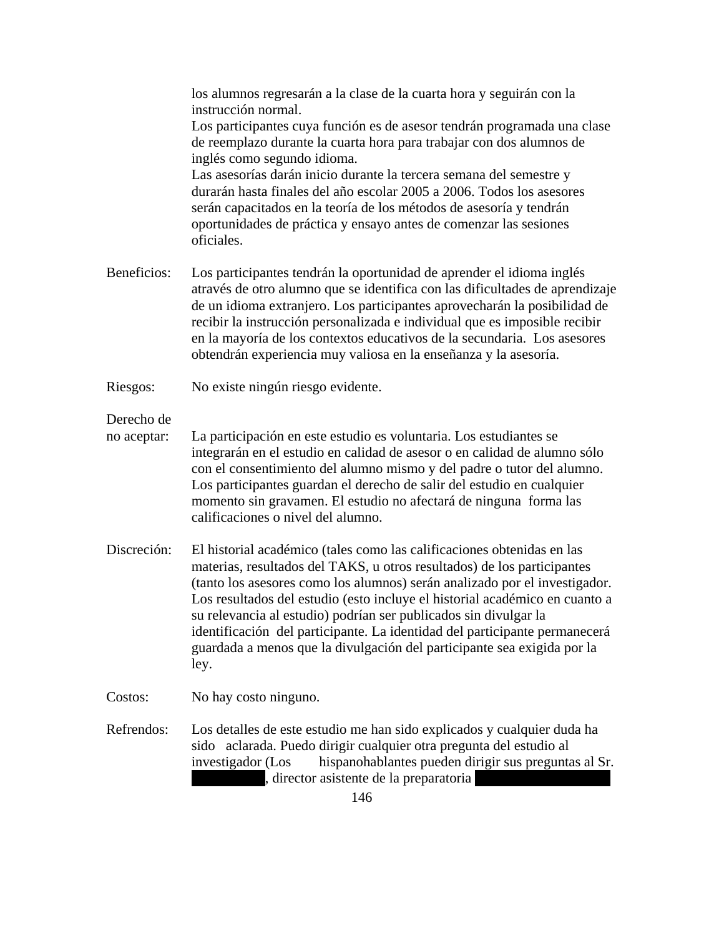|                           | los alumnos regresarán a la clase de la cuarta hora y seguirán con la<br>instrucción normal.                                                                                                                                                                                                                                                                                                                                                                                                                                                        |
|---------------------------|-----------------------------------------------------------------------------------------------------------------------------------------------------------------------------------------------------------------------------------------------------------------------------------------------------------------------------------------------------------------------------------------------------------------------------------------------------------------------------------------------------------------------------------------------------|
|                           | Los participantes cuya función es de asesor tendrán programada una clase<br>de reemplazo durante la cuarta hora para trabajar con dos alumnos de<br>inglés como segundo idioma.                                                                                                                                                                                                                                                                                                                                                                     |
|                           | Las asesorías darán inicio durante la tercera semana del semestre y<br>durarán hasta finales del año escolar 2005 a 2006. Todos los asesores<br>serán capacitados en la teoría de los métodos de asesoría y tendrán<br>oportunidades de práctica y ensayo antes de comenzar las sesiones<br>oficiales.                                                                                                                                                                                                                                              |
| Beneficios:               | Los participantes tendrán la oportunidad de aprender el idioma inglés<br>através de otro alumno que se identifica con las dificultades de aprendizaje<br>de un idioma extranjero. Los participantes aprovecharán la posibilidad de<br>recibir la instrucción personalizada e individual que es imposible recibir<br>en la mayoría de los contextos educativos de la secundaria. Los asesores<br>obtendrán experiencia muy valiosa en la enseñanza y la asesoría.                                                                                    |
| Riesgos:                  | No existe ningún riesgo evidente.                                                                                                                                                                                                                                                                                                                                                                                                                                                                                                                   |
| Derecho de<br>no aceptar: | La participación en este estudio es voluntaria. Los estudiantes se                                                                                                                                                                                                                                                                                                                                                                                                                                                                                  |
|                           | integrarán en el estudio en calidad de asesor o en calidad de alumno sólo<br>con el consentimiento del alumno mismo y del padre o tutor del alumno.<br>Los participantes guardan el derecho de salir del estudio en cualquier<br>momento sin gravamen. El estudio no afectará de ninguna forma las<br>calificaciones o nivel del alumno.                                                                                                                                                                                                            |
| Discreción:               | El historial académico (tales como las calificaciones obtenidas en las<br>materias, resultados del TAKS, u otros resultados) de los participantes<br>(tanto los asesores como los alumnos) serán analizado por el investigador.<br>Los resultados del estudio (esto incluye el historial académico en cuanto a<br>su relevancia al estudio) podrían ser publicados sin divulgar la<br>identificación del participante. La identidad del participante permanecerá<br>guardada a menos que la divulgación del participante sea exigida por la<br>ley. |
| Costos:                   | No hay costo ninguno.                                                                                                                                                                                                                                                                                                                                                                                                                                                                                                                               |
| Refrendos:                | Los detalles de este estudio me han sido explicados y cualquier duda ha<br>sido aclarada. Puedo dirigir cualquier otra pregunta del estudio al<br>hispanohablantes pueden dirigir sus preguntas al Sr.<br>investigador (Los<br>director asistente de la preparatoria                                                                                                                                                                                                                                                                                |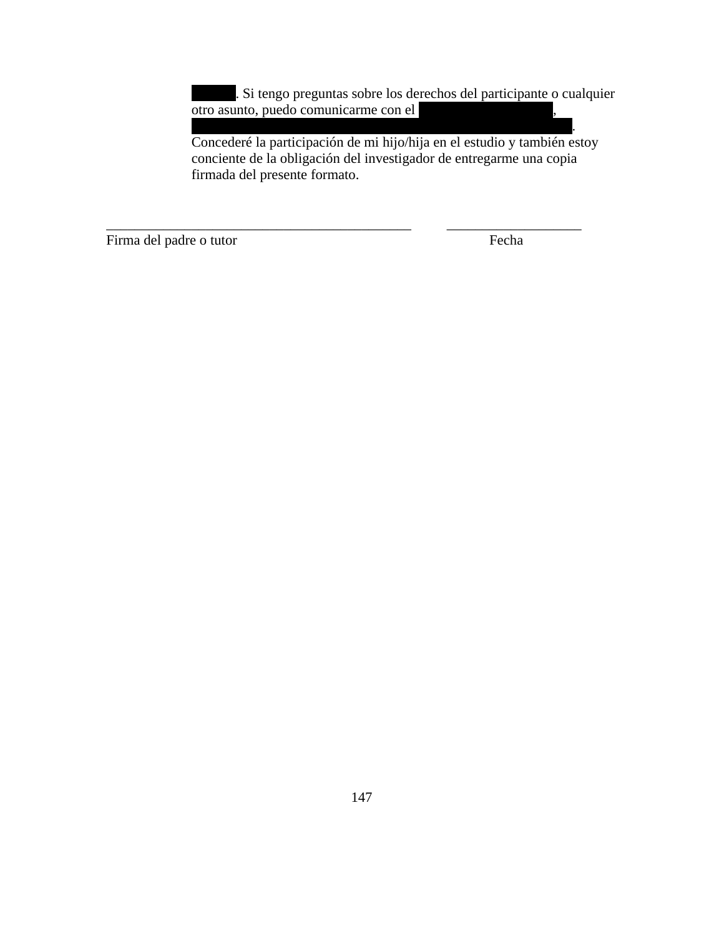. Si tengo preguntas sobre los derechos del participante o cualquier otro asunto, puedo comunicarme con el

presidente del Consejo de Revisión Institucional al (225) 578-8692. Concederé la participación de mi hijo/hija en el estudio y también estoy conciente de la obligación del investigador de entregarme una copia firmada del presente formato.

\_\_\_\_\_\_\_\_\_\_\_\_\_\_\_\_\_\_\_\_\_\_\_\_\_\_\_\_\_\_\_\_\_\_\_\_\_\_\_\_\_\_\_ \_\_\_\_\_\_\_\_\_\_\_\_\_\_\_\_\_\_\_

Firma del padre o tutor Fecha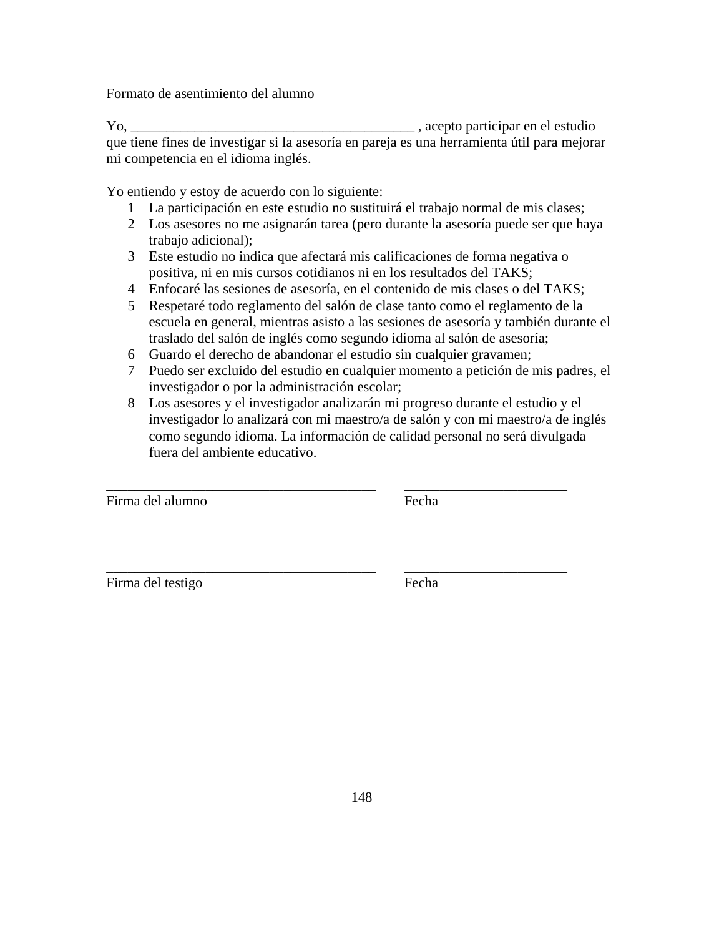Formato de asentimiento del alumno

Yo, \_\_\_\_\_\_\_\_\_\_\_\_\_\_\_\_\_\_\_\_\_\_\_\_\_\_\_\_\_\_\_\_\_\_\_\_\_\_\_\_ , acepto participar en el estudio que tiene fines de investigar si la asesoría en pareja es una herramienta útil para mejorar mi competencia en el idioma inglés.

Yo entiendo y estoy de acuerdo con lo siguiente:

- 1 La participación en este estudio no sustituirá el trabajo normal de mis clases;
- 2 Los asesores no me asignarán tarea (pero durante la asesoría puede ser que haya trabajo adicional);
- 3 Este estudio no indica que afectará mis calificaciones de forma negativa o positiva, ni en mis cursos cotidianos ni en los resultados del TAKS;
- 4 Enfocaré las sesiones de asesoría, en el contenido de mis clases o del TAKS;
- 5 Respetaré todo reglamento del salón de clase tanto como el reglamento de la escuela en general, mientras asisto a las sesiones de asesoría y también durante el traslado del salón de inglés como segundo idioma al salón de asesoría;
- 6 Guardo el derecho de abandonar el estudio sin cualquier gravamen;

\_\_\_\_\_\_\_\_\_\_\_\_\_\_\_\_\_\_\_\_\_\_\_\_\_\_\_\_\_\_\_\_\_\_\_\_\_\_ \_\_\_\_\_\_\_\_\_\_\_\_\_\_\_\_\_\_\_\_\_\_\_

\_\_\_\_\_\_\_\_\_\_\_\_\_\_\_\_\_\_\_\_\_\_\_\_\_\_\_\_\_\_\_\_\_\_\_\_\_\_ \_\_\_\_\_\_\_\_\_\_\_\_\_\_\_\_\_\_\_\_\_\_\_

- 7 Puedo ser excluido del estudio en cualquier momento a petición de mis padres, el investigador o por la administración escolar;
- 8 Los asesores y el investigador analizarán mi progreso durante el estudio y el investigador lo analizará con mi maestro/a de salón y con mi maestro/a de inglés como segundo idioma. La información de calidad personal no será divulgada fuera del ambiente educativo.

Firma del alumno Fecha

Firma del testigo Fecha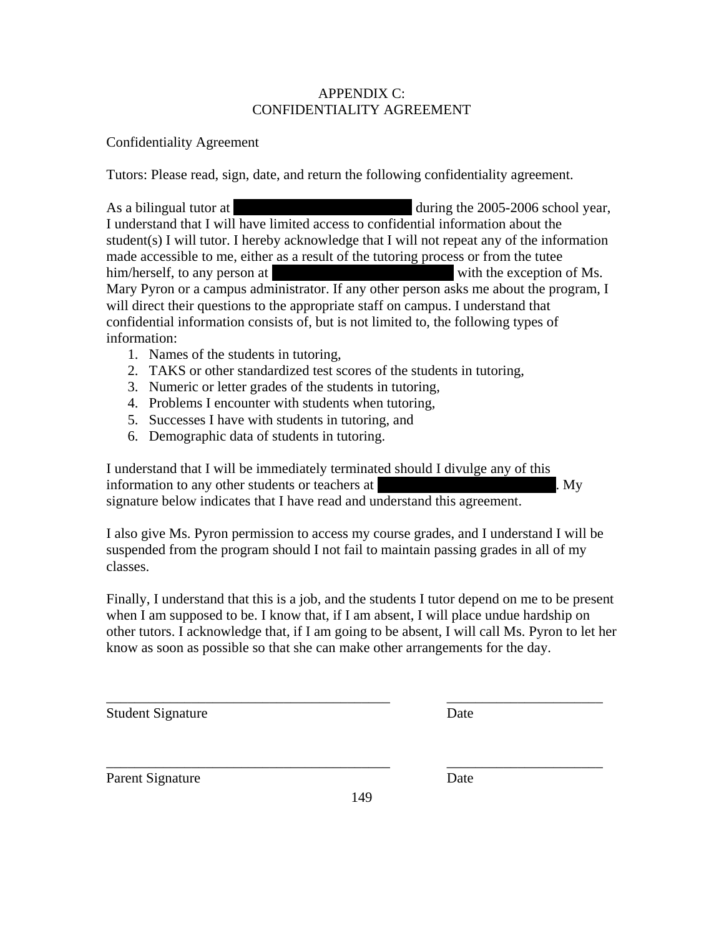# APPENDIX C: CONFIDENTIALITY AGREEMENT

# Confidentiality Agreement

Tutors: Please read, sign, date, and return the following confidentiality agreement.

As a bilingual tutor at  $\mu$  and  $\mu$  during the 2005-2006 school year, I understand that I will have limited access to confidential information about the student(s) I will tutor. I hereby acknowledge that I will not repeat any of the information made accessible to me, either as a result of the tutoring process or from the tutee him/herself, to any person at with the exception of Ms. Mary Pyron or a campus administrator. If any other person asks me about the program, I will direct their questions to the appropriate staff on campus. I understand that confidential information consists of, but is not limited to, the following types of information:

- 1. Names of the students in tutoring,
- 2. TAKS or other standardized test scores of the students in tutoring,
- 3. Numeric or letter grades of the students in tutoring,
- 4. Problems I encounter with students when tutoring,
- 5. Successes I have with students in tutoring, and
- 6. Demographic data of students in tutoring.

I understand that I will be immediately terminated should I divulge any of this information to any other students or teachers at  $\mathbf{M}$ . signature below indicates that I have read and understand this agreement.

I also give Ms. Pyron permission to access my course grades, and I understand I will be suspended from the program should I not fail to maintain passing grades in all of my classes.

Finally, I understand that this is a job, and the students I tutor depend on me to be present when I am supposed to be. I know that, if I am absent, I will place undue hardship on other tutors. I acknowledge that, if I am going to be absent, I will call Ms. Pyron to let her know as soon as possible so that she can make other arrangements for the day.

\_\_\_\_\_\_\_\_\_\_\_\_\_\_\_\_\_\_\_\_\_\_\_\_\_\_\_\_\_\_\_\_\_\_\_\_\_\_\_\_ \_\_\_\_\_\_\_\_\_\_\_\_\_\_\_\_\_\_\_\_\_\_

Student Signature Date

| Parent Signature | Date |
|------------------|------|
|                  |      |

\_\_\_\_\_\_\_\_\_\_\_\_\_\_\_\_\_\_\_\_\_\_\_\_\_\_\_\_\_\_\_\_\_\_\_\_\_\_\_\_ \_\_\_\_\_\_\_\_\_\_\_\_\_\_\_\_\_\_\_\_\_\_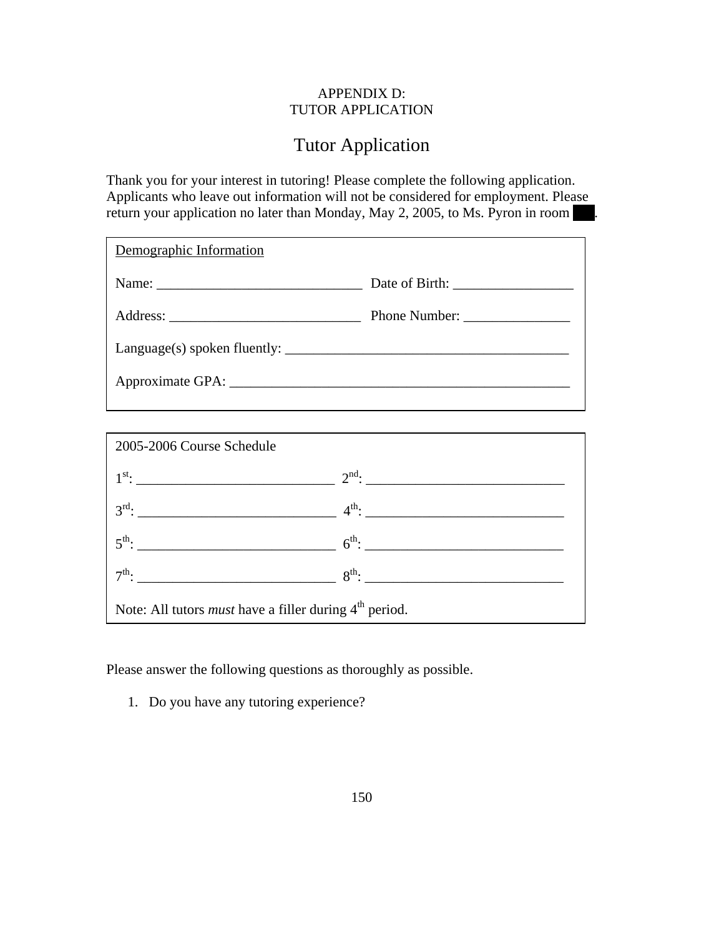## APPENDIX D: TUTOR APPLICATION

# Tutor Application

Thank you for your interest in tutoring! Please complete the following application. Applicants who leave out information will not be considered for employment. Please return your application no later than Monday, May 2, 2005, to Ms. Pyron in room

| Demographic Information |               |
|-------------------------|---------------|
|                         |               |
|                         | Phone Number: |
|                         |               |
|                         |               |
|                         |               |

| 2005-2006 Course Schedule                                                 |  |  |
|---------------------------------------------------------------------------|--|--|
|                                                                           |  |  |
|                                                                           |  |  |
| $5^{\text{th}}$ : $6^{\text{th}}$ : $6^{\text{th}}$ : $10^{\text{th}}$    |  |  |
|                                                                           |  |  |
| Note: All tutors <i>must</i> have a filler during 4 <sup>th</sup> period. |  |  |

Please answer the following questions as thoroughly as possible.

1. Do you have any tutoring experience?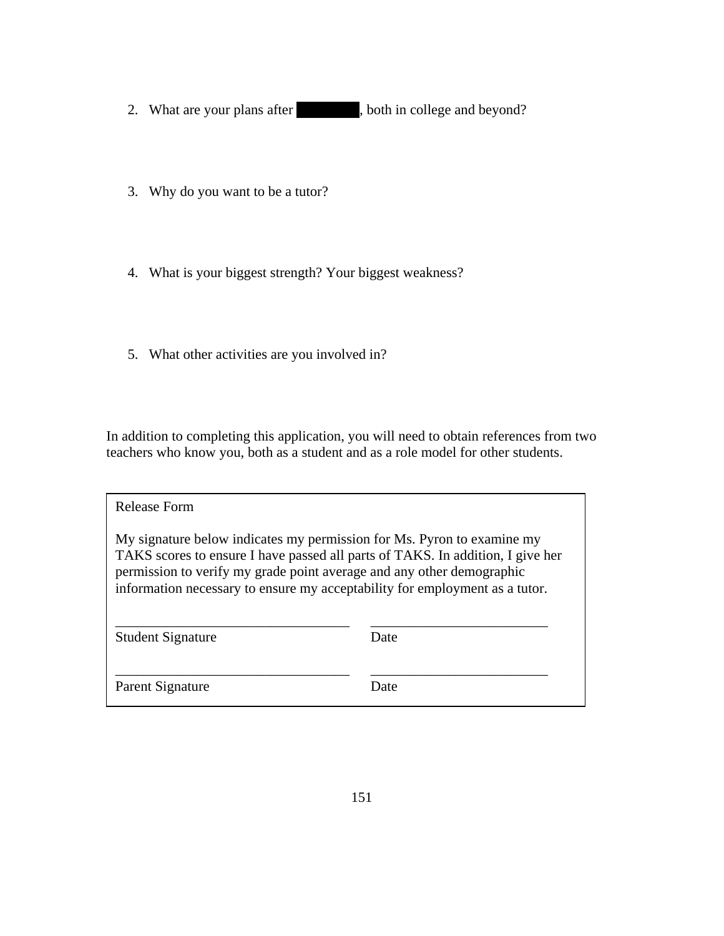- 2. What are your plans after have both in college and beyond?
- 3. Why do you want to be a tutor?
- 4. What is your biggest strength? Your biggest weakness?
- 5. What other activities are you involved in?

In addition to completing this application, you will need to obtain references from two teachers who know you, both as a student and as a role model for other students.

| Release Form                                                                                                                                                                                                                                                                                                     |      |
|------------------------------------------------------------------------------------------------------------------------------------------------------------------------------------------------------------------------------------------------------------------------------------------------------------------|------|
| My signature below indicates my permission for Ms. Pyron to examine my<br>TAKS scores to ensure I have passed all parts of TAKS. In addition, I give her<br>permission to verify my grade point average and any other demographic<br>information necessary to ensure my acceptability for employment as a tutor. |      |
| <b>Student Signature</b>                                                                                                                                                                                                                                                                                         | Date |
| Parent Signature                                                                                                                                                                                                                                                                                                 | Date |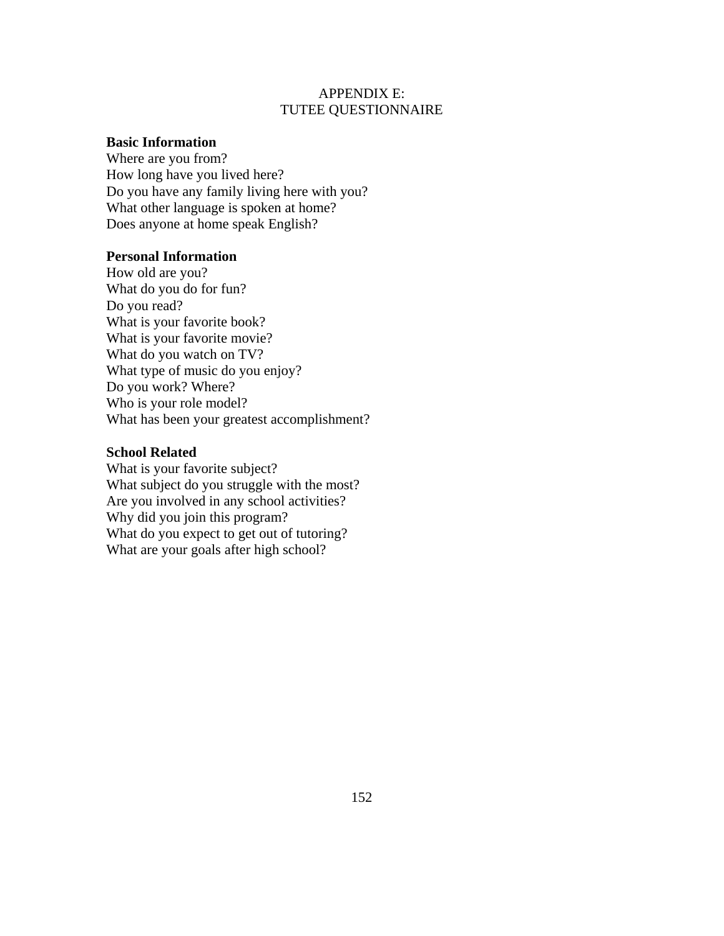#### APPENDIX E: TUTEE QUESTIONNAIRE

#### **Basic Information**

Where are you from? How long have you lived here? Do you have any family living here with you? What other language is spoken at home? Does anyone at home speak English?

#### **Personal Information**

How old are you? What do you do for fun? Do you read? What is your favorite book? What is your favorite movie? What do you watch on TV? What type of music do you enjoy? Do you work? Where? Who is your role model? What has been your greatest accomplishment?

#### **School Related**

What is your favorite subject? What subject do you struggle with the most? Are you involved in any school activities? Why did you join this program? What do you expect to get out of tutoring? What are your goals after high school?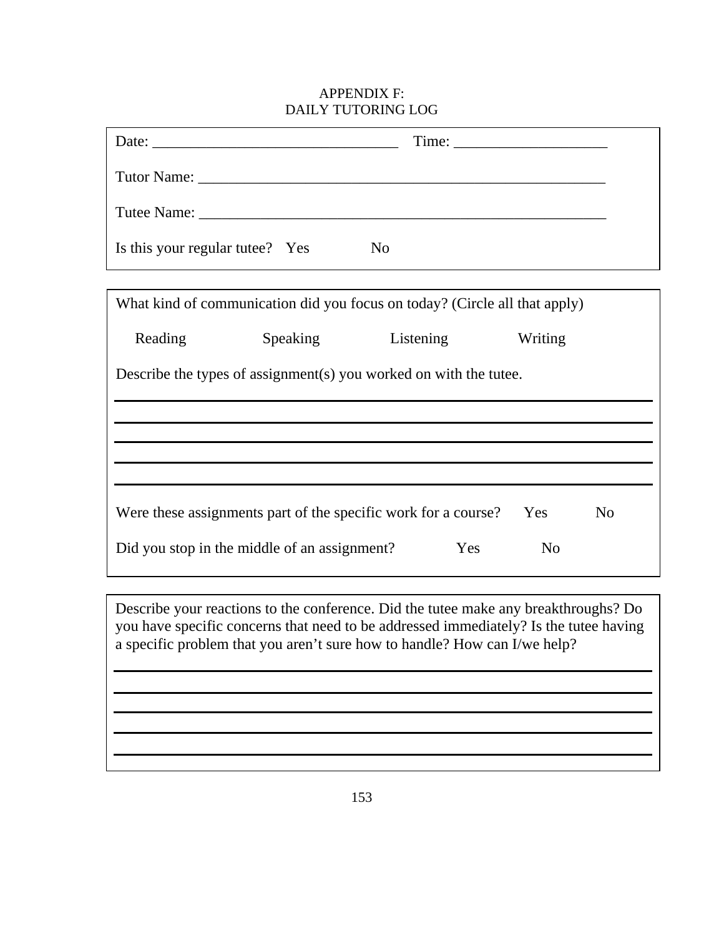# APPENDIX F: DAILY TUTORING LOG

| Tutee Name: Tute Name:                       |          |                                                                                                                                                                                                                                                           |                       |  |
|----------------------------------------------|----------|-----------------------------------------------------------------------------------------------------------------------------------------------------------------------------------------------------------------------------------------------------------|-----------------------|--|
| Is this your regular tutee? Yes              |          | N <sub>0</sub>                                                                                                                                                                                                                                            |                       |  |
|                                              |          |                                                                                                                                                                                                                                                           |                       |  |
|                                              |          | What kind of communication did you focus on today? (Circle all that apply)                                                                                                                                                                                |                       |  |
| Reading                                      | Speaking | Listening                                                                                                                                                                                                                                                 | Writing               |  |
|                                              |          | Describe the types of assignment(s) you worked on with the tutee.                                                                                                                                                                                         |                       |  |
|                                              |          |                                                                                                                                                                                                                                                           |                       |  |
|                                              |          |                                                                                                                                                                                                                                                           |                       |  |
|                                              |          |                                                                                                                                                                                                                                                           |                       |  |
|                                              |          |                                                                                                                                                                                                                                                           |                       |  |
|                                              |          | Were these assignments part of the specific work for a course?                                                                                                                                                                                            | Yes<br>N <sub>0</sub> |  |
| Did you stop in the middle of an assignment? |          | Yes                                                                                                                                                                                                                                                       | N <sub>o</sub>        |  |
|                                              |          |                                                                                                                                                                                                                                                           |                       |  |
|                                              |          | Describe your reactions to the conference. Did the tute emake any breakthroughs? Do<br>you have specific concerns that need to be addressed immediately? Is the tutee having<br>a specific problem that you aren't sure how to handle? How can I/we help? |                       |  |
|                                              |          |                                                                                                                                                                                                                                                           |                       |  |
|                                              |          |                                                                                                                                                                                                                                                           |                       |  |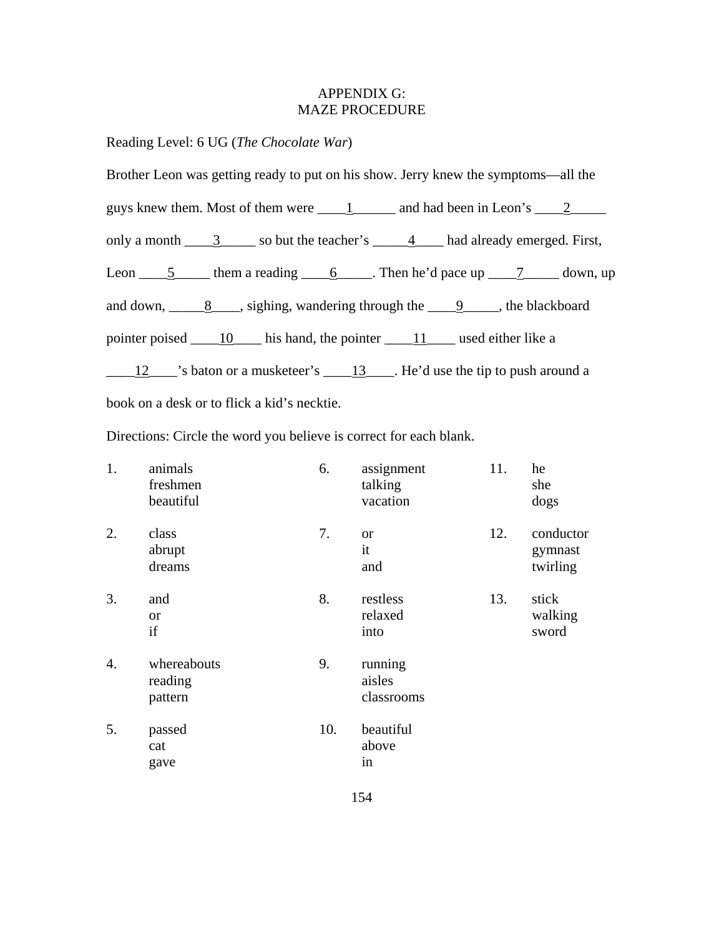# APPENDIX G: MAZE PROCEDURE

Reading Level: 6 UG (*The Chocolate War*)

| Brother Leon was getting ready to put on his show. Jerry knew the symptoms—all the                                                            |
|-----------------------------------------------------------------------------------------------------------------------------------------------|
| guys knew them. Most of them were $\underline{\hspace{1cm}} 1$ and had been in Leon's $\underline{\hspace{1cm}} 2$ $\underline{\hspace{1cm}}$ |
| only a month $\frac{3}{1}$ so but the teacher's $\frac{4}{1}$ had already emerged. First,                                                     |
| Leon $\underline{\hspace{1cm}} 5$ them a reading $\underline{\hspace{1cm}} 6$ . Then he'd pace up $\underline{\hspace{1cm}} 7$ down, up       |
| and down, $\underline{8}$ , sighing, wandering through the $\underline{9}$ , the blackboard                                                   |
| pointer poised 10 his hand, the pointer 11 used either like a                                                                                 |
| $\frac{12}{12}$ is baton or a musketeer's $\frac{13}{12}$ . He'd use the tip to push around a                                                 |
| book on a desk or to flick a kid's necktie.                                                                                                   |

Directions: Circle the word you believe is correct for each blank.

| 1. | animals<br>freshmen<br>beautiful  | 6.  | assignment<br>talking<br>vacation | 11. | he<br>she<br>dogs                |
|----|-----------------------------------|-----|-----------------------------------|-----|----------------------------------|
| 2. | class<br>abrupt<br>dreams         | 7.  | <b>or</b><br>it<br>and            | 12. | conductor<br>gymnast<br>twirling |
| 3. | and<br><b>or</b><br>if            | 8.  | restless<br>relaxed<br>into       | 13. | stick<br>walking<br>sword        |
| 4. | whereabouts<br>reading<br>pattern | 9.  | running<br>aisles<br>classrooms   |     |                                  |
| 5. | passed<br>cat<br>gave             | 10. | beautiful<br>above<br>in          |     |                                  |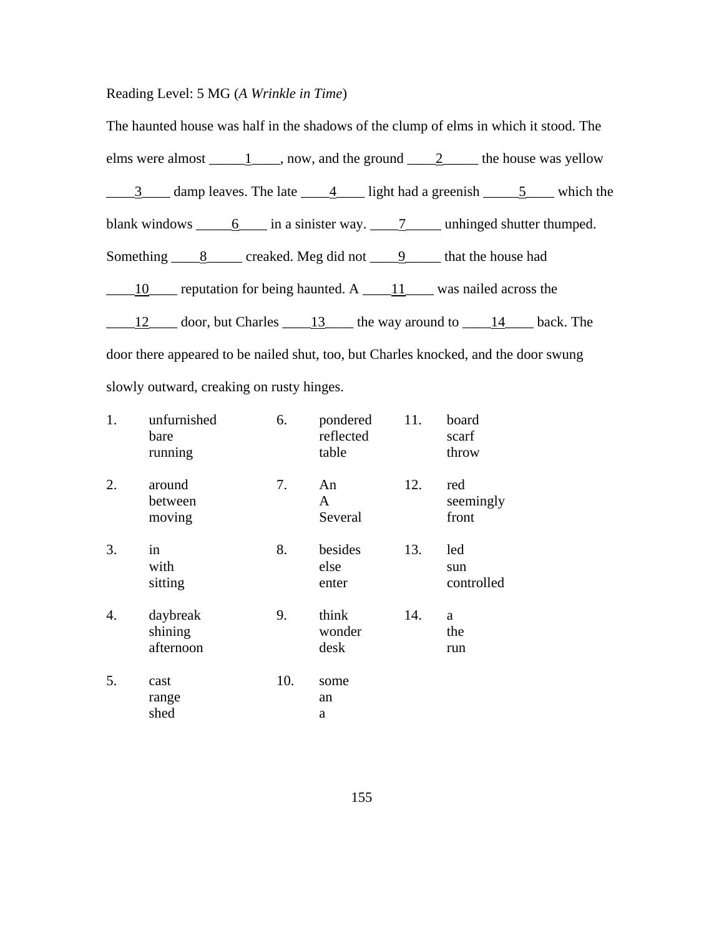# Reading Level: 5 MG (*A Wrinkle in Time*)

| The haunted house was half in the shadows of the clump of elms in which it stood. The                                                                                   |
|-------------------------------------------------------------------------------------------------------------------------------------------------------------------------|
| elms were almost $\underline{\hspace{1cm}} 1 \underline{\hspace{1cm}}$ , now, and the ground $\underline{\hspace{1cm}} 2 \underline{\hspace{1cm}}$ the house was yellow |
| $\frac{3}{1}$ damp leaves. The late $\frac{4}{1}$ light had a greenish $\frac{5}{1}$ which the                                                                          |
| blank windows $\underline{\hspace{1cm}} 6$ in a sinister way. $\underline{\hspace{1cm}} 7$ unhinged shutter thumped.                                                    |
| Something $\underline{\hspace{1cm}} 8$ creaked. Meg did not $\underline{\hspace{1cm}} 9$ that the house had                                                             |
| $\underline{\hspace{1cm}} 10$ reputation for being haunted. A $\underline{\hspace{1cm}} 11$ was nailed across the                                                       |
| $\frac{12}{12}$ door, but Charles $\frac{13}{13}$ the way around to $\frac{14}{13}$ back. The                                                                           |
| door there appeared to be nailed shut, too, but Charles knocked, and the door swung                                                                                     |
| slowly outward, creaking on rusty hinges.                                                                                                                               |

| 1. | unfurnished<br>bare<br>running   | 6.  | pondered<br>reflected<br>table | 11. | board<br>scarf<br>throw   |
|----|----------------------------------|-----|--------------------------------|-----|---------------------------|
| 2. | around<br>between<br>moving      | 7.  | An<br>A<br>Several             | 12. | red<br>seemingly<br>front |
| 3. | in<br>with<br>sitting            | 8.  | besides<br>else<br>enter       | 13. | led<br>sun<br>controlled  |
| 4. | daybreak<br>shining<br>afternoon | 9.  | think<br>wonder<br>desk        | 14. | a<br>the<br>run           |
| 5. | cast<br>range<br>shed            | 10. | some<br>an<br>a                |     |                           |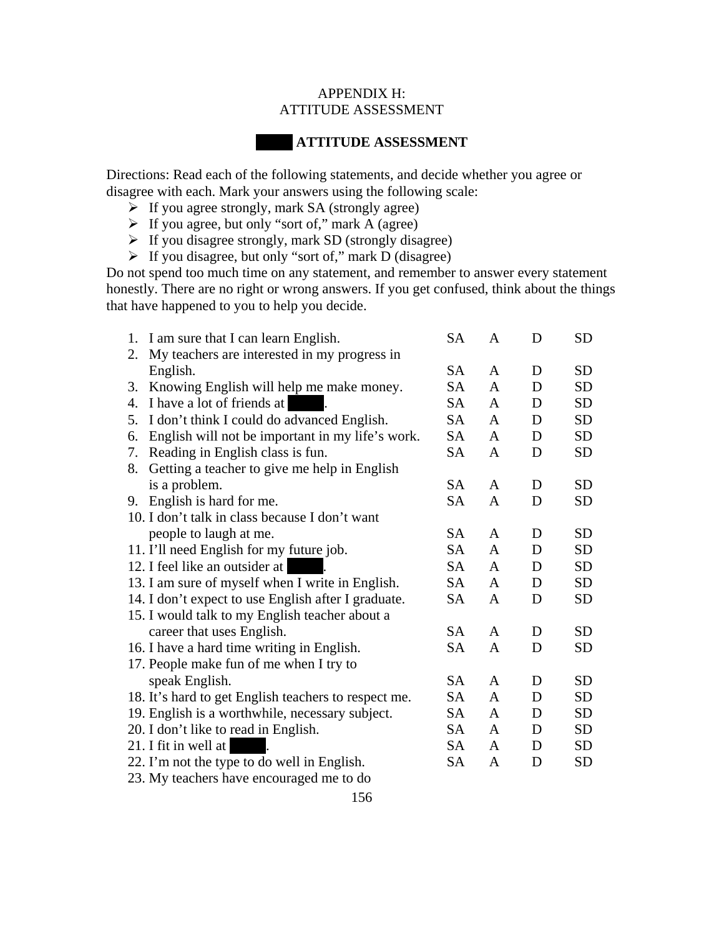## APPENDIX H: ATTITUDE ASSESSMENT

# **ATTITUDE ASSESSMENT**

Directions: Read each of the following statements, and decide whether you agree or disagree with each. Mark your answers using the following scale:

- $\triangleright$  If you agree strongly, mark SA (strongly agree)
- $\triangleright$  If you agree, but only "sort of," mark A (agree)
- $\triangleright$  If you disagree strongly, mark SD (strongly disagree)
- $\triangleright$  If you disagree, but only "sort of," mark D (disagree)

Do not spend too much time on any statement, and remember to answer every statement honestly. There are no right or wrong answers. If you get confused, think about the things that have happened to you to help you decide.

| 1.                                                  | I am sure that I can learn English.                  | <b>SA</b> | A | D | <b>SD</b> |
|-----------------------------------------------------|------------------------------------------------------|-----------|---|---|-----------|
| 2.                                                  | My teachers are interested in my progress in         |           |   |   |           |
|                                                     | English.                                             | <b>SA</b> | A | D | <b>SD</b> |
| 3.                                                  | Knowing English will help me make money.             | SA        | A | D | <b>SD</b> |
| 4.                                                  | I have a lot of friends at                           | <b>SA</b> | A | D | <b>SD</b> |
| 5.                                                  | I don't think I could do advanced English.           | <b>SA</b> | A | D | <b>SD</b> |
| 6.                                                  | English will not be important in my life's work.     | <b>SA</b> | A | D | <b>SD</b> |
| 7.                                                  | Reading in English class is fun.                     | <b>SA</b> | A | D | <b>SD</b> |
| 8.                                                  | Getting a teacher to give me help in English         |           |   |   |           |
|                                                     | is a problem.                                        | <b>SA</b> | A | D | <b>SD</b> |
| 9.                                                  | English is hard for me.                              | <b>SA</b> | A | D | <b>SD</b> |
|                                                     | 10. I don't talk in class because I don't want       |           |   |   |           |
|                                                     | people to laugh at me.                               | <b>SA</b> | A | D | <b>SD</b> |
|                                                     | 11. I'll need English for my future job.             | <b>SA</b> | A | D | <b>SD</b> |
| 12. I feel like an outsider at                      |                                                      | SA        | A | D | <b>SD</b> |
|                                                     | 13. I am sure of myself when I write in English.     | <b>SA</b> | A | D | <b>SD</b> |
| 14. I don't expect to use English after I graduate. |                                                      | <b>SA</b> | A | D | <b>SD</b> |
| 15. I would talk to my English teacher about a      |                                                      |           |   |   |           |
|                                                     | career that uses English.                            | <b>SA</b> | A | D | <b>SD</b> |
|                                                     | 16. I have a hard time writing in English.           | <b>SA</b> | A | D | <b>SD</b> |
| 17. People make fun of me when I try to             |                                                      |           |   |   |           |
|                                                     | speak English.                                       | <b>SA</b> | A | D | <b>SD</b> |
|                                                     | 18. It's hard to get English teachers to respect me. | <b>SA</b> | A | D | <b>SD</b> |
|                                                     | 19. English is a worthwhile, necessary subject.      | SA        | A | D | <b>SD</b> |
|                                                     | 20. I don't like to read in English.                 | SA        | A | D | <b>SD</b> |
| 21. I fit in well at                                |                                                      | <b>SA</b> | A | D | <b>SD</b> |
|                                                     | 22. I'm not the type to do well in English.          | SА        | A | D | <b>SD</b> |
|                                                     | 23. My teachers have encouraged me to do             |           |   |   |           |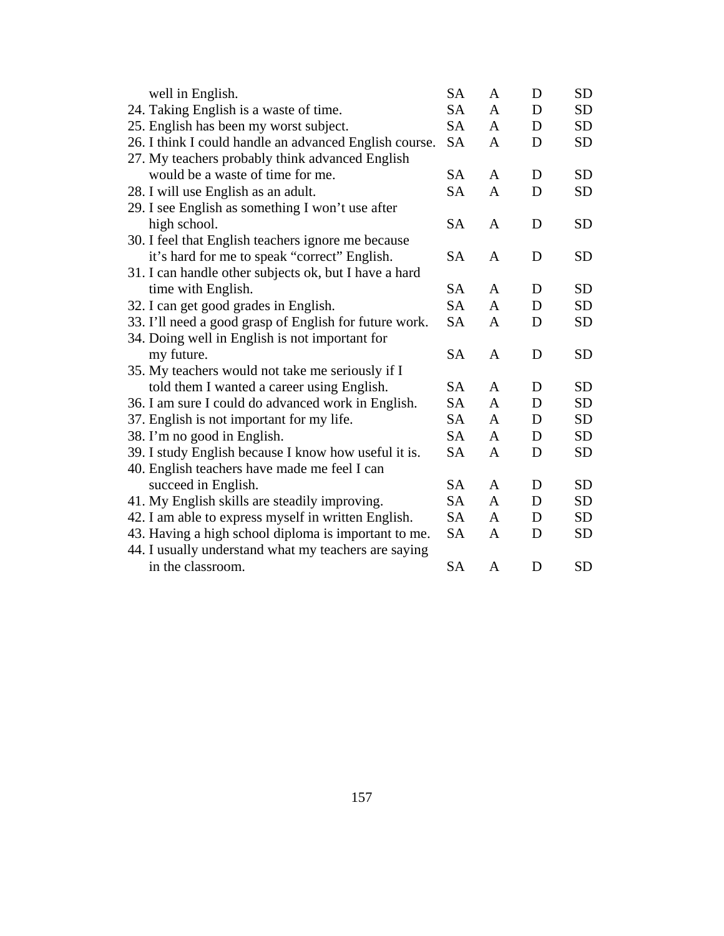| well in English.                               |                                                        | <b>SA</b> | A            | D | <b>SD</b> |
|------------------------------------------------|--------------------------------------------------------|-----------|--------------|---|-----------|
| 24. Taking English is a waste of time.         |                                                        | <b>SA</b> | A            | D | <b>SD</b> |
| 25. English has been my worst subject.         |                                                        | <b>SA</b> | A            | D | <b>SD</b> |
|                                                | 26. I think I could handle an advanced English course. | <b>SA</b> | A            | D | <b>SD</b> |
|                                                | 27. My teachers probably think advanced English        |           |              |   |           |
| would be a waste of time for me.               |                                                        | <b>SA</b> | A            | D | <b>SD</b> |
| 28. I will use English as an adult.            |                                                        | <b>SA</b> | A            | D | <b>SD</b> |
|                                                | 29. I see English as something I won't use after       |           |              |   |           |
| high school.                                   |                                                        | <b>SA</b> | A            | D | <b>SD</b> |
|                                                | 30. I feel that English teachers ignore me because     |           |              |   |           |
|                                                | it's hard for me to speak "correct" English.           | <b>SA</b> | A            | D | <b>SD</b> |
|                                                | 31. I can handle other subjects ok, but I have a hard  |           |              |   |           |
| time with English.                             |                                                        | <b>SA</b> | A            | D | <b>SD</b> |
| 32. I can get good grades in English.          |                                                        | <b>SA</b> | A            | D | <b>SD</b> |
|                                                | 33. I'll need a good grasp of English for future work. | <b>SA</b> | A            | D | <b>SD</b> |
| 34. Doing well in English is not important for |                                                        |           |              |   |           |
| my future.                                     |                                                        | <b>SA</b> | A            | D | <b>SD</b> |
|                                                | 35. My teachers would not take me seriously if I       |           |              |   |           |
|                                                | told them I wanted a career using English.             | <b>SA</b> | A            | D | <b>SD</b> |
|                                                | 36. I am sure I could do advanced work in English.     | <b>SA</b> | $\mathbf{A}$ | D | <b>SD</b> |
| 37. English is not important for my life.      |                                                        | <b>SA</b> | A            | D | <b>SD</b> |
| 38. I'm no good in English.                    |                                                        | <b>SA</b> | A            | D | <b>SD</b> |
|                                                | 39. I study English because I know how useful it is.   | <b>SA</b> | A            | D | <b>SD</b> |
| 40. English teachers have made me feel I can   |                                                        |           |              |   |           |
| succeed in English.                            |                                                        | <b>SA</b> | A            | D | <b>SD</b> |
| 41. My English skills are steadily improving.  |                                                        | <b>SA</b> | A            | D | <b>SD</b> |
|                                                | 42. I am able to express myself in written English.    | <b>SA</b> | A            | D | <b>SD</b> |
|                                                | 43. Having a high school diploma is important to me.   | <b>SA</b> | A            | D | <b>SD</b> |
|                                                | 44. I usually understand what my teachers are saying   |           |              |   |           |
| in the classroom.                              |                                                        | <b>SA</b> | A            | D | <b>SD</b> |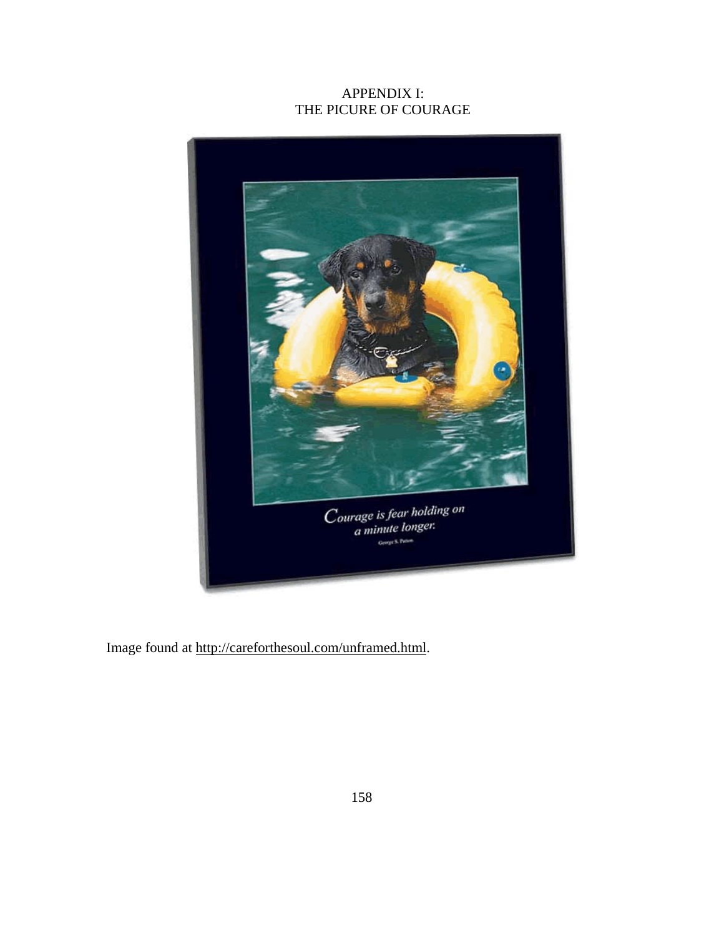# APPENDIX I: THE PICURE OF COURAGE



Image found at http://careforthesoul.com/unframed.html.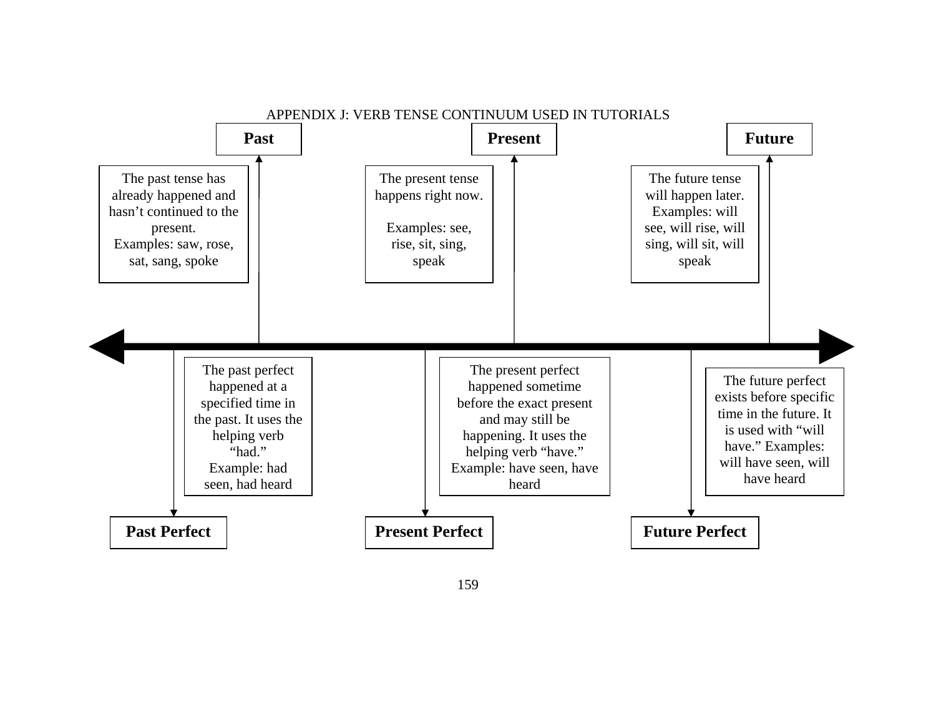

159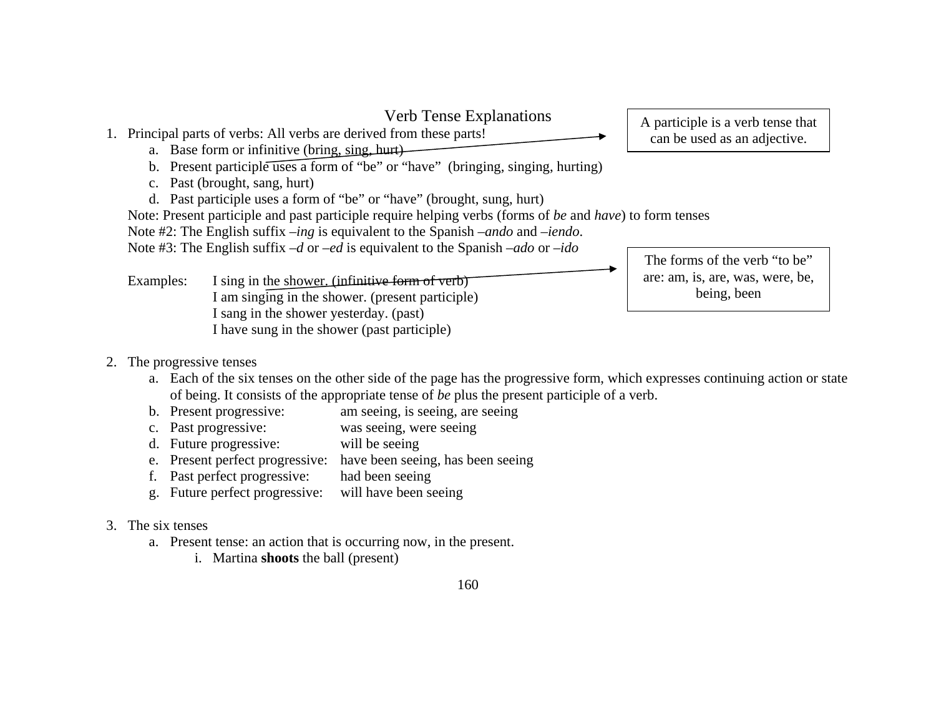

### 2. The progressive tenses

- a. Each of the six tenses on the other side of the page has the progressive form, which expresses continuing action or state of being. It consists of the appropriate tense of *be* plus the present participle of a verb.
- b. Present progressive: am seeing, is seeing, are seeing
- c. Past progressive: was seeing, were seeing
- d. Future progressive: will be seeing
- e. Present perfect progressive: have been seeing, has been seeing
- f. Past perfect progressive: had been seeing
- g. Future perfect progressive: will have been seeing
- 3. The six tenses
	- a. Present tense: an action that is occurring now, in the present.
		- i. Martina **shoots** the ball (present)

# 160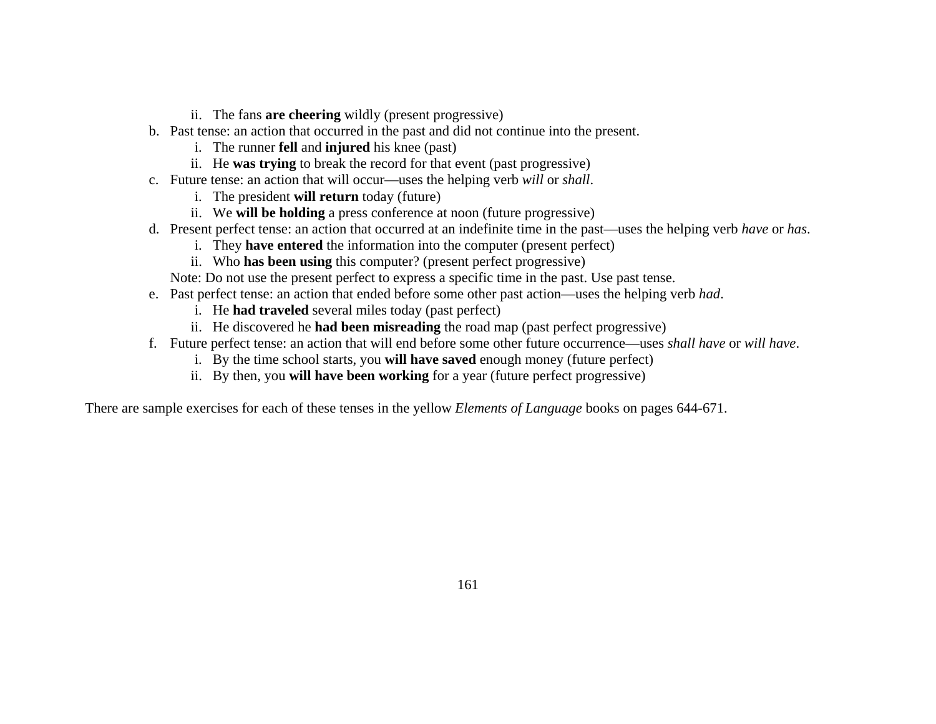- ii. The fans **are cheering** wildly (present progressive)
- b. Past tense: an action that occurred in the past and did not continue into the present.
	- i. The runner **fell** and **injured** his knee (past)
	- ii. He **was trying** to break the record for that event (past progressive)
- c. Future tense: an action that will occur—uses the helping verb *will* or *shall*.
	- i. The president **will return** today (future)
	- ii. We **will be holding** a press conference at noon (future progressive)
- d. Present perfect tense: an action that occurred at an indefinite time in the past—uses the helping verb *have* or *has*.
	- i. They **have entered** the information into the computer (present perfect)
	- ii. Who **has been using** this computer? (present perfect progressive)

Note: Do not use the present perfect to express a specific time in the past. Use past tense.

- e. Past perfect tense: an action that ended before some other past action—uses the helping verb *had*.
	- i. He **had traveled** several miles today (past perfect)
	- ii. He discovered he **had been misreading** the road map (past perfect progressive)
- f. Future perfect tense: an action that will end before some other future occurrence—uses *shall have* or *will have*.
	- i. By the time school starts, you **will have saved** enough money (future perfect)
	- ii. By then, you **will have been working** for a year (future perfect progressive)

There are sample exercises for each of these tenses in the yellow *Elements of Language* books on pages 644-671.

161